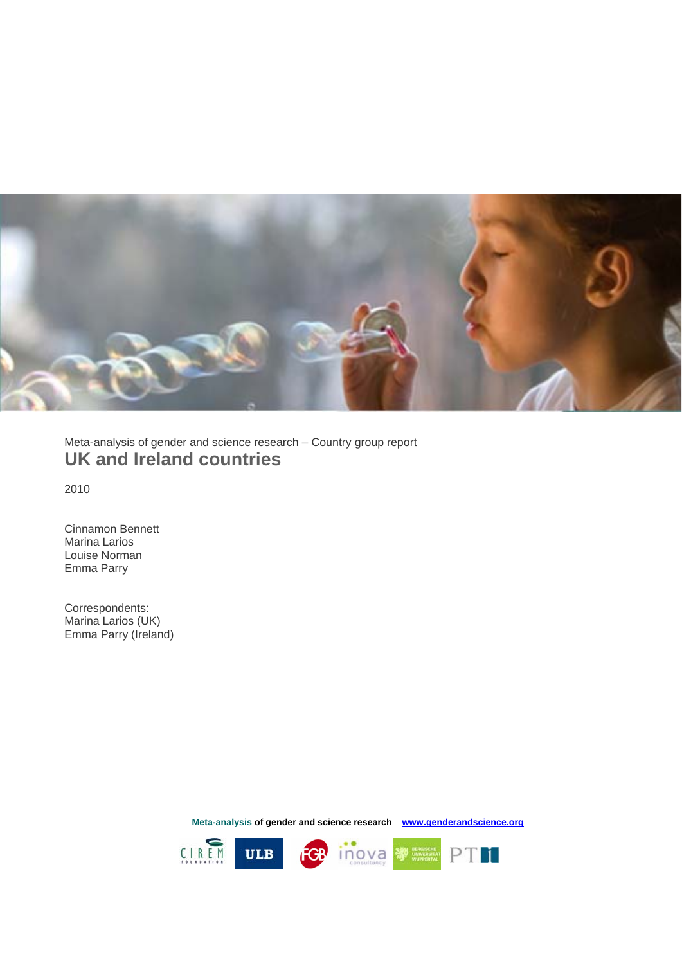

Meta-analysis of gender and science research – Country group report **UK and Ireland countries** 

2010

 Emma Parry Cinnamon Bennett Marina Larios Louise Norman

Correspondents: Marina Larios (UK) Emma Parry (Ireland)

**Meta-analysis of gender and science research www.genderandscience.org**

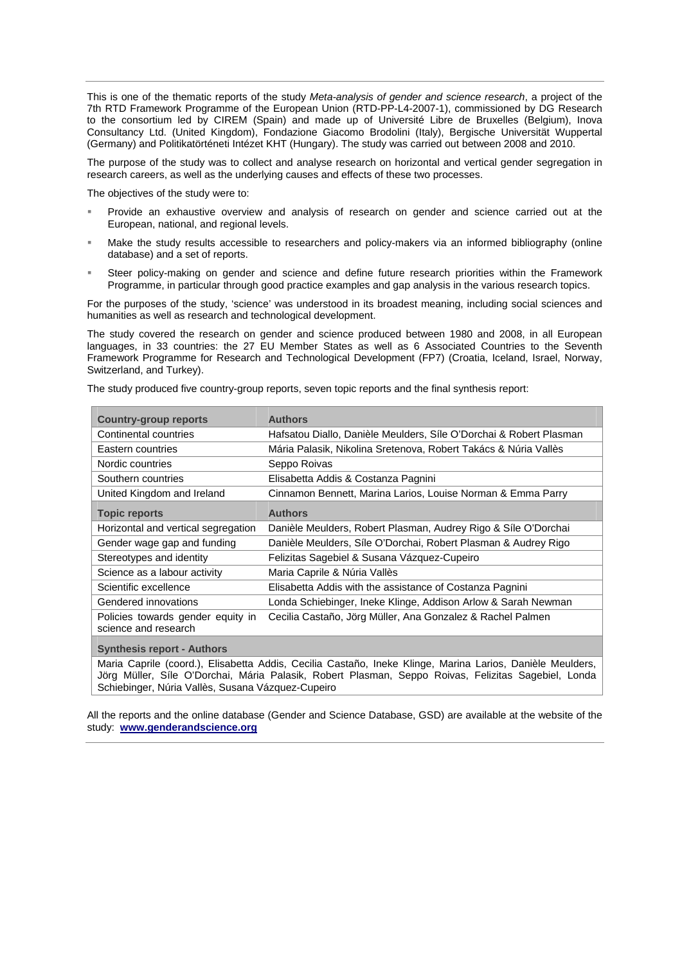This is one of the thematic reports of the study *Meta-analysis of gender and science research*, a project of the 7th RTD Framework Programme of the European Union (RTD-PP-L4-2007-1), commissioned by DG Research to the consortium led by CIREM (Spain) and made up of Université Libre de Bruxelles (Belgium), Inova Consultancy Ltd. (United Kingdom), Fondazione Giacomo Brodolini (Italy), Bergische Universität Wuppertal (Germany) and Politikatörténeti Intézet KHT (Hungary). The study was carried out between 2008 and 2010.

The purpose of the study was to collect and analyse research on horizontal and vertical gender segregation in research careers, as well as the underlying causes and effects of these two processes.

The objectives of the study were to:

- Provide an exhaustive overview and analysis of research on gender and science carried out at the European, national, and regional levels.
- Make the study results accessible to researchers and policy-makers via an informed bibliography (online database) and a set of reports.
- Steer policy-making on gender and science and define future research priorities within the Framework Programme, in particular through good practice examples and gap analysis in the various research topics.

For the purposes of the study, 'science' was understood in its broadest meaning, including social sciences and humanities as well as research and technological development.

The study covered the research on gender and science produced between 1980 and 2008, in all European languages, in 33 countries: the 27 EU Member States as well as 6 Associated Countries to the Seventh Framework Programme for Research and Technological Development (FP7) (Croatia, Iceland, Israel, Norway, Switzerland, and Turkey).

The study produced five country-group reports, seven topic reports and the final synthesis report:

| <b>Country-group reports</b>                              | <b>Authors</b>                                                                                                                                                                                                   |  |  |  |
|-----------------------------------------------------------|------------------------------------------------------------------------------------------------------------------------------------------------------------------------------------------------------------------|--|--|--|
| Continental countries                                     | Hafsatou Diallo, Danièle Meulders, Síle O'Dorchai & Robert Plasman                                                                                                                                               |  |  |  |
| Eastern countries                                         | Mária Palasik, Nikolina Sretenova, Robert Takács & Núria Vallès                                                                                                                                                  |  |  |  |
| Nordic countries                                          | Seppo Roivas                                                                                                                                                                                                     |  |  |  |
| Southern countries                                        | Elisabetta Addis & Costanza Pagnini                                                                                                                                                                              |  |  |  |
| United Kingdom and Ireland                                | Cinnamon Bennett, Marina Larios, Louise Norman & Emma Parry                                                                                                                                                      |  |  |  |
| <b>Topic reports</b>                                      | <b>Authors</b>                                                                                                                                                                                                   |  |  |  |
| Horizontal and vertical segregation                       | Danièle Meulders, Robert Plasman, Audrey Rigo & Síle O'Dorchai                                                                                                                                                   |  |  |  |
| Gender wage gap and funding                               | Danièle Meulders, Síle O'Dorchai, Robert Plasman & Audrey Rigo                                                                                                                                                   |  |  |  |
| Stereotypes and identity                                  | Felizitas Sagebiel & Susana Vázquez-Cupeiro                                                                                                                                                                      |  |  |  |
| Science as a labour activity                              | Maria Caprile & Núria Vallès                                                                                                                                                                                     |  |  |  |
| Scientific excellence                                     | Elisabetta Addis with the assistance of Costanza Pagnini                                                                                                                                                         |  |  |  |
| Gendered innovations                                      | Londa Schiebinger, Ineke Klinge, Addison Arlow & Sarah Newman                                                                                                                                                    |  |  |  |
| Policies towards gender equity in<br>science and research | Cecilia Castaño, Jörg Müller, Ana Gonzalez & Rachel Palmen                                                                                                                                                       |  |  |  |
| <b>Synthesis report - Authors</b>                         |                                                                                                                                                                                                                  |  |  |  |
|                                                           | Maria Caprile (coord.), Elisabetta Addis, Cecilia Castaño, Ineke Klinge, Marina Larios, Danièle Meulders,<br>Jörg Müller, Síle O'Dorchai, Mária Palasik, Robert Plasman, Seppo Roivas, Felizitas Sagebiel, Londa |  |  |  |

All the reports and the online database (Gender and Science Database, GSD) are available at the website of the

study: **www.genderandscience.org**

Schiebinger, Núria Vallès, Susana Vázquez-Cupeiro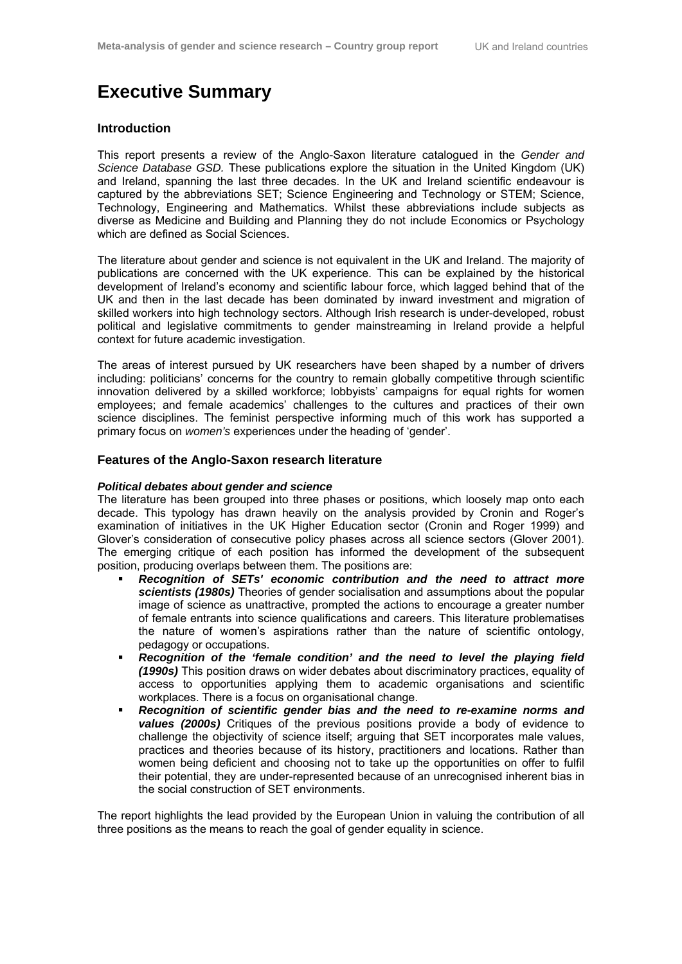## **Executive Summary**

#### **Introduction**

This report presents a review of the Anglo-Saxon literature catalogued in the *Gender and Science Database GSD.* These publications explore the situation in the United Kingdom (UK) and Ireland, spanning the last three decades. In the UK and Ireland scientific endeavour is captured by the abbreviations SET; Science Engineering and Technology or STEM; Science, Technology, Engineering and Mathematics. Whilst these abbreviations include subjects as diverse as Medicine and Building and Planning they do not include Economics or Psychology which are defined as Social Sciences.

The literature about gender and science is not equivalent in the UK and Ireland. The majority of publications are concerned with the UK experience. This can be explained by the historical development of Ireland's economy and scientific labour force, which lagged behind that of the UK and then in the last decade has been dominated by inward investment and migration of skilled workers into high technology sectors. Although Irish research is under-developed, robust political and legislative commitments to gender mainstreaming in Ireland provide a helpful context for future academic investigation.

The areas of interest pursued by UK researchers have been shaped by a number of drivers including: politicians' concerns for the country to remain globally competitive through scientific innovation delivered by a skilled workforce; lobbyists' campaigns for equal rights for women employees; and female academics' challenges to the cultures and practices of their own science disciplines. The feminist perspective informing much of this work has supported a primary focus on *women's* experiences under the heading of 'gender'.

#### **Features of the Anglo-Saxon research literature**

#### *Political debates about gender and science*

The literature has been grouped into three phases or positions, which loosely map onto each decade. This typology has drawn heavily on the analysis provided by Cronin and Roger's examination of initiatives in the UK Higher Education sector (Cronin and Roger 1999) and Glover's consideration of consecutive policy phases across all science sectors (Glover 2001). The emerging critique of each position has informed the development of the subsequent position, producing overlaps between them. The positions are:

- *Recognition of SETs' economic contribution and the need to attract more scientists (1980s)* Theories of gender socialisation and assumptions about the popular image of science as unattractive, prompted the actions to encourage a greater number of female entrants into science qualifications and careers. This literature problematises the nature of women's aspirations rather than the nature of scientific ontology, pedagogy or occupations.
- *Recognition of the 'female condition' and the need to level the playing field (1990s)* This position draws on wider debates about discriminatory practices, equality of access to opportunities applying them to academic organisations and scientific workplaces. There is a focus on organisational change.
- *Recognition of scientific gender bias and the need to re-examine norms and values (2000s)* Critiques of the previous positions provide a body of evidence to challenge the objectivity of science itself; arguing that SET incorporates male values, practices and theories because of its history, practitioners and locations. Rather than women being deficient and choosing not to take up the opportunities on offer to fulfil their potential, they are under-represented because of an unrecognised inherent bias in the social construction of SET environments.

The report highlights the lead provided by the European Union in valuing the contribution of all three positions as the means to reach the goal of gender equality in science.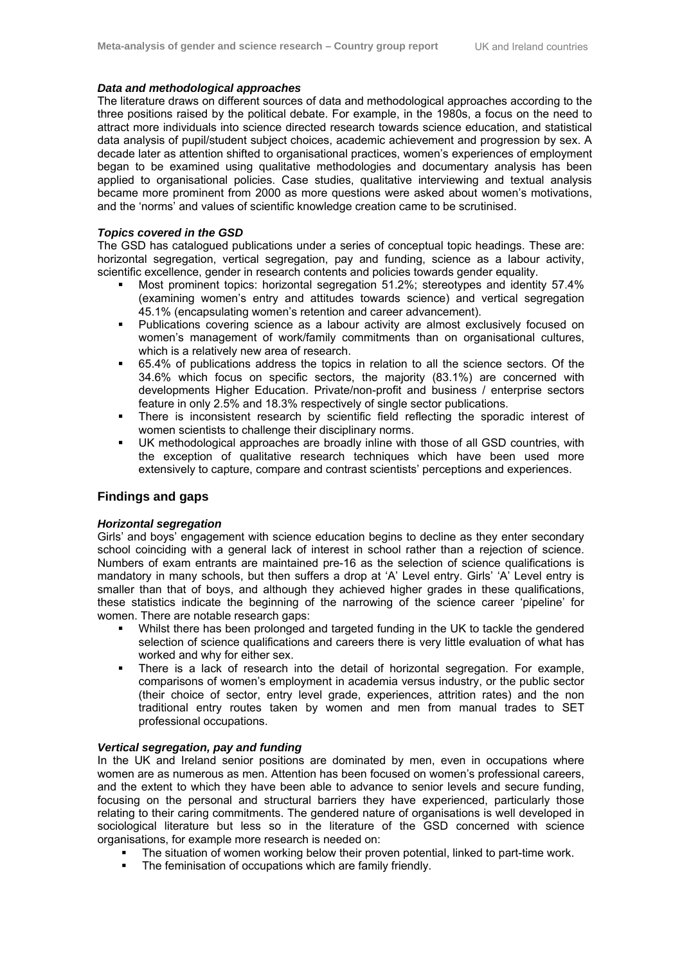#### *Data and methodological approaches*

The literature draws on different sources of data and methodological approaches according to the three positions raised by the political debate. For example, in the 1980s, a focus on the need to attract more individuals into science directed research towards science education, and statistical data analysis of pupil/student subject choices, academic achievement and progression by sex. A decade later as attention shifted to organisational practices, women's experiences of employment began to be examined using qualitative methodologies and documentary analysis has been applied to organisational policies. Case studies, qualitative interviewing and textual analysis became more prominent from 2000 as more questions were asked about women's motivations, and the 'norms' and values of scientific knowledge creation came to be scrutinised.

#### *Topics covered in the GSD*

The GSD has catalogued publications under a series of conceptual topic headings. These are: horizontal segregation, vertical segregation, pay and funding, science as a labour activity, scientific excellence, gender in research contents and policies towards gender equality.

- Most prominent topics: horizontal segregation 51.2%; stereotypes and identity 57.4% (examining women's entry and attitudes towards science) and vertical segregation 45.1% (encapsulating women's retention and career advancement).
- Publications covering science as a labour activity are almost exclusively focused on women's management of work/family commitments than on organisational cultures, which is a relatively new area of research.
- 65.4% of publications address the topics in relation to all the science sectors. Of the 34.6% which focus on specific sectors, the majority (83.1%) are concerned with developments Higher Education. Private/non-profit and business / enterprise sectors feature in only 2.5% and 18.3% respectively of single sector publications.
- There is inconsistent research by scientific field reflecting the sporadic interest of women scientists to challenge their disciplinary norms.
- UK methodological approaches are broadly inline with those of all GSD countries, with the exception of qualitative research techniques which have been used more extensively to capture, compare and contrast scientists' perceptions and experiences.

#### **Findings and gaps**

#### *Horizontal segregation*

Girls' and boys' engagement with science education begins to decline as they enter secondary school coinciding with a general lack of interest in school rather than a rejection of science. Numbers of exam entrants are maintained pre-16 as the selection of science qualifications is mandatory in many schools, but then suffers a drop at 'A' Level entry. Girls' 'A' Level entry is smaller than that of boys, and although they achieved higher grades in these qualifications, these statistics indicate the beginning of the narrowing of the science career 'pipeline' for women. There are notable research gaps:

- Whilst there has been prolonged and targeted funding in the UK to tackle the gendered selection of science qualifications and careers there is very little evaluation of what has worked and why for either sex.
- There is a lack of research into the detail of horizontal segregation. For example, comparisons of women's employment in academia versus industry, or the public sector (their choice of sector, entry level grade, experiences, attrition rates) and the non traditional entry routes taken by women and men from manual trades to SET professional occupations.

#### *Vertical segregation, pay and funding*

In the UK and Ireland senior positions are dominated by men, even in occupations where women are as numerous as men. Attention has been focused on women's professional careers, and the extent to which they have been able to advance to senior levels and secure funding, focusing on the personal and structural barriers they have experienced, particularly those relating to their caring commitments. The gendered nature of organisations is well developed in sociological literature but less so in the literature of the GSD concerned with science organisations, for example more research is needed on:

- The situation of women working below their proven potential, linked to part-time work.
- The feminisation of occupations which are family friendly.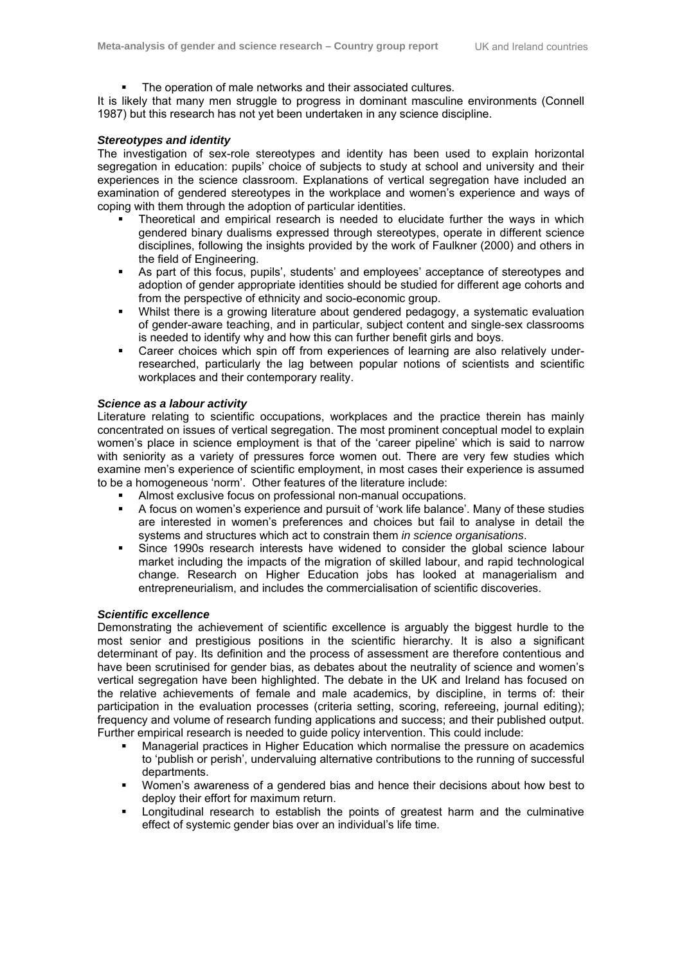The operation of male networks and their associated cultures.

It is likely that many men struggle to progress in dominant masculine environments (Connell 1987) but this research has not yet been undertaken in any science discipline.

#### *Stereotypes and identity*

The investigation of sex-role stereotypes and identity has been used to explain horizontal segregation in education: pupils' choice of subjects to study at school and university and their experiences in the science classroom. Explanations of vertical segregation have included an examination of gendered stereotypes in the workplace and women's experience and ways of coping with them through the adoption of particular identities.

- Theoretical and empirical research is needed to elucidate further the ways in which gendered binary dualisms expressed through stereotypes, operate in different science disciplines, following the insights provided by the work of Faulkner (2000) and others in the field of Engineering.
- As part of this focus, pupils', students' and employees' acceptance of stereotypes and adoption of gender appropriate identities should be studied for different age cohorts and from the perspective of ethnicity and socio-economic group.
- Whilst there is a growing literature about gendered pedagogy, a systematic evaluation of gender-aware teaching, and in particular, subject content and single-sex classrooms is needed to identify why and how this can further benefit girls and boys.
- Career choices which spin off from experiences of learning are also relatively underresearched, particularly the lag between popular notions of scientists and scientific workplaces and their contemporary reality.

#### *Science as a labour activity*

Literature relating to scientific occupations, workplaces and the practice therein has mainly concentrated on issues of vertical segregation. The most prominent conceptual model to explain women's place in science employment is that of the 'career pipeline' which is said to narrow with seniority as a variety of pressures force women out. There are very few studies which examine men's experience of scientific employment, in most cases their experience is assumed to be a homogeneous 'norm'. Other features of the literature include:

- Almost exclusive focus on professional non-manual occupations.
- A focus on women's experience and pursuit of 'work life balance'. Many of these studies are interested in women's preferences and choices but fail to analyse in detail the systems and structures which act to constrain them *in science organisations*.
- Since 1990s research interests have widened to consider the global science labour market including the impacts of the migration of skilled labour, and rapid technological change. Research on Higher Education jobs has looked at managerialism and entrepreneurialism, and includes the commercialisation of scientific discoveries.

#### *Scientific excellence*

Demonstrating the achievement of scientific excellence is arguably the biggest hurdle to the most senior and prestigious positions in the scientific hierarchy. It is also a significant determinant of pay. Its definition and the process of assessment are therefore contentious and have been scrutinised for gender bias, as debates about the neutrality of science and women's vertical segregation have been highlighted. The debate in the UK and Ireland has focused on the relative achievements of female and male academics, by discipline, in terms of: their participation in the evaluation processes (criteria setting, scoring, refereeing, journal editing); frequency and volume of research funding applications and success; and their published output. Further empirical research is needed to guide policy intervention. This could include:

- Managerial practices in Higher Education which normalise the pressure on academics to 'publish or perish', undervaluing alternative contributions to the running of successful departments.
- Women's awareness of a gendered bias and hence their decisions about how best to deploy their effort for maximum return.
- Longitudinal research to establish the points of greatest harm and the culminative effect of systemic gender bias over an individual's life time.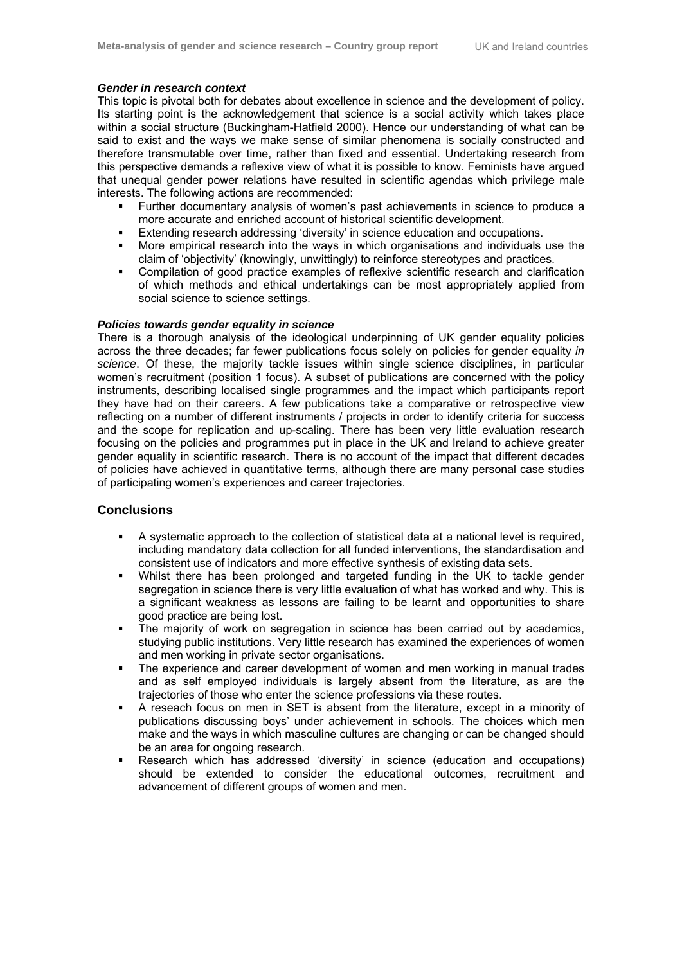#### *Gender in research context*

This topic is pivotal both for debates about excellence in science and the development of policy. Its starting point is the acknowledgement that science is a social activity which takes place within a social structure (Buckingham-Hatfield 2000). Hence our understanding of what can be said to exist and the ways we make sense of similar phenomena is socially constructed and therefore transmutable over time, rather than fixed and essential. Undertaking research from this perspective demands a reflexive view of what it is possible to know. Feminists have argued that unequal gender power relations have resulted in scientific agendas which privilege male interests. The following actions are recommended:

- Further documentary analysis of women's past achievements in science to produce a more accurate and enriched account of historical scientific development.
- Extending research addressing 'diversity' in science education and occupations.
- More empirical research into the ways in which organisations and individuals use the claim of 'objectivity' (knowingly, unwittingly) to reinforce stereotypes and practices.
- Compilation of good practice examples of reflexive scientific research and clarification of which methods and ethical undertakings can be most appropriately applied from social science to science settings.

#### *Policies towards gender equality in science*

There is a thorough analysis of the ideological underpinning of UK gender equality policies across the three decades; far fewer publications focus solely on policies for gender equality *in science*. Of these, the majority tackle issues within single science disciplines, in particular women's recruitment (position 1 focus). A subset of publications are concerned with the policy instruments, describing localised single programmes and the impact which participants report they have had on their careers. A few publications take a comparative or retrospective view reflecting on a number of different instruments / projects in order to identify criteria for success and the scope for replication and up-scaling. There has been very little evaluation research focusing on the policies and programmes put in place in the UK and Ireland to achieve greater gender equality in scientific research. There is no account of the impact that different decades of policies have achieved in quantitative terms, although there are many personal case studies of participating women's experiences and career trajectories.

#### **Conclusions**

- A systematic approach to the collection of statistical data at a national level is required, including mandatory data collection for all funded interventions, the standardisation and consistent use of indicators and more effective synthesis of existing data sets.
- Whilst there has been prolonged and targeted funding in the UK to tackle gender segregation in science there is very little evaluation of what has worked and why. This is a significant weakness as lessons are failing to be learnt and opportunities to share good practice are being lost.
- The majority of work on segregation in science has been carried out by academics, studying public institutions. Very little research has examined the experiences of women and men working in private sector organisations.
- The experience and career development of women and men working in manual trades and as self employed individuals is largely absent from the literature, as are the trajectories of those who enter the science professions via these routes.
- A reseach focus on men in SET is absent from the literature, except in a minority of publications discussing boys' under achievement in schools. The choices which men make and the ways in which masculine cultures are changing or can be changed should be an area for ongoing research.
- Research which has addressed 'diversity' in science (education and occupations) should be extended to consider the educational outcomes, recruitment and advancement of different groups of women and men.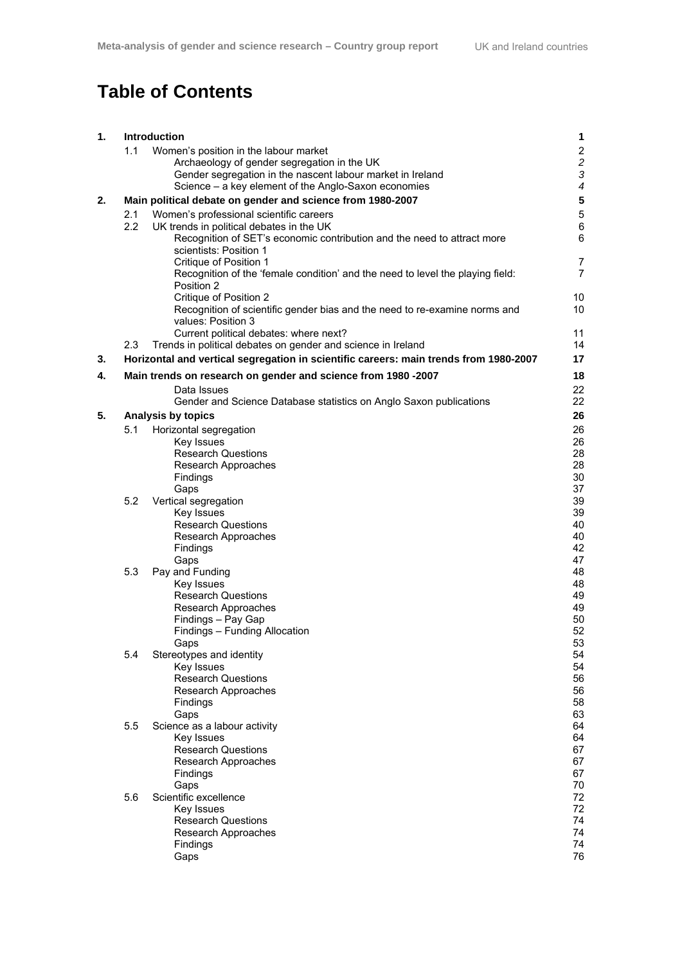# **Table of Contents**

| 1. |     | Introduction                                                                          | 1                        |
|----|-----|---------------------------------------------------------------------------------------|--------------------------|
|    | 1.1 | Women's position in the labour market                                                 | $\boldsymbol{2}$         |
|    |     | Archaeology of gender segregation in the UK                                           | $\overline{c}$           |
|    |     | Gender segregation in the nascent labour market in Ireland                            | 3                        |
|    |     | Science - a key element of the Anglo-Saxon economies                                  | $\overline{\mathcal{A}}$ |
| 2. |     | Main political debate on gender and science from 1980-2007                            | $\overline{\mathbf{5}}$  |
|    | 2.1 | Women's professional scientific careers                                               | $\mathbf 5$              |
|    | 2.2 | UK trends in political debates in the UK                                              | $\,6\,$                  |
|    |     | Recognition of SET's economic contribution and the need to attract more               | 6                        |
|    |     | scientists: Position 1                                                                |                          |
|    |     | Critique of Position 1                                                                | $\overline{7}$           |
|    |     | Recognition of the 'female condition' and the need to level the playing field:        | $\overline{7}$           |
|    |     | Position 2                                                                            |                          |
|    |     | Critique of Position 2                                                                | 10                       |
|    |     | Recognition of scientific gender bias and the need to re-examine norms and            | 10 <sup>°</sup>          |
|    |     | values: Position 3                                                                    |                          |
|    |     | Current political debates: where next?                                                | 11                       |
|    | 2.3 | Trends in political debates on gender and science in Ireland                          | 14                       |
| 3. |     | Horizontal and vertical segregation in scientific careers: main trends from 1980-2007 | 17                       |
| 4. |     | Main trends on research on gender and science from 1980 -2007                         | 18                       |
|    |     | Data Issues                                                                           | 22                       |
|    |     | Gender and Science Database statistics on Anglo Saxon publications                    | 22                       |
| 5. |     | <b>Analysis by topics</b>                                                             | 26                       |
|    | 5.1 | Horizontal segregation                                                                | 26                       |
|    |     | Key Issues                                                                            | 26                       |
|    |     | <b>Research Questions</b>                                                             | 28                       |
|    |     | Research Approaches                                                                   | 28                       |
|    |     | Findings                                                                              | 30                       |
|    |     | Gaps                                                                                  | 37                       |
|    | 5.2 | Vertical segregation                                                                  | 39                       |
|    |     | Key Issues                                                                            | 39                       |
|    |     | <b>Research Questions</b>                                                             | 40                       |
|    |     | Research Approaches                                                                   | 40                       |
|    |     | Findings                                                                              | 42                       |
|    |     | Gaps                                                                                  | 47                       |
|    | 5.3 | Pay and Funding<br>Key Issues                                                         | 48<br>48                 |
|    |     | <b>Research Questions</b>                                                             | 49                       |
|    |     | Research Approaches                                                                   | 49                       |
|    |     | Findings - Pay Gap                                                                    | 50                       |
|    |     | Findings - Funding Allocation                                                         | 52                       |
|    |     | Gaps                                                                                  | 53                       |
|    | 5.4 | Stereotypes and identity                                                              | 54                       |
|    |     | Key Issues                                                                            | 54                       |
|    |     | <b>Research Questions</b>                                                             | 56                       |
|    |     | Research Approaches                                                                   | 56                       |
|    |     | Findings                                                                              | 58                       |
|    |     | Gaps                                                                                  | 63                       |
|    | 5.5 | Science as a labour activity                                                          | 64                       |
|    |     | Key Issues                                                                            | 64                       |
|    |     | <b>Research Questions</b><br>Research Approaches                                      | 67<br>67                 |
|    |     | Findings                                                                              | 67                       |
|    |     | Gaps                                                                                  | 70                       |
|    | 5.6 | Scientific excellence                                                                 | 72                       |
|    |     | Key Issues                                                                            | 72                       |
|    |     | <b>Research Questions</b>                                                             | 74                       |
|    |     | Research Approaches                                                                   | 74                       |
|    |     | Findings                                                                              | 74                       |
|    |     | Gaps                                                                                  | 76                       |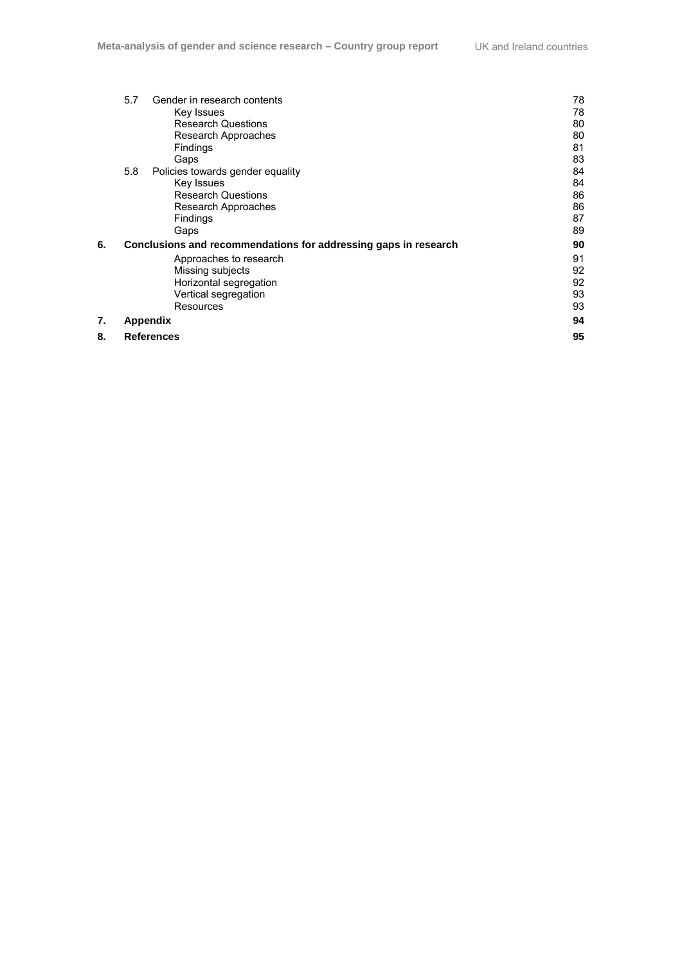|    | 5.7 | Gender in research contents                                     | 78 |
|----|-----|-----------------------------------------------------------------|----|
|    |     | Key Issues                                                      | 78 |
|    |     | <b>Research Questions</b>                                       | 80 |
|    |     | Research Approaches                                             | 80 |
|    |     | Findings                                                        | 81 |
|    |     | Gaps                                                            | 83 |
|    | 5.8 | Policies towards gender equality                                | 84 |
|    |     | Key Issues                                                      | 84 |
|    |     | <b>Research Questions</b>                                       | 86 |
|    |     | Research Approaches                                             | 86 |
|    |     | Findings                                                        | 87 |
|    |     | Gaps                                                            | 89 |
| 6. |     | Conclusions and recommendations for addressing gaps in research | 90 |
|    |     | Approaches to research                                          | 91 |
|    |     | Missing subjects                                                | 92 |
|    |     | Horizontal segregation                                          | 92 |
|    |     | Vertical segregation                                            | 93 |
|    |     | Resources                                                       | 93 |
| 7. |     | Appendix                                                        | 94 |
| 8. |     | <b>References</b>                                               | 95 |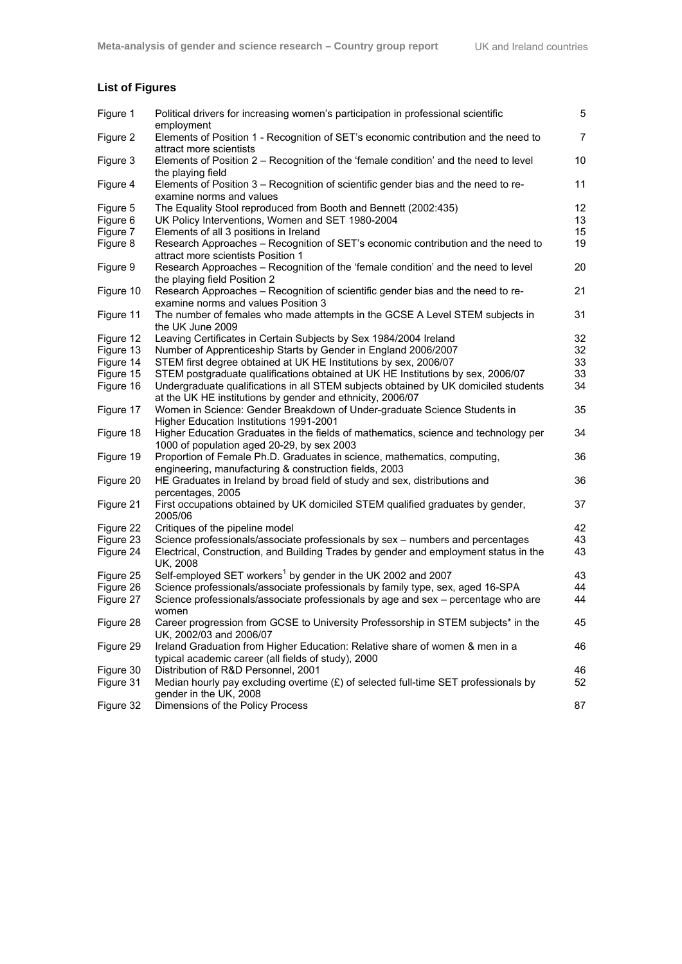## **List of Figures**

| Figure 1  | Political drivers for increasing women's participation in professional scientific<br>employment                                                   | 5              |
|-----------|---------------------------------------------------------------------------------------------------------------------------------------------------|----------------|
| Figure 2  | Elements of Position 1 - Recognition of SET's economic contribution and the need to<br>attract more scientists                                    | $\overline{7}$ |
| Figure 3  | Elements of Position 2 - Recognition of the 'female condition' and the need to level<br>the playing field                                         | 10             |
| Figure 4  | Elements of Position 3 - Recognition of scientific gender bias and the need to re-<br>examine norms and values                                    | 11             |
| Figure 5  | The Equality Stool reproduced from Booth and Bennett (2002:435)                                                                                   | 12             |
| Figure 6  | UK Policy Interventions, Women and SET 1980-2004                                                                                                  | 13             |
| Figure 7  | Elements of all 3 positions in Ireland                                                                                                            | 15             |
| Figure 8  | Research Approaches - Recognition of SET's economic contribution and the need to<br>attract more scientists Position 1                            | 19             |
| Figure 9  | Research Approaches - Recognition of the 'female condition' and the need to level<br>the playing field Position 2                                 | 20             |
| Figure 10 | Research Approaches - Recognition of scientific gender bias and the need to re-<br>examine norms and values Position 3                            | 21             |
| Figure 11 | The number of females who made attempts in the GCSE A Level STEM subjects in<br>the UK June 2009                                                  | 31             |
| Figure 12 | Leaving Certificates in Certain Subjects by Sex 1984/2004 Ireland                                                                                 | 32             |
| Figure 13 | Number of Apprenticeship Starts by Gender in England 2006/2007                                                                                    | 32             |
| Figure 14 | STEM first degree obtained at UK HE Institutions by sex, 2006/07                                                                                  | 33             |
| Figure 15 | STEM postgraduate qualifications obtained at UK HE Institutions by sex, 2006/07                                                                   | 33             |
| Figure 16 | Undergraduate qualifications in all STEM subjects obtained by UK domiciled students<br>at the UK HE institutions by gender and ethnicity, 2006/07 | 34             |
| Figure 17 | Women in Science: Gender Breakdown of Under-graduate Science Students in<br>Higher Education Institutions 1991-2001                               | 35             |
| Figure 18 | Higher Education Graduates in the fields of mathematics, science and technology per<br>1000 of population aged 20-29, by sex 2003                 | 34             |
| Figure 19 | Proportion of Female Ph.D. Graduates in science, mathematics, computing,<br>engineering, manufacturing & construction fields, 2003                | 36             |
| Figure 20 | HE Graduates in Ireland by broad field of study and sex, distributions and<br>percentages, 2005                                                   | 36             |
| Figure 21 | First occupations obtained by UK domiciled STEM qualified graduates by gender,<br>2005/06                                                         | 37             |
| Figure 22 | Critiques of the pipeline model                                                                                                                   | 42             |
| Figure 23 | Science professionals/associate professionals by sex - numbers and percentages                                                                    | 43             |
| Figure 24 | Electrical, Construction, and Building Trades by gender and employment status in the<br>UK, 2008                                                  | 43             |
| Figure 25 | Self-employed SET workers <sup>1</sup> by gender in the UK 2002 and 2007                                                                          | 43             |
| Figure 26 | Science professionals/associate professionals by family type, sex, aged 16-SPA                                                                    | 44             |
| Figure 27 | Science professionals/associate professionals by age and sex - percentage who are<br>women                                                        | 44             |
| Figure 28 | Career progression from GCSE to University Professorship in STEM subjects* in the<br>UK, 2002/03 and 2006/07                                      | 45             |
| Figure 29 | Ireland Graduation from Higher Education: Relative share of women & men in a<br>typical academic career (all fields of study), 2000               | 46             |
| Figure 30 | Distribution of R&D Personnel, 2001                                                                                                               | 46             |
| Figure 31 | Median hourly pay excluding overtime (£) of selected full-time SET professionals by<br>gender in the UK, 2008                                     | 52             |
| Figure 32 | Dimensions of the Policy Process                                                                                                                  | 87             |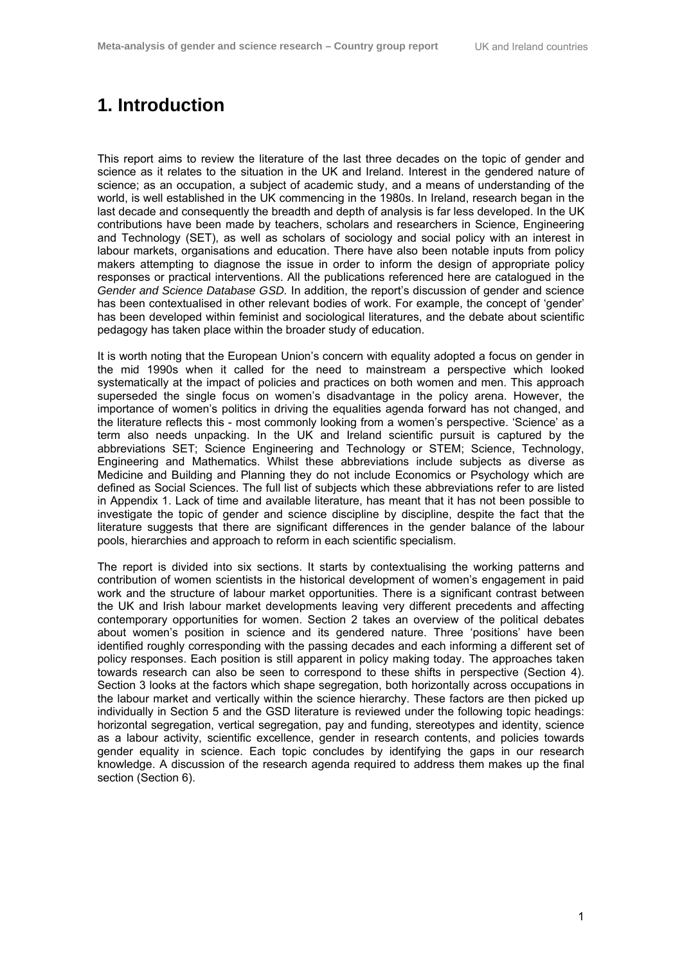## **1. Introduction**

This report aims to review the literature of the last three decades on the topic of gender and science as it relates to the situation in the UK and Ireland. Interest in the gendered nature of science; as an occupation, a subject of academic study, and a means of understanding of the world, is well established in the UK commencing in the 1980s. In Ireland, research began in the last decade and consequently the breadth and depth of analysis is far less developed. In the UK contributions have been made by teachers, scholars and researchers in Science, Engineering and Technology (SET), as well as scholars of sociology and social policy with an interest in labour markets, organisations and education. There have also been notable inputs from policy makers attempting to diagnose the issue in order to inform the design of appropriate policy responses or practical interventions. All the publications referenced here are catalogued in the *Gender and Science Database GSD.* In addition, the report's discussion of gender and science has been contextualised in other relevant bodies of work. For example, the concept of 'gender' has been developed within feminist and sociological literatures, and the debate about scientific pedagogy has taken place within the broader study of education.

It is worth noting that the European Union's concern with equality adopted a focus on gender in the mid 1990s when it called for the need to mainstream a perspective which looked systematically at the impact of policies and practices on both women and men. This approach superseded the single focus on women's disadvantage in the policy arena. However, the importance of women's politics in driving the equalities agenda forward has not changed, and the literature reflects this - most commonly looking from a women's perspective. 'Science' as a term also needs unpacking. In the UK and Ireland scientific pursuit is captured by the abbreviations SET; Science Engineering and Technology or STEM; Science, Technology, Engineering and Mathematics. Whilst these abbreviations include subjects as diverse as Medicine and Building and Planning they do not include Economics or Psychology which are defined as Social Sciences. The full list of subjects which these abbreviations refer to are listed in Appendix 1. Lack of time and available literature, has meant that it has not been possible to investigate the topic of gender and science discipline by discipline, despite the fact that the literature suggests that there are significant differences in the gender balance of the labour pools, hierarchies and approach to reform in each scientific specialism.

The report is divided into six sections. It starts by contextualising the working patterns and contribution of women scientists in the historical development of women's engagement in paid work and the structure of labour market opportunities. There is a significant contrast between the UK and Irish labour market developments leaving very different precedents and affecting contemporary opportunities for women. Section 2 takes an overview of the political debates about women's position in science and its gendered nature. Three 'positions' have been identified roughly corresponding with the passing decades and each informing a different set of policy responses. Each position is still apparent in policy making today. The approaches taken towards research can also be seen to correspond to these shifts in perspective (Section 4). Section 3 looks at the factors which shape segregation, both horizontally across occupations in the labour market and vertically within the science hierarchy. These factors are then picked up individually in Section 5 and the GSD literature is reviewed under the following topic headings: horizontal segregation, vertical segregation, pay and funding, stereotypes and identity, science as a labour activity, scientific excellence, gender in research contents, and policies towards gender equality in science. Each topic concludes by identifying the gaps in our research knowledge. A discussion of the research agenda required to address them makes up the final section (Section 6).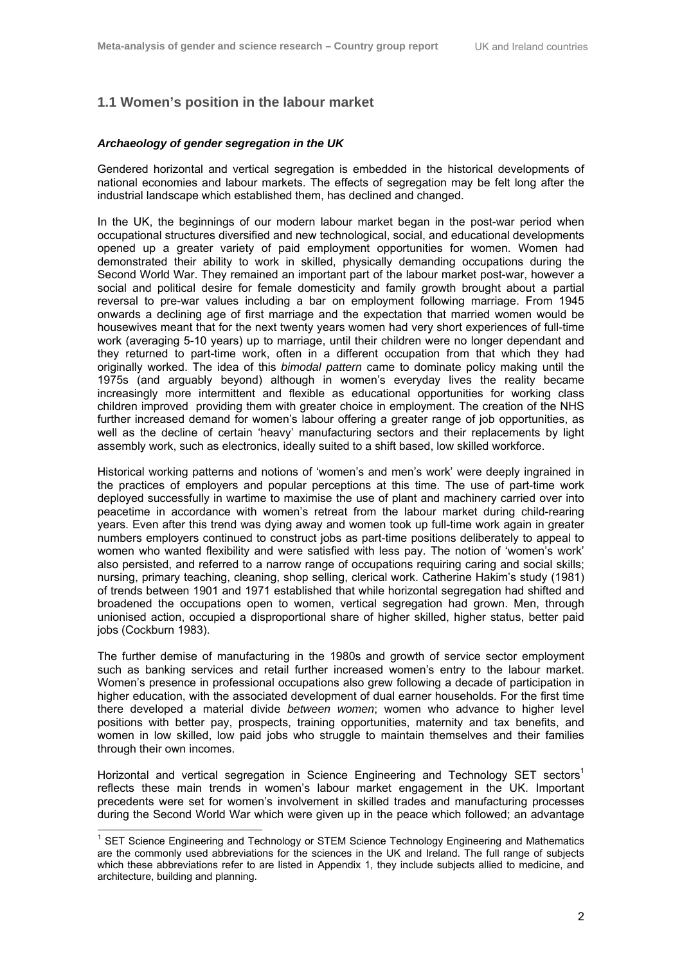## **1.1 Women's position in the labour market**

#### *Archaeology of gender segregation in the UK*

Gendered horizontal and vertical segregation is embedded in the historical developments of national economies and labour markets. The effects of segregation may be felt long after the industrial landscape which established them, has declined and changed.

In the UK, the beginnings of our modern labour market began in the post-war period when occupational structures diversified and new technological, social, and educational developments opened up a greater variety of paid employment opportunities for women. Women had demonstrated their ability to work in skilled, physically demanding occupations during the Second World War. They remained an important part of the labour market post-war, however a social and political desire for female domesticity and family growth brought about a partial reversal to pre-war values including a bar on employment following marriage. From 1945 onwards a declining age of first marriage and the expectation that married women would be housewives meant that for the next twenty years women had very short experiences of full-time work (averaging 5-10 years) up to marriage, until their children were no longer dependant and they returned to part-time work, often in a different occupation from that which they had originally worked. The idea of this *bimodal pattern* came to dominate policy making until the 1975s (and arguably beyond) although in women's everyday lives the reality became increasingly more intermittent and flexible as educational opportunities for working class children improved providing them with greater choice in employment. The creation of the NHS further increased demand for women's labour offering a greater range of job opportunities, as well as the decline of certain 'heavy' manufacturing sectors and their replacements by light assembly work, such as electronics, ideally suited to a shift based, low skilled workforce.

Historical working patterns and notions of 'women's and men's work' were deeply ingrained in the practices of employers and popular perceptions at this time. The use of part-time work deployed successfully in wartime to maximise the use of plant and machinery carried over into peacetime in accordance with women's retreat from the labour market during child-rearing years. Even after this trend was dying away and women took up full-time work again in greater numbers employers continued to construct jobs as part-time positions deliberately to appeal to women who wanted flexibility and were satisfied with less pay. The notion of 'women's work' also persisted, and referred to a narrow range of occupations requiring caring and social skills; nursing, primary teaching, cleaning, shop selling, clerical work. Catherine Hakim's study (1981) of trends between 1901 and 1971 established that while horizontal segregation had shifted and broadened the occupations open to women, vertical segregation had grown. Men, through unionised action, occupied a disproportional share of higher skilled, higher status, better paid jobs (Cockburn 1983).

The further demise of manufacturing in the 1980s and growth of service sector employment such as banking services and retail further increased women's entry to the labour market. Women's presence in professional occupations also grew following a decade of participation in higher education, with the associated development of dual earner households. For the first time there developed a material divide *between women*; women who advance to higher level positions with better pay, prospects, training opportunities, maternity and tax benefits, and women in low skilled, low paid jobs who struggle to maintain themselves and their families through their own incomes.

Horizontal and vertical segregation in Science Engineering and Technology SET sectors<sup>1</sup> reflects these main trends in women's labour market engagement in the UK. Important precedents were set for women's involvement in skilled trades and manufacturing processes during the Second World War which were given up in the peace which followed; an advantage

 1 SET Science Engineering and Technology or STEM Science Technology Engineering and Mathematics are the commonly used abbreviations for the sciences in the UK and Ireland. The full range of subjects which these abbreviations refer to are listed in Appendix 1, they include subjects allied to medicine, and architecture, building and planning.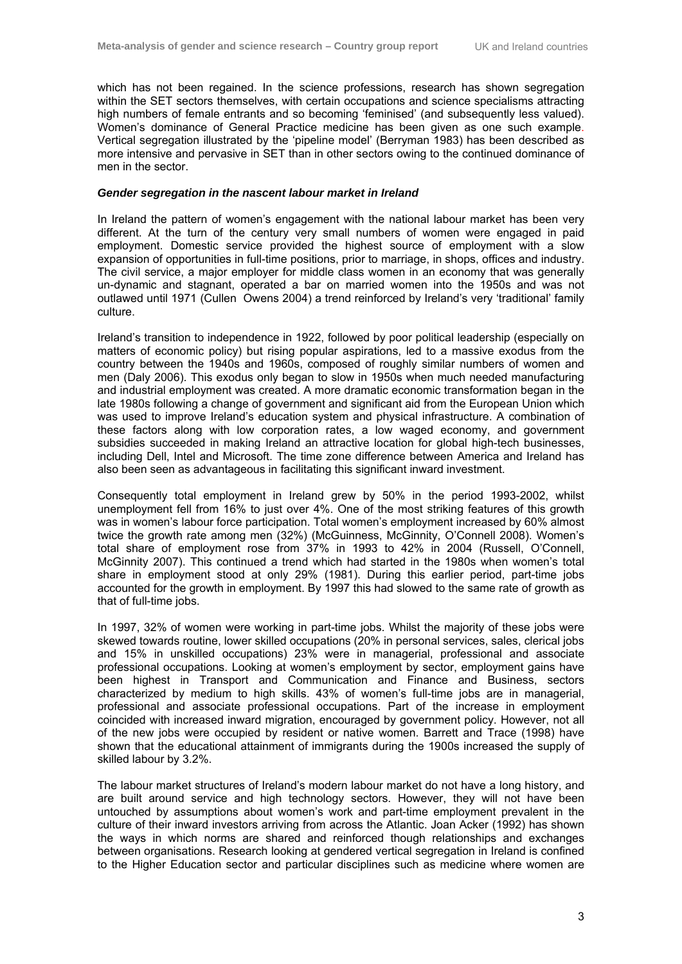which has not been regained. In the science professions, research has shown segregation within the SET sectors themselves, with certain occupations and science specialisms attracting high numbers of female entrants and so becoming 'feminised' (and subsequently less valued). Women's dominance of General Practice medicine has been given as one such example. Vertical segregation illustrated by the 'pipeline model' (Berryman 1983) has been described as more intensive and pervasive in SET than in other sectors owing to the continued dominance of men in the sector.

#### *Gender segregation in the nascent labour market in Ireland*

In Ireland the pattern of women's engagement with the national labour market has been very different. At the turn of the century very small numbers of women were engaged in paid employment. Domestic service provided the highest source of employment with a slow expansion of opportunities in full-time positions, prior to marriage, in shops, offices and industry. The civil service, a major employer for middle class women in an economy that was generally un-dynamic and stagnant, operated a bar on married women into the 1950s and was not outlawed until 1971 (Cullen Owens 2004) a trend reinforced by Ireland's very 'traditional' family culture.

Ireland's transition to independence in 1922, followed by poor political leadership (especially on matters of economic policy) but rising popular aspirations, led to a massive exodus from the country between the 1940s and 1960s, composed of roughly similar numbers of women and men (Daly 2006). This exodus only began to slow in 1950s when much needed manufacturing and industrial employment was created. A more dramatic economic transformation began in the late 1980s following a change of government and significant aid from the European Union which was used to improve Ireland's education system and physical infrastructure. A combination of these factors along with low corporation rates, a low waged economy, and government subsidies succeeded in making Ireland an attractive location for global high-tech businesses, including Dell, Intel and Microsoft. The time zone difference between America and Ireland has also been seen as advantageous in facilitating this significant inward investment.

Consequently total employment in Ireland grew by 50% in the period 1993-2002, whilst unemployment fell from 16% to just over 4%. One of the most striking features of this growth was in women's labour force participation. Total women's employment increased by 60% almost twice the growth rate among men (32%) (McGuinness, McGinnity, O'Connell 2008). Women's total share of employment rose from 37% in 1993 to 42% in 2004 (Russell, O'Connell, McGinnity 2007). This continued a trend which had started in the 1980s when women's total share in employment stood at only 29% (1981). During this earlier period, part-time jobs accounted for the growth in employment. By 1997 this had slowed to the same rate of growth as that of full-time jobs.

In 1997, 32% of women were working in part-time jobs. Whilst the majority of these jobs were skewed towards routine, lower skilled occupations (20% in personal services, sales, clerical jobs and 15% in unskilled occupations) 23% were in managerial, professional and associate professional occupations. Looking at women's employment by sector, employment gains have been highest in Transport and Communication and Finance and Business, sectors characterized by medium to high skills. 43% of women's full-time jobs are in managerial, professional and associate professional occupations. Part of the increase in employment coincided with increased inward migration, encouraged by government policy. However, not all of the new jobs were occupied by resident or native women. Barrett and Trace (1998) have shown that the educational attainment of immigrants during the 1900s increased the supply of skilled labour by 3.2%.

The labour market structures of Ireland's modern labour market do not have a long history, and are built around service and high technology sectors. However, they will not have been untouched by assumptions about women's work and part-time employment prevalent in the culture of their inward investors arriving from across the Atlantic. Joan Acker (1992) has shown the ways in which norms are shared and reinforced though relationships and exchanges between organisations. Research looking at gendered vertical segregation in Ireland is confined to the Higher Education sector and particular disciplines such as medicine where women are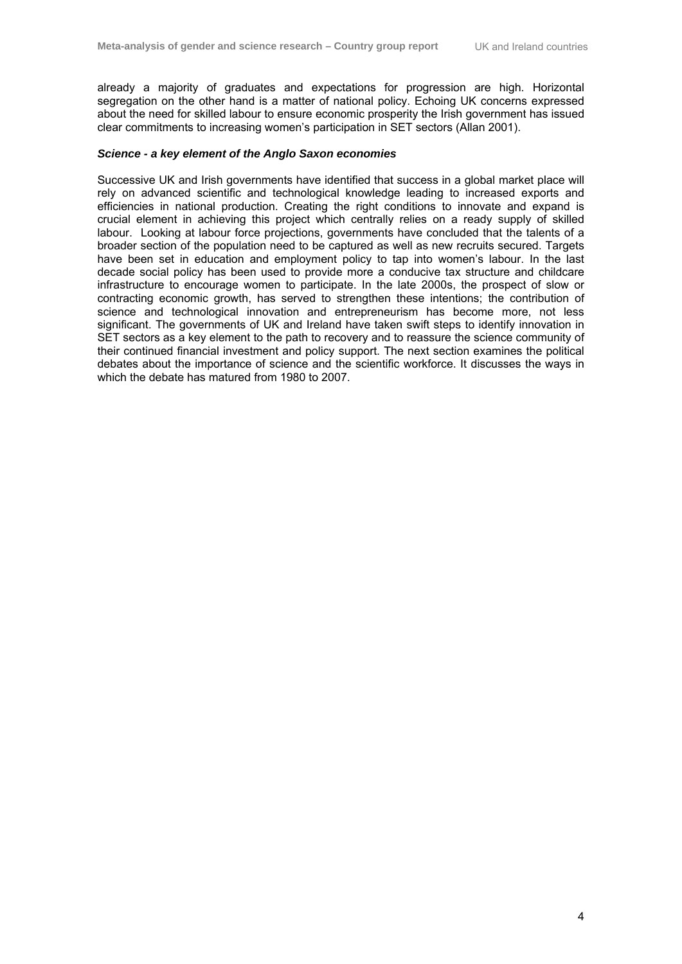already a majority of graduates and expectations for progression are high. Horizontal segregation on the other hand is a matter of national policy. Echoing UK concerns expressed about the need for skilled labour to ensure economic prosperity the Irish government has issued clear commitments to increasing women's participation in SET sectors (Allan 2001).

#### *Science - a key element of the Anglo Saxon economies*

Successive UK and Irish governments have identified that success in a global market place will rely on advanced scientific and technological knowledge leading to increased exports and efficiencies in national production. Creating the right conditions to innovate and expand is crucial element in achieving this project which centrally relies on a ready supply of skilled labour. Looking at labour force projections, governments have concluded that the talents of a broader section of the population need to be captured as well as new recruits secured. Targets have been set in education and employment policy to tap into women's labour. In the last decade social policy has been used to provide more a conducive tax structure and childcare infrastructure to encourage women to participate. In the late 2000s, the prospect of slow or contracting economic growth, has served to strengthen these intentions; the contribution of science and technological innovation and entrepreneurism has become more, not less significant. The governments of UK and Ireland have taken swift steps to identify innovation in SET sectors as a key element to the path to recovery and to reassure the science community of their continued financial investment and policy support. The next section examines the political debates about the importance of science and the scientific workforce. It discusses the ways in which the debate has matured from 1980 to 2007.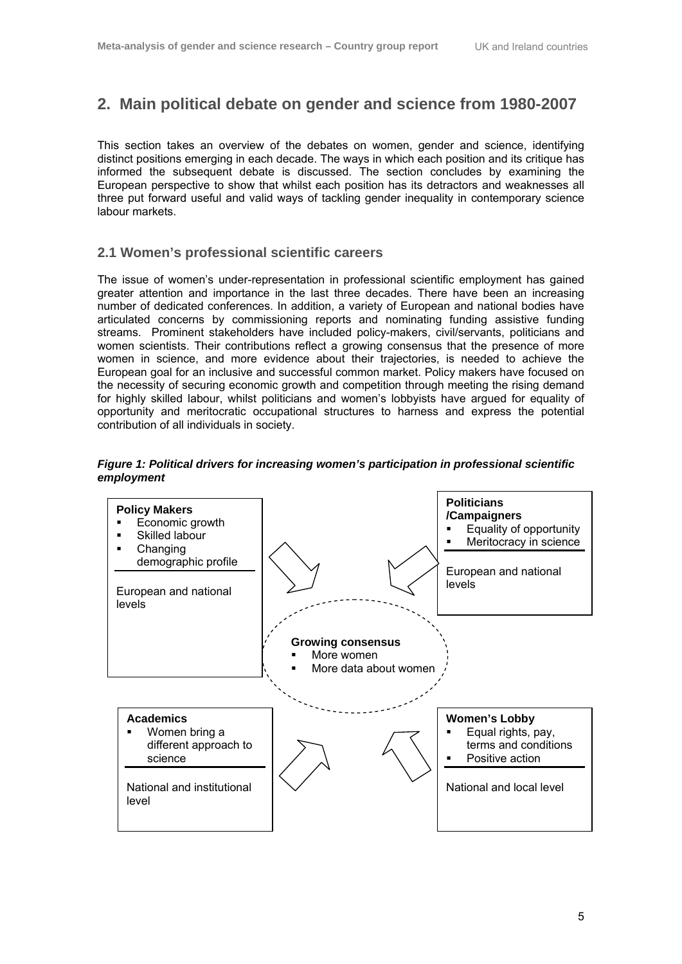## **2. Main political debate on gender and science from 1980-2007**

This section takes an overview of the debates on women, gender and science, identifying distinct positions emerging in each decade. The ways in which each position and its critique has informed the subsequent debate is discussed. The section concludes by examining the European perspective to show that whilst each position has its detractors and weaknesses all three put forward useful and valid ways of tackling gender inequality in contemporary science labour markets.

### **2.1 Women's professional scientific careers**

The issue of women's under-representation in professional scientific employment has gained greater attention and importance in the last three decades. There have been an increasing number of dedicated conferences. In addition, a variety of European and national bodies have articulated concerns by commissioning reports and nominating funding assistive funding streams. Prominent stakeholders have included policy-makers, civil/servants, politicians and women scientists. Their contributions reflect a growing consensus that the presence of more women in science, and more evidence about their trajectories, is needed to achieve the European goal for an inclusive and successful common market. Policy makers have focused on the necessity of securing economic growth and competition through meeting the rising demand for highly skilled labour, whilst politicians and women's lobbyists have argued for equality of opportunity and meritocratic occupational structures to harness and express the potential contribution of all individuals in society.

#### *Figure 1: Political drivers for increasing women's participation in professional scientific employment*

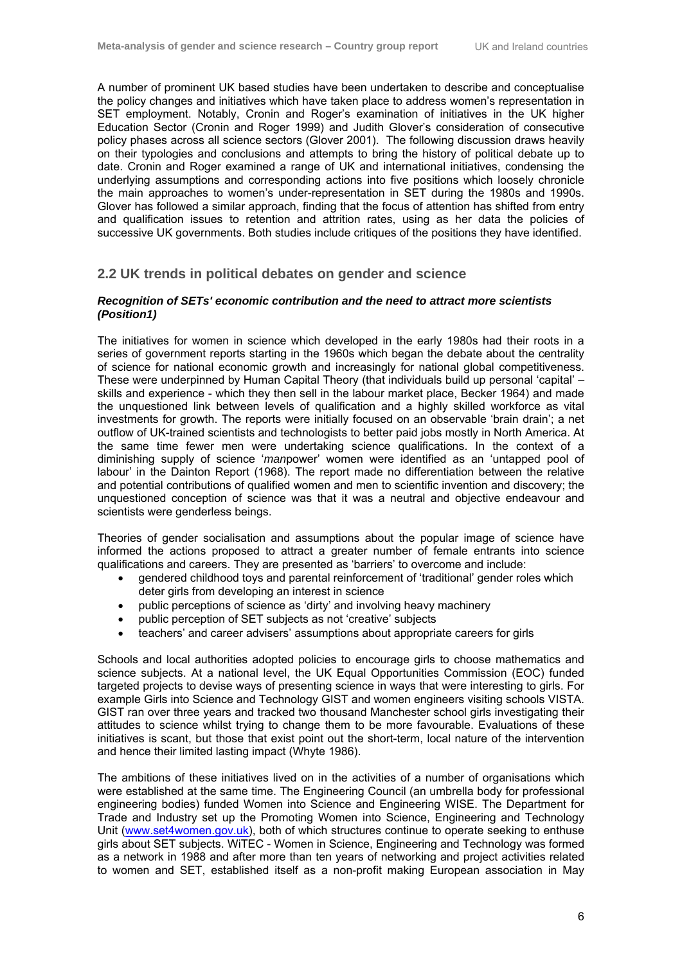A number of prominent UK based studies have been undertaken to describe and conceptualise the policy changes and initiatives which have taken place to address women's representation in SET employment. Notably, Cronin and Roger's examination of initiatives in the UK higher Education Sector (Cronin and Roger 1999) and Judith Glover's consideration of consecutive policy phases across all science sectors (Glover 2001). The following discussion draws heavily on their typologies and conclusions and attempts to bring the history of political debate up to date. Cronin and Roger examined a range of UK and international initiatives, condensing the underlying assumptions and corresponding actions into five positions which loosely chronicle the main approaches to women's under-representation in SET during the 1980s and 1990s. Glover has followed a similar approach, finding that the focus of attention has shifted from entry and qualification issues to retention and attrition rates, using as her data the policies of successive UK governments. Both studies include critiques of the positions they have identified.

#### **2.2 UK trends in political debates on gender and science**

#### *Recognition of SETs' economic contribution and the need to attract more scientists (Position1)*

The initiatives for women in science which developed in the early 1980s had their roots in a series of government reports starting in the 1960s which began the debate about the centrality of science for national economic growth and increasingly for national global competitiveness. These were underpinned by Human Capital Theory (that individuals build up personal 'capital' – skills and experience - which they then sell in the labour market place, Becker 1964) and made the unquestioned link between levels of qualification and a highly skilled workforce as vital investments for growth. The reports were initially focused on an observable 'brain drain'; a net outflow of UK-trained scientists and technologists to better paid jobs mostly in North America. At the same time fewer men were undertaking science qualifications. In the context of a diminishing supply of science '*man*power' women were identified as an 'untapped pool of labour' in the Dainton Report (1968). The report made no differentiation between the relative and potential contributions of qualified women and men to scientific invention and discovery; the unquestioned conception of science was that it was a neutral and objective endeavour and scientists were genderless beings.

Theories of gender socialisation and assumptions about the popular image of science have informed the actions proposed to attract a greater number of female entrants into science qualifications and careers. They are presented as 'barriers' to overcome and include:

- gendered childhood toys and parental reinforcement of 'traditional' gender roles which deter girls from developing an interest in science
- public perceptions of science as 'dirty' and involving heavy machinery
- public perception of SET subjects as not 'creative' subjects
- teachers' and career advisers' assumptions about appropriate careers for girls

Schools and local authorities adopted policies to encourage girls to choose mathematics and science subjects. At a national level, the UK Equal Opportunities Commission (EOC) funded targeted projects to devise ways of presenting science in ways that were interesting to girls. For example Girls into Science and Technology GIST and women engineers visiting schools VISTA. GIST ran over three years and tracked two thousand Manchester school girls investigating their attitudes to science whilst trying to change them to be more favourable. Evaluations of these initiatives is scant, but those that exist point out the short-term, local nature of the intervention and hence their limited lasting impact (Whyte 1986).

The ambitions of these initiatives lived on in the activities of a number of organisations which were established at the same time. The Engineering Council (an umbrella body for professional engineering bodies) funded Women into Science and Engineering WISE. The Department for Trade and Industry set up the Promoting Women into Science, Engineering and Technology Unit (www.set4women.gov.uk), both of which structures continue to operate seeking to enthuse girls about SET subjects. WiTEC - Women in Science, Engineering and Technology was formed as a network in 1988 and after more than ten years of networking and project activities related to women and SET, established itself as a non-profit making European association in May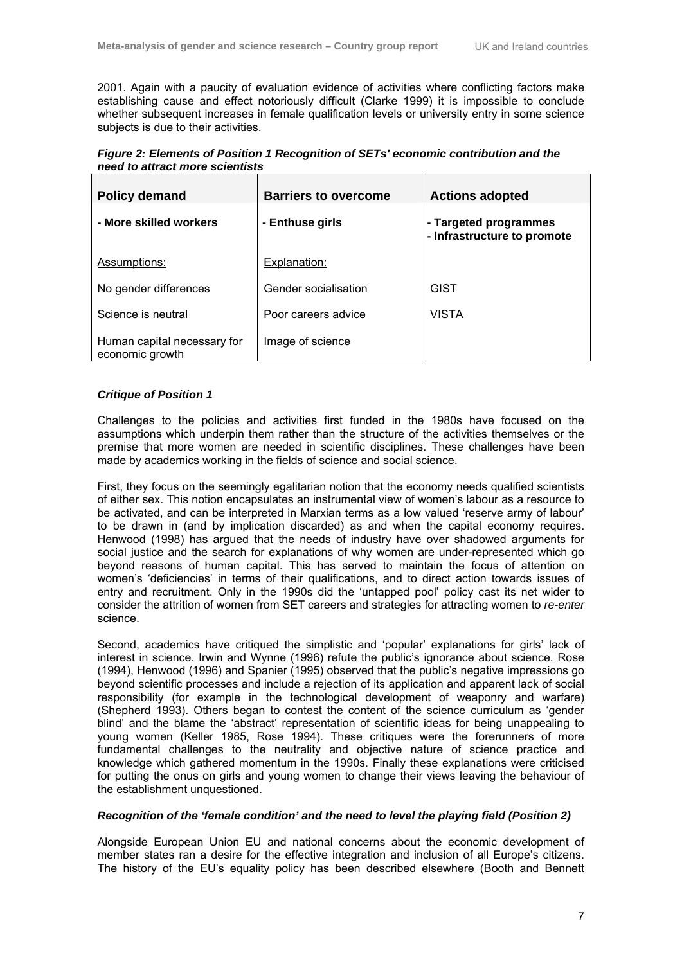2001. Again with a paucity of evaluation evidence of activities where conflicting factors make establishing cause and effect notoriously difficult (Clarke 1999) it is impossible to conclude whether subsequent increases in female qualification levels or university entry in some science subjects is due to their activities.

*Figure 2: Elements of Position 1 Recognition of SETs' economic contribution and the need to attract more scientists* 

| <b>Policy demand</b>                           | <b>Barriers to overcome</b> | <b>Actions adopted</b>                               |
|------------------------------------------------|-----------------------------|------------------------------------------------------|
| - More skilled workers                         | - Enthuse girls             | - Targeted programmes<br>- Infrastructure to promote |
| Assumptions:                                   | Explanation:                |                                                      |
| No gender differences                          | Gender socialisation        | <b>GIST</b>                                          |
| Science is neutral                             | Poor careers advice         | <b>VISTA</b>                                         |
| Human capital necessary for<br>economic growth | Image of science            |                                                      |

#### *Critique of Position 1*

Challenges to the policies and activities first funded in the 1980s have focused on the assumptions which underpin them rather than the structure of the activities themselves or the premise that more women are needed in scientific disciplines. These challenges have been made by academics working in the fields of science and social science.

First, they focus on the seemingly egalitarian notion that the economy needs qualified scientists of either sex. This notion encapsulates an instrumental view of women's labour as a resource to be activated, and can be interpreted in Marxian terms as a low valued 'reserve army of labour' to be drawn in (and by implication discarded) as and when the capital economy requires. Henwood (1998) has argued that the needs of industry have over shadowed arguments for social justice and the search for explanations of why women are under-represented which go beyond reasons of human capital. This has served to maintain the focus of attention on women's 'deficiencies' in terms of their qualifications, and to direct action towards issues of entry and recruitment. Only in the 1990s did the 'untapped pool' policy cast its net wider to consider the attrition of women from SET careers and strategies for attracting women to *re-enter*  science.

Second, academics have critiqued the simplistic and 'popular' explanations for girls' lack of interest in science. Irwin and Wynne (1996) refute the public's ignorance about science. Rose (1994), Henwood (1996) and Spanier (1995) observed that the public's negative impressions go beyond scientific processes and include a rejection of its application and apparent lack of social responsibility (for example in the technological development of weaponry and warfare) (Shepherd 1993). Others began to contest the content of the science curriculum as 'gender blind' and the blame the 'abstract' representation of scientific ideas for being unappealing to young women (Keller 1985, Rose 1994). These critiques were the forerunners of more fundamental challenges to the neutrality and objective nature of science practice and knowledge which gathered momentum in the 1990s. Finally these explanations were criticised for putting the onus on girls and young women to change their views leaving the behaviour of the establishment unquestioned.

#### *Recognition of the 'female condition' and the need to level the playing field (Position 2)*

Alongside European Union EU and national concerns about the economic development of member states ran a desire for the effective integration and inclusion of all Europe's citizens. The history of the EU's equality policy has been described elsewhere (Booth and Bennett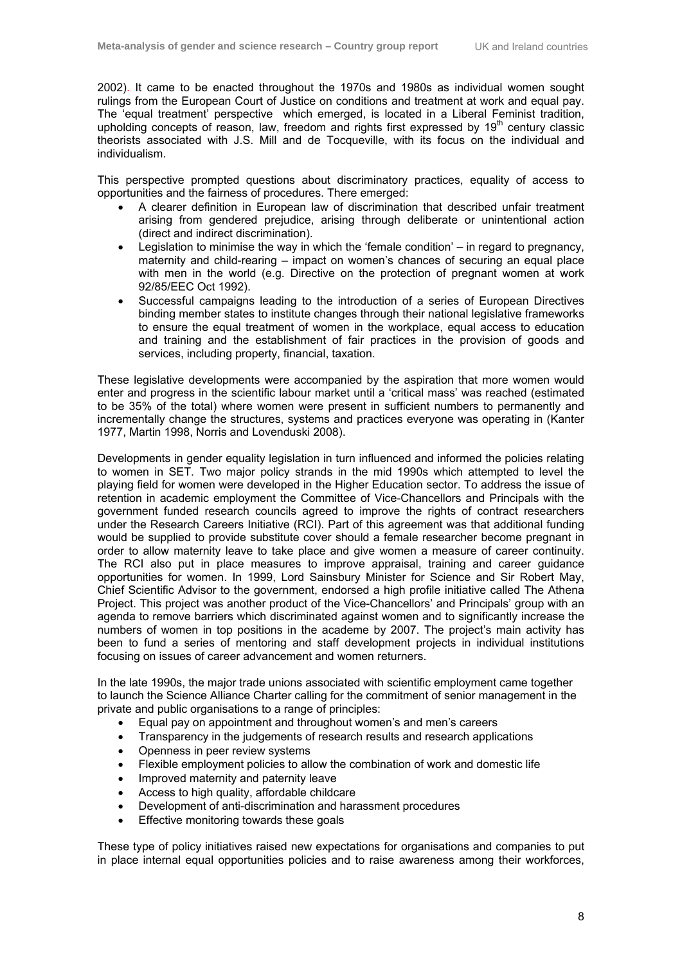2002). It came to be enacted throughout the 1970s and 1980s as individual women sought rulings from the European Court of Justice on conditions and treatment at work and equal pay. The 'equal treatment' perspective which emerged, is located in a Liberal Feminist tradition, upholding concepts of reason, law, freedom and rights first expressed by  $19<sup>th</sup>$  century classic theorists associated with J.S. Mill and de Tocqueville, with its focus on the individual and individualism.

This perspective prompted questions about discriminatory practices, equality of access to opportunities and the fairness of procedures. There emerged:

- A clearer definition in European law of discrimination that described unfair treatment arising from gendered prejudice, arising through deliberate or unintentional action (direct and indirect discrimination).
- Legislation to minimise the way in which the 'female condition' in regard to pregnancy, maternity and child-rearing – impact on women's chances of securing an equal place with men in the world (e.g. Directive on the protection of pregnant women at work 92/85/EEC Oct 1992).
- Successful campaigns leading to the introduction of a series of European Directives binding member states to institute changes through their national legislative frameworks to ensure the equal treatment of women in the workplace, equal access to education and training and the establishment of fair practices in the provision of goods and services, including property, financial, taxation.

These legislative developments were accompanied by the aspiration that more women would enter and progress in the scientific labour market until a 'critical mass' was reached (estimated to be 35% of the total) where women were present in sufficient numbers to permanently and incrementally change the structures, systems and practices everyone was operating in (Kanter 1977, Martin 1998, Norris and Lovenduski 2008).

Developments in gender equality legislation in turn influenced and informed the policies relating to women in SET. Two major policy strands in the mid 1990s which attempted to level the playing field for women were developed in the Higher Education sector. To address the issue of retention in academic employment the Committee of Vice-Chancellors and Principals with the government funded research councils agreed to improve the rights of contract researchers under the Research Careers Initiative (RCI). Part of this agreement was that additional funding would be supplied to provide substitute cover should a female researcher become pregnant in order to allow maternity leave to take place and give women a measure of career continuity. The RCI also put in place measures to improve appraisal, training and career guidance opportunities for women. In 1999, Lord Sainsbury Minister for Science and Sir Robert May, Chief Scientific Advisor to the government, endorsed a high profile initiative called The Athena Project. This project was another product of the Vice-Chancellors' and Principals' group with an agenda to remove barriers which discriminated against women and to significantly increase the numbers of women in top positions in the academe by 2007. The project's main activity has been to fund a series of mentoring and staff development projects in individual institutions focusing on issues of career advancement and women returners.

In the late 1990s, the major trade unions associated with scientific employment came together to launch the Science Alliance Charter calling for the commitment of senior management in the private and public organisations to a range of principles:

- Equal pay on appointment and throughout women's and men's careers
- Transparency in the judgements of research results and research applications
- Openness in peer review systems
- Flexible employment policies to allow the combination of work and domestic life
- Improved maternity and paternity leave
- Access to high quality, affordable childcare
- Development of anti-discrimination and harassment procedures
- Effective monitoring towards these goals

These type of policy initiatives raised new expectations for organisations and companies to put in place internal equal opportunities policies and to raise awareness among their workforces,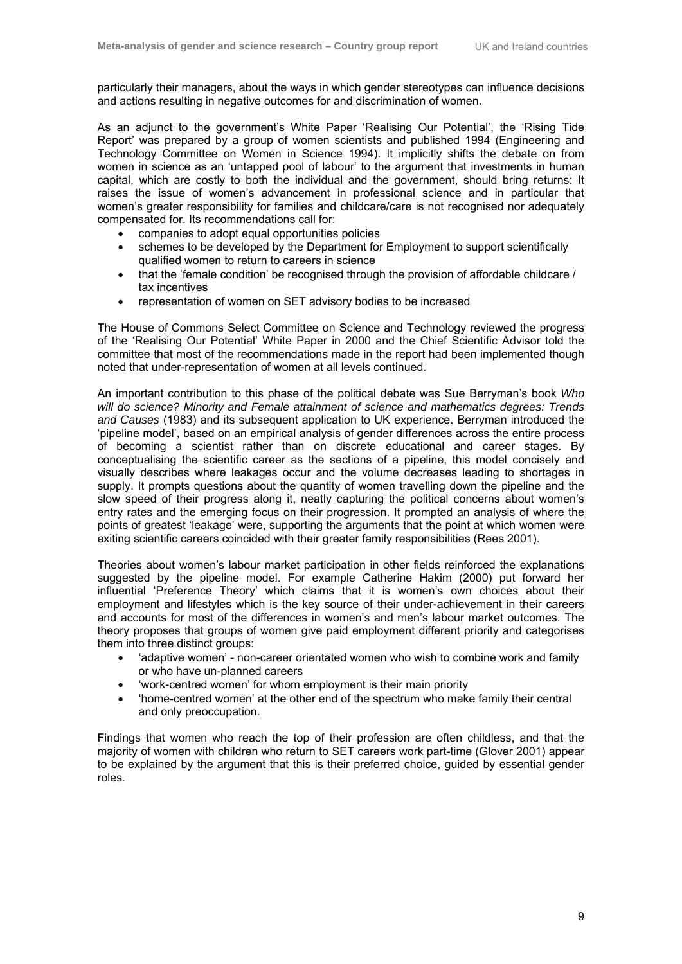particularly their managers, about the ways in which gender stereotypes can influence decisions and actions resulting in negative outcomes for and discrimination of women.

As an adjunct to the government's White Paper 'Realising Our Potential', the 'Rising Tide Report' was prepared by a group of women scientists and published 1994 (Engineering and Technology Committee on Women in Science 1994). It implicitly shifts the debate on from women in science as an 'untapped pool of labour' to the argument that investments in human capital, which are costly to both the individual and the government, should bring returns: It raises the issue of women's advancement in professional science and in particular that women's greater responsibility for families and childcare/care is not recognised nor adequately compensated for. Its recommendations call for:

- companies to adopt equal opportunities policies
- schemes to be developed by the Department for Employment to support scientifically qualified women to return to careers in science
- that the 'female condition' be recognised through the provision of affordable childcare / tax incentives
- representation of women on SET advisory bodies to be increased

The House of Commons Select Committee on Science and Technology reviewed the progress of the 'Realising Our Potential' White Paper in 2000 and the Chief Scientific Advisor told the committee that most of the recommendations made in the report had been implemented though noted that under-representation of women at all levels continued.

An important contribution to this phase of the political debate was Sue Berryman's book *Who will do science? Minority and Female attainment of science and mathematics degrees: Trends and Causes* (1983) and its subsequent application to UK experience. Berryman introduced the 'pipeline model', based on an empirical analysis of gender differences across the entire process of becoming a scientist rather than on discrete educational and career stages. By conceptualising the scientific career as the sections of a pipeline, this model concisely and visually describes where leakages occur and the volume decreases leading to shortages in supply. It prompts questions about the quantity of women travelling down the pipeline and the slow speed of their progress along it, neatly capturing the political concerns about women's entry rates and the emerging focus on their progression. It prompted an analysis of where the points of greatest 'leakage' were, supporting the arguments that the point at which women were exiting scientific careers coincided with their greater family responsibilities (Rees 2001).

Theories about women's labour market participation in other fields reinforced the explanations suggested by the pipeline model. For example Catherine Hakim (2000) put forward her influential 'Preference Theory' which claims that it is women's own choices about their employment and lifestyles which is the key source of their under-achievement in their careers and accounts for most of the differences in women's and men's labour market outcomes. The theory proposes that groups of women give paid employment different priority and categorises them into three distinct groups:

- 'adaptive women' non-career orientated women who wish to combine work and family or who have un-planned careers
- 'work-centred women' for whom employment is their main priority
- 'home-centred women' at the other end of the spectrum who make family their central and only preoccupation.

Findings that women who reach the top of their profession are often childless, and that the majority of women with children who return to SET careers work part-time (Glover 2001) appear to be explained by the argument that this is their preferred choice, guided by essential gender roles.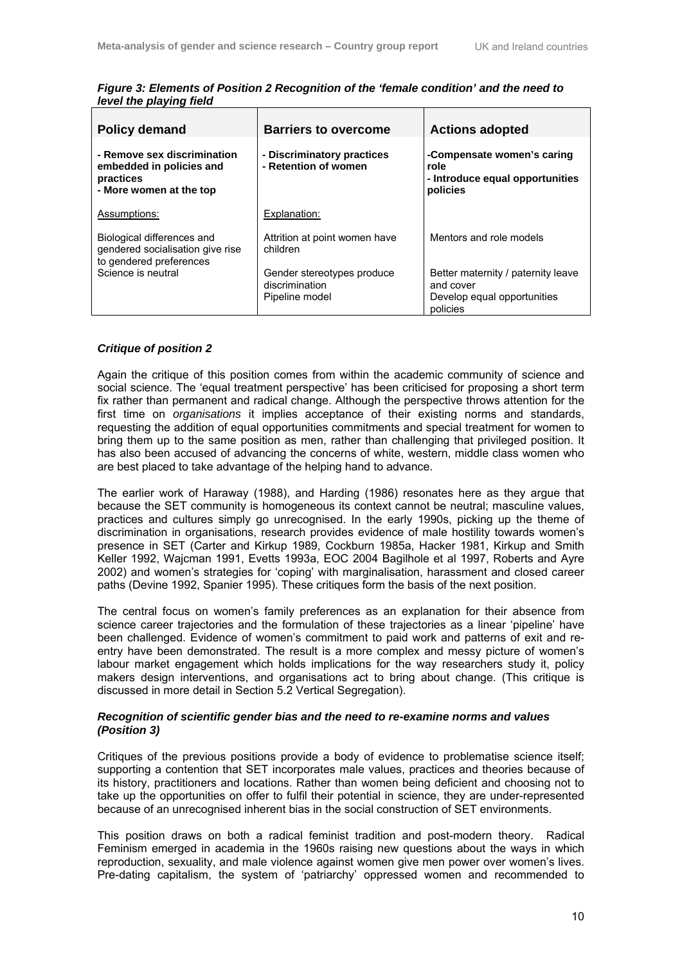| <b>Policy demand</b>                                                                            | <b>Barriers to overcome</b>                                    | <b>Actions adopted</b>                                                                     |
|-------------------------------------------------------------------------------------------------|----------------------------------------------------------------|--------------------------------------------------------------------------------------------|
| - Remove sex discrimination<br>embedded in policies and<br>practices<br>- More women at the top | - Discriminatory practices<br>- Retention of women             | -Compensate women's caring<br>role<br>- Introduce equal opportunities<br>policies          |
| Assumptions:                                                                                    | Explanation:                                                   |                                                                                            |
| Biological differences and<br>gendered socialisation give rise<br>to gendered preferences       | Attrition at point women have<br>children                      | Mentors and role models                                                                    |
| Science is neutral                                                                              | Gender stereotypes produce<br>discrimination<br>Pipeline model | Better maternity / paternity leave<br>and cover<br>Develop equal opportunities<br>policies |

*Figure 3: Elements of Position 2 Recognition of the 'female condition' and the need to level the playing field* 

#### *Critique of position 2*

Again the critique of this position comes from within the academic community of science and social science. The 'equal treatment perspective' has been criticised for proposing a short term fix rather than permanent and radical change. Although the perspective throws attention for the first time on *organisations* it implies acceptance of their existing norms and standards, requesting the addition of equal opportunities commitments and special treatment for women to bring them up to the same position as men, rather than challenging that privileged position. It has also been accused of advancing the concerns of white, western, middle class women who are best placed to take advantage of the helping hand to advance.

The earlier work of Haraway (1988), and Harding (1986) resonates here as they argue that because the SET community is homogeneous its context cannot be neutral; masculine values, practices and cultures simply go unrecognised. In the early 1990s, picking up the theme of discrimination in organisations, research provides evidence of male hostility towards women's presence in SET (Carter and Kirkup 1989, Cockburn 1985a, Hacker 1981, Kirkup and Smith Keller 1992, Wajcman 1991, Evetts 1993a, EOC 2004 Bagilhole et al 1997, Roberts and Ayre 2002) and women's strategies for 'coping' with marginalisation, harassment and closed career paths (Devine 1992, Spanier 1995). These critiques form the basis of the next position.

The central focus on women's family preferences as an explanation for their absence from science career trajectories and the formulation of these trajectories as a linear 'pipeline' have been challenged. Evidence of women's commitment to paid work and patterns of exit and reentry have been demonstrated. The result is a more complex and messy picture of women's labour market engagement which holds implications for the way researchers study it, policy makers design interventions, and organisations act to bring about change. (This critique is discussed in more detail in Section 5.2 Vertical Segregation).

#### *Recognition of scientific gender bias and the need to re-examine norms and values (Position 3)*

Critiques of the previous positions provide a body of evidence to problematise science itself; supporting a contention that SET incorporates male values, practices and theories because of its history, practitioners and locations. Rather than women being deficient and choosing not to take up the opportunities on offer to fulfil their potential in science, they are under-represented because of an unrecognised inherent bias in the social construction of SET environments.

This position draws on both a radical feminist tradition and post-modern theory. Radical Feminism emerged in academia in the 1960s raising new questions about the ways in which reproduction, sexuality, and male violence against women give men power over women's lives. Pre-dating capitalism, the system of 'patriarchy' oppressed women and recommended to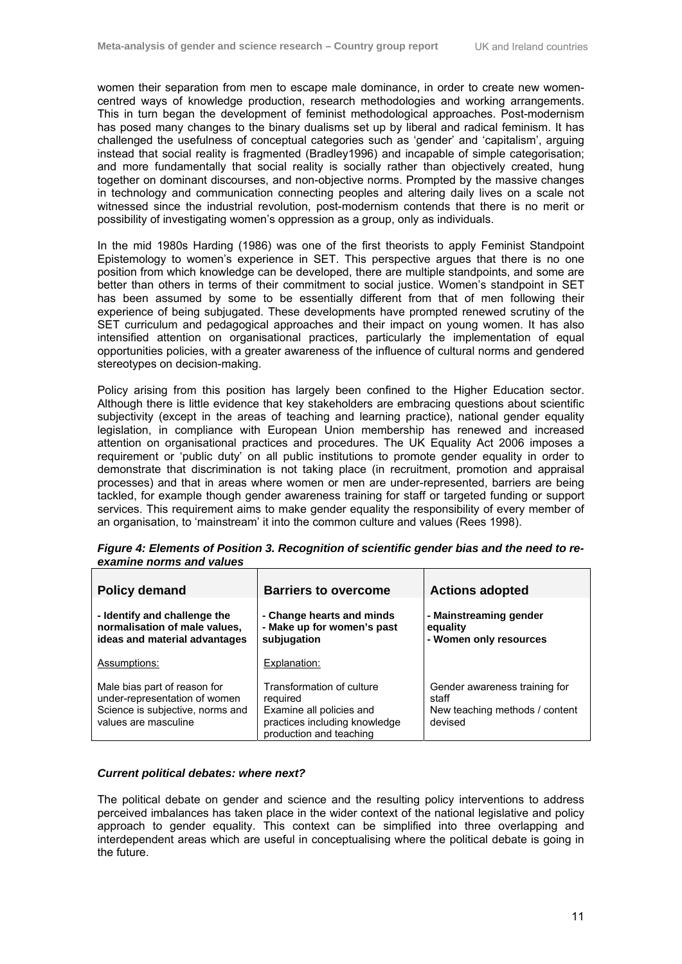women their separation from men to escape male dominance, in order to create new womencentred ways of knowledge production, research methodologies and working arrangements. This in turn began the development of feminist methodological approaches. Post-modernism has posed many changes to the binary dualisms set up by liberal and radical feminism. It has challenged the usefulness of conceptual categories such as 'gender' and 'capitalism', arguing instead that social reality is fragmented (Bradley1996) and incapable of simple categorisation; and more fundamentally that social reality is socially rather than objectively created, hung together on dominant discourses, and non-objective norms. Prompted by the massive changes in technology and communication connecting peoples and altering daily lives on a scale not witnessed since the industrial revolution, post-modernism contends that there is no merit or possibility of investigating women's oppression as a group, only as individuals.

In the mid 1980s Harding (1986) was one of the first theorists to apply Feminist Standpoint Epistemology to women's experience in SET. This perspective argues that there is no one position from which knowledge can be developed, there are multiple standpoints, and some are better than others in terms of their commitment to social justice. Women's standpoint in SET has been assumed by some to be essentially different from that of men following their experience of being subjugated. These developments have prompted renewed scrutiny of the SET curriculum and pedagogical approaches and their impact on young women. It has also intensified attention on organisational practices, particularly the implementation of equal opportunities policies, with a greater awareness of the influence of cultural norms and gendered stereotypes on decision-making.

Policy arising from this position has largely been confined to the Higher Education sector. Although there is little evidence that key stakeholders are embracing questions about scientific subjectivity (except in the areas of teaching and learning practice), national gender equality legislation, in compliance with European Union membership has renewed and increased attention on organisational practices and procedures. The UK Equality Act 2006 imposes a requirement or 'public duty' on all public institutions to promote gender equality in order to demonstrate that discrimination is not taking place (in recruitment, promotion and appraisal processes) and that in areas where women or men are under-represented, barriers are being tackled, for example though gender awareness training for staff or targeted funding or support services. This requirement aims to make gender equality the responsibility of every member of an organisation, to 'mainstream' it into the common culture and values (Rees 1998).

| <b>Policy demand</b>                                                                                                      | <b>Barriers to overcome</b>                                                                                                   | <b>Actions adopted</b>                                                              |
|---------------------------------------------------------------------------------------------------------------------------|-------------------------------------------------------------------------------------------------------------------------------|-------------------------------------------------------------------------------------|
| - Identify and challenge the<br>normalisation of male values,<br>ideas and material advantages                            | - Change hearts and minds<br>- Make up for women's past<br>subjugation                                                        | - Mainstreaming gender<br>equality<br>- Women only resources                        |
| Assumptions:                                                                                                              | Explanation:                                                                                                                  |                                                                                     |
| Male bias part of reason for<br>under-representation of women<br>Science is subjective, norms and<br>values are masculine | Transformation of culture<br>required<br>Examine all policies and<br>practices including knowledge<br>production and teaching | Gender awareness training for<br>staff<br>New teaching methods / content<br>devised |

*Figure 4: Elements of Position 3. Recognition of scientific gender bias and the need to reexamine norms and values* 

#### *Current political debates: where next?*

The political debate on gender and science and the resulting policy interventions to address perceived imbalances has taken place in the wider context of the national legislative and policy approach to gender equality. This context can be simplified into three overlapping and interdependent areas which are useful in conceptualising where the political debate is going in the future.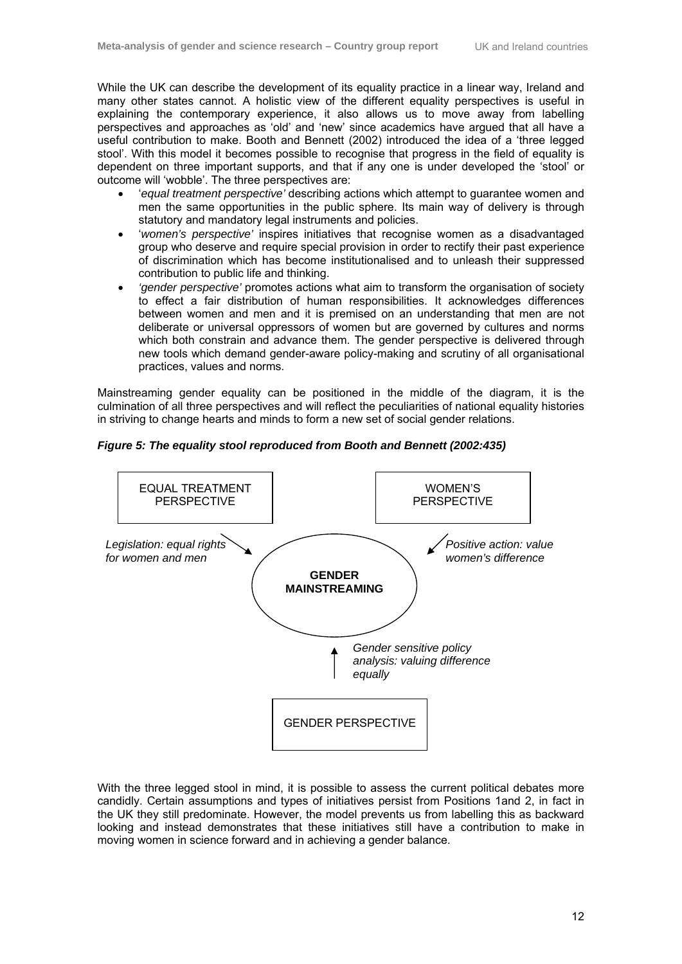While the UK can describe the development of its equality practice in a linear way, Ireland and many other states cannot. A holistic view of the different equality perspectives is useful in explaining the contemporary experience, it also allows us to move away from labelling perspectives and approaches as 'old' and 'new' since academics have argued that all have a useful contribution to make. Booth and Bennett (2002) introduced the idea of a 'three legged stool'. With this model it becomes possible to recognise that progress in the field of equality is dependent on three important supports, and that if any one is under developed the 'stool' or outcome will 'wobble'. The three perspectives are:

- '*equal treatment perspective'* describing actions which attempt to guarantee women and men the same opportunities in the public sphere. Its main way of delivery is through statutory and mandatory legal instruments and policies.
- '*women's perspective'* inspires initiatives that recognise women as a disadvantaged group who deserve and require special provision in order to rectify their past experience of discrimination which has become institutionalised and to unleash their suppressed contribution to public life and thinking.
- *'gender perspective'* promotes actions what aim to transform the organisation of society to effect a fair distribution of human responsibilities. It acknowledges differences between women and men and it is premised on an understanding that men are not deliberate or universal oppressors of women but are governed by cultures and norms which both constrain and advance them. The gender perspective is delivered through new tools which demand gender-aware policy-making and scrutiny of all organisational practices, values and norms.

Mainstreaming gender equality can be positioned in the middle of the diagram, it is the culmination of all three perspectives and will reflect the peculiarities of national equality histories in striving to change hearts and minds to form a new set of social gender relations.

*Figure 5: The equality stool reproduced from Booth and Bennett (2002:435)* 



With the three legged stool in mind, it is possible to assess the current political debates more candidly. Certain assumptions and types of initiatives persist from Positions 1and 2, in fact in the UK they still predominate. However, the model prevents us from labelling this as backward looking and instead demonstrates that these initiatives still have a contribution to make in moving women in science forward and in achieving a gender balance.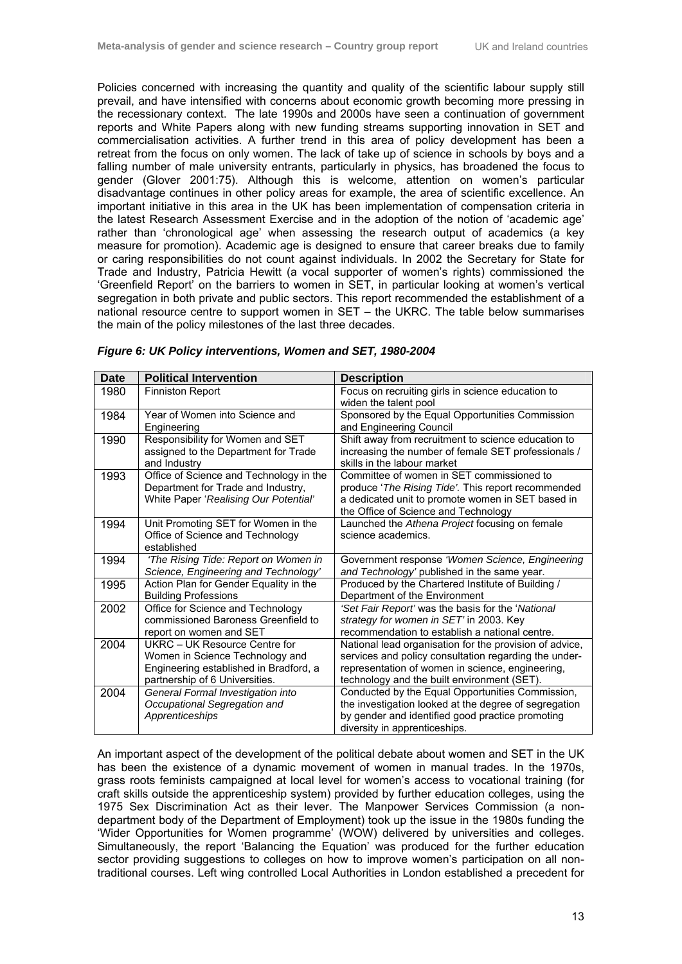Policies concerned with increasing the quantity and quality of the scientific labour supply still prevail, and have intensified with concerns about economic growth becoming more pressing in the recessionary context. The late 1990s and 2000s have seen a continuation of government reports and White Papers along with new funding streams supporting innovation in SET and commercialisation activities. A further trend in this area of policy development has been a retreat from the focus on only women. The lack of take up of science in schools by boys and a falling number of male university entrants, particularly in physics, has broadened the focus to gender (Glover 2001:75). Although this is welcome, attention on women's particular disadvantage continues in other policy areas for example, the area of scientific excellence. An important initiative in this area in the UK has been implementation of compensation criteria in the latest Research Assessment Exercise and in the adoption of the notion of 'academic age' rather than 'chronological age' when assessing the research output of academics (a key measure for promotion). Academic age is designed to ensure that career breaks due to family or caring responsibilities do not count against individuals. In 2002 the Secretary for State for Trade and Industry, Patricia Hewitt (a vocal supporter of women's rights) commissioned the 'Greenfield Report' on the barriers to women in SET, in particular looking at women's vertical segregation in both private and public sectors. This report recommended the establishment of a national resource centre to support women in SET – the UKRC. The table below summarises the main of the policy milestones of the last three decades.

| <b>Date</b> | <b>Political Intervention</b>           | <b>Description</b>                                      |
|-------------|-----------------------------------------|---------------------------------------------------------|
| 1980        | <b>Finniston Report</b>                 | Focus on recruiting girls in science education to       |
|             |                                         | widen the talent pool                                   |
| 1984        | Year of Women into Science and          | Sponsored by the Equal Opportunities Commission         |
|             | Engineering                             | and Engineering Council                                 |
| 1990        | Responsibility for Women and SET        | Shift away from recruitment to science education to     |
|             | assigned to the Department for Trade    | increasing the number of female SET professionals /     |
|             | and Industry                            | skills in the labour market                             |
| 1993        | Office of Science and Technology in the | Committee of women in SET commissioned to               |
|             | Department for Trade and Industry,      | produce 'The Rising Tide'. This report recommended      |
|             | White Paper 'Realising Our Potential'   | a dedicated unit to promote women in SET based in       |
|             |                                         | the Office of Science and Technology                    |
| 1994        | Unit Promoting SET for Women in the     | Launched the Athena Project focusing on female          |
|             | Office of Science and Technology        | science academics.                                      |
|             | established                             |                                                         |
| 1994        | 'The Rising Tide: Report on Women in    | Government response 'Women Science, Engineering         |
|             | Science, Engineering and Technology'    | and Technology' published in the same year.             |
| 1995        | Action Plan for Gender Equality in the  | Produced by the Chartered Institute of Building /       |
|             | <b>Building Professions</b>             | Department of the Environment                           |
| 2002        | Office for Science and Technology       | 'Set Fair Report' was the basis for the 'National       |
|             | commissioned Baroness Greenfield to     | strategy for women in SET' in 2003. Key                 |
|             | report on women and SET                 | recommendation to establish a national centre.          |
| 2004        | UKRC - UK Resource Centre for           | National lead organisation for the provision of advice, |
|             | Women in Science Technology and         | services and policy consultation regarding the under-   |
|             | Engineering established in Bradford, a  | representation of women in science, engineering,        |
|             | partnership of 6 Universities.          | technology and the built environment (SET).             |
| 2004        | General Formal Investigation into       | Conducted by the Equal Opportunities Commission,        |
|             | Occupational Segregation and            | the investigation looked at the degree of segregation   |
|             | Apprenticeships                         | by gender and identified good practice promoting        |
|             |                                         | diversity in apprenticeships.                           |

| Figure 6: UK Policy interventions, Women and SET, 1980-2004 |  |
|-------------------------------------------------------------|--|
|                                                             |  |

An important aspect of the development of the political debate about women and SET in the UK has been the existence of a dynamic movement of women in manual trades. In the 1970s, grass roots feminists campaigned at local level for women's access to vocational training (for craft skills outside the apprenticeship system) provided by further education colleges, using the 1975 Sex Discrimination Act as their lever. The Manpower Services Commission (a nondepartment body of the Department of Employment) took up the issue in the 1980s funding the 'Wider Opportunities for Women programme' (WOW) delivered by universities and colleges. Simultaneously, the report 'Balancing the Equation' was produced for the further education sector providing suggestions to colleges on how to improve women's participation on all nontraditional courses. Left wing controlled Local Authorities in London established a precedent for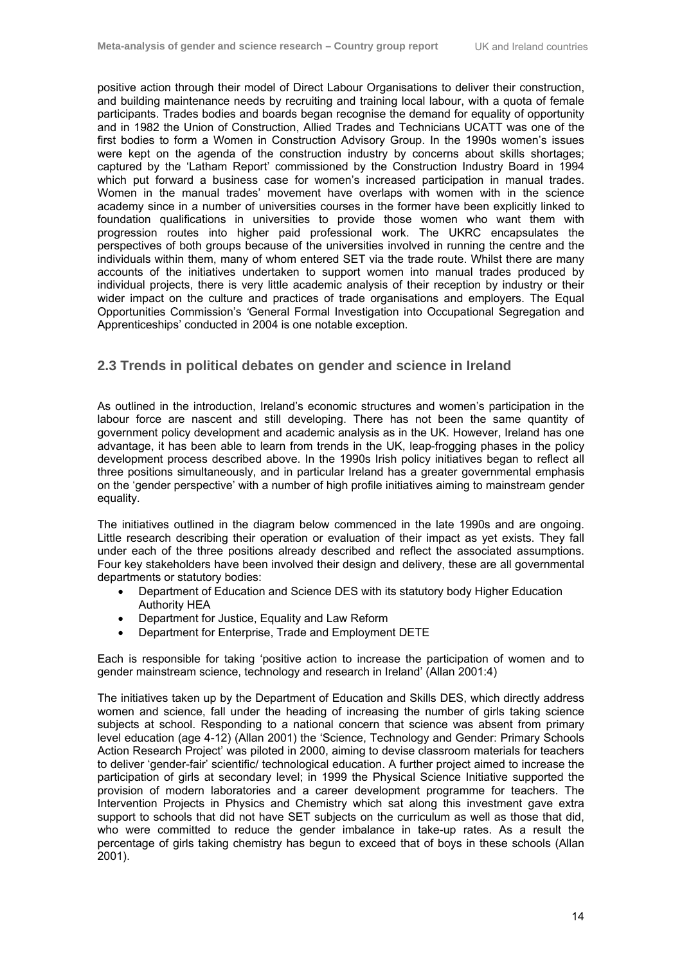positive action through their model of Direct Labour Organisations to deliver their construction, and building maintenance needs by recruiting and training local labour, with a quota of female participants. Trades bodies and boards began recognise the demand for equality of opportunity and in 1982 the Union of Construction, Allied Trades and Technicians UCATT was one of the first bodies to form a Women in Construction Advisory Group. In the 1990s women's issues were kept on the agenda of the construction industry by concerns about skills shortages; captured by the 'Latham Report' commissioned by the Construction Industry Board in 1994 which put forward a business case for women's increased participation in manual trades. Women in the manual trades' movement have overlaps with women with in the science academy since in a number of universities courses in the former have been explicitly linked to foundation qualifications in universities to provide those women who want them with progression routes into higher paid professional work. The UKRC encapsulates the perspectives of both groups because of the universities involved in running the centre and the individuals within them, many of whom entered SET via the trade route. Whilst there are many accounts of the initiatives undertaken to support women into manual trades produced by individual projects, there is very little academic analysis of their reception by industry or their wider impact on the culture and practices of trade organisations and employers. The Equal Opportunities Commission's *'*General Formal Investigation into Occupational Segregation and Apprenticeships' conducted in 2004 is one notable exception.

### **2.3 Trends in political debates on gender and science in Ireland**

As outlined in the introduction, Ireland's economic structures and women's participation in the labour force are nascent and still developing. There has not been the same quantity of government policy development and academic analysis as in the UK. However, Ireland has one advantage, it has been able to learn from trends in the UK, leap-frogging phases in the policy development process described above. In the 1990s Irish policy initiatives began to reflect all three positions simultaneously, and in particular Ireland has a greater governmental emphasis on the 'gender perspective' with a number of high profile initiatives aiming to mainstream gender equality.

The initiatives outlined in the diagram below commenced in the late 1990s and are ongoing. Little research describing their operation or evaluation of their impact as yet exists. They fall under each of the three positions already described and reflect the associated assumptions. Four key stakeholders have been involved their design and delivery, these are all governmental departments or statutory bodies:

- Department of Education and Science DES with its statutory body Higher Education Authority HEA
- Department for Justice, Equality and Law Reform
- Department for Enterprise, Trade and Employment DETE

Each is responsible for taking 'positive action to increase the participation of women and to gender mainstream science, technology and research in Ireland' (Allan 2001:4)

The initiatives taken up by the Department of Education and Skills DES, which directly address women and science, fall under the heading of increasing the number of girls taking science subjects at school. Responding to a national concern that science was absent from primary level education (age 4-12) (Allan 2001) the 'Science, Technology and Gender: Primary Schools Action Research Project' was piloted in 2000, aiming to devise classroom materials for teachers to deliver 'gender-fair' scientific/ technological education. A further project aimed to increase the participation of girls at secondary level; in 1999 the Physical Science Initiative supported the provision of modern laboratories and a career development programme for teachers. The Intervention Projects in Physics and Chemistry which sat along this investment gave extra support to schools that did not have SET subjects on the curriculum as well as those that did, who were committed to reduce the gender imbalance in take-up rates. As a result the percentage of girls taking chemistry has begun to exceed that of boys in these schools (Allan 2001).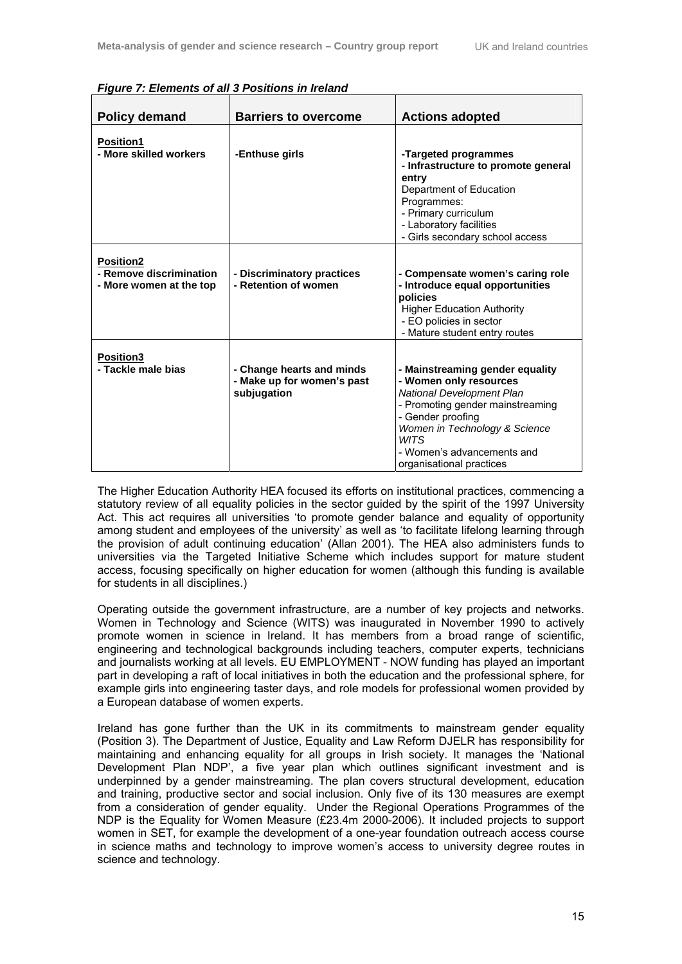| <b>Policy demand</b>                                                   | <b>Barriers to overcome</b>                                            | <b>Actions adopted</b>                                                                                                                                                                                                                                    |
|------------------------------------------------------------------------|------------------------------------------------------------------------|-----------------------------------------------------------------------------------------------------------------------------------------------------------------------------------------------------------------------------------------------------------|
| <b>Position1</b>                                                       |                                                                        |                                                                                                                                                                                                                                                           |
| - More skilled workers                                                 | -Enthuse girls                                                         | -Targeted programmes<br>- Infrastructure to promote general<br>entry<br>Department of Education<br>Programmes:<br>- Primary curriculum<br>- Laboratory facilities<br>- Girls secondary school access                                                      |
| <b>Position2</b><br>- Remove discrimination<br>- More women at the top | - Discriminatory practices<br>- Retention of women                     | - Compensate women's caring role<br>- Introduce equal opportunities<br>policies<br><b>Higher Education Authority</b><br>- EO policies in sector<br>- Mature student entry routes                                                                          |
| <b>Position3</b><br>- Tackle male bias                                 | - Change hearts and minds<br>- Make up for women's past<br>subjugation | - Mainstreaming gender equality<br>- Women only resources<br>National Development Plan<br>- Promoting gender mainstreaming<br>- Gender proofing<br>Women in Technology & Science<br><b>WITS</b><br>- Women's advancements and<br>organisational practices |

*Figure 7: Elements of all 3 Positions in Ireland* 

The Higher Education Authority HEA focused its efforts on institutional practices, commencing a statutory review of all equality policies in the sector guided by the spirit of the 1997 University Act. This act requires all universities 'to promote gender balance and equality of opportunity among student and employees of the university' as well as 'to facilitate lifelong learning through the provision of adult continuing education' (Allan 2001). The HEA also administers funds to universities via the Targeted Initiative Scheme which includes support for mature student access, focusing specifically on higher education for women (although this funding is available for students in all disciplines.)

Operating outside the government infrastructure, are a number of key projects and networks. Women in Technology and Science (WITS) was inaugurated in November 1990 to actively promote women in science in Ireland. It has members from a broad range of scientific, engineering and technological backgrounds including teachers, computer experts, technicians and journalists working at all levels. EU EMPLOYMENT - NOW funding has played an important part in developing a raft of local initiatives in both the education and the professional sphere, for example girls into engineering taster days, and role models for professional women provided by a European database of women experts.

Ireland has gone further than the UK in its commitments to mainstream gender equality (Position 3). The Department of Justice, Equality and Law Reform DJELR has responsibility for maintaining and enhancing equality for all groups in Irish society. It manages the 'National Development Plan NDP', a five year plan which outlines significant investment and is underpinned by a gender mainstreaming. The plan covers structural development, education and training, productive sector and social inclusion. Only five of its 130 measures are exempt from a consideration of gender equality. Under the Regional Operations Programmes of the NDP is the Equality for Women Measure (£23.4m 2000-2006). It included projects to support women in SET, for example the development of a one-year foundation outreach access course in science maths and technology to improve women's access to university degree routes in science and technology.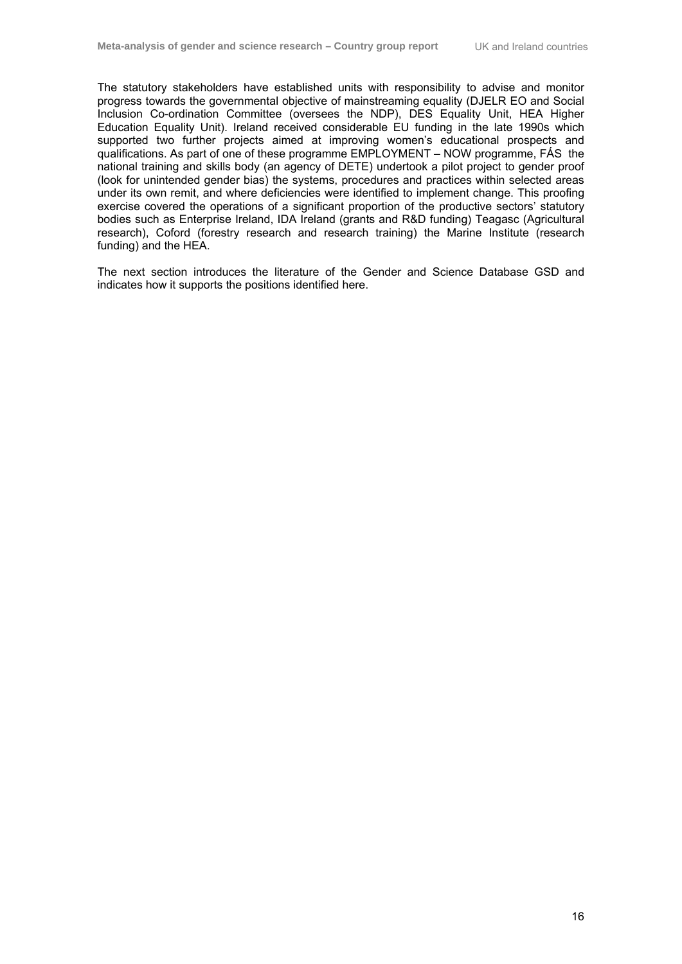The statutory stakeholders have established units with responsibility to advise and monitor progress towards the governmental objective of mainstreaming equality (DJELR EO and Social Inclusion Co-ordination Committee (oversees the NDP), DES Equality Unit, HEA Higher Education Equality Unit). Ireland received considerable EU funding in the late 1990s which supported two further projects aimed at improving women's educational prospects and qualifications. As part of one of these programme EMPLOYMENT – NOW programme, FÁS the national training and skills body (an agency of DETE) undertook a pilot project to gender proof (look for unintended gender bias) the systems, procedures and practices within selected areas under its own remit, and where deficiencies were identified to implement change. This proofing exercise covered the operations of a significant proportion of the productive sectors' statutory bodies such as Enterprise Ireland, IDA Ireland (grants and R&D funding) Teagasc (Agricultural research), Coford (forestry research and research training) the Marine Institute (research funding) and the HEA.

The next section introduces the literature of the Gender and Science Database GSD and indicates how it supports the positions identified here.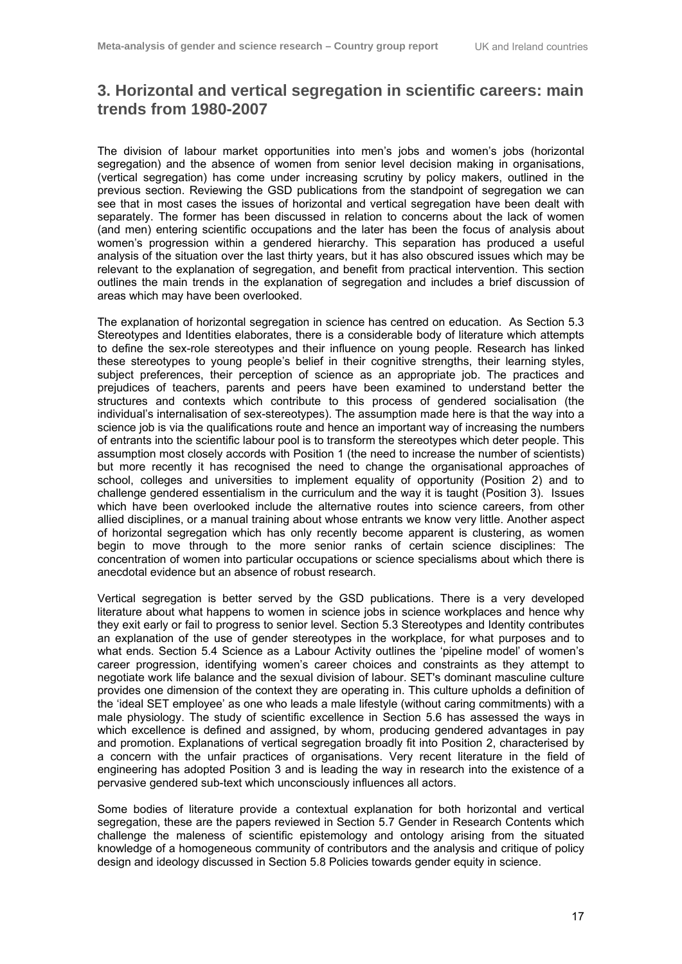## **3. Horizontal and vertical segregation in scientific careers: main trends from 1980-2007**

The division of labour market opportunities into men's jobs and women's jobs (horizontal segregation) and the absence of women from senior level decision making in organisations, (vertical segregation) has come under increasing scrutiny by policy makers, outlined in the previous section. Reviewing the GSD publications from the standpoint of segregation we can see that in most cases the issues of horizontal and vertical segregation have been dealt with separately. The former has been discussed in relation to concerns about the lack of women (and men) entering scientific occupations and the later has been the focus of analysis about women's progression within a gendered hierarchy. This separation has produced a useful analysis of the situation over the last thirty years, but it has also obscured issues which may be relevant to the explanation of segregation, and benefit from practical intervention. This section outlines the main trends in the explanation of segregation and includes a brief discussion of areas which may have been overlooked.

The explanation of horizontal segregation in science has centred on education. As Section 5.3 Stereotypes and Identities elaborates, there is a considerable body of literature which attempts to define the sex-role stereotypes and their influence on young people. Research has linked these stereotypes to young people's belief in their cognitive strengths, their learning styles, subject preferences, their perception of science as an appropriate job. The practices and prejudices of teachers, parents and peers have been examined to understand better the structures and contexts which contribute to this process of gendered socialisation (the individual's internalisation of sex-stereotypes). The assumption made here is that the way into a science job is via the qualifications route and hence an important way of increasing the numbers of entrants into the scientific labour pool is to transform the stereotypes which deter people. This assumption most closely accords with Position 1 (the need to increase the number of scientists) but more recently it has recognised the need to change the organisational approaches of school, colleges and universities to implement equality of opportunity (Position 2) and to challenge gendered essentialism in the curriculum and the way it is taught (Position 3). Issues which have been overlooked include the alternative routes into science careers, from other allied disciplines, or a manual training about whose entrants we know very little. Another aspect of horizontal segregation which has only recently become apparent is clustering, as women begin to move through to the more senior ranks of certain science disciplines: The concentration of women into particular occupations or science specialisms about which there is anecdotal evidence but an absence of robust research.

Vertical segregation is better served by the GSD publications. There is a very developed literature about what happens to women in science jobs in science workplaces and hence why they exit early or fail to progress to senior level. Section 5.3 Stereotypes and Identity contributes an explanation of the use of gender stereotypes in the workplace, for what purposes and to what ends. Section 5.4 Science as a Labour Activity outlines the 'pipeline model' of women's career progression, identifying women's career choices and constraints as they attempt to negotiate work life balance and the sexual division of labour. SET's dominant masculine culture provides one dimension of the context they are operating in. This culture upholds a definition of the 'ideal SET employee' as one who leads a male lifestyle (without caring commitments) with a male physiology. The study of scientific excellence in Section 5.6 has assessed the ways in which excellence is defined and assigned, by whom, producing gendered advantages in pay and promotion. Explanations of vertical segregation broadly fit into Position 2, characterised by a concern with the unfair practices of organisations. Very recent literature in the field of engineering has adopted Position 3 and is leading the way in research into the existence of a pervasive gendered sub-text which unconsciously influences all actors.

Some bodies of literature provide a contextual explanation for both horizontal and vertical segregation, these are the papers reviewed in Section 5.7 Gender in Research Contents which challenge the maleness of scientific epistemology and ontology arising from the situated knowledge of a homogeneous community of contributors and the analysis and critique of policy design and ideology discussed in Section 5.8 Policies towards gender equity in science.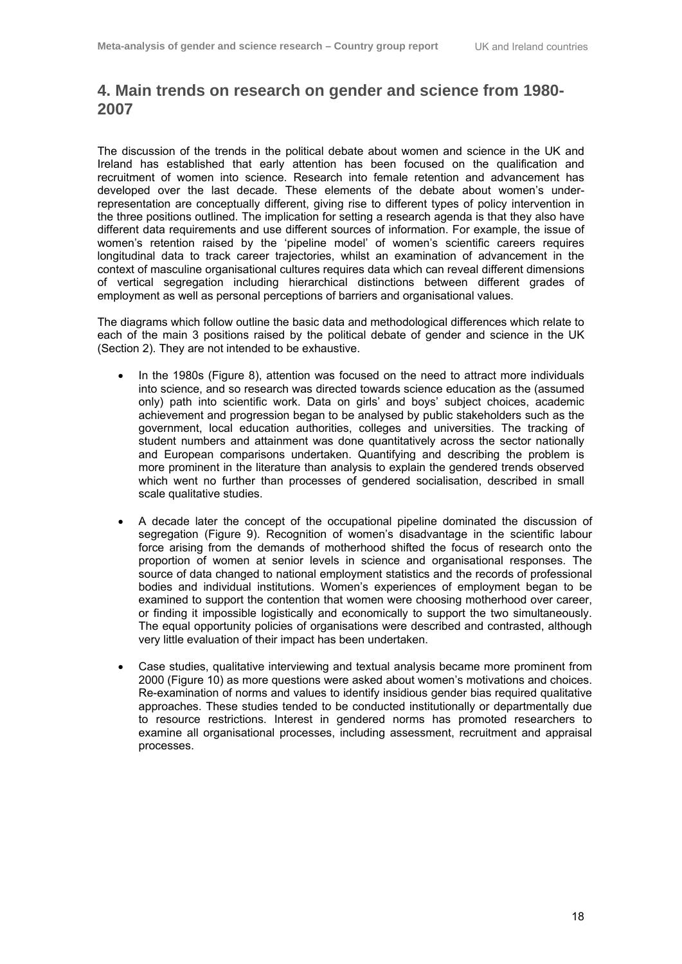## **4. Main trends on research on gender and science from 1980- 2007**

The discussion of the trends in the political debate about women and science in the UK and Ireland has established that early attention has been focused on the qualification and recruitment of women into science. Research into female retention and advancement has developed over the last decade. These elements of the debate about women's underrepresentation are conceptually different, giving rise to different types of policy intervention in the three positions outlined. The implication for setting a research agenda is that they also have different data requirements and use different sources of information. For example, the issue of women's retention raised by the 'pipeline model' of women's scientific careers requires longitudinal data to track career trajectories, whilst an examination of advancement in the context of masculine organisational cultures requires data which can reveal different dimensions of vertical segregation including hierarchical distinctions between different grades of employment as well as personal perceptions of barriers and organisational values.

The diagrams which follow outline the basic data and methodological differences which relate to each of the main 3 positions raised by the political debate of gender and science in the UK (Section 2). They are not intended to be exhaustive.

- In the 1980s (Figure 8), attention was focused on the need to attract more individuals into science, and so research was directed towards science education as the (assumed only) path into scientific work. Data on girls' and boys' subject choices, academic achievement and progression began to be analysed by public stakeholders such as the government, local education authorities, colleges and universities. The tracking of student numbers and attainment was done quantitatively across the sector nationally and European comparisons undertaken. Quantifying and describing the problem is more prominent in the literature than analysis to explain the gendered trends observed which went no further than processes of gendered socialisation, described in small scale qualitative studies.
- A decade later the concept of the occupational pipeline dominated the discussion of segregation (Figure 9). Recognition of women's disadvantage in the scientific labour force arising from the demands of motherhood shifted the focus of research onto the proportion of women at senior levels in science and organisational responses. The source of data changed to national employment statistics and the records of professional bodies and individual institutions. Women's experiences of employment began to be examined to support the contention that women were choosing motherhood over career, or finding it impossible logistically and economically to support the two simultaneously. The equal opportunity policies of organisations were described and contrasted, although very little evaluation of their impact has been undertaken.
- Case studies, qualitative interviewing and textual analysis became more prominent from 2000 (Figure 10) as more questions were asked about women's motivations and choices. Re-examination of norms and values to identify insidious gender bias required qualitative approaches. These studies tended to be conducted institutionally or departmentally due to resource restrictions. Interest in gendered norms has promoted researchers to examine all organisational processes, including assessment, recruitment and appraisal processes.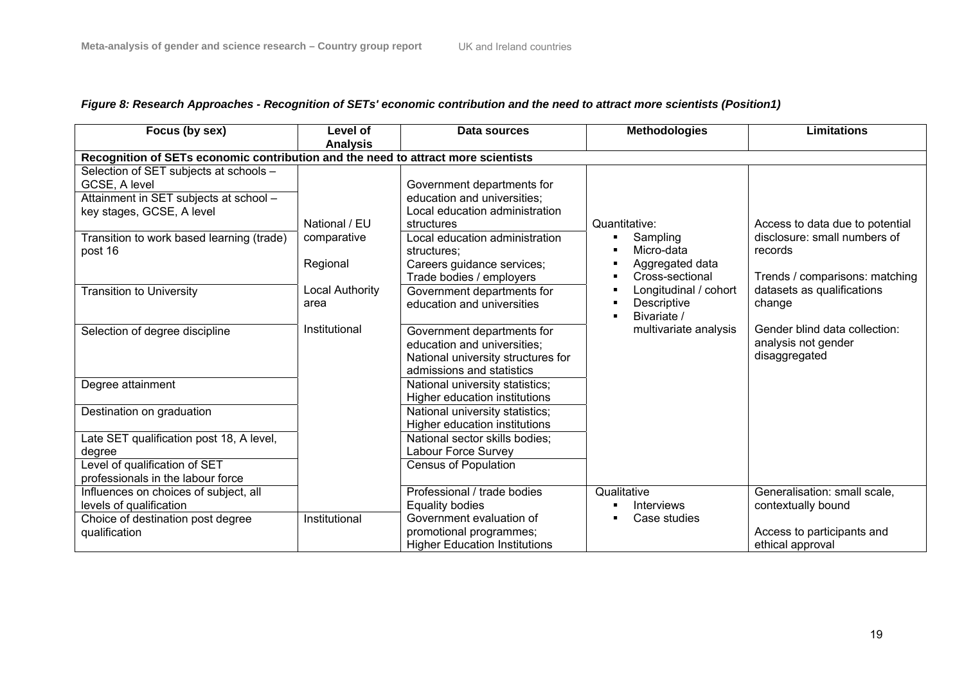| Focus (by sex)                                                                                                                                                                         | Level of<br><b>Analysis</b>              | Data sources                                                                                                                                                                                                         | <b>Methodologies</b>                                                               | <b>Limitations</b>                                                                                           |  |  |
|----------------------------------------------------------------------------------------------------------------------------------------------------------------------------------------|------------------------------------------|----------------------------------------------------------------------------------------------------------------------------------------------------------------------------------------------------------------------|------------------------------------------------------------------------------------|--------------------------------------------------------------------------------------------------------------|--|--|
| Recognition of SETs economic contribution and the need to attract more scientists                                                                                                      |                                          |                                                                                                                                                                                                                      |                                                                                    |                                                                                                              |  |  |
| Selection of SET subjects at schools -<br>GCSE, A level<br>Attainment in SET subjects at school -<br>key stages, GCSE, A level<br>Transition to work based learning (trade)<br>post 16 | National / EU<br>comparative<br>Regional | Government departments for<br>education and universities;<br>Local education administration<br>structures<br>Local education administration<br>structures;<br>Careers guidance services;<br>Trade bodies / employers | Quantitative:<br>Sampling<br>п<br>Micro-data<br>Aggregated data<br>Cross-sectional | Access to data due to potential<br>disclosure: small numbers of<br>records<br>Trends / comparisons: matching |  |  |
| <b>Transition to University</b>                                                                                                                                                        | <b>Local Authority</b><br>area           | Government departments for<br>education and universities                                                                                                                                                             | Longitudinal / cohort<br>Descriptive<br>Bivariate /                                | datasets as qualifications<br>change                                                                         |  |  |
| Selection of degree discipline                                                                                                                                                         | Institutional                            | Government departments for<br>education and universities;<br>National university structures for<br>admissions and statistics                                                                                         | multivariate analysis                                                              | Gender blind data collection:<br>analysis not gender<br>disaggregated                                        |  |  |
| Degree attainment                                                                                                                                                                      |                                          | National university statistics;<br>Higher education institutions                                                                                                                                                     |                                                                                    |                                                                                                              |  |  |
| Destination on graduation                                                                                                                                                              |                                          | National university statistics;<br>Higher education institutions                                                                                                                                                     |                                                                                    |                                                                                                              |  |  |
| Late SET qualification post 18, A level,<br>degree                                                                                                                                     |                                          | National sector skills bodies;<br>Labour Force Survey                                                                                                                                                                |                                                                                    |                                                                                                              |  |  |
| Level of qualification of SET<br>professionals in the labour force                                                                                                                     |                                          | <b>Census of Population</b>                                                                                                                                                                                          |                                                                                    |                                                                                                              |  |  |
| Influences on choices of subject, all<br>levels of qualification                                                                                                                       |                                          | Professional / trade bodies<br>Equality bodies                                                                                                                                                                       | Qualitative<br>Interviews                                                          | Generalisation: small scale,<br>contextually bound                                                           |  |  |
| Choice of destination post degree<br>qualification                                                                                                                                     | Institutional                            | Government evaluation of<br>promotional programmes;<br><b>Higher Education Institutions</b>                                                                                                                          | Case studies                                                                       | Access to participants and<br>ethical approval                                                               |  |  |

## *Figure 8: Research Approaches - Recognition of SETs' economic contribution and the need to attract more scientists (Position1)*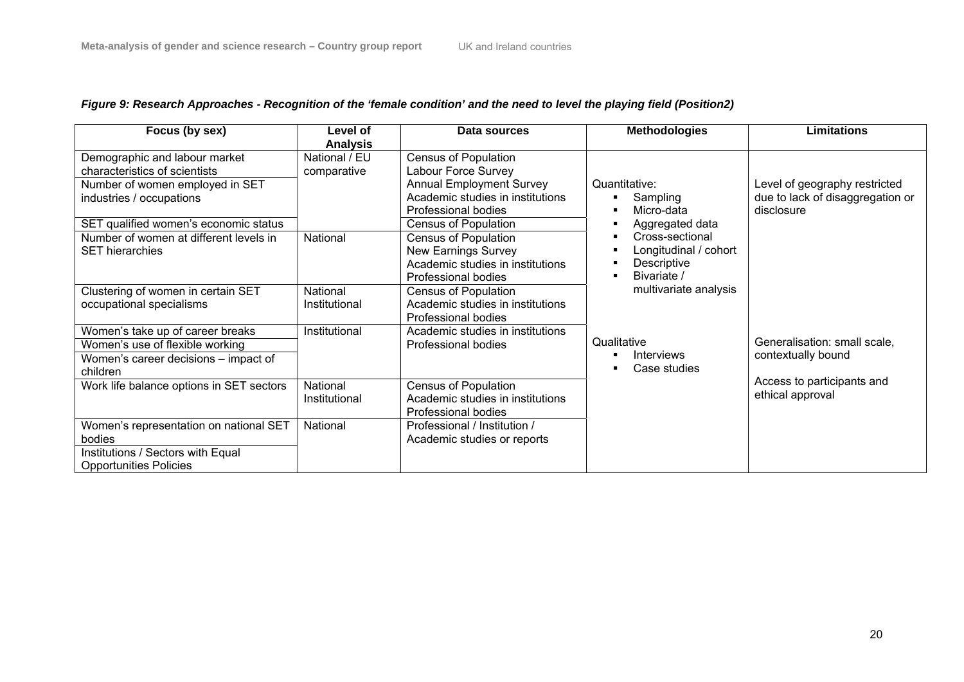## *Figure 9: Research Approaches - Recognition of the 'female condition' and the need to level the playing field (Position2)*

| Focus (by sex)                                                                                                                                                         | Level of<br><b>Analysis</b>  | Data sources                                                                                                                                                                    | <b>Methodologies</b>                                                   | <b>Limitations</b>                                                              |
|------------------------------------------------------------------------------------------------------------------------------------------------------------------------|------------------------------|---------------------------------------------------------------------------------------------------------------------------------------------------------------------------------|------------------------------------------------------------------------|---------------------------------------------------------------------------------|
| Demographic and labour market<br>characteristics of scientists<br>Number of women employed in SET<br>industries / occupations<br>SET qualified women's economic status | National / EU<br>comparative | <b>Census of Population</b><br>Labour Force Survey<br><b>Annual Employment Survey</b><br>Academic studies in institutions<br>Professional bodies<br><b>Census of Population</b> | Quantitative:<br>Sampling<br>Micro-data<br>Aggregated data             | Level of geography restricted<br>due to lack of disaggregation or<br>disclosure |
| Number of women at different levels in<br><b>SET hierarchies</b>                                                                                                       | National                     | <b>Census of Population</b><br><b>New Earnings Survey</b><br>Academic studies in institutions<br>Professional bodies                                                            | Cross-sectional<br>Longitudinal / cohort<br>Descriptive<br>Bivariate / |                                                                                 |
| Clustering of women in certain SET<br>occupational specialisms                                                                                                         | National<br>Institutional    | <b>Census of Population</b><br>Academic studies in institutions<br>Professional bodies                                                                                          | multivariate analysis                                                  |                                                                                 |
| Women's take up of career breaks<br>Women's use of flexible working<br>Women's career decisions – impact of<br>children                                                | Institutional                | Academic studies in institutions<br>Professional bodies                                                                                                                         | Qualitative<br><b>Interviews</b><br>Case studies                       | Generalisation: small scale,<br>contextually bound                              |
| Work life balance options in SET sectors                                                                                                                               | National<br>Institutional    | <b>Census of Population</b><br>Academic studies in institutions<br>Professional bodies                                                                                          |                                                                        | Access to participants and<br>ethical approval                                  |
| Women's representation on national SET<br>bodies<br>Institutions / Sectors with Equal<br><b>Opportunities Policies</b>                                                 | National                     | Professional / Institution /<br>Academic studies or reports                                                                                                                     |                                                                        |                                                                                 |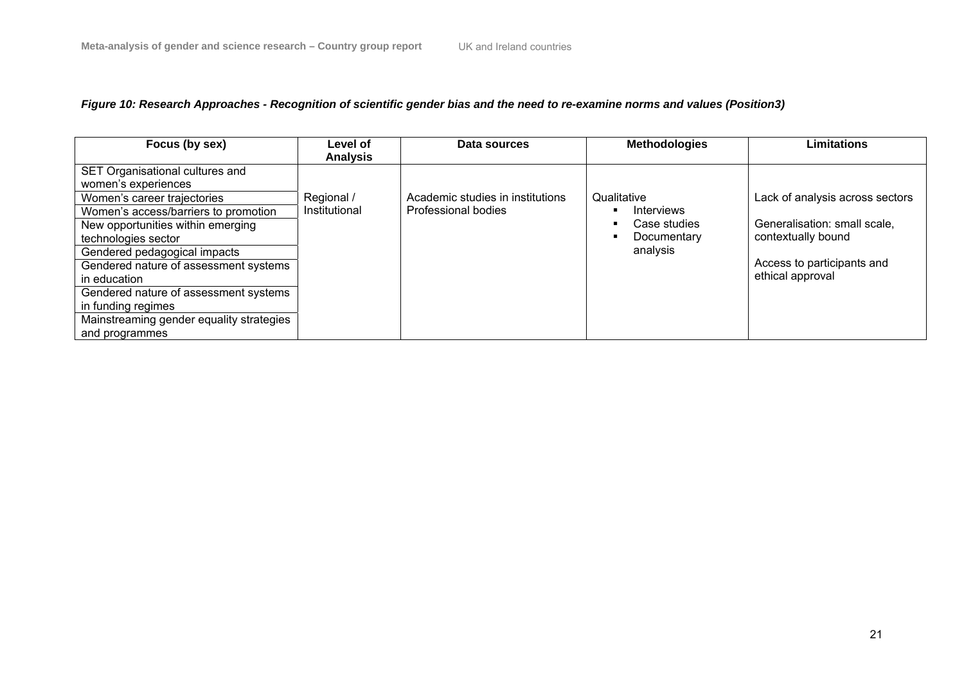### *Figure 10: Research Approaches - Recognition of scientific gender bias and the need to re-examine norms and values (Position3)*

| Focus (by sex)                                                                                                                                                                                                                                                                                                                                                                                                  | Level of<br><b>Analysis</b> | Data sources                                            | <b>Methodologies</b>                                                 | Limitations                                                                                                                             |
|-----------------------------------------------------------------------------------------------------------------------------------------------------------------------------------------------------------------------------------------------------------------------------------------------------------------------------------------------------------------------------------------------------------------|-----------------------------|---------------------------------------------------------|----------------------------------------------------------------------|-----------------------------------------------------------------------------------------------------------------------------------------|
| SET Organisational cultures and<br>women's experiences<br>Women's career trajectories<br>Women's access/barriers to promotion<br>New opportunities within emerging<br>technologies sector<br>Gendered pedagogical impacts<br>Gendered nature of assessment systems<br>in education<br>Gendered nature of assessment systems<br>in funding regimes<br>Mainstreaming gender equality strategies<br>and programmes | Regional /<br>Institutional | Academic studies in institutions<br>Professional bodies | Qualitative<br>Interviews<br>Case studies<br>Documentary<br>analysis | Lack of analysis across sectors<br>Generalisation: small scale,<br>contextually bound<br>Access to participants and<br>ethical approval |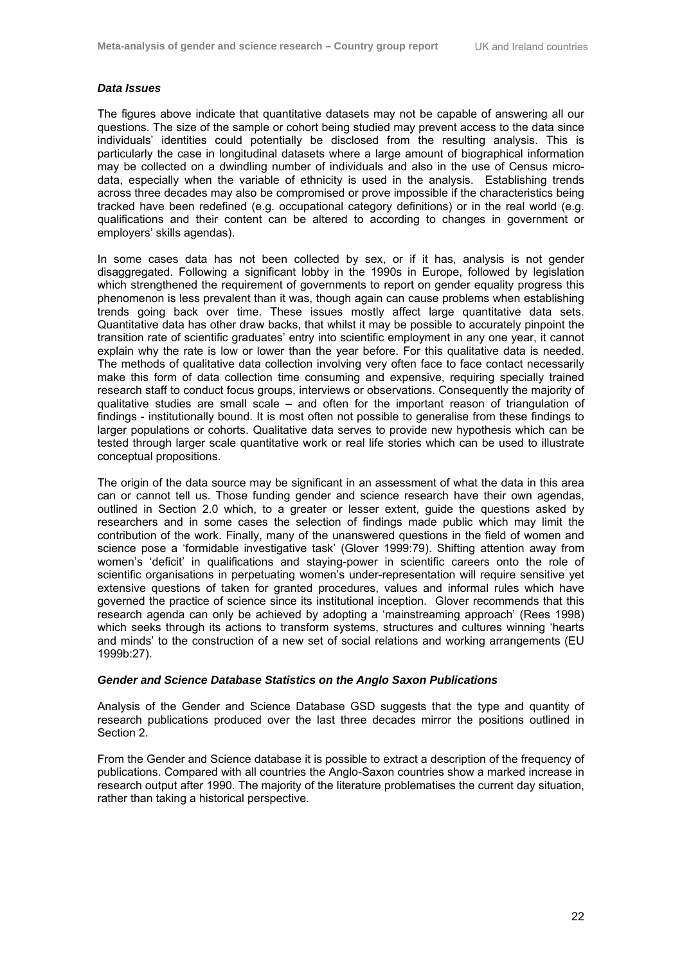#### *Data Issues*

The figures above indicate that quantitative datasets may not be capable of answering all our questions. The size of the sample or cohort being studied may prevent access to the data since individuals' identities could potentially be disclosed from the resulting analysis. This is particularly the case in longitudinal datasets where a large amount of biographical information may be collected on a dwindling number of individuals and also in the use of Census microdata, especially when the variable of ethnicity is used in the analysis. Establishing trends across three decades may also be compromised or prove impossible if the characteristics being tracked have been redefined (e.g. occupational category definitions) or in the real world (e.g. qualifications and their content can be altered to according to changes in government or employers' skills agendas).

In some cases data has not been collected by sex, or if it has, analysis is not gender disaggregated. Following a significant lobby in the 1990s in Europe, followed by legislation which strengthened the requirement of governments to report on gender equality progress this phenomenon is less prevalent than it was, though again can cause problems when establishing trends going back over time. These issues mostly affect large quantitative data sets. Quantitative data has other draw backs, that whilst it may be possible to accurately pinpoint the transition rate of scientific graduates' entry into scientific employment in any one year, it cannot explain why the rate is low or lower than the year before. For this qualitative data is needed. The methods of qualitative data collection involving very often face to face contact necessarily make this form of data collection time consuming and expensive, requiring specially trained research staff to conduct focus groups, interviews or observations. Consequently the majority of qualitative studies are small scale – and often for the important reason of triangulation of findings - institutionally bound. It is most often not possible to generalise from these findings to larger populations or cohorts. Qualitative data serves to provide new hypothesis which can be tested through larger scale quantitative work or real life stories which can be used to illustrate conceptual propositions.

The origin of the data source may be significant in an assessment of what the data in this area can or cannot tell us. Those funding gender and science research have their own agendas, outlined in Section 2.0 which, to a greater or lesser extent, guide the questions asked by researchers and in some cases the selection of findings made public which may limit the contribution of the work. Finally, many of the unanswered questions in the field of women and science pose a 'formidable investigative task' (Glover 1999:79). Shifting attention away from women's 'deficit' in qualifications and staying-power in scientific careers onto the role of scientific organisations in perpetuating women's under-representation will require sensitive yet extensive questions of taken for granted procedures, values and informal rules which have governed the practice of science since its institutional inception. Glover recommends that this research agenda can only be achieved by adopting a 'mainstreaming approach' (Rees 1998) which seeks through its actions to transform systems, structures and cultures winning 'hearts and minds' to the construction of a new set of social relations and working arrangements (EU 1999b:27).

#### *Gender and Science Database Statistics on the Anglo Saxon Publications*

Analysis of the Gender and Science Database GSD suggests that the type and quantity of research publications produced over the last three decades mirror the positions outlined in Section 2.

From the Gender and Science database it is possible to extract a description of the frequency of publications. Compared with all countries the Anglo-Saxon countries show a marked increase in research output after 1990. The majority of the literature problematises the current day situation, rather than taking a historical perspective.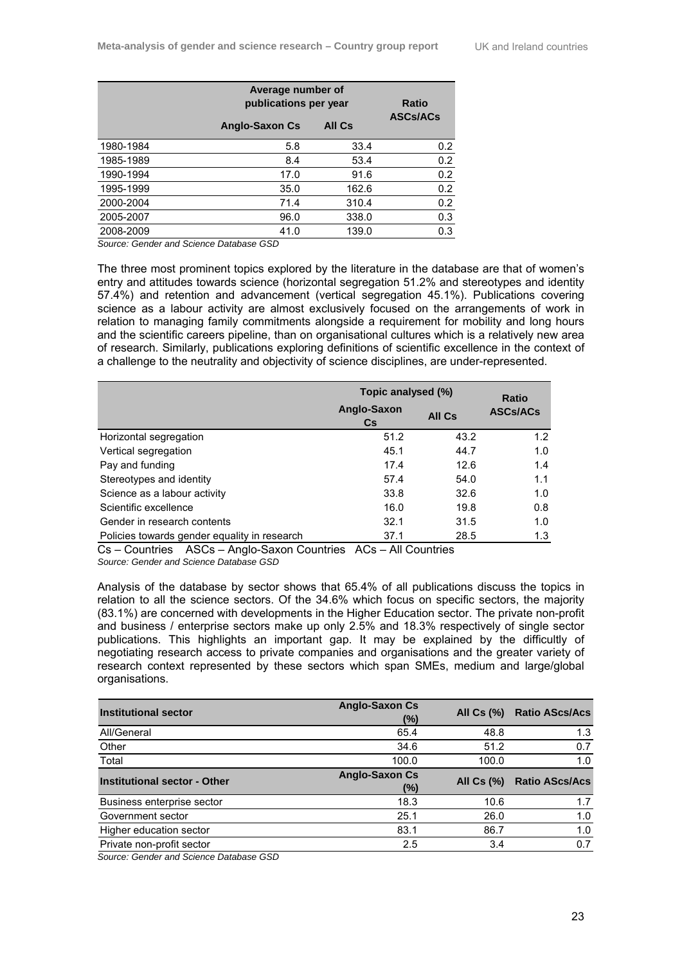|           |                       | Average number of<br>publications per year |                 |  |
|-----------|-----------------------|--------------------------------------------|-----------------|--|
|           | <b>Anglo-Saxon Cs</b> | <b>All Cs</b>                              | <b>ASCs/ACs</b> |  |
| 1980-1984 | 5.8                   | 33.4                                       | 0.2             |  |
| 1985-1989 | 8.4                   | 53.4                                       | 0.2             |  |
| 1990-1994 | 17.0                  | 91.6                                       | 0.2             |  |
| 1995-1999 | 35.0                  | 162.6                                      | 0.2             |  |
| 2000-2004 | 71.4                  | 310.4                                      | 0.2             |  |
| 2005-2007 | 96.0                  | 338.0                                      | 0.3             |  |
| 2008-2009 | 41.0                  | 139.0                                      | 0.3             |  |

*Source: Gender and Science Database GSD* 

The three most prominent topics explored by the literature in the database are that of women's entry and attitudes towards science (horizontal segregation 51.2% and stereotypes and identity 57.4%) and retention and advancement (vertical segregation 45.1%). Publications covering science as a labour activity are almost exclusively focused on the arrangements of work in relation to managing family commitments alongside a requirement for mobility and long hours and the scientific careers pipeline, than on organisational cultures which is a relatively new area of research. Similarly, publications exploring definitions of scientific excellence in the context of a challenge to the neutrality and objectivity of science disciplines, are under-represented.

|                                              | Topic analysed (%) |               | <b>Ratio</b>    |
|----------------------------------------------|--------------------|---------------|-----------------|
|                                              | Anglo-Saxon<br>Cs  | <b>All Cs</b> | <b>ASCs/ACs</b> |
| Horizontal segregation                       | 51.2               | 43.2          | 1.2             |
| Vertical segregation                         | 45.1               | 44.7          | 1.0             |
| Pay and funding                              | 17.4               | 12.6          | 1.4             |
| Stereotypes and identity                     | 57.4               | 54.0          | 1.1             |
| Science as a labour activity                 | 33.8               | 32.6          | 1.0             |
| Scientific excellence                        | 16.0               | 19.8          | 0.8             |
| Gender in research contents                  | 32.1               | 31.5          | 1.0             |
| Policies towards gender equality in research | 37.1               | 28.5          | 1.3             |

Cs – Countries ASCs – Anglo-Saxon Countries ACs – All Countries *Source: Gender and Science Database GSD* 

Analysis of the database by sector shows that 65.4% of all publications discuss the topics in relation to all the science sectors. Of the 34.6% which focus on specific sectors, the majority (83.1%) are concerned with developments in the Higher Education sector. The private non-profit and business / enterprise sectors make up only 2.5% and 18.3% respectively of single sector publications. This highlights an important gap. It may be explained by the difficultly of negotiating research access to private companies and organisations and the greater variety of research context represented by these sectors which span SMEs, medium and large/global organisations.

| <b>Institutional sector</b>                                | <b>Anglo-Saxon Cs</b><br>(%) | All $Cs$ $%$ | <b>Ratio AScs/Acs</b> |
|------------------------------------------------------------|------------------------------|--------------|-----------------------|
| All/General                                                | 65.4                         | 48.8         | 1.3                   |
| Other                                                      | 34.6                         | 51.2         | 0.7                   |
| Total                                                      | 100.0                        | 100.0        | 1.0                   |
| <b>Institutional sector - Other</b>                        | <b>Anglo-Saxon Cs</b><br>(%) | All $Cs (%)$ | <b>Ratio AScs/Acs</b> |
| Business enterprise sector                                 | 18.3                         | 10.6         | 1.7                   |
| Government sector                                          | 25.1                         | 26.0         | 1.0                   |
| Higher education sector                                    | 83.1                         | 86.7         | 1.0                   |
| Private non-profit sector<br>.<br>$\overline{\phantom{m}}$ | 2.5                          | 3.4          | 0.7                   |

*Source: Gender and Science Database GSD*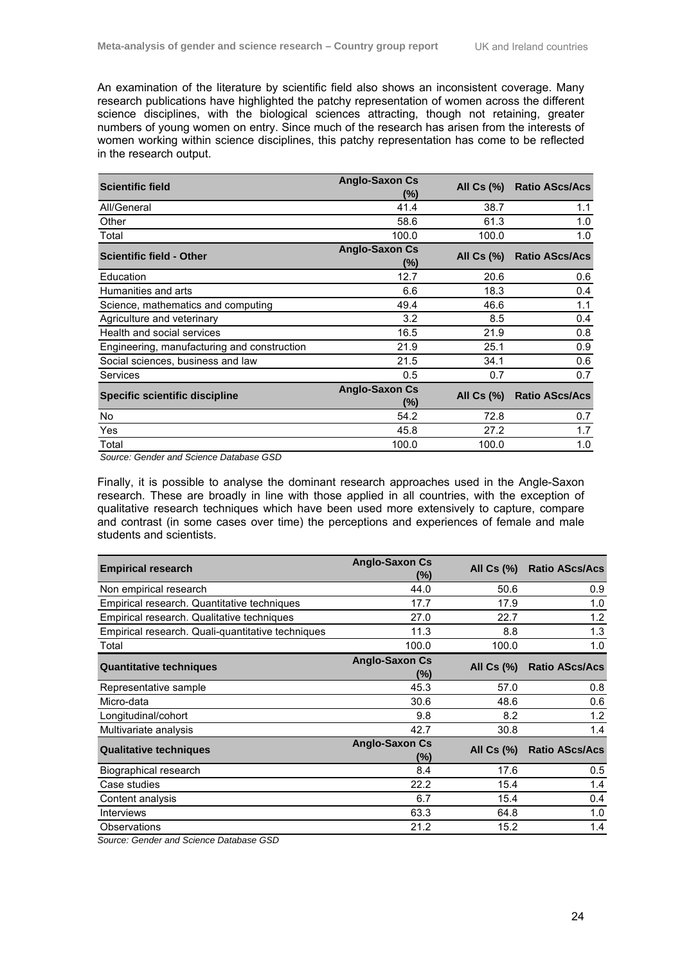An examination of the literature by scientific field also shows an inconsistent coverage. Many research publications have highlighted the patchy representation of women across the different science disciplines, with the biological sciences attracting, though not retaining, greater numbers of young women on entry. Since much of the research has arisen from the interests of women working within science disciplines, this patchy representation has come to be reflected in the research output.

| <b>Scientific field</b>                     | <b>Anglo-Saxon Cs</b><br>(%) | All $Cs$ $\left(\% \right)$ | <b>Ratio AScs/Acs</b> |
|---------------------------------------------|------------------------------|-----------------------------|-----------------------|
| All/General                                 | 41.4                         | 38.7                        | 1.1                   |
| Other                                       | 58.6                         | 61.3                        | 1.0                   |
| Total                                       | 100.0                        | 100.0                       | 1.0                   |
| <b>Scientific field - Other</b>             | <b>Anglo-Saxon Cs</b><br>(%) | All Cs (%)                  | <b>Ratio AScs/Acs</b> |
| Education                                   | 12.7                         | 20.6                        | 0.6                   |
| Humanities and arts                         | 6.6                          | 18.3                        | 0.4                   |
| Science, mathematics and computing          | 49.4                         | 46.6                        | 1.1                   |
| Agriculture and veterinary                  | 3.2                          | 8.5                         | 0.4                   |
| Health and social services                  | 16.5                         | 21.9                        | 0.8                   |
| Engineering, manufacturing and construction | 21.9                         | 25.1                        | 0.9                   |
| Social sciences, business and law           | 21.5                         | 34.1                        | 0.6                   |
| Services                                    | 0.5                          | 0.7                         | 0.7                   |
| <b>Specific scientific discipline</b>       | <b>Anglo-Saxon Cs</b><br>(%) | All Cs (%)                  | <b>Ratio AScs/Acs</b> |
| <b>No</b>                                   | 54.2                         | 72.8                        | 0.7                   |
| Yes                                         | 45.8                         | 27.2                        | 1.7                   |
| Total                                       | 100.0                        | 100.0                       | 1.0                   |

 *Source: Gender and Science Database GSD* 

Finally, it is possible to analyse the dominant research approaches used in the Angle-Saxon research. These are broadly in line with those applied in all countries, with the exception of qualitative research techniques which have been used more extensively to capture, compare and contrast (in some cases over time) the perceptions and experiences of female and male students and scientists.

| <b>Empirical research</b>                         | <b>Anglo-Saxon Cs</b><br>$(\%)$ | All $Cs$ $%$ | <b>Ratio AScs/Acs</b> |
|---------------------------------------------------|---------------------------------|--------------|-----------------------|
| Non empirical research                            | 44.0                            | 50.6         | 0.9                   |
| Empirical research. Quantitative techniques       | 17.7                            | 17.9         | 1.0                   |
| Empirical research. Qualitative techniques        | 27.0                            | 22.7         | 1.2                   |
| Empirical research. Quali-quantitative techniques | 11.3                            | 8.8          | 1.3                   |
| Total                                             | 100.0                           | 100.0        | 1.0                   |
| <b>Quantitative techniques</b>                    | <b>Anglo-Saxon Cs</b><br>$(\%)$ | All $Cs$ $%$ | <b>Ratio AScs/Acs</b> |
| Representative sample                             | 45.3                            | 57.0         | 0.8                   |
| Micro-data                                        | 30.6                            | 48.6         | 0.6                   |
| Longitudinal/cohort                               | 9.8                             | 8.2          | 1.2                   |
| Multivariate analysis                             | 42.7                            | 30.8         | 1.4                   |
| <b>Qualitative techniques</b>                     | <b>Anglo-Saxon Cs</b><br>$(\%)$ | All $Cs$ $%$ | <b>Ratio AScs/Acs</b> |
| Biographical research                             | 8.4                             | 17.6         | 0.5                   |
| Case studies                                      | 22.2                            | 15.4         | 1.4                   |
| Content analysis                                  | 6.7                             | 15.4         | 0.4                   |
| <b>Interviews</b>                                 | 63.3                            | 64.8         | 1.0                   |
| Observations                                      | 21.2                            | 15.2         | 1.4                   |

*Source: Gender and Science Database GSD*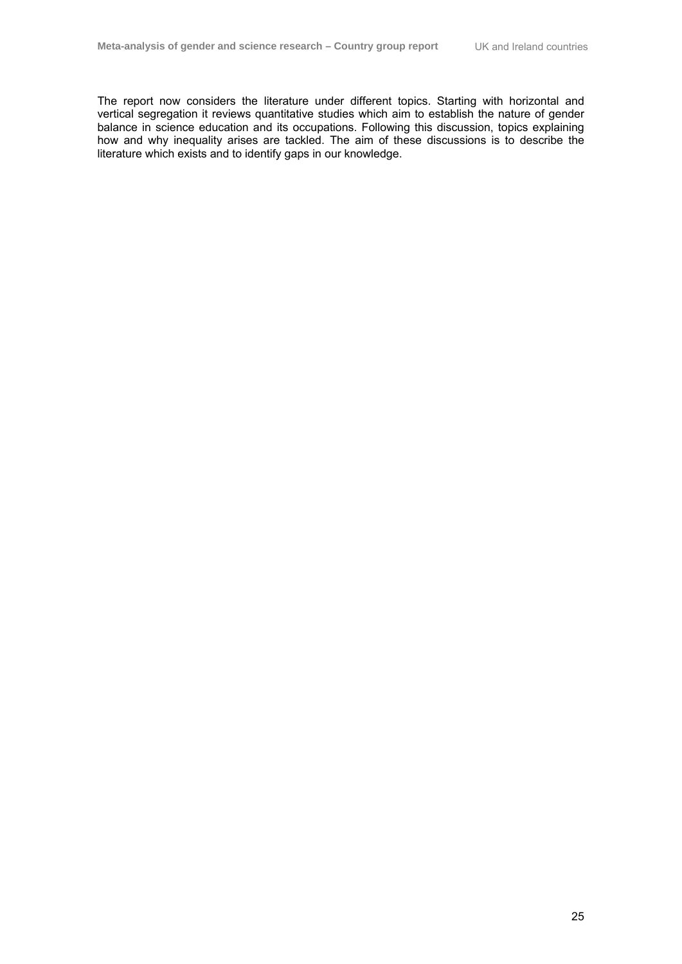The report now considers the literature under different topics. Starting with horizontal and vertical segregation it reviews quantitative studies which aim to establish the nature of gender balance in science education and its occupations. Following this discussion, topics explaining how and why inequality arises are tackled. The aim of these discussions is to describe the literature which exists and to identify gaps in our knowledge.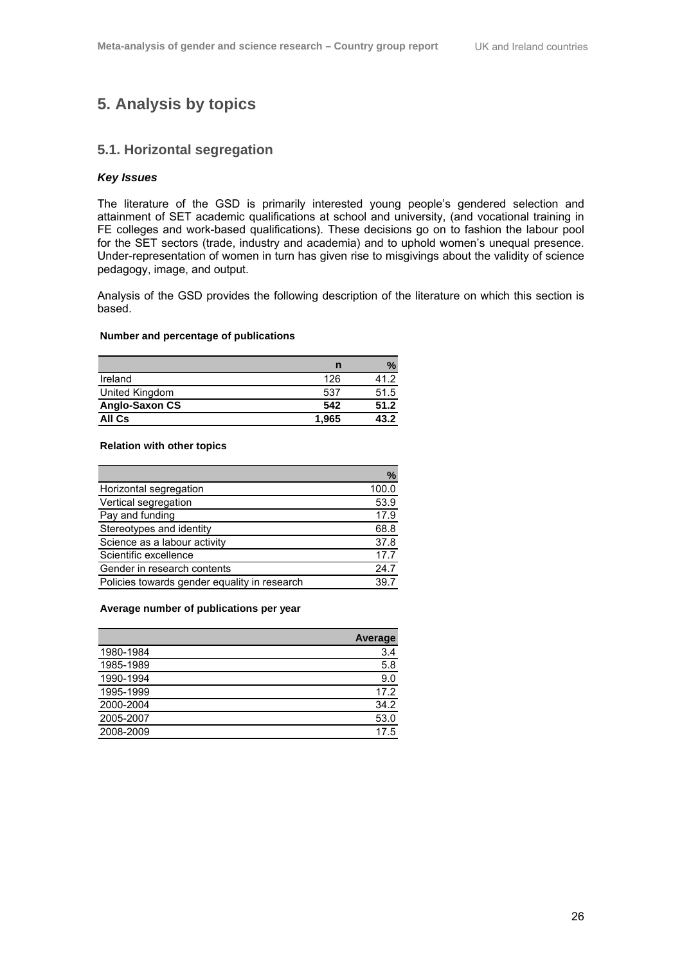## **5. Analysis by topics**

#### **5.1. Horizontal segregation**

#### *Key Issues*

The literature of the GSD is primarily interested young people's gendered selection and attainment of SET academic qualifications at school and university, (and vocational training in FE colleges and work-based qualifications). These decisions go on to fashion the labour pool for the SET sectors (trade, industry and academia) and to uphold women's unequal presence. Under-representation of women in turn has given rise to misgivings about the validity of science pedagogy, image, and output.

Analysis of the GSD provides the following description of the literature on which this section is based.

#### **Number and percentage of publications**

|                |       | $\%$ |
|----------------|-------|------|
| Ireland        | 126   | 41 2 |
| United Kingdom | 537   | 51.5 |
| Anglo-Saxon CS | 542   | 51.2 |
| All Cs         | 1,965 | 43.2 |

#### **Relation with other topics**

|                                              | $\%$  |
|----------------------------------------------|-------|
| Horizontal segregation                       | 100.0 |
| Vertical segregation                         | 53.9  |
| Pay and funding                              | 17.9  |
| Stereotypes and identity                     | 68.8  |
| Science as a labour activity                 | 37.8  |
| Scientific excellence                        | 17.7  |
| Gender in research contents                  | 24.7  |
| Policies towards gender equality in research | 39.7  |

#### **Average number of publications per year**

|           | <b>Average</b> |
|-----------|----------------|
| 1980-1984 | 3.4            |
| 1985-1989 | 5.8            |
| 1990-1994 | 9.0            |
| 1995-1999 | 17.2           |
| 2000-2004 | 34.2           |
| 2005-2007 | 53.0           |
| 2008-2009 | 17.5           |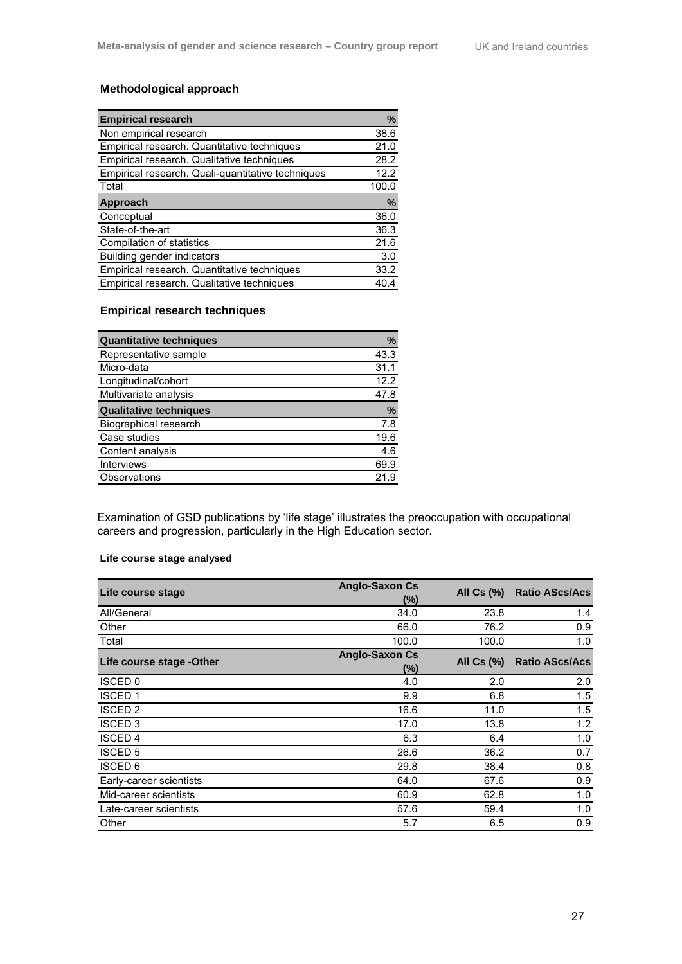## **Methodological approach**

| <b>Empirical research</b>                         | %     |
|---------------------------------------------------|-------|
| Non empirical research                            | 38.6  |
| Empirical research. Quantitative techniques       | 21.0  |
| Empirical research. Qualitative techniques        | 28.2  |
| Empirical research. Quali-quantitative techniques | 12.2  |
| Total                                             | 100.0 |
| Approach                                          | %     |
| Conceptual                                        | 36.0  |
| State-of-the-art                                  | 36.3  |
| Compilation of statistics                         | 21.6  |
| Building gender indicators                        | 3.0   |
| Empirical research. Quantitative techniques       | 33.2  |
| Empirical research. Qualitative techniques        | 40.4  |

### **Empirical research techniques**

| <b>Quantitative techniques</b> | %    |
|--------------------------------|------|
| Representative sample          | 43.3 |
| Micro-data                     | 31.1 |
| Longitudinal/cohort            | 12.2 |
| Multivariate analysis          | 47.8 |
| <b>Qualitative techniques</b>  | %    |
| Biographical research          | 7.8  |
| Case studies                   | 19.6 |
| Content analysis               | 4.6  |
| <b>Interviews</b>              | 69.9 |
| Observations                   | 21   |

Examination of GSD publications by 'life stage' illustrates the preoccupation with occupational careers and progression, particularly in the High Education sector.

#### **Life course stage analysed**

| Life course stage         | <b>Anglo-Saxon Cs</b><br>(%) | All Cs (%) | <b>Ratio AScs/Acs</b> |
|---------------------------|------------------------------|------------|-----------------------|
| All/General               | 34.0                         | 23.8       | 1.4                   |
| Other                     | 66.0                         | 76.2       | 0.9                   |
| Total                     | 100.0                        | 100.0      | 1.0                   |
| Life course stage - Other | <b>Anglo-Saxon Cs</b>        | All Cs (%) | <b>Ratio AScs/Acs</b> |
|                           | (%)                          |            |                       |
| <b>ISCED 0</b>            | 4.0                          | 2.0        | 2.0                   |
| <b>ISCED1</b>             | 9.9                          | 6.8        | 1.5                   |
| <b>ISCED 2</b>            | 16.6                         | 11.0       | 1.5                   |
| <b>ISCED 3</b>            | 17.0                         | 13.8       | 1.2                   |
| <b>ISCED 4</b>            | 6.3                          | 6.4        | 1.0                   |
| <b>ISCED 5</b>            | 26.6                         | 36.2       | 0.7                   |
| <b>ISCED 6</b>            | 29.8                         | 38.4       | 0.8                   |
| Early-career scientists   | 64.0                         | 67.6       | 0.9                   |
| Mid-career scientists     | 60.9                         | 62.8       | 1.0                   |
| Late-career scientists    | 57.6                         | 59.4       | 1.0                   |
| Other                     | 5.7                          | 6.5        | 0.9                   |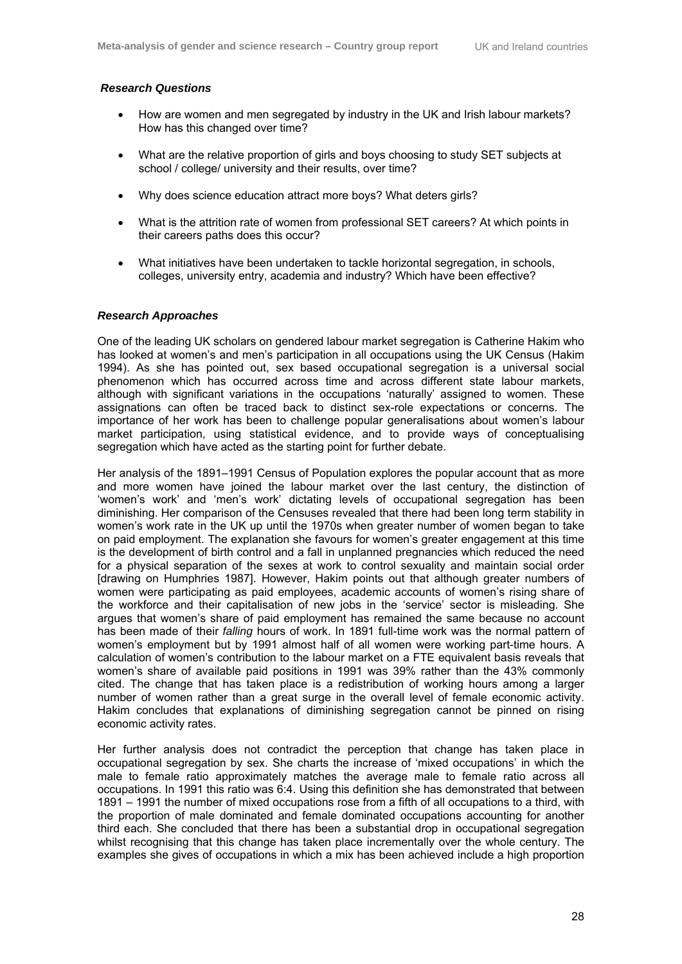### *Research Questions*

- How are women and men segregated by industry in the UK and Irish labour markets? How has this changed over time?
- What are the relative proportion of girls and boys choosing to study SET subjects at school / college/ university and their results, over time?
- Why does science education attract more boys? What deters girls?
- What is the attrition rate of women from professional SET careers? At which points in their careers paths does this occur?
- What initiatives have been undertaken to tackle horizontal segregation, in schools, colleges, university entry, academia and industry? Which have been effective?

#### *Research Approaches*

One of the leading UK scholars on gendered labour market segregation is Catherine Hakim who has looked at women's and men's participation in all occupations using the UK Census (Hakim 1994). As she has pointed out, sex based occupational segregation is a universal social phenomenon which has occurred across time and across different state labour markets, although with significant variations in the occupations 'naturally' assigned to women. These assignations can often be traced back to distinct sex-role expectations or concerns. The importance of her work has been to challenge popular generalisations about women's labour market participation, using statistical evidence, and to provide ways of conceptualising segregation which have acted as the starting point for further debate.

Her analysis of the 1891–1991 Census of Population explores the popular account that as more and more women have joined the labour market over the last century, the distinction of 'women's work' and 'men's work' dictating levels of occupational segregation has been diminishing. Her comparison of the Censuses revealed that there had been long term stability in women's work rate in the UK up until the 1970s when greater number of women began to take on paid employment. The explanation she favours for women's greater engagement at this time is the development of birth control and a fall in unplanned pregnancies which reduced the need for a physical separation of the sexes at work to control sexuality and maintain social order [drawing on Humphries 1987]. However, Hakim points out that although greater numbers of women were participating as paid employees, academic accounts of women's rising share of the workforce and their capitalisation of new jobs in the 'service' sector is misleading. She argues that women's share of paid employment has remained the same because no account has been made of their *falling* hours of work. In 1891 full-time work was the normal pattern of women's employment but by 1991 almost half of all women were working part-time hours. A calculation of women's contribution to the labour market on a FTE equivalent basis reveals that women's share of available paid positions in 1991 was 39% rather than the 43% commonly cited. The change that has taken place is a redistribution of working hours among a larger number of women rather than a great surge in the overall level of female economic activity. Hakim concludes that explanations of diminishing segregation cannot be pinned on rising economic activity rates.

Her further analysis does not contradict the perception that change has taken place in occupational segregation by sex. She charts the increase of 'mixed occupations' in which the male to female ratio approximately matches the average male to female ratio across all occupations. In 1991 this ratio was 6:4. Using this definition she has demonstrated that between 1891 – 1991 the number of mixed occupations rose from a fifth of all occupations to a third, with the proportion of male dominated and female dominated occupations accounting for another third each. She concluded that there has been a substantial drop in occupational segregation whilst recognising that this change has taken place incrementally over the whole century. The examples she gives of occupations in which a mix has been achieved include a high proportion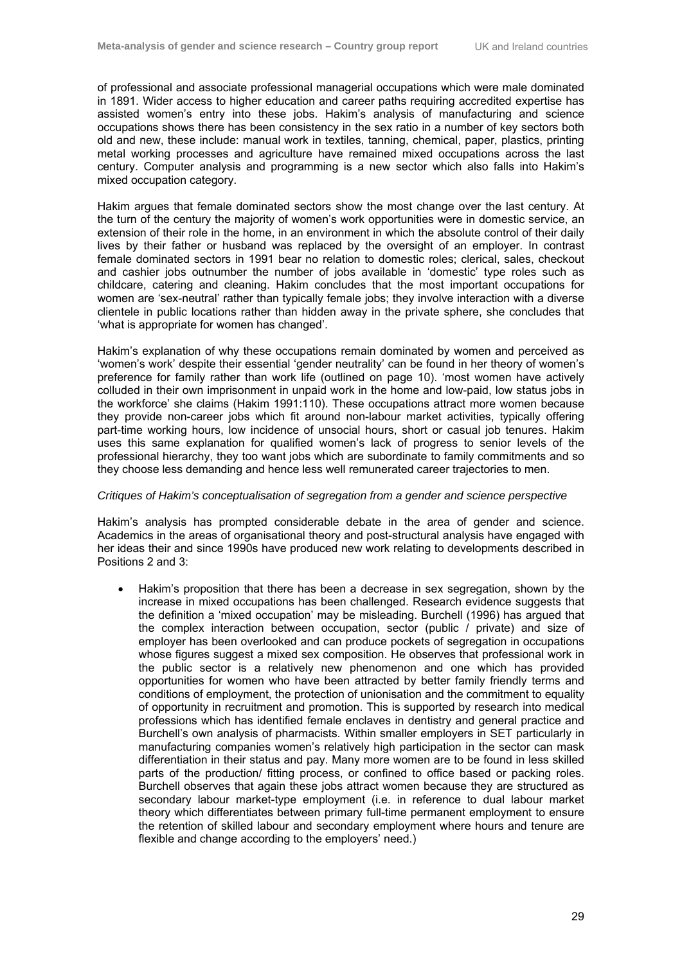of professional and associate professional managerial occupations which were male dominated in 1891. Wider access to higher education and career paths requiring accredited expertise has assisted women's entry into these jobs. Hakim's analysis of manufacturing and science occupations shows there has been consistency in the sex ratio in a number of key sectors both old and new, these include: manual work in textiles, tanning, chemical, paper, plastics, printing metal working processes and agriculture have remained mixed occupations across the last century. Computer analysis and programming is a new sector which also falls into Hakim's mixed occupation category.

Hakim argues that female dominated sectors show the most change over the last century. At the turn of the century the majority of women's work opportunities were in domestic service, an extension of their role in the home, in an environment in which the absolute control of their daily lives by their father or husband was replaced by the oversight of an employer. In contrast female dominated sectors in 1991 bear no relation to domestic roles; clerical, sales, checkout and cashier jobs outnumber the number of jobs available in 'domestic' type roles such as childcare, catering and cleaning. Hakim concludes that the most important occupations for women are 'sex-neutral' rather than typically female jobs; they involve interaction with a diverse clientele in public locations rather than hidden away in the private sphere, she concludes that 'what is appropriate for women has changed'.

Hakim's explanation of why these occupations remain dominated by women and perceived as 'women's work' despite their essential 'gender neutrality' can be found in her theory of women's preference for family rather than work life (outlined on page 10). 'most women have actively colluded in their own imprisonment in unpaid work in the home and low-paid, low status jobs in the workforce' she claims (Hakim 1991:110). These occupations attract more women because they provide non-career jobs which fit around non-labour market activities, typically offering part-time working hours, low incidence of unsocial hours, short or casual job tenures. Hakim uses this same explanation for qualified women's lack of progress to senior levels of the professional hierarchy, they too want jobs which are subordinate to family commitments and so they choose less demanding and hence less well remunerated career trajectories to men.

## *Critiques of Hakim's conceptualisation of segregation from a gender and science perspective*

Hakim's analysis has prompted considerable debate in the area of gender and science. Academics in the areas of organisational theory and post-structural analysis have engaged with her ideas their and since 1990s have produced new work relating to developments described in Positions 2 and 3:

• Hakim's proposition that there has been a decrease in sex segregation, shown by the increase in mixed occupations has been challenged. Research evidence suggests that the definition a 'mixed occupation' may be misleading. Burchell (1996) has argued that the complex interaction between occupation, sector (public / private) and size of employer has been overlooked and can produce pockets of segregation in occupations whose figures suggest a mixed sex composition. He observes that professional work in the public sector is a relatively new phenomenon and one which has provided opportunities for women who have been attracted by better family friendly terms and conditions of employment, the protection of unionisation and the commitment to equality of opportunity in recruitment and promotion. This is supported by research into medical professions which has identified female enclaves in dentistry and general practice and Burchell's own analysis of pharmacists. Within smaller employers in SET particularly in manufacturing companies women's relatively high participation in the sector can mask differentiation in their status and pay. Many more women are to be found in less skilled parts of the production/ fitting process, or confined to office based or packing roles. Burchell observes that again these jobs attract women because they are structured as secondary labour market-type employment (i.e. in reference to dual labour market theory which differentiates between primary full-time permanent employment to ensure the retention of skilled labour and secondary employment where hours and tenure are flexible and change according to the employers' need.)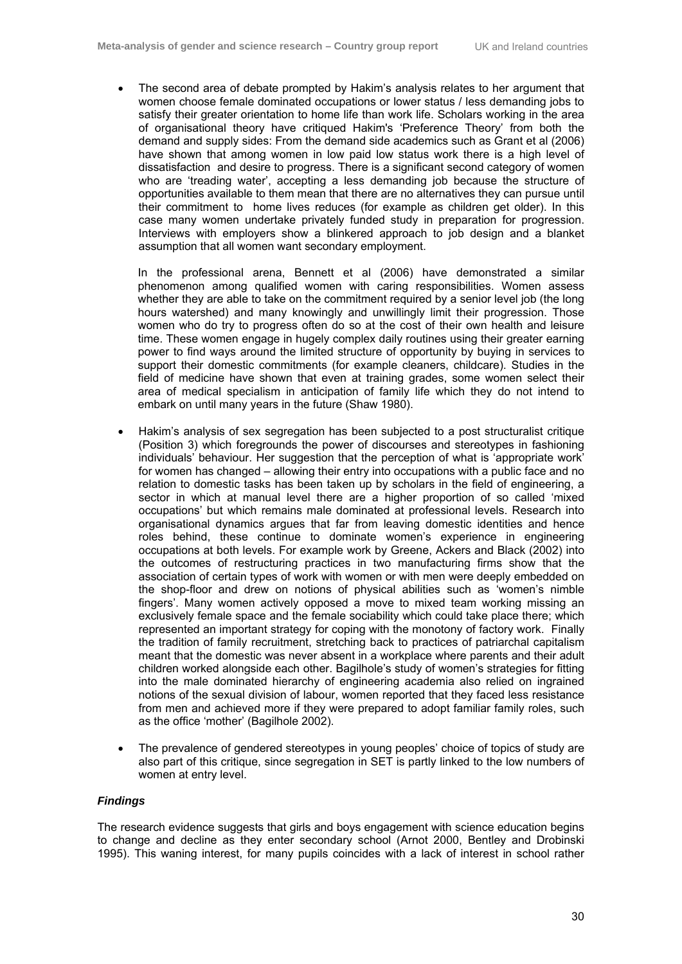• The second area of debate prompted by Hakim's analysis relates to her argument that women choose female dominated occupations or lower status / less demanding jobs to satisfy their greater orientation to home life than work life. Scholars working in the area of organisational theory have critiqued Hakim's 'Preference Theory' from both the demand and supply sides: From the demand side academics such as Grant et al (2006) have shown that among women in low paid low status work there is a high level of dissatisfaction and desire to progress. There is a significant second category of women who are 'treading water', accepting a less demanding job because the structure of opportunities available to them mean that there are no alternatives they can pursue until their commitment to home lives reduces (for example as children get older). In this case many women undertake privately funded study in preparation for progression. Interviews with employers show a blinkered approach to job design and a blanket assumption that all women want secondary employment.

In the professional arena, Bennett et al (2006) have demonstrated a similar phenomenon among qualified women with caring responsibilities. Women assess whether they are able to take on the commitment required by a senior level job (the long hours watershed) and many knowingly and unwillingly limit their progression. Those women who do try to progress often do so at the cost of their own health and leisure time. These women engage in hugely complex daily routines using their greater earning power to find ways around the limited structure of opportunity by buying in services to support their domestic commitments (for example cleaners, childcare). Studies in the field of medicine have shown that even at training grades, some women select their area of medical specialism in anticipation of family life which they do not intend to embark on until many years in the future (Shaw 1980).

- Hakim's analysis of sex segregation has been subjected to a post structuralist critique (Position 3) which foregrounds the power of discourses and stereotypes in fashioning individuals' behaviour. Her suggestion that the perception of what is 'appropriate work' for women has changed – allowing their entry into occupations with a public face and no relation to domestic tasks has been taken up by scholars in the field of engineering, a sector in which at manual level there are a higher proportion of so called 'mixed occupations' but which remains male dominated at professional levels. Research into organisational dynamics argues that far from leaving domestic identities and hence roles behind, these continue to dominate women's experience in engineering occupations at both levels. For example work by Greene, Ackers and Black (2002) into the outcomes of restructuring practices in two manufacturing firms show that the association of certain types of work with women or with men were deeply embedded on the shop-floor and drew on notions of physical abilities such as 'women's nimble fingers'. Many women actively opposed a move to mixed team working missing an exclusively female space and the female sociability which could take place there; which represented an important strategy for coping with the monotony of factory work. Finally the tradition of family recruitment, stretching back to practices of patriarchal capitalism meant that the domestic was never absent in a workplace where parents and their adult children worked alongside each other. Bagilhole's study of women's strategies for fitting into the male dominated hierarchy of engineering academia also relied on ingrained notions of the sexual division of labour, women reported that they faced less resistance from men and achieved more if they were prepared to adopt familiar family roles, such as the office 'mother' (Bagilhole 2002).
- The prevalence of gendered stereotypes in young peoples' choice of topics of study are also part of this critique, since segregation in SET is partly linked to the low numbers of women at entry level.

## *Findings*

The research evidence suggests that girls and boys engagement with science education begins to change and decline as they enter secondary school (Arnot 2000, Bentley and Drobinski 1995). This waning interest, for many pupils coincides with a lack of interest in school rather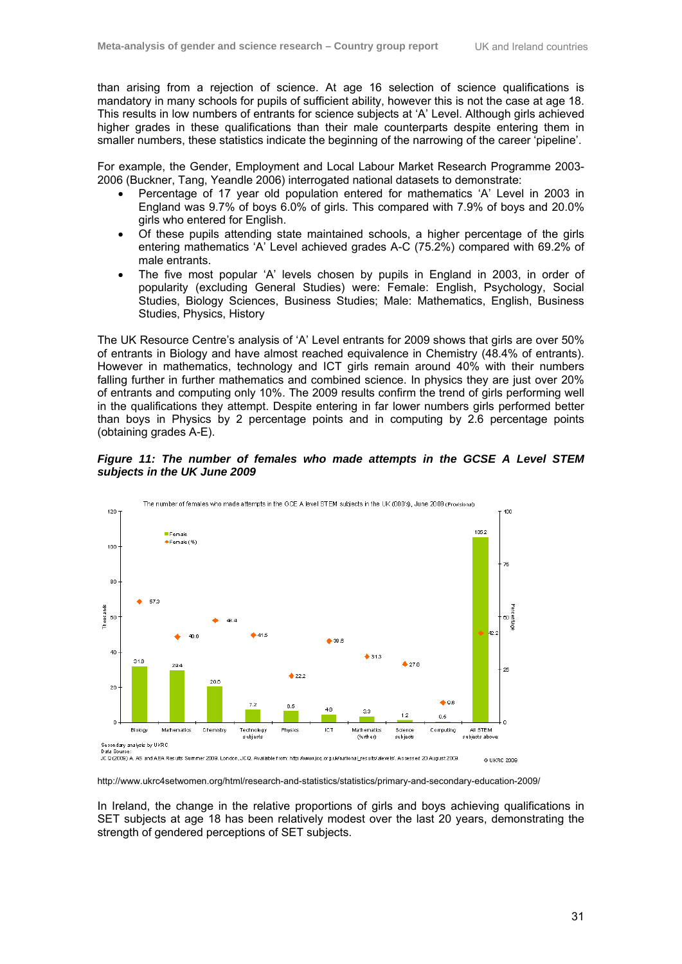than arising from a rejection of science. At age 16 selection of science qualifications is mandatory in many schools for pupils of sufficient ability, however this is not the case at age 18. This results in low numbers of entrants for science subjects at 'A' Level. Although girls achieved higher grades in these qualifications than their male counterparts despite entering them in smaller numbers, these statistics indicate the beginning of the narrowing of the career 'pipeline'.

For example, the Gender, Employment and Local Labour Market Research Programme 2003- 2006 (Buckner, Tang, Yeandle 2006) interrogated national datasets to demonstrate:

- Percentage of 17 year old population entered for mathematics 'A' Level in 2003 in England was 9.7% of boys 6.0% of girls. This compared with 7.9% of boys and 20.0% girls who entered for English.
- Of these pupils attending state maintained schools, a higher percentage of the girls entering mathematics 'A' Level achieved grades A-C (75.2%) compared with 69.2% of male entrants.
- The five most popular 'A' levels chosen by pupils in England in 2003, in order of popularity (excluding General Studies) were: Female: English, Psychology, Social Studies, Biology Sciences, Business Studies; Male: Mathematics, English, Business Studies, Physics, History

The UK Resource Centre's analysis of 'A' Level entrants for 2009 shows that girls are over 50% of entrants in Biology and have almost reached equivalence in Chemistry (48.4% of entrants). However in mathematics, technology and ICT girls remain around 40% with their numbers falling further in further mathematics and combined science. In physics they are just over 20% of entrants and computing only 10%. The 2009 results confirm the trend of girls performing well in the qualifications they attempt. Despite entering in far lower numbers girls performed better than boys in Physics by 2 percentage points and in computing by 2.6 percentage points (obtaining grades A-E).





http://www.ukrc4setwomen.org/html/research-and-statistics/statistics/primary-and-secondary-education-2009/

In Ireland, the change in the relative proportions of girls and boys achieving qualifications in SET subjects at age 18 has been relatively modest over the last 20 years, demonstrating the strength of gendered perceptions of SET subjects.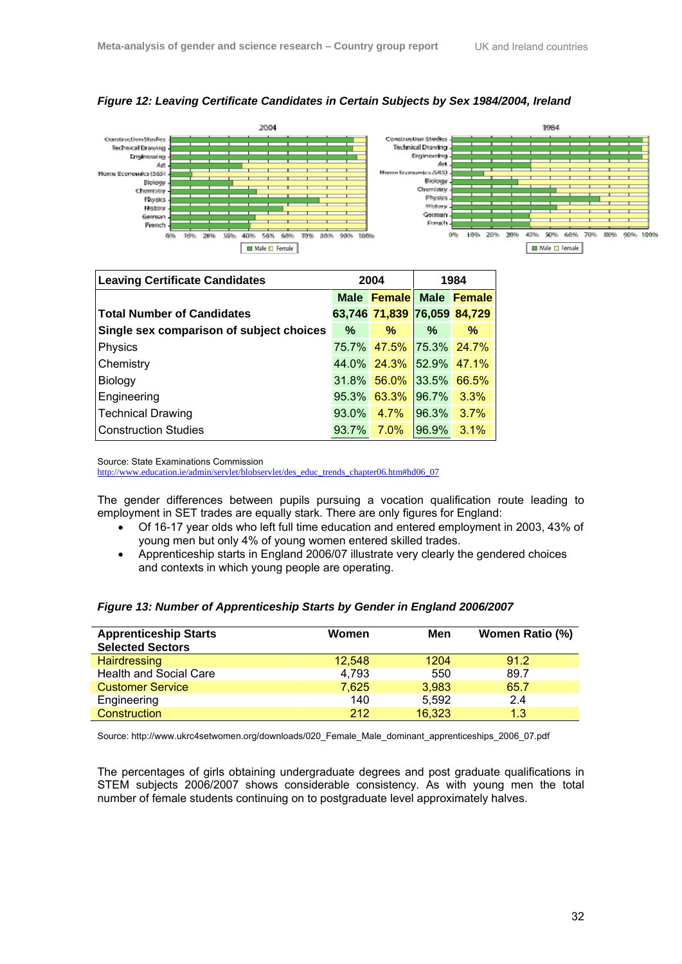



| <b>Leaving Certificate Candidates</b>    | 2004     |                             | 1984       |             |
|------------------------------------------|----------|-----------------------------|------------|-------------|
|                                          |          | Male Female Male Female     |            |             |
| <b>Total Number of Candidates</b>        |          | 63,746 71,839 76,059 84,729 |            |             |
| Single sex comparison of subject choices | $\%$     | %                           | %          | %           |
| Physics                                  |          | 75.7% 47.5%                 |            | 75.3% 24.7% |
| Chemistry                                |          | 44.0% 24.3% 52.9% 47.1%     |            |             |
| Biology                                  |          | 31.8% 56.0%                 |            | 33.5% 66.5% |
| Engineering                              | $95.3\%$ | 63.3%                       | 96.7%      | $3.3\%$     |
| <b>Technical Drawing</b>                 | 93.0%    | 4.7%                        | $ 96.3\% $ | 3.7%        |
| <b>Construction Studies</b>              | 93.7%    | $7.0\%$                     | 96.9%      | $3.1\%$     |

Source: State Examinations Commission

http://www.education.ie/admin/servlet/blobservlet/des\_educ\_trends\_chapter06.htm#hd06\_07

The gender differences between pupils pursuing a vocation qualification route leading to employment in SET trades are equally stark. There are only figures for England:

- Of 16-17 year olds who left full time education and entered employment in 2003, 43% of young men but only 4% of young women entered skilled trades.
- Apprenticeship starts in England 2006/07 illustrate very clearly the gendered choices and contexts in which young people are operating.

| <b>Apprenticeship Starts</b><br><b>Selected Sectors</b> | Women  | Men    | <b>Women Ratio (%)</b> |
|---------------------------------------------------------|--------|--------|------------------------|
| Hairdressing                                            | 12.548 | 1204   | 91.2                   |
| <b>Health and Social Care</b>                           | 4,793  | 550    | 89.7                   |
| <b>Customer Service</b>                                 | 7,625  | 3.983  | 65.7                   |
| Engineering                                             | 140    | 5.592  | 2.4                    |
| Construction                                            | 212    | 16,323 | 1.3                    |

# *Figure 13: Number of Apprenticeship Starts by Gender in England 2006/2007*

Source: http://www.ukrc4setwomen.org/downloads/020\_Female\_Male\_dominant\_apprenticeships\_2006\_07.pdf

The percentages of girls obtaining undergraduate degrees and post graduate qualifications in STEM subjects 2006/2007 shows considerable consistency. As with young men the total number of female students continuing on to postgraduate level approximately halves.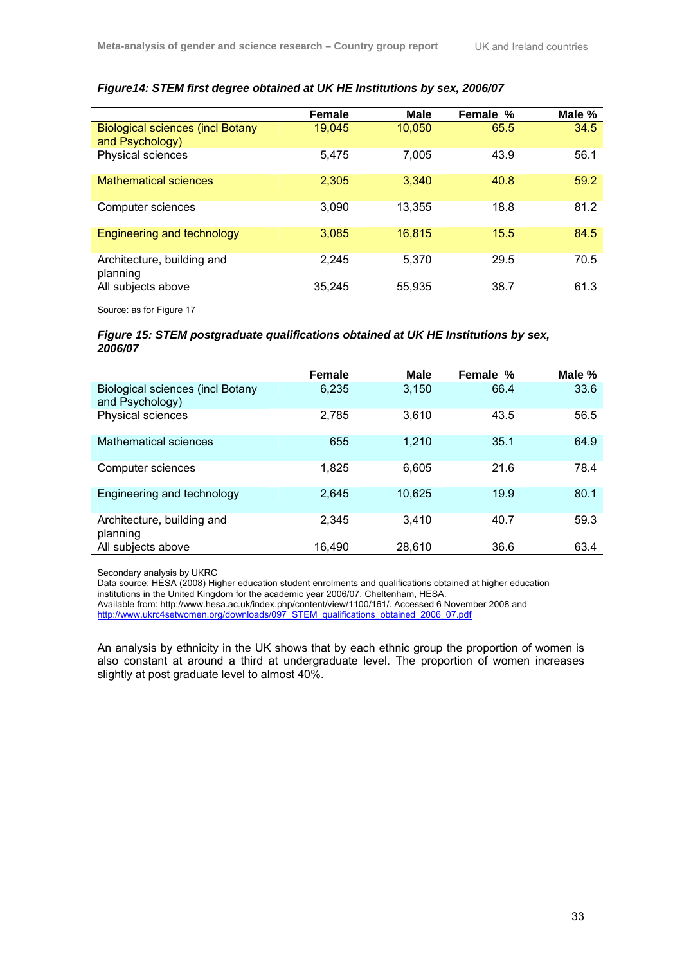|                                                            | <b>Female</b> | <b>Male</b> | Female % | Male % |
|------------------------------------------------------------|---------------|-------------|----------|--------|
| <b>Biological sciences (incl Botany</b><br>and Psychology) | 19,045        | 10,050      | 65.5     | 34.5   |
| Physical sciences                                          | 5,475         | 7,005       | 43.9     | 56.1   |
| <b>Mathematical sciences</b>                               | 2,305         | 3,340       | 40.8     | 59.2   |
| Computer sciences                                          | 3.090         | 13.355      | 18.8     | 81.2   |
| Engineering and technology                                 | 3,085         | 16,815      | 15.5     | 84.5   |
| Architecture, building and<br>planning                     | 2,245         | 5,370       | 29.5     | 70.5   |
| All subjects above                                         | 35,245        | 55,935      | 38.7     | 61.3   |

# *Figure14: STEM first degree obtained at UK HE Institutions by sex, 2006/07*

Source: as for Figure 17

## *Figure 15: STEM postgraduate qualifications obtained at UK HE Institutions by sex, 2006/07*

|                                                            | <b>Female</b> | Male   | Female % | Male % |
|------------------------------------------------------------|---------------|--------|----------|--------|
| <b>Biological sciences (incl Botany</b><br>and Psychology) | 6.235         | 3.150  | 66.4     | 33.6   |
| Physical sciences                                          | 2,785         | 3.610  | 43.5     | 56.5   |
| Mathematical sciences                                      | 655           | 1.210  | 35.1     | 64.9   |
| Computer sciences                                          | 1.825         | 6.605  | 21.6     | 78.4   |
| Engineering and technology                                 | 2.645         | 10,625 | 19.9     | 80.1   |
| Architecture, building and<br>planning                     | 2.345         | 3.410  | 40.7     | 59.3   |
| All subjects above                                         | 16,490        | 28,610 | 36.6     | 63.4   |

Secondary analysis by UKRC

Data source: HESA (2008) Higher education student enrolments and qualifications obtained at higher education institutions in the United Kingdom for the academic year 2006/07. Cheltenham, HESA. Available from: http://www.hesa.ac.uk/index.php/content/view/1100/161/. Accessed 6 November 2008 and

http://www.ukrc4setwomen.org/downloads/097\_STEM\_qualifications\_obtained\_2006\_07.pdf

An analysis by ethnicity in the UK shows that by each ethnic group the proportion of women is also constant at around a third at undergraduate level. The proportion of women increases slightly at post graduate level to almost 40%.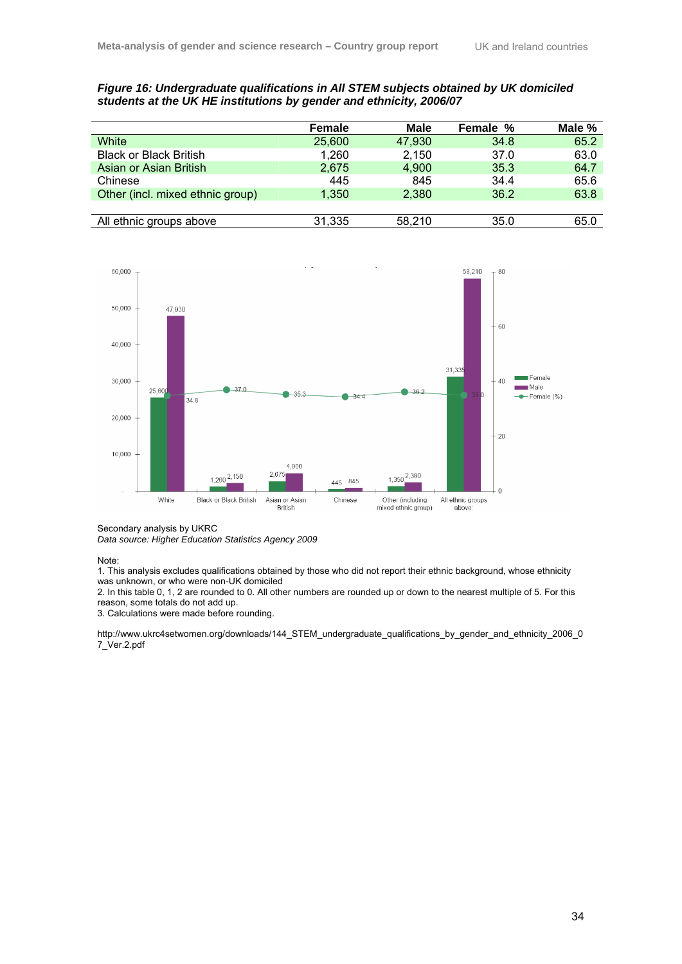# *Figure 16: Undergraduate qualifications in All STEM subjects obtained by UK domiciled students at the UK HE institutions by gender and ethnicity, 2006/07*

|                                  | <b>Female</b> | <b>Male</b> | Female % | Male % |
|----------------------------------|---------------|-------------|----------|--------|
| White                            | 25,600        | 47,930      | 34.8     | 65.2   |
| <b>Black or Black British</b>    | 1,260         | 2,150       | 37.0     | 63.0   |
| Asian or Asian British           | 2,675         | 4,900       | 35.3     | 64.7   |
| Chinese                          | 445           | 845         | 34.4     | 65.6   |
| Other (incl. mixed ethnic group) | 1.350         | 2,380       | 36.2     | 63.8   |
|                                  |               |             |          |        |
| All ethnic groups above          | 31,335        | 58.210      | 35.0     | 65.0   |



Secondary analysis by UKRC

*Data source: Higher Education Statistics Agency 2009* 

Note:

1. This analysis excludes qualifications obtained by those who did not report their ethnic background, whose ethnicity was unknown, or who were non-UK domiciled

2. In this table 0, 1, 2 are rounded to 0. All other numbers are rounded up or down to the nearest multiple of 5. For this reason, some totals do not add up.

3. Calculations were made before rounding.

http://www.ukrc4setwomen.org/downloads/144\_STEM\_undergraduate\_qualifications\_by\_gender\_and\_ethnicity\_2006\_0 7\_Ver.2.pdf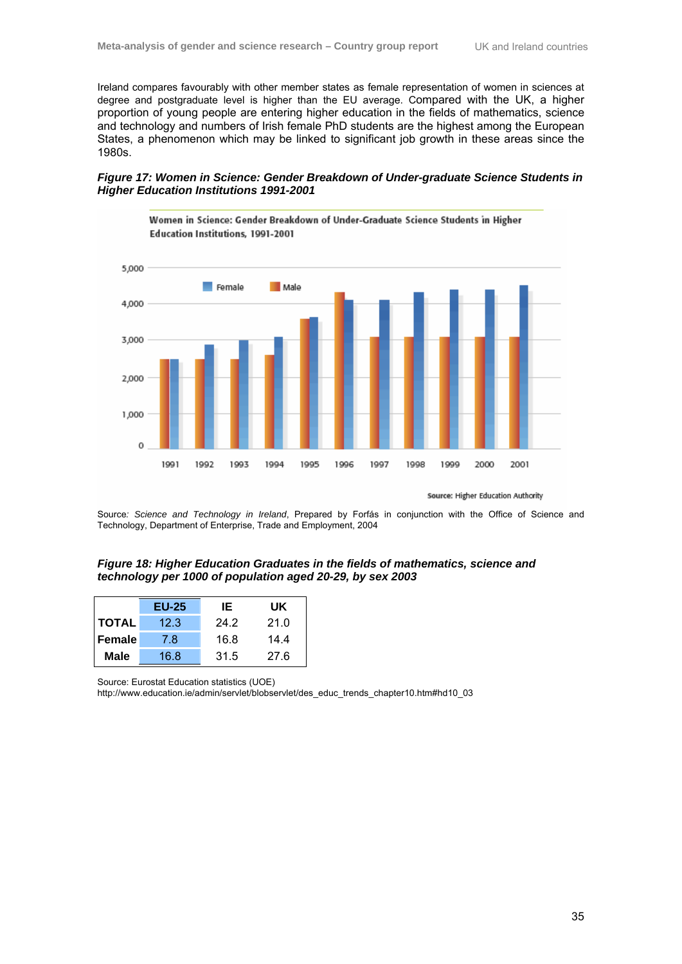Ireland compares favourably with other member states as female representation of women in sciences at degree and postgraduate level is higher than the EU average. Compared with the UK, a higher proportion of young people are entering higher education in the fields of mathematics, science and technology and numbers of Irish female PhD students are the highest among the European States, a phenomenon which may be linked to significant job growth in these areas since the 1980s.

## *Figure 17: Women in Science: Gender Breakdown of Under-graduate Science Students in Higher Education Institutions 1991-2001*



Source: Higher Education Authority

Source*: Science and Technology in Ireland*, Prepared by Forfás in conjunction with the Office of Science and Technology, Department of Enterprise, Trade and Employment, 2004

### *Figure 18: Higher Education Graduates in the fields of mathematics, science and technology per 1000 of population aged 20-29, by sex 2003*

|               | <b>EU-25</b> | IE   | UK.  |
|---------------|--------------|------|------|
| <b>TOTAL</b>  | 12.3         | 24.2 | 21.0 |
| <b>Female</b> | 7.8          | 16.8 | 14.4 |
| <b>Male</b>   | 16.8         | 31.5 | 27.6 |

Source: Eurostat Education statistics (UOE)

http://www.education.ie/admin/servlet/blobservlet/des\_educ\_trends\_chapter10.htm#hd10\_03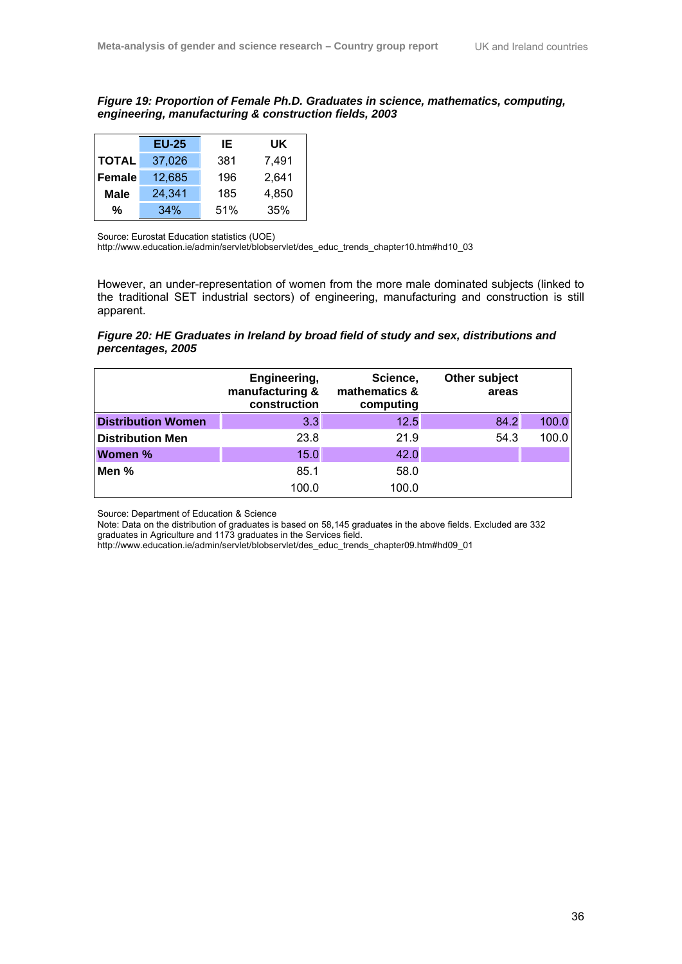*Figure 19: Proportion of Female Ph.D. Graduates in science, mathematics, computing, engineering, manufacturing & construction fields, 2003* 

|               | <b>EU-25</b> | IE. | UK.   |
|---------------|--------------|-----|-------|
| <b>TOTAL</b>  | 37,026       | 381 | 7.491 |
| <b>Female</b> | 12,685       | 196 | 2,641 |
| <b>Male</b>   | 24,341       | 185 | 4,850 |
| %             | 34%          | 51% | 35%   |

Source: Eurostat Education statistics (UOE)

http://www.education.ie/admin/servlet/blobservlet/des\_educ\_trends\_chapter10.htm#hd10\_03

However, an under-representation of women from the more male dominated subjects (linked to the traditional SET industrial sectors) of engineering, manufacturing and construction is still apparent.

# *Figure 20: HE Graduates in Ireland by broad field of study and sex, distributions and percentages, 2005*

|                           | Engineering,<br>manufacturing &<br>construction | Science,<br>mathematics &<br>computing | Other subject<br>areas |       |
|---------------------------|-------------------------------------------------|----------------------------------------|------------------------|-------|
| <b>Distribution Women</b> | 3.3                                             | 12.5                                   | 84.2                   | 100.0 |
| <b>Distribution Men</b>   | 23.8                                            | 21.9                                   | 54.3                   | 100.0 |
| <b>Women %</b>            | 15.0                                            | 42.0                                   |                        |       |
| Men %                     | 85.1                                            | 58.0                                   |                        |       |
|                           | 100.0                                           | 100.0                                  |                        |       |

Source: Department of Education & Science

Note: Data on the distribution of graduates is based on 58,145 graduates in the above fields. Excluded are 332 graduates in Agriculture and 1173 graduates in the Services field.

http://www.education.ie/admin/servlet/blobservlet/des\_educ\_trends\_chapter09.htm#hd09\_01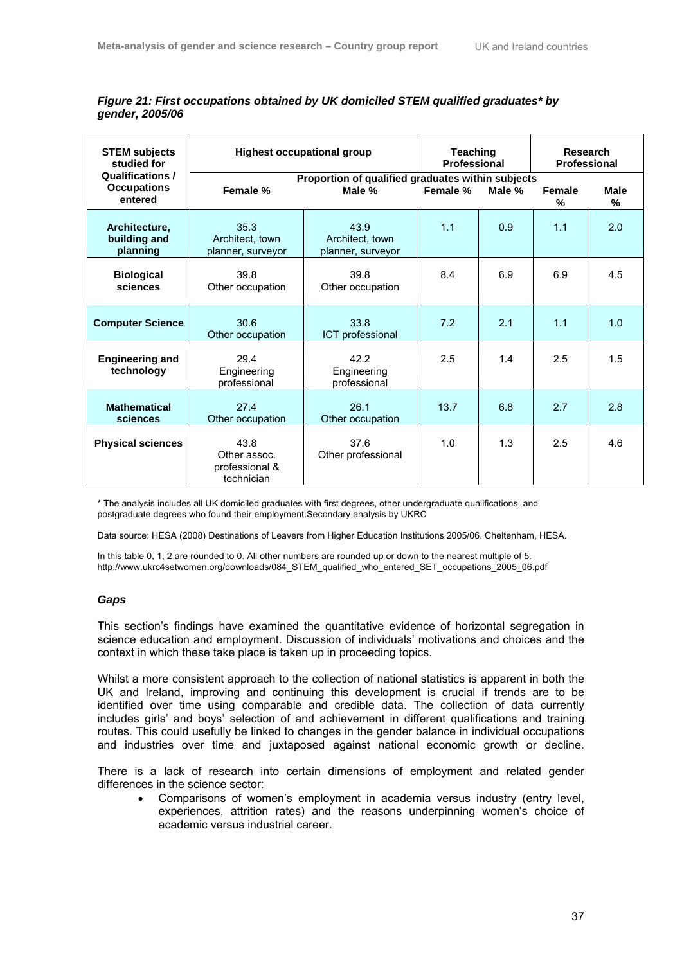| <b>STEM subjects</b><br>studied for       | <b>Highest occupational group</b>                    |                                                   | <b>Teaching</b><br><b>Professional</b> |        | Research<br><b>Professional</b> |                  |
|-------------------------------------------|------------------------------------------------------|---------------------------------------------------|----------------------------------------|--------|---------------------------------|------------------|
| <b>Qualifications /</b>                   |                                                      | Proportion of qualified graduates within subjects |                                        |        |                                 |                  |
| <b>Occupations</b><br>entered             | Female %                                             | Male %                                            | Female %                               | Male % | Female<br>%                     | <b>Male</b><br>% |
| Architecture,<br>building and<br>planning | 35.3<br>Architect, town<br>planner, surveyor         | 43.9<br>Architect, town<br>planner, surveyor      | 1.1                                    | 0.9    | 1.1                             | 2.0              |
| <b>Biological</b><br>sciences             | 39.8<br>Other occupation                             | 39.8<br>Other occupation                          | 8.4                                    | 6.9    | 6.9                             | 4.5              |
| <b>Computer Science</b>                   | 30.6<br>Other occupation                             | 33.8<br>ICT professional                          | 7.2                                    | 2.1    | 1.1                             | 1.0              |
| <b>Engineering and</b><br>technology      | 29.4<br>Engineering<br>professional                  | 42.2<br>Engineering<br>professional               | 2.5                                    | 1.4    | 2.5                             | 1.5              |
| <b>Mathematical</b><br>sciences           | 27.4<br>Other occupation                             | 26.1<br>Other occupation                          | 13.7                                   | 6.8    | 2.7                             | 2.8              |
| <b>Physical sciences</b>                  | 43.8<br>Other assoc.<br>professional &<br>technician | 37.6<br>Other professional                        | 1.0                                    | 1.3    | 2.5                             | 4.6              |

# *Figure 21: First occupations obtained by UK domiciled STEM qualified graduates\* by gender, 2005/06*

\* The analysis includes all UK domiciled graduates with first degrees, other undergraduate qualifications, and postgraduate degrees who found their employment.Secondary analysis by UKRC

Data source: HESA (2008) Destinations of Leavers from Higher Education Institutions 2005/06. Cheltenham, HESA.

In this table 0, 1, 2 are rounded to 0. All other numbers are rounded up or down to the nearest multiple of 5. http://www.ukrc4setwomen.org/downloads/084\_STEM\_qualified\_who\_entered\_SET\_occupations\_2005\_06.pdf

## *Gaps*

This section's findings have examined the quantitative evidence of horizontal segregation in science education and employment. Discussion of individuals' motivations and choices and the context in which these take place is taken up in proceeding topics.

Whilst a more consistent approach to the collection of national statistics is apparent in both the UK and Ireland, improving and continuing this development is crucial if trends are to be identified over time using comparable and credible data. The collection of data currently includes girls' and boys' selection of and achievement in different qualifications and training routes. This could usefully be linked to changes in the gender balance in individual occupations and industries over time and juxtaposed against national economic growth or decline.

There is a lack of research into certain dimensions of employment and related gender differences in the science sector:

• Comparisons of women's employment in academia versus industry (entry level, experiences, attrition rates) and the reasons underpinning women's choice of academic versus industrial career.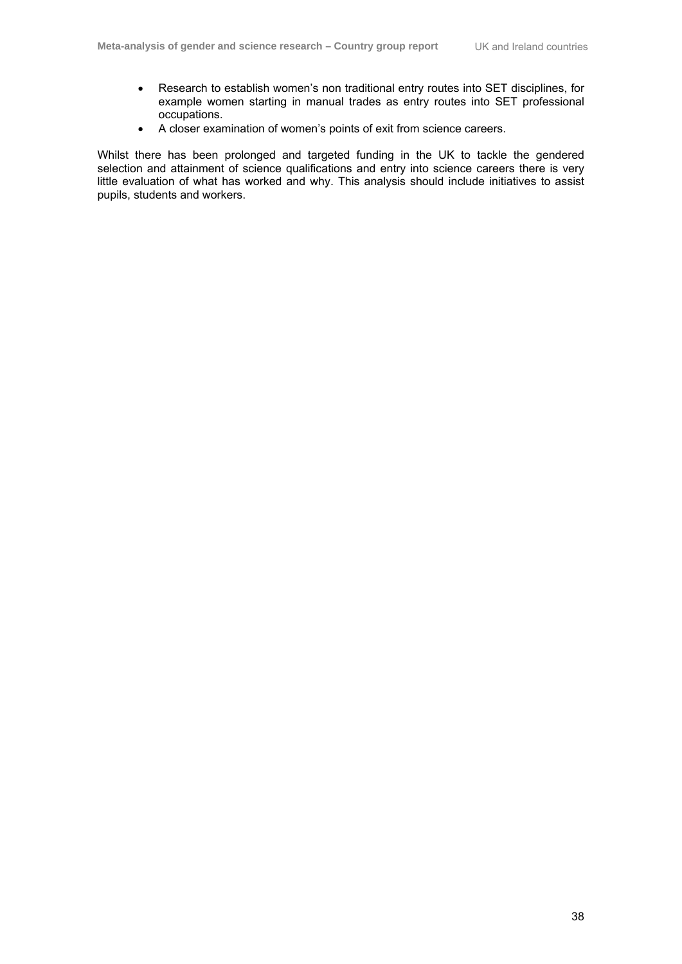- Research to establish women's non traditional entry routes into SET disciplines, for example women starting in manual trades as entry routes into SET professional occupations.
- A closer examination of women's points of exit from science careers.

Whilst there has been prolonged and targeted funding in the UK to tackle the gendered selection and attainment of science qualifications and entry into science careers there is very little evaluation of what has worked and why. This analysis should include initiatives to assist pupils, students and workers.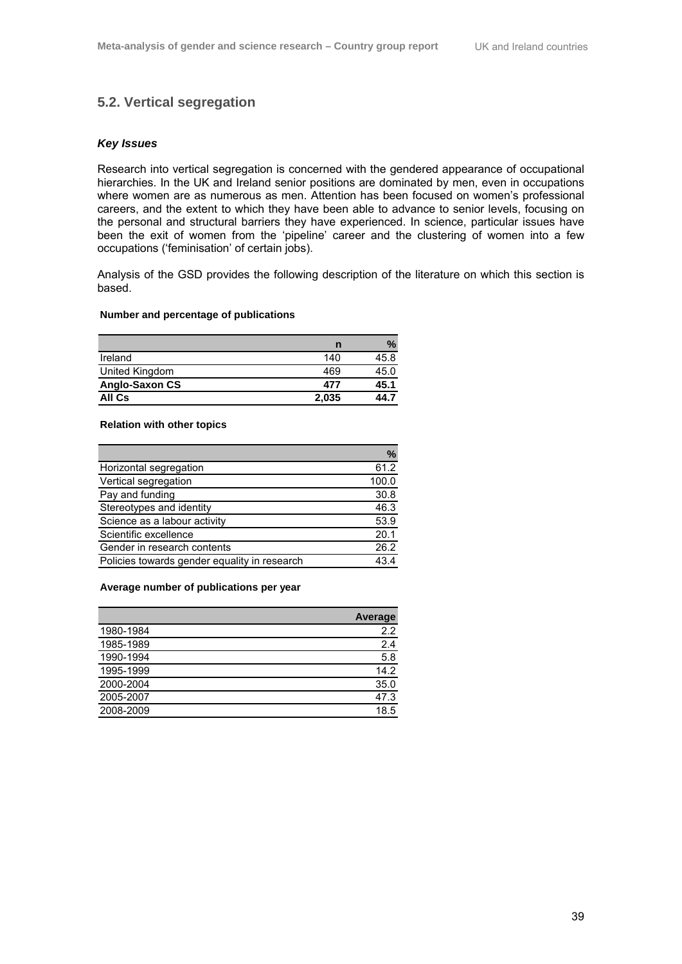# **5.2. Vertical segregation**

## *Key Issues*

Research into vertical segregation is concerned with the gendered appearance of occupational hierarchies. In the UK and Ireland senior positions are dominated by men, even in occupations where women are as numerous as men. Attention has been focused on women's professional careers, and the extent to which they have been able to advance to senior levels, focusing on the personal and structural barriers they have experienced. In science, particular issues have been the exit of women from the 'pipeline' career and the clustering of women into a few occupations ('feminisation' of certain jobs).

Analysis of the GSD provides the following description of the literature on which this section is based.

#### **Number and percentage of publications**

|                | n     |      |
|----------------|-------|------|
| Ireland        | 140   | 45.8 |
| United Kingdom | 469   | 45.0 |
| Anglo-Saxon CS | 477   | 45.1 |
| All Cs         | 2,035 | 44.7 |

### **Relation with other topics**

|                                              | $\%$  |
|----------------------------------------------|-------|
| Horizontal segregation                       | 61.2  |
| Vertical segregation                         | 100.0 |
| Pay and funding                              | 30.8  |
| Stereotypes and identity                     | 46.3  |
| Science as a labour activity                 | 53.9  |
| Scientific excellence                        | 20.1  |
| Gender in research contents                  | 26.2  |
| Policies towards gender equality in research | 43.4  |

#### **Average number of publications per year**

|           | <b>Average</b> |
|-----------|----------------|
| 1980-1984 | 2.2            |
| 1985-1989 | 2.4            |
| 1990-1994 | 5.8            |
| 1995-1999 | 14.2           |
| 2000-2004 | 35.0           |
| 2005-2007 | 47.3           |
| 2008-2009 | 18.5           |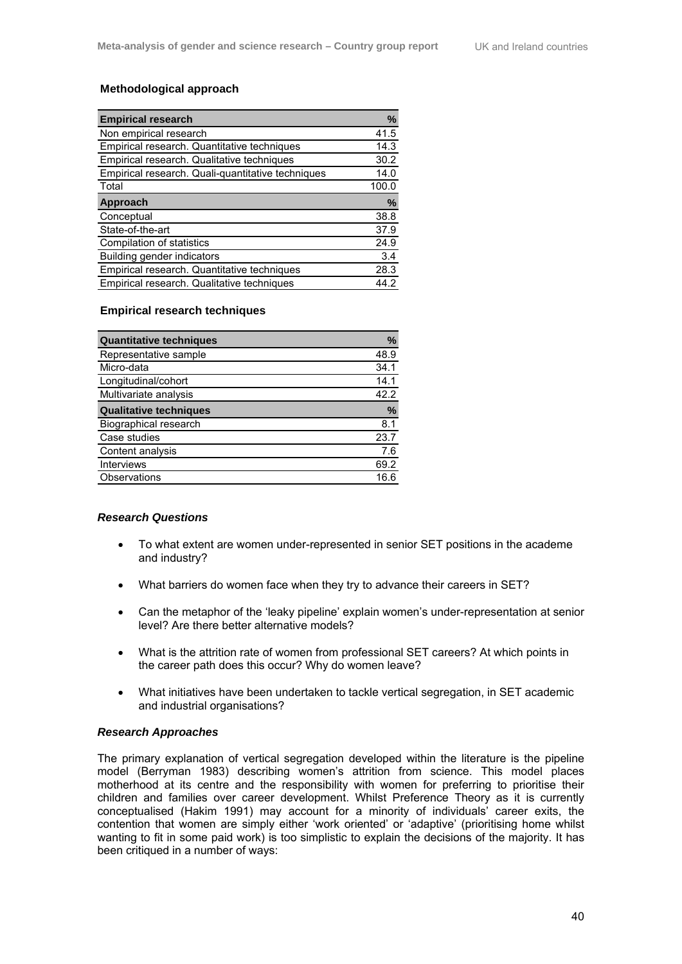## **Methodological approach**

| <b>Empirical research</b>                         | %     |
|---------------------------------------------------|-------|
| Non empirical research                            | 41.5  |
| Empirical research. Quantitative techniques       | 14.3  |
| Empirical research. Qualitative techniques        | 30.2  |
| Empirical research. Quali-quantitative techniques | 14.0  |
| Total                                             | 100.0 |
| Approach                                          | %     |
| Conceptual                                        | 38.8  |
| State-of-the-art                                  | 37.9  |
| Compilation of statistics                         | 24.9  |
| Building gender indicators                        | 3.4   |
| Empirical research. Quantitative techniques       | 28.3  |
| Empirical research. Qualitative techniques        | 44.2  |

### **Empirical research techniques**

| <b>Quantitative techniques</b> | $\%$          |
|--------------------------------|---------------|
| Representative sample          | 48.9          |
| Micro-data                     | 34.1          |
| Longitudinal/cohort            | 14.1          |
| Multivariate analysis          | 42.2          |
| <b>Qualitative techniques</b>  | $\frac{9}{6}$ |
| <b>Biographical research</b>   | 8.1           |
| Case studies                   | 23.7          |
| Content analysis               | 7.6           |
| <b>Interviews</b>              | 69.2          |
| Observations                   | 16 6          |

### *Research Questions*

- To what extent are women under-represented in senior SET positions in the academe and industry?
- What barriers do women face when they try to advance their careers in SET?
- Can the metaphor of the 'leaky pipeline' explain women's under-representation at senior level? Are there better alternative models?
- What is the attrition rate of women from professional SET careers? At which points in the career path does this occur? Why do women leave?
- What initiatives have been undertaken to tackle vertical segregation, in SET academic and industrial organisations?

### *Research Approaches*

The primary explanation of vertical segregation developed within the literature is the pipeline model (Berryman 1983) describing women's attrition from science. This model places motherhood at its centre and the responsibility with women for preferring to prioritise their children and families over career development. Whilst Preference Theory as it is currently conceptualised (Hakim 1991) may account for a minority of individuals' career exits, the contention that women are simply either 'work oriented' or 'adaptive' (prioritising home whilst wanting to fit in some paid work) is too simplistic to explain the decisions of the majority. It has been critiqued in a number of ways: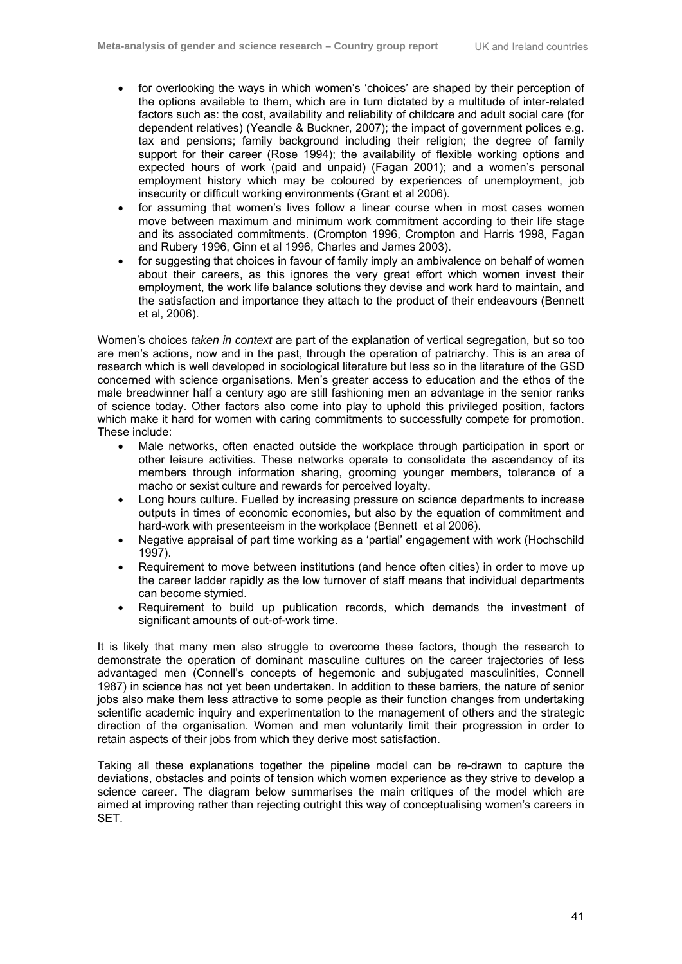- for overlooking the ways in which women's 'choices' are shaped by their perception of the options available to them, which are in turn dictated by a multitude of inter-related factors such as: the cost, availability and reliability of childcare and adult social care (for dependent relatives) (Yeandle & Buckner, 2007); the impact of government polices e.g. tax and pensions; family background including their religion; the degree of family support for their career (Rose 1994); the availability of flexible working options and expected hours of work (paid and unpaid) (Fagan 2001); and a women's personal employment history which may be coloured by experiences of unemployment, job insecurity or difficult working environments (Grant et al 2006).
- for assuming that women's lives follow a linear course when in most cases women move between maximum and minimum work commitment according to their life stage and its associated commitments. (Crompton 1996, Crompton and Harris 1998, Fagan and Rubery 1996, Ginn et al 1996, Charles and James 2003).
- for suggesting that choices in favour of family imply an ambivalence on behalf of women about their careers, as this ignores the very great effort which women invest their employment, the work life balance solutions they devise and work hard to maintain, and the satisfaction and importance they attach to the product of their endeavours (Bennett et al, 2006).

Women's choices *taken in context* are part of the explanation of vertical segregation, but so too are men's actions, now and in the past, through the operation of patriarchy. This is an area of research which is well developed in sociological literature but less so in the literature of the GSD concerned with science organisations. Men's greater access to education and the ethos of the male breadwinner half a century ago are still fashioning men an advantage in the senior ranks of science today. Other factors also come into play to uphold this privileged position, factors which make it hard for women with caring commitments to successfully compete for promotion. These include:

- Male networks, often enacted outside the workplace through participation in sport or other leisure activities. These networks operate to consolidate the ascendancy of its members through information sharing, grooming younger members, tolerance of a macho or sexist culture and rewards for perceived loyalty.
- Long hours culture. Fuelled by increasing pressure on science departments to increase outputs in times of economic economies, but also by the equation of commitment and hard-work with presenteeism in the workplace (Bennett et al 2006).
- Negative appraisal of part time working as a 'partial' engagement with work (Hochschild 1997).
- Requirement to move between institutions (and hence often cities) in order to move up the career ladder rapidly as the low turnover of staff means that individual departments can become stymied.
- Requirement to build up publication records, which demands the investment of significant amounts of out-of-work time.

It is likely that many men also struggle to overcome these factors, though the research to demonstrate the operation of dominant masculine cultures on the career trajectories of less advantaged men (Connell's concepts of hegemonic and subjugated masculinities, Connell 1987) in science has not yet been undertaken. In addition to these barriers, the nature of senior jobs also make them less attractive to some people as their function changes from undertaking scientific academic inquiry and experimentation to the management of others and the strategic direction of the organisation. Women and men voluntarily limit their progression in order to retain aspects of their jobs from which they derive most satisfaction.

Taking all these explanations together the pipeline model can be re-drawn to capture the deviations, obstacles and points of tension which women experience as they strive to develop a science career. The diagram below summarises the main critiques of the model which are aimed at improving rather than rejecting outright this way of conceptualising women's careers in SET.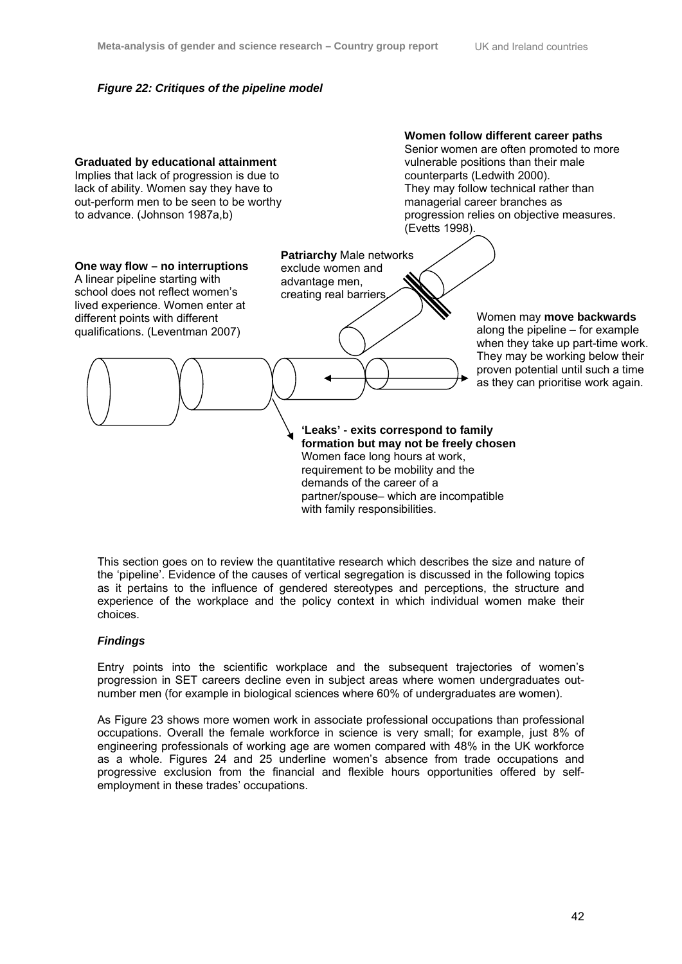## *Figure 22: Critiques of the pipeline model*



This section goes on to review the quantitative research which describes the size and nature of the 'pipeline'. Evidence of the causes of vertical segregation is discussed in the following topics as it pertains to the influence of gendered stereotypes and perceptions, the structure and experience of the workplace and the policy context in which individual women make their choices.

## *Findings*

Entry points into the scientific workplace and the subsequent trajectories of women's progression in SET careers decline even in subject areas where women undergraduates outnumber men (for example in biological sciences where 60% of undergraduates are women).

As Figure 23 shows more women work in associate professional occupations than professional occupations. Overall the female workforce in science is very small; for example, just 8% of engineering professionals of working age are women compared with 48% in the UK workforce as a whole. Figures 24 and 25 underline women's absence from trade occupations and progressive exclusion from the financial and flexible hours opportunities offered by selfemployment in these trades' occupations.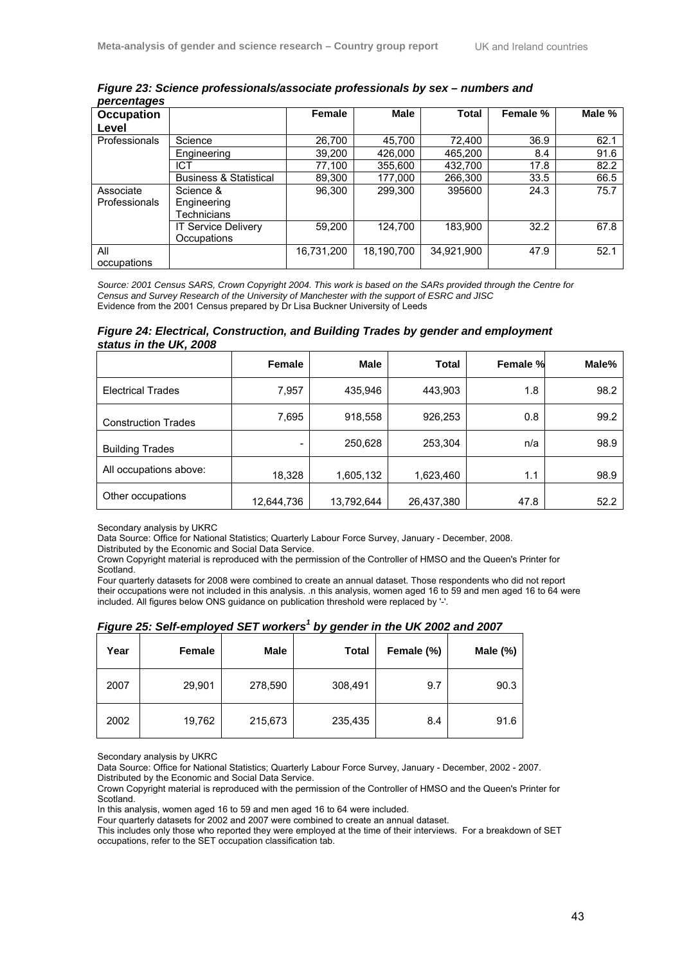*Figure 23: Science professionals/associate professionals by sex – numbers and percentages* 

| <u>por vormagoo</u>  |                                   |            |            |              |          |        |
|----------------------|-----------------------------------|------------|------------|--------------|----------|--------|
| Occupation           |                                   | Female     | Male       | <b>Total</b> | Female % | Male % |
| Level                |                                   |            |            |              |          |        |
| <b>Professionals</b> | Science                           | 26,700     | 45,700     | 72,400       | 36.9     | 62.1   |
|                      | Engineering                       | 39,200     | 426,000    | 465,200      | 8.4      | 91.6   |
|                      | ICT                               | 77,100     | 355,600    | 432.700      | 17.8     | 82.2   |
|                      | <b>Business &amp; Statistical</b> | 89,300     | 177,000    | 266,300      | 33.5     | 66.5   |
| Associate            | Science &                         | 96,300     | 299.300    | 395600       | 24.3     | 75.7   |
| <b>Professionals</b> | Engineering                       |            |            |              |          |        |
|                      | Technicians                       |            |            |              |          |        |
|                      | <b>IT Service Delivery</b>        | 59.200     | 124.700    | 183,900      | 32.2     | 67.8   |
|                      | Occupations                       |            |            |              |          |        |
| All                  |                                   | 16,731,200 | 18,190,700 | 34,921,900   | 47.9     | 52.1   |
| occupations          |                                   |            |            |              |          |        |

*Source: 2001 Census SARS, Crown Copyright 2004. This work is based on the SARs provided through the Centre for Census and Survey Research of the University of Manchester with the support of ESRC and JISC*  Evidence from the 2001 Census prepared by Dr Lisa Buckner University of Leeds

*Figure 24: Electrical, Construction, and Building Trades by gender and employment status in the UK, 2008*

|                            | Female     | Male       | Total      | Female % | Male% |
|----------------------------|------------|------------|------------|----------|-------|
| <b>Electrical Trades</b>   | 7,957      | 435,946    | 443,903    | 1.8      | 98.2  |
| <b>Construction Trades</b> | 7,695      | 918,558    | 926,253    | 0.8      | 99.2  |
| <b>Building Trades</b>     | -          | 250,628    | 253,304    | n/a      | 98.9  |
| All occupations above:     | 18,328     | 1,605,132  | 1,623,460  | 1.1      | 98.9  |
| Other occupations          | 12,644,736 | 13,792,644 | 26,437,380 | 47.8     | 52.2  |

Secondary analysis by UKRC

Data Source: Office for National Statistics; Quarterly Labour Force Survey, January - December, 2008.

Distributed by the Economic and Social Data Service.

Crown Copyright material is reproduced with the permission of the Controller of HMSO and the Queen's Printer for Scotland.

Four quarterly datasets for 2008 were combined to create an annual dataset. Those respondents who did not report their occupations were not included in this analysis. .n this analysis, women aged 16 to 59 and men aged 16 to 64 were included. All figures below ONS guidance on publication threshold were replaced by '-'.

| Year | Female | <b>Male</b> | <b>Total</b> | Female (%) | Male $(\%)$ |
|------|--------|-------------|--------------|------------|-------------|
| 2007 | 29,901 | 278,590     | 308,491      | 9.7        | 90.3        |
| 2002 | 19,762 | 215,673     | 235,435      | 8.4        | 91.6        |

| Figure 25: Self-employed SET workers <sup>1</sup> by gender in the UK 2002 and 2007 |  |
|-------------------------------------------------------------------------------------|--|
|                                                                                     |  |

Secondary analysis by UKRC

Data Source: Office for National Statistics; Quarterly Labour Force Survey, January - December, 2002 - 2007. Distributed by the Economic and Social Data Service.

Crown Copyright material is reproduced with the permission of the Controller of HMSO and the Queen's Printer for Scotland.

In this analysis, women aged 16 to 59 and men aged 16 to 64 were included.

Four quarterly datasets for 2002 and 2007 were combined to create an annual dataset.

This includes only those who reported they were employed at the time of their interviews. For a breakdown of SET occupations, refer to the SET occupation classification tab.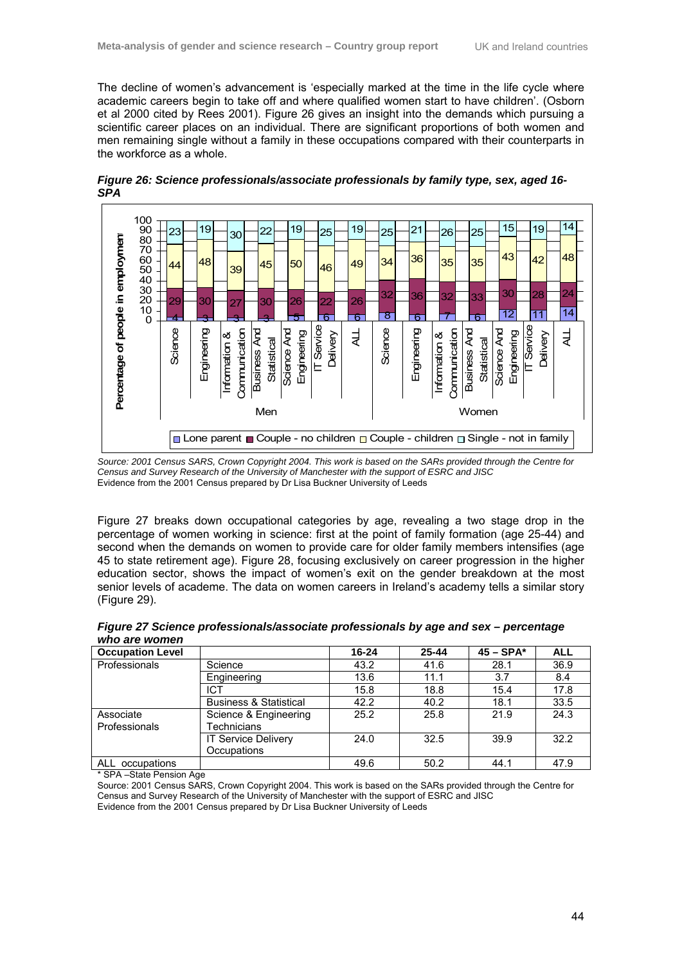The decline of women's advancement is 'especially marked at the time in the life cycle where academic careers begin to take off and where qualified women start to have children'. (Osborn et al 2000 cited by Rees 2001). Figure 26 gives an insight into the demands which pursuing a scientific career places on an individual. There are significant proportions of both women and men remaining single without a family in these occupations compared with their counterparts in the workforce as a whole.



*Figure 26: Science professionals/associate professionals by family type, sex, aged 16- SPA*

*Source: 2001 Census SARS, Crown Copyright 2004. This work is based on the SARs provided through the Centre for Census and Survey Research of the University of Manchester with the support of ESRC and JISC*  Evidence from the 2001 Census prepared by Dr Lisa Buckner University of Leeds

Figure 27 breaks down occupational categories by age, revealing a two stage drop in the percentage of women working in science: first at the point of family formation (age 25-44) and second when the demands on women to provide care for older family members intensifies (age 45 to state retirement age). Figure 28, focusing exclusively on career progression in the higher education sector, shows the impact of women's exit on the gender breakdown at the most senior levels of academe. The data on women careers in Ireland's academy tells a similar story (Figure 29).

| who are women | Figure 27 Science professionals/associate professionals by age and sex - percentage |  |  |
|---------------|-------------------------------------------------------------------------------------|--|--|
|               |                                                                                     |  |  |

| <b>Occupation Level</b>    |                                           | 16-24 | $25 - 44$ | $45 - SPA*$ | <b>ALL</b> |
|----------------------------|-------------------------------------------|-------|-----------|-------------|------------|
| Professionals              | Science                                   | 43.2  | 41.6      | 28.1        | 36.9       |
|                            | Engineering                               | 13.6  | 11.1      | 3.7         | 8.4        |
|                            | <b>ICT</b>                                | 15.8  | 18.8      | 15.4        | 17.8       |
|                            | <b>Business &amp; Statistical</b>         | 42.2  | 40.2      | 18.1        | 33.5       |
| Associate<br>Professionals | Science & Engineering<br>Technicians      | 25.2  | 25.8      | 21.9        | 24.3       |
|                            | <b>IT Service Delivery</b><br>Occupations | 24.0  | 32.5      | 39.9        | 32.2       |
| ALL<br>occupations         |                                           | 49.6  | 50.2      | 44.1        | 47.9       |

\* SPA –State Pension Age

Source: 2001 Census SARS, Crown Copyright 2004. This work is based on the SARs provided through the Centre for Census and Survey Research of the University of Manchester with the support of ESRC and JISC Evidence from the 2001 Census prepared by Dr Lisa Buckner University of Leeds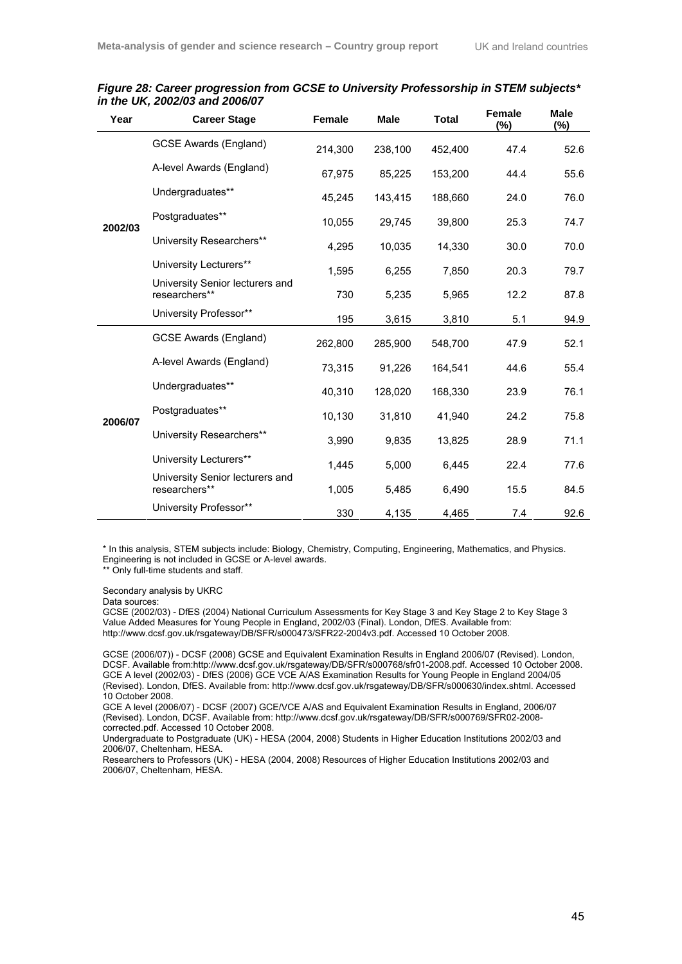| Year    | <b>Career Stage</b>                              | Female  | <b>Male</b> | <b>Total</b> | <b>Female</b><br>$(\%)$ | <b>Male</b><br>$(\%)$ |
|---------|--------------------------------------------------|---------|-------------|--------------|-------------------------|-----------------------|
|         | <b>GCSE Awards (England)</b>                     | 214,300 | 238,100     | 452,400      | 47.4                    | 52.6                  |
|         | A-level Awards (England)                         | 67,975  | 85,225      | 153,200      | 44.4                    | 55.6                  |
|         | Undergraduates**                                 | 45,245  | 143,415     | 188,660      | 24.0                    | 76.0                  |
| 2002/03 | Postgraduates**                                  | 10,055  | 29,745      | 39,800       | 25.3                    | 74.7                  |
|         | University Researchers**                         | 4.295   | 10,035      | 14,330       | 30.0                    | 70.0                  |
|         | University Lecturers**                           | 1,595   | 6,255       | 7,850        | 20.3                    | 79.7                  |
|         | University Senior lecturers and<br>researchers** | 730     | 5,235       | 5,965        | 12.2                    | 87.8                  |
|         | University Professor**                           | 195     | 3,615       | 3,810        | 5.1                     | 94.9                  |
|         | GCSE Awards (England)                            | 262,800 | 285,900     | 548,700      | 47.9                    | 52.1                  |
|         | A-level Awards (England)                         | 73,315  | 91,226      | 164,541      | 44.6                    | 55.4                  |
|         | Undergraduates**                                 | 40,310  | 128,020     | 168,330      | 23.9                    | 76.1                  |
| 2006/07 | Postgraduates**                                  | 10,130  | 31,810      | 41,940       | 24.2                    | 75.8                  |
|         | University Researchers**                         | 3,990   | 9,835       | 13,825       | 28.9                    | 71.1                  |
|         | University Lecturers**                           | 1,445   | 5,000       | 6,445        | 22.4                    | 77.6                  |
|         | University Senior lecturers and<br>researchers** | 1,005   | 5,485       | 6,490        | 15.5                    | 84.5                  |
|         | University Professor**                           | 330     | 4,135       | 4,465        | 7.4                     | 92.6                  |

## *Figure 28: Career progression from GCSE to University Professorship in STEM subjects\* in the UK, 2002/03 and 2006/07*

\* In this analysis, STEM subjects include: Biology, Chemistry, Computing, Engineering, Mathematics, and Physics. Engineering is not included in GCSE or A-level awards.

\*\* Only full-time students and staff.

Secondary analysis by UKRC

Data sources:

GCSE (2002/03) - DfES (2004) National Curriculum Assessments for Key Stage 3 and Key Stage 2 to Key Stage 3 Value Added Measures for Young People in England, 2002/03 (Final). London, DfES. Available from: http://www.dcsf.gov.uk/rsgateway/DB/SFR/s000473/SFR22-2004v3.pdf. Accessed 10 October 2008.

GCSE (2006/07)) - DCSF (2008) GCSE and Equivalent Examination Results in England 2006/07 (Revised). London, DCSF. Available from:http://www.dcsf.gov.uk/rsgateway/DB/SFR/s000768/sfr01-2008.pdf. Accessed 10 October 2008. GCE A level (2002/03) - DfES (2006) GCE VCE A/AS Examination Results for Young People in England 2004/05 (Revised). London, DfES. Available from: http://www.dcsf.gov.uk/rsgateway/DB/SFR/s000630/index.shtml. Accessed 10 October 2008.

GCE A level (2006/07) - DCSF (2007) GCE/VCE A/AS and Equivalent Examination Results in England, 2006/07 (Revised). London, DCSF. Available from: http://www.dcsf.gov.uk/rsgateway/DB/SFR/s000769/SFR02-2008 corrected.pdf. Accessed 10 October 2008.

Undergraduate to Postgraduate (UK) - HESA (2004, 2008) Students in Higher Education Institutions 2002/03 and 2006/07, Cheltenham, HESA.

Researchers to Professors (UK) - HESA (2004, 2008) Resources of Higher Education Institutions 2002/03 and 2006/07, Cheltenham, HESA.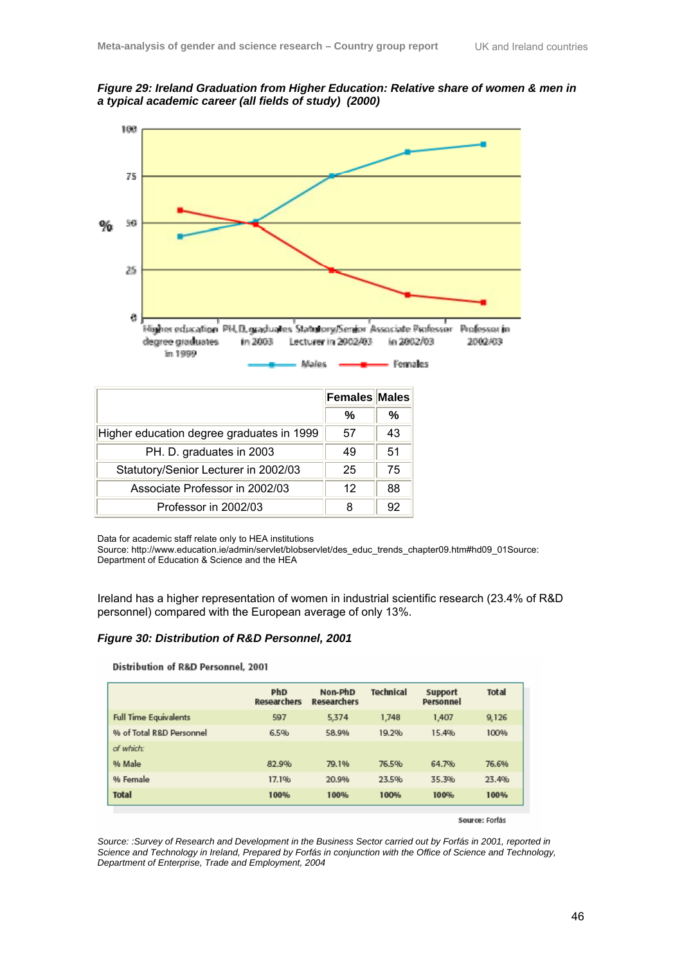



|                                           | <b>Females Males</b> |    |
|-------------------------------------------|----------------------|----|
|                                           | %                    | %  |
| Higher education degree graduates in 1999 | 57                   | 43 |
| PH. D. graduates in 2003                  | 49                   | 51 |
| Statutory/Senior Lecturer in 2002/03      | 25                   | 75 |
| Associate Professor in 2002/03            | 12                   | 88 |
| Professor in 2002/03                      | 8                    | 92 |

Data for academic staff relate only to HEA institutions

Source: http://www.education.ie/admin/servlet/blobservlet/des\_educ\_trends\_chapter09.htm#hd09\_01Source: Department of Education & Science and the HEA

Ireland has a higher representation of women in industrial scientific research (23.4% of R&D personnel) compared with the European average of only 13%.

#### *Figure 30: Distribution of R&D Personnel, 2001*

#### Distribution of R&D Personnel, 2001

|                              | PhD<br><b>Researchers</b> | Non-PhD<br><b>Researchers</b> | <b>Technical</b> | Support<br>Personnel | <b>Total</b> |
|------------------------------|---------------------------|-------------------------------|------------------|----------------------|--------------|
| <b>Full Time Equivalents</b> | 597                       | 5,374                         | 1,748            | 1,407                | 9,126        |
| % of Total R&D Personnel     | 6.5%                      | 58.9%                         | 19.2%            | 15.4%                | 100%         |
| of which:                    |                           |                               |                  |                      |              |
| % Male                       | 82.9%                     | 79.1%                         | 76.5%            | 64.7%                | 76.6%        |
| % Female                     | 17.1%                     | 20.9%                         | 23.5%            | 35.3%                | 23.4%        |
| <b>Total</b>                 | 100%                      | 100%                          | 100%             | 100%                 | 100%         |

Source: Forfás

*Source: :Survey of Research and Development in the Business Sector carried out by Forfás in 2001, reported in Science and Technology in Ireland, Prepared by Forfás in conjunction with the Office of Science and Technology, Department of Enterprise, Trade and Employment, 2004*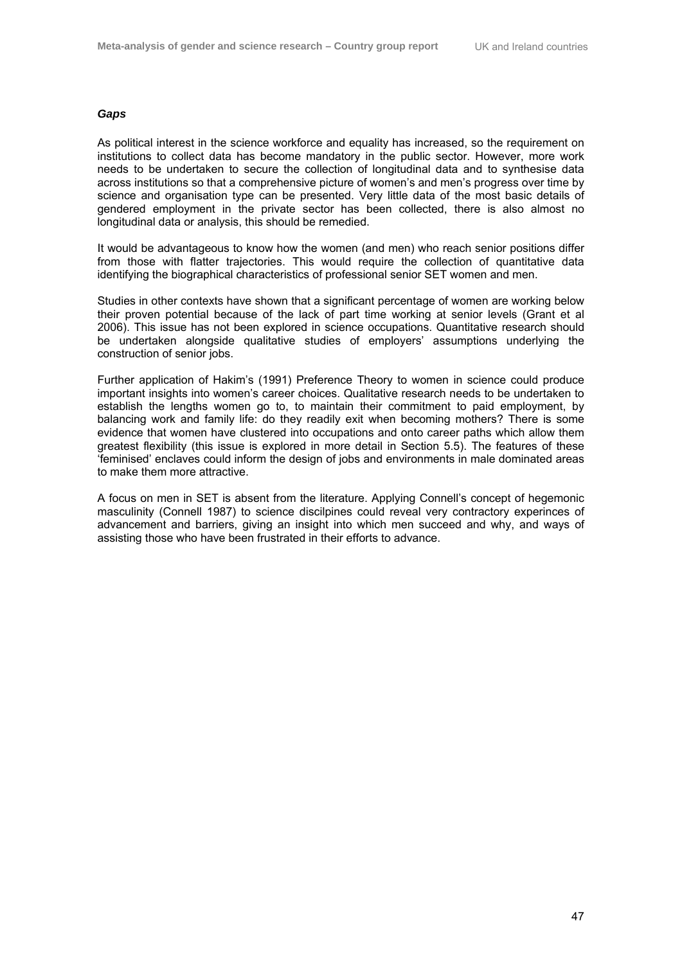### *Gaps*

As political interest in the science workforce and equality has increased, so the requirement on institutions to collect data has become mandatory in the public sector. However, more work needs to be undertaken to secure the collection of longitudinal data and to synthesise data across institutions so that a comprehensive picture of women's and men's progress over time by science and organisation type can be presented. Very little data of the most basic details of gendered employment in the private sector has been collected, there is also almost no longitudinal data or analysis, this should be remedied.

It would be advantageous to know how the women (and men) who reach senior positions differ from those with flatter trajectories. This would require the collection of quantitative data identifying the biographical characteristics of professional senior SET women and men.

Studies in other contexts have shown that a significant percentage of women are working below their proven potential because of the lack of part time working at senior levels (Grant et al 2006). This issue has not been explored in science occupations. Quantitative research should be undertaken alongside qualitative studies of employers' assumptions underlying the construction of senior jobs.

Further application of Hakim's (1991) Preference Theory to women in science could produce important insights into women's career choices. Qualitative research needs to be undertaken to establish the lengths women go to, to maintain their commitment to paid employment, by balancing work and family life: do they readily exit when becoming mothers? There is some evidence that women have clustered into occupations and onto career paths which allow them greatest flexibility (this issue is explored in more detail in Section 5.5). The features of these 'feminised' enclaves could inform the design of jobs and environments in male dominated areas to make them more attractive.

A focus on men in SET is absent from the literature. Applying Connell's concept of hegemonic masculinity (Connell 1987) to science discilpines could reveal very contractory experinces of advancement and barriers, giving an insight into which men succeed and why, and ways of assisting those who have been frustrated in their efforts to advance.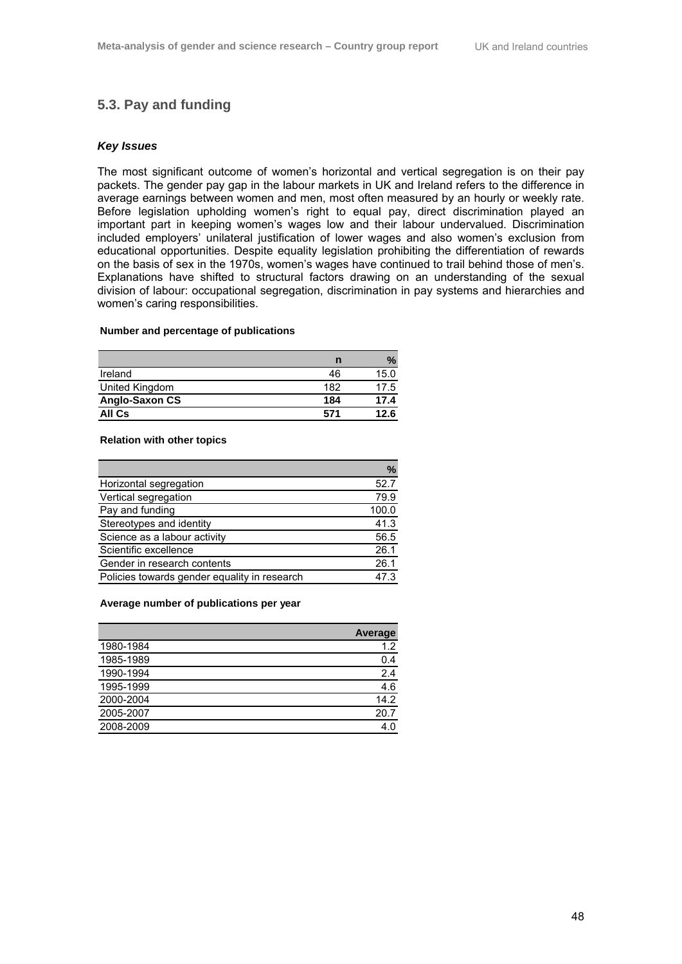# **5.3. Pay and funding**

# *Key Issues*

The most significant outcome of women's horizontal and vertical segregation is on their pay packets. The gender pay gap in the labour markets in UK and Ireland refers to the difference in average earnings between women and men, most often measured by an hourly or weekly rate. Before legislation upholding women's right to equal pay, direct discrimination played an important part in keeping women's wages low and their labour undervalued. Discrimination included employers' unilateral justification of lower wages and also women's exclusion from educational opportunities. Despite equality legislation prohibiting the differentiation of rewards on the basis of sex in the 1970s, women's wages have continued to trail behind those of men's. Explanations have shifted to structural factors drawing on an understanding of the sexual division of labour: occupational segregation, discrimination in pay systems and hierarchies and women's caring responsibilities.

#### **Number and percentage of publications**

|                | n   | $\%$ |
|----------------|-----|------|
| Ireland        | 46  | 15.0 |
| United Kingdom | 182 | 17.5 |
| Anglo-Saxon CS | 184 | 17.4 |
| All Cs         | 571 | 12.6 |

#### **Relation with other topics**

|                                              | $\%$  |
|----------------------------------------------|-------|
| Horizontal segregation                       | 52.7  |
| Vertical segregation                         | 79.9  |
| Pay and funding                              | 100.0 |
| Stereotypes and identity                     | 41.3  |
| Science as a labour activity                 | 56.5  |
| Scientific excellence                        | 26.1  |
| Gender in research contents                  | 26.1  |
| Policies towards gender equality in research | 47 3  |

#### **Average number of publications per year**

|           | <b>Average</b> |
|-----------|----------------|
| 1980-1984 | 1.2            |
| 1985-1989 | 0.4            |
| 1990-1994 | 2.4            |
| 1995-1999 | 4.6            |
| 2000-2004 | 14.2           |
| 2005-2007 | 20.7           |
| 2008-2009 | 4.             |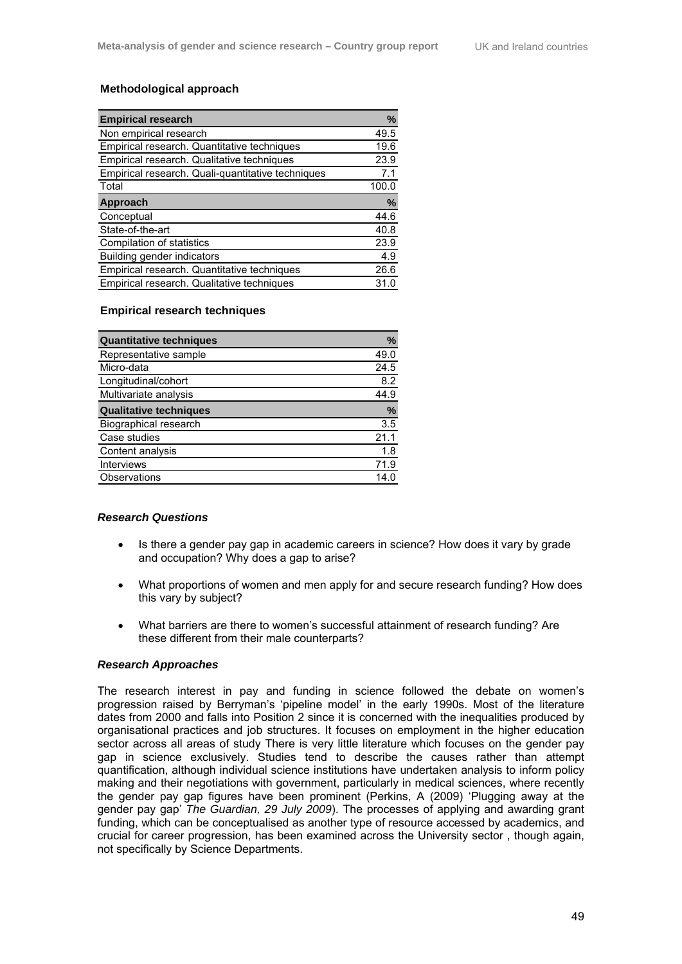## **Methodological approach**

| <b>Empirical research</b>                         | %     |
|---------------------------------------------------|-------|
| Non empirical research                            | 49.5  |
| Empirical research. Quantitative techniques       | 19.6  |
| Empirical research. Qualitative techniques        | 23.9  |
| Empirical research. Quali-quantitative techniques | 7.1   |
| Total                                             | 100.0 |
| Approach                                          | %     |
| Conceptual                                        | 44.6  |
| State-of-the-art                                  | 40.8  |
| Compilation of statistics                         | 23.9  |
| Building gender indicators                        | 4.9   |
| Empirical research. Quantitative techniques       | 26.6  |
| Empirical research. Qualitative techniques        | 31.0  |

### **Empirical research techniques**

| <b>Quantitative techniques</b> | $\%$ |
|--------------------------------|------|
| Representative sample          | 49.0 |
| Micro-data                     | 24.5 |
| Longitudinal/cohort            | 8.2  |
| Multivariate analysis          | 44.9 |
| <b>Qualitative techniques</b>  | %    |
| Biographical research          | 3.5  |
| Case studies                   | 21.1 |
| Content analysis               | 1.8  |
| <b>Interviews</b>              | 71.9 |
| Observations                   | 14 ( |

#### *Research Questions*

- Is there a gender pay gap in academic careers in science? How does it vary by grade and occupation? Why does a gap to arise?
- What proportions of women and men apply for and secure research funding? How does this vary by subject?
- What barriers are there to women's successful attainment of research funding? Are these different from their male counterparts?

## *Research Approaches*

The research interest in pay and funding in science followed the debate on women's progression raised by Berryman's 'pipeline model' in the early 1990s. Most of the literature dates from 2000 and falls into Position 2 since it is concerned with the inequalities produced by organisational practices and job structures. It focuses on employment in the higher education sector across all areas of study There is very little literature which focuses on the gender pay gap in science exclusively. Studies tend to describe the causes rather than attempt quantification, although individual science institutions have undertaken analysis to inform policy making and their negotiations with government, particularly in medical sciences, where recently the gender pay gap figures have been prominent (Perkins, A (2009) 'Plugging away at the gender pay gap' *The Guardian, 29 July 2009*). The processes of applying and awarding grant funding, which can be conceptualised as another type of resource accessed by academics, and crucial for career progression, has been examined across the University sector , though again, not specifically by Science Departments.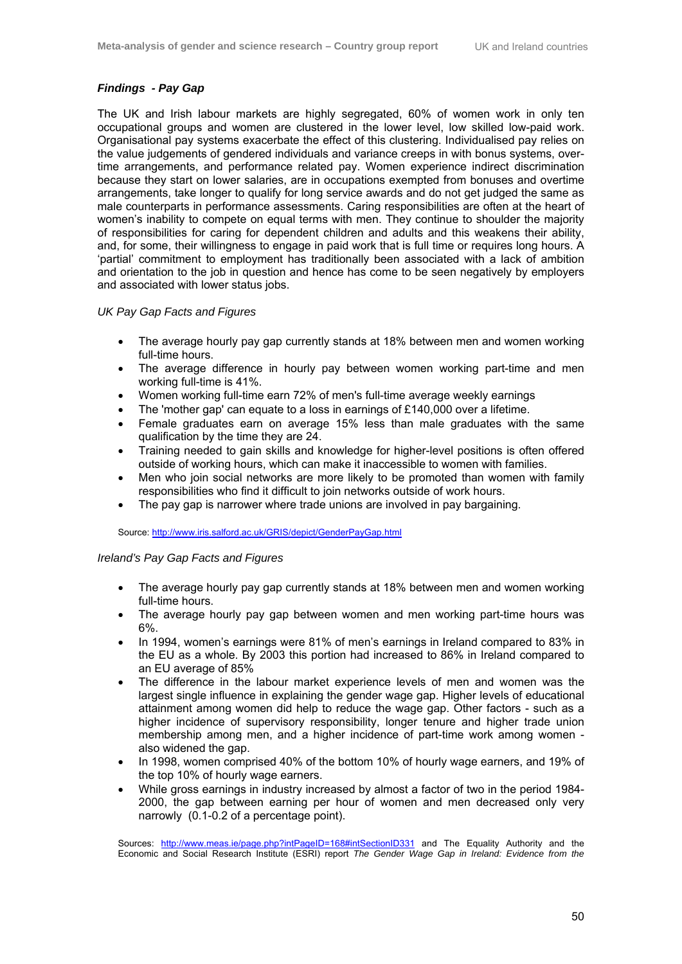# *Findings - Pay Gap*

The UK and Irish labour markets are highly segregated, 60% of women work in only ten occupational groups and women are clustered in the lower level, low skilled low-paid work. Organisational pay systems exacerbate the effect of this clustering. Individualised pay relies on the value judgements of gendered individuals and variance creeps in with bonus systems, overtime arrangements, and performance related pay. Women experience indirect discrimination because they start on lower salaries, are in occupations exempted from bonuses and overtime arrangements, take longer to qualify for long service awards and do not get judged the same as male counterparts in performance assessments. Caring responsibilities are often at the heart of women's inability to compete on equal terms with men. They continue to shoulder the majority of responsibilities for caring for dependent children and adults and this weakens their ability, and, for some, their willingness to engage in paid work that is full time or requires long hours. A 'partial' commitment to employment has traditionally been associated with a lack of ambition and orientation to the job in question and hence has come to be seen negatively by employers and associated with lower status jobs.

# *UK Pay Gap Facts and Figures*

- The average hourly pay gap currently stands at 18% between men and women working full-time hours.
- The average difference in hourly pay between women working part-time and men working full-time is 41%.
- Women working full-time earn 72% of men's full-time average weekly earnings
- The 'mother gap' can equate to a loss in earnings of £140,000 over a lifetime.
- Female graduates earn on average 15% less than male graduates with the same qualification by the time they are 24.
- Training needed to gain skills and knowledge for higher-level positions is often offered outside of working hours, which can make it inaccessible to women with families.
- Men who join social networks are more likely to be promoted than women with family responsibilities who find it difficult to join networks outside of work hours.
- The pay gap is narrower where trade unions are involved in pay bargaining.

Source: http://www.iris.salford.ac.uk/GRIS/depict/GenderPayGap.html

## *Ireland's Pay Gap Facts and Figures*

- The average hourly pay gap currently stands at 18% between men and women working full-time hours.
- The average hourly pay gap between women and men working part-time hours was 6%.
- In 1994, women's earnings were 81% of men's earnings in Ireland compared to 83% in the EU as a whole. By 2003 this portion had increased to 86% in Ireland compared to an EU average of 85%
- The difference in the labour market experience levels of men and women was the largest single influence in explaining the gender wage gap. Higher levels of educational attainment among women did help to reduce the wage gap. Other factors - such as a higher incidence of supervisory responsibility, longer tenure and higher trade union membership among men, and a higher incidence of part-time work among women also widened the gap.
- In 1998, women comprised 40% of the bottom 10% of hourly wage earners, and 19% of the top 10% of hourly wage earners.
- While gross earnings in industry increased by almost a factor of two in the period 1984- 2000, the gap between earning per hour of women and men decreased only very narrowly (0.1-0.2 of a percentage point).

Sources: http://www.meas.ie/page.php?intPageID=168#intSectionID331 and The Equality Authority and the Economic and Social Research Institute (ESRI) report *The Gender Wage Gap in Ireland: Evidence from the*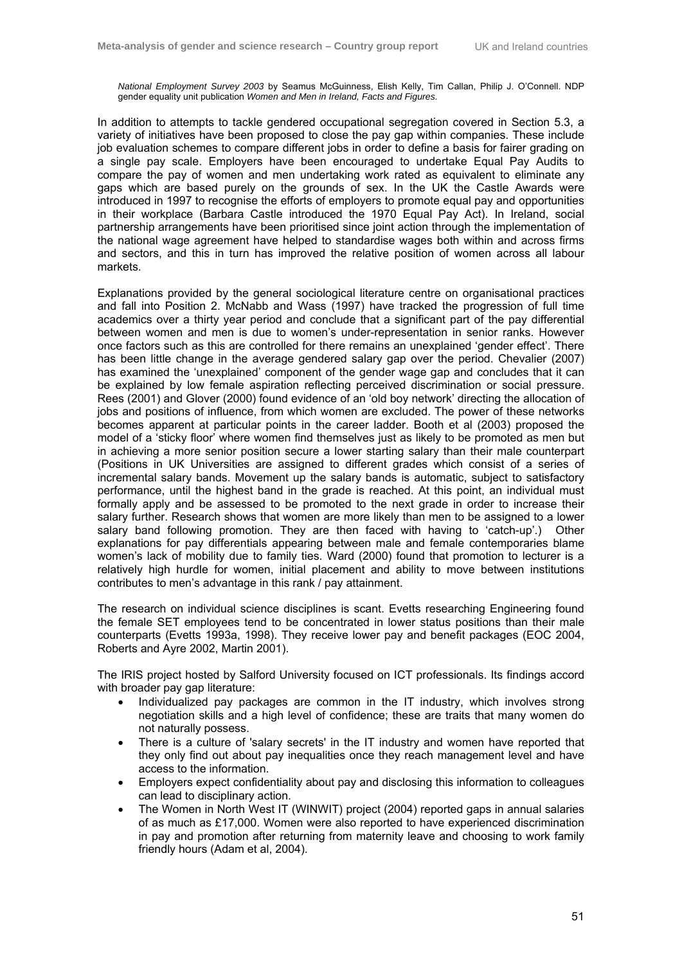*National Employment Survey 2003* by Seamus McGuinness, Elish Kelly, Tim Callan, Philip J. O'Connell. NDP gender equality unit publication *Women and Men in Ireland, Facts and Figures.* 

In addition to attempts to tackle gendered occupational segregation covered in Section 5.3, a variety of initiatives have been proposed to close the pay gap within companies. These include job evaluation schemes to compare different jobs in order to define a basis for fairer grading on a single pay scale. Employers have been encouraged to undertake Equal Pay Audits to compare the pay of women and men undertaking work rated as equivalent to eliminate any gaps which are based purely on the grounds of sex. In the UK the Castle Awards were introduced in 1997 to recognise the efforts of employers to promote equal pay and opportunities in their workplace (Barbara Castle introduced the 1970 Equal Pay Act). In Ireland, social partnership arrangements have been prioritised since joint action through the implementation of the national wage agreement have helped to standardise wages both within and across firms and sectors, and this in turn has improved the relative position of women across all labour markets.

Explanations provided by the general sociological literature centre on organisational practices and fall into Position 2. McNabb and Wass (1997) have tracked the progression of full time academics over a thirty year period and conclude that a significant part of the pay differential between women and men is due to women's under-representation in senior ranks. However once factors such as this are controlled for there remains an unexplained 'gender effect'. There has been little change in the average gendered salary gap over the period. Chevalier (2007) has examined the 'unexplained' component of the gender wage gap and concludes that it can be explained by low female aspiration reflecting perceived discrimination or social pressure. Rees (2001) and Glover (2000) found evidence of an 'old boy network' directing the allocation of jobs and positions of influence, from which women are excluded. The power of these networks becomes apparent at particular points in the career ladder. Booth et al (2003) proposed the model of a 'sticky floor' where women find themselves just as likely to be promoted as men but in achieving a more senior position secure a lower starting salary than their male counterpart (Positions in UK Universities are assigned to different grades which consist of a series of incremental salary bands. Movement up the salary bands is automatic, subject to satisfactory performance, until the highest band in the grade is reached. At this point, an individual must formally apply and be assessed to be promoted to the next grade in order to increase their salary further. Research shows that women are more likely than men to be assigned to a lower salary band following promotion. They are then faced with having to 'catch-up'.) Other explanations for pay differentials appearing between male and female contemporaries blame women's lack of mobility due to family ties. Ward (2000) found that promotion to lecturer is a relatively high hurdle for women, initial placement and ability to move between institutions contributes to men's advantage in this rank / pay attainment.

The research on individual science disciplines is scant. Evetts researching Engineering found the female SET employees tend to be concentrated in lower status positions than their male counterparts (Evetts 1993a, 1998). They receive lower pay and benefit packages (EOC 2004, Roberts and Ayre 2002, Martin 2001).

The IRIS project hosted by Salford University focused on ICT professionals. Its findings accord with broader pay gap literature:

- Individualized pay packages are common in the IT industry, which involves strong negotiation skills and a high level of confidence; these are traits that many women do not naturally possess.
- There is a culture of 'salary secrets' in the IT industry and women have reported that they only find out about pay inequalities once they reach management level and have access to the information.
- Employers expect confidentiality about pay and disclosing this information to colleagues can lead to disciplinary action.
- The Women in North West IT (WINWIT) project (2004) reported gaps in annual salaries of as much as £17,000. Women were also reported to have experienced discrimination in pay and promotion after returning from maternity leave and choosing to work family friendly hours (Adam et al, 2004).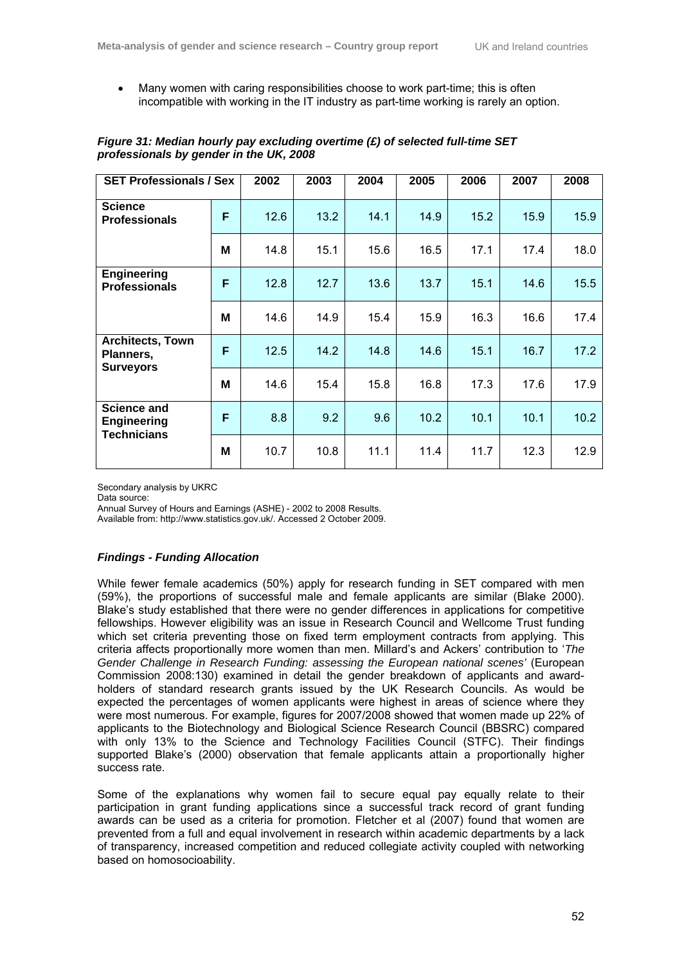• Many women with caring responsibilities choose to work part-time; this is often incompatible with working in the IT industry as part-time working is rarely an option.

| <b>SET Professionals / Sex</b>                                 |   | 2002 | 2003 | 2004 | 2005 | 2006 | 2007 | 2008 |
|----------------------------------------------------------------|---|------|------|------|------|------|------|------|
| <b>Science</b><br><b>Professionals</b>                         | F | 12.6 | 13.2 | 14.1 | 14.9 | 15.2 | 15.9 | 15.9 |
|                                                                | M | 14.8 | 15.1 | 15.6 | 16.5 | 17.1 | 17.4 | 18.0 |
| <b>Engineering</b><br><b>Professionals</b>                     | F | 12.8 | 12.7 | 13.6 | 13.7 | 15.1 | 14.6 | 15.5 |
|                                                                | М | 14.6 | 14.9 | 15.4 | 15.9 | 16.3 | 16.6 | 17.4 |
| <b>Architects, Town</b><br>Planners,<br><b>Surveyors</b>       | F | 12.5 | 14.2 | 14.8 | 14.6 | 15.1 | 16.7 | 17.2 |
|                                                                | M | 14.6 | 15.4 | 15.8 | 16.8 | 17.3 | 17.6 | 17.9 |
| <b>Science and</b><br><b>Engineering</b><br><b>Technicians</b> | F | 8.8  | 9.2  | 9.6  | 10.2 | 10.1 | 10.1 | 10.2 |
|                                                                | M | 10.7 | 10.8 | 11.1 | 11.4 | 11.7 | 12.3 | 12.9 |

# *Figure 31: Median hourly pay excluding overtime (£) of selected full-time SET professionals by gender in the UK, 2008*

Secondary analysis by UKRC<br>Data source:

Annual Survey of Hours and Earnings (ASHE) - 2002 to 2008 Results.

Available from: http://www.statistics.gov.uk/. Accessed 2 October 2009.

# *Findings - Funding Allocation*

While fewer female academics (50%) apply for research funding in SET compared with men (59%), the proportions of successful male and female applicants are similar (Blake 2000). Blake's study established that there were no gender differences in applications for competitive fellowships. However eligibility was an issue in Research Council and Wellcome Trust funding which set criteria preventing those on fixed term employment contracts from applying. This criteria affects proportionally more women than men. Millard's and Ackers' contribution to '*The Gender Challenge in Research Funding: assessing the European national scenes'* (European Commission 2008:130) examined in detail the gender breakdown of applicants and awardholders of standard research grants issued by the UK Research Councils. As would be expected the percentages of women applicants were highest in areas of science where they were most numerous. For example, figures for 2007/2008 showed that women made up 22% of applicants to the Biotechnology and Biological Science Research Council (BBSRC) compared with only 13% to the Science and Technology Facilities Council (STFC). Their findings supported Blake's (2000) observation that female applicants attain a proportionally higher success rate.

Some of the explanations why women fail to secure equal pay equally relate to their participation in grant funding applications since a successful track record of grant funding awards can be used as a criteria for promotion. Fletcher et al (2007) found that women are prevented from a full and equal involvement in research within academic departments by a lack of transparency, increased competition and reduced collegiate activity coupled with networking based on homosocioability.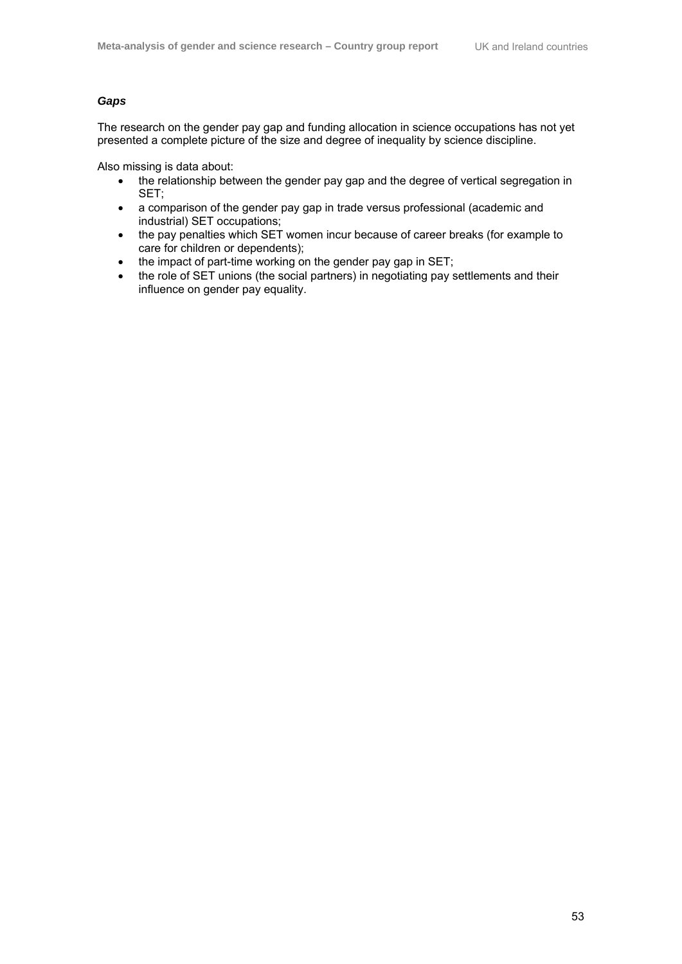# *Gaps*

The research on the gender pay gap and funding allocation in science occupations has not yet presented a complete picture of the size and degree of inequality by science discipline.

Also missing is data about:

- the relationship between the gender pay gap and the degree of vertical segregation in SET;
- a comparison of the gender pay gap in trade versus professional (academic and industrial) SET occupations;
- the pay penalties which SET women incur because of career breaks (for example to care for children or dependents);
- the impact of part-time working on the gender pay gap in SET;
- the role of SET unions (the social partners) in negotiating pay settlements and their influence on gender pay equality.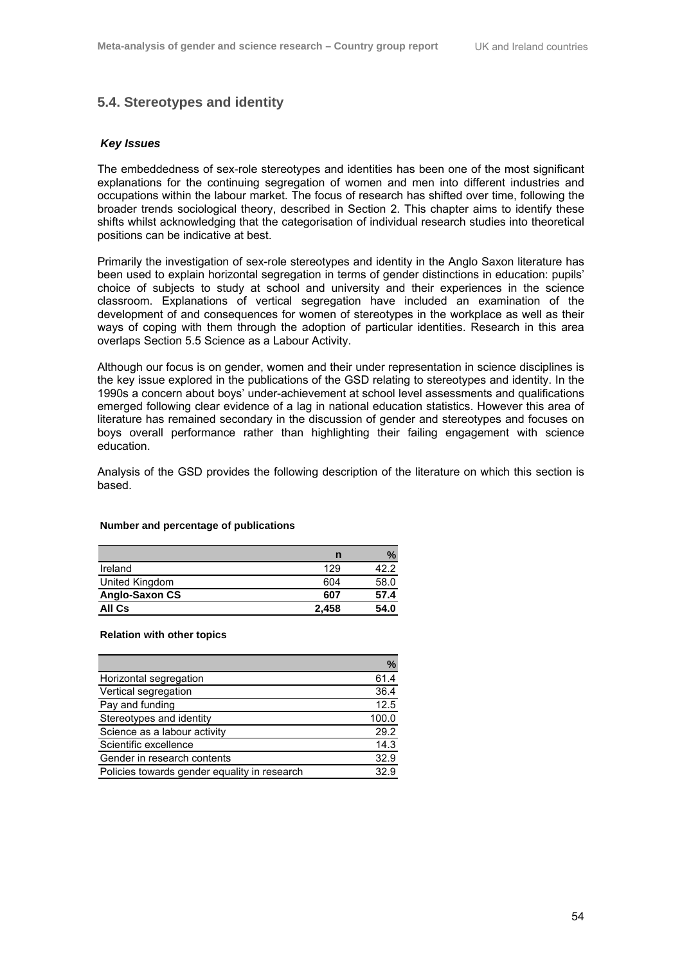# **5.4. Stereotypes and identity**

## *Key Issues*

The embeddedness of sex-role stereotypes and identities has been one of the most significant explanations for the continuing segregation of women and men into different industries and occupations within the labour market. The focus of research has shifted over time, following the broader trends sociological theory, described in Section 2. This chapter aims to identify these shifts whilst acknowledging that the categorisation of individual research studies into theoretical positions can be indicative at best.

Primarily the investigation of sex-role stereotypes and identity in the Anglo Saxon literature has been used to explain horizontal segregation in terms of gender distinctions in education: pupils' choice of subjects to study at school and university and their experiences in the science classroom. Explanations of vertical segregation have included an examination of the development of and consequences for women of stereotypes in the workplace as well as their ways of coping with them through the adoption of particular identities. Research in this area overlaps Section 5.5 Science as a Labour Activity.

Although our focus is on gender, women and their under representation in science disciplines is the key issue explored in the publications of the GSD relating to stereotypes and identity. In the 1990s a concern about boys' under-achievement at school level assessments and qualifications emerged following clear evidence of a lag in national education statistics. However this area of literature has remained secondary in the discussion of gender and stereotypes and focuses on boys overall performance rather than highlighting their failing engagement with science education.

Analysis of the GSD provides the following description of the literature on which this section is based.

#### **Number and percentage of publications**

|                | n     | $\%$ |
|----------------|-------|------|
| Ireland        | 129   | 42.2 |
| United Kingdom | 604   | 58.0 |
| Anglo-Saxon CS | 607   | 57.4 |
| All Cs         | 2.458 | 54.0 |

#### **Relation with other topics**

|                                              | $\%$  |
|----------------------------------------------|-------|
| Horizontal segregation                       | 61.4  |
| Vertical segregation                         | 36.4  |
| Pay and funding                              | 12.5  |
| Stereotypes and identity                     | 100.0 |
| Science as a labour activity                 | 29.2  |
| Scientific excellence                        | 14.3  |
| Gender in research contents                  | 32.9  |
| Policies towards gender equality in research | 32.9  |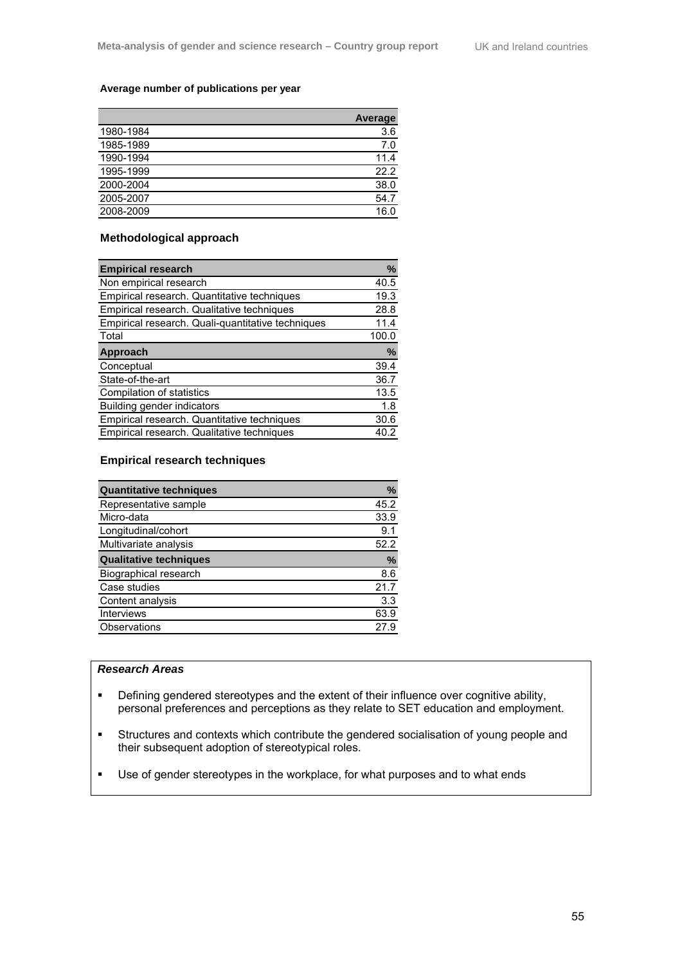## **Average number of publications per year**

|           | <b>Average</b> |
|-----------|----------------|
| 1980-1984 | 3.6            |
| 1985-1989 | 7.0            |
| 1990-1994 | 11.4           |
| 1995-1999 | 22.2           |
| 2000-2004 | 38.0           |
| 2005-2007 | 54.7           |
| 2008-2009 | 16.0           |
|           |                |

# **Methodological approach**

| <b>Empirical research</b>                         | %     |
|---------------------------------------------------|-------|
| Non empirical research                            | 40.5  |
| Empirical research. Quantitative techniques       | 19.3  |
| Empirical research. Qualitative techniques        | 28.8  |
| Empirical research. Quali-quantitative techniques | 11.4  |
| Total                                             | 100.0 |
| Approach                                          | %     |
| Conceptual                                        | 39.4  |
| State-of-the-art                                  | 36.7  |
| Compilation of statistics                         | 13.5  |
| Building gender indicators                        | 1.8   |
| Empirical research. Quantitative techniques       | 30.6  |
| Empirical research. Qualitative techniques        | 40.2  |

## **Empirical research techniques**

| <b>Quantitative techniques</b> | %    |
|--------------------------------|------|
| Representative sample          | 45.2 |
| Micro-data                     | 33.9 |
| Longitudinal/cohort            | 9.1  |
| Multivariate analysis          | 52.2 |
| <b>Qualitative techniques</b>  | %    |
| Biographical research          | 8.6  |
| Case studies                   | 21.7 |
| Content analysis               | 3.3  |
| <b>Interviews</b>              | 63.9 |
| Observations                   | 27.9 |

## *Research Areas*

- **•** Defining gendered stereotypes and the extent of their influence over cognitive ability, personal preferences and perceptions as they relate to SET education and employment.
- Structures and contexts which contribute the gendered socialisation of young people and their subsequent adoption of stereotypical roles.
- Use of gender stereotypes in the workplace, for what purposes and to what ends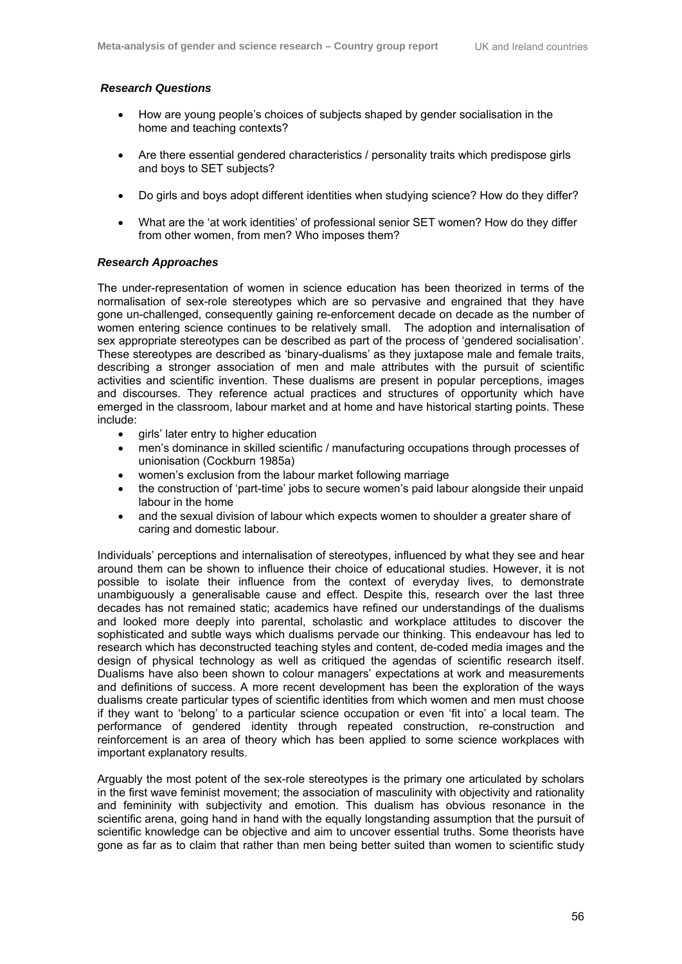## *Research Questions*

- How are young people's choices of subjects shaped by gender socialisation in the home and teaching contexts?
- Are there essential gendered characteristics / personality traits which predispose girls and boys to SET subjects?
- Do girls and boys adopt different identities when studying science? How do they differ?
- What are the 'at work identities' of professional senior SET women? How do they differ from other women, from men? Who imposes them?

## *Research Approaches*

The under-representation of women in science education has been theorized in terms of the normalisation of sex-role stereotypes which are so pervasive and engrained that they have gone un-challenged, consequently gaining re-enforcement decade on decade as the number of women entering science continues to be relatively small. The adoption and internalisation of sex appropriate stereotypes can be described as part of the process of 'gendered socialisation'. These stereotypes are described as 'binary-dualisms' as they juxtapose male and female traits, describing a stronger association of men and male attributes with the pursuit of scientific activities and scientific invention. These dualisms are present in popular perceptions, images and discourses. They reference actual practices and structures of opportunity which have emerged in the classroom, labour market and at home and have historical starting points. These include:

- girls' later entry to higher education
- men's dominance in skilled scientific / manufacturing occupations through processes of unionisation (Cockburn 1985a)
- women's exclusion from the labour market following marriage
- the construction of 'part-time' jobs to secure women's paid labour alongside their unpaid labour in the home
- and the sexual division of labour which expects women to shoulder a greater share of caring and domestic labour.

Individuals' perceptions and internalisation of stereotypes, influenced by what they see and hear around them can be shown to influence their choice of educational studies. However, it is not possible to isolate their influence from the context of everyday lives, to demonstrate unambiguously a generalisable cause and effect. Despite this, research over the last three decades has not remained static; academics have refined our understandings of the dualisms and looked more deeply into parental, scholastic and workplace attitudes to discover the sophisticated and subtle ways which dualisms pervade our thinking. This endeavour has led to research which has deconstructed teaching styles and content, de-coded media images and the design of physical technology as well as critiqued the agendas of scientific research itself. Dualisms have also been shown to colour managers' expectations at work and measurements and definitions of success. A more recent development has been the exploration of the ways dualisms create particular types of scientific identities from which women and men must choose if they want to 'belong' to a particular science occupation or even 'fit into' a local team. The performance of gendered identity through repeated construction, re-construction and reinforcement is an area of theory which has been applied to some science workplaces with important explanatory results.

Arguably the most potent of the sex-role stereotypes is the primary one articulated by scholars in the first wave feminist movement; the association of masculinity with objectivity and rationality and femininity with subjectivity and emotion. This dualism has obvious resonance in the scientific arena, going hand in hand with the equally longstanding assumption that the pursuit of scientific knowledge can be objective and aim to uncover essential truths. Some theorists have gone as far as to claim that rather than men being better suited than women to scientific study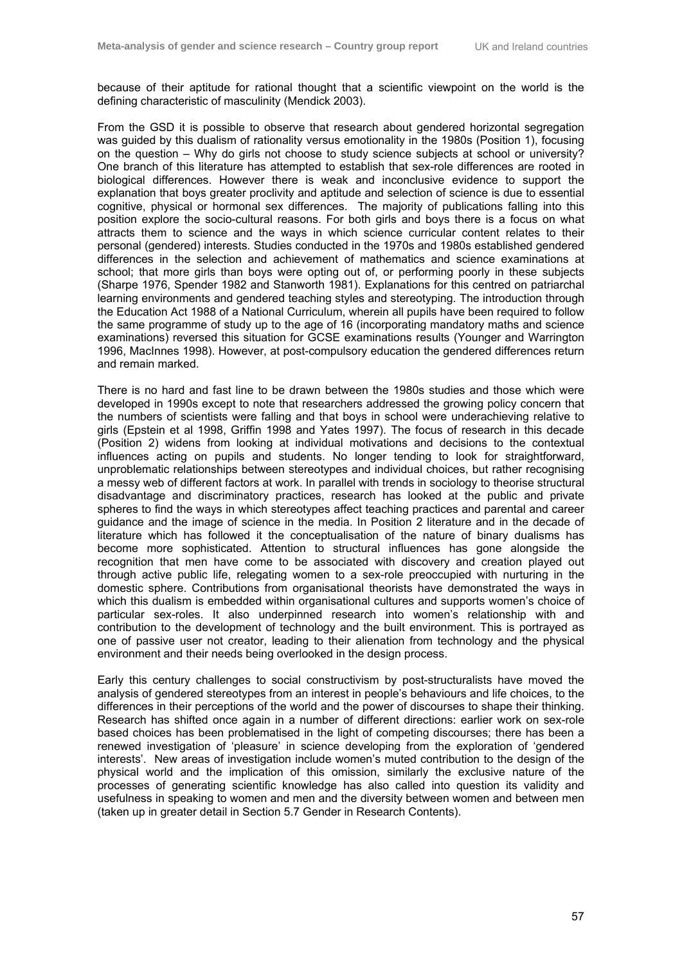because of their aptitude for rational thought that a scientific viewpoint on the world is the defining characteristic of masculinity (Mendick 2003).

From the GSD it is possible to observe that research about gendered horizontal segregation was guided by this dualism of rationality versus emotionality in the 1980s (Position 1), focusing on the question – Why do girls not choose to study science subjects at school or university? One branch of this literature has attempted to establish that sex-role differences are rooted in biological differences. However there is weak and inconclusive evidence to support the explanation that boys greater proclivity and aptitude and selection of science is due to essential cognitive, physical or hormonal sex differences. The majority of publications falling into this position explore the socio-cultural reasons. For both girls and boys there is a focus on what attracts them to science and the ways in which science curricular content relates to their personal (gendered) interests. Studies conducted in the 1970s and 1980s established gendered differences in the selection and achievement of mathematics and science examinations at school; that more girls than boys were opting out of, or performing poorly in these subjects (Sharpe 1976, Spender 1982 and Stanworth 1981). Explanations for this centred on patriarchal learning environments and gendered teaching styles and stereotyping. The introduction through the Education Act 1988 of a National Curriculum, wherein all pupils have been required to follow the same programme of study up to the age of 16 (incorporating mandatory maths and science examinations) reversed this situation for GCSE examinations results (Younger and Warrington 1996, MacInnes 1998). However, at post-compulsory education the gendered differences return and remain marked.

There is no hard and fast line to be drawn between the 1980s studies and those which were developed in 1990s except to note that researchers addressed the growing policy concern that the numbers of scientists were falling and that boys in school were underachieving relative to girls (Epstein et al 1998, Griffin 1998 and Yates 1997). The focus of research in this decade (Position 2) widens from looking at individual motivations and decisions to the contextual influences acting on pupils and students. No longer tending to look for straightforward, unproblematic relationships between stereotypes and individual choices, but rather recognising a messy web of different factors at work. In parallel with trends in sociology to theorise structural disadvantage and discriminatory practices, research has looked at the public and private spheres to find the ways in which stereotypes affect teaching practices and parental and career guidance and the image of science in the media. In Position 2 literature and in the decade of literature which has followed it the conceptualisation of the nature of binary dualisms has become more sophisticated. Attention to structural influences has gone alongside the recognition that men have come to be associated with discovery and creation played out through active public life, relegating women to a sex-role preoccupied with nurturing in the domestic sphere. Contributions from organisational theorists have demonstrated the ways in which this dualism is embedded within organisational cultures and supports women's choice of particular sex-roles. It also underpinned research into women's relationship with and contribution to the development of technology and the built environment. This is portrayed as one of passive user not creator, leading to their alienation from technology and the physical environment and their needs being overlooked in the design process.

Early this century challenges to social constructivism by post-structuralists have moved the analysis of gendered stereotypes from an interest in people's behaviours and life choices, to the differences in their perceptions of the world and the power of discourses to shape their thinking. Research has shifted once again in a number of different directions: earlier work on sex-role based choices has been problematised in the light of competing discourses; there has been a renewed investigation of 'pleasure' in science developing from the exploration of 'gendered interests'. New areas of investigation include women's muted contribution to the design of the physical world and the implication of this omission, similarly the exclusive nature of the processes of generating scientific knowledge has also called into question its validity and usefulness in speaking to women and men and the diversity between women and between men (taken up in greater detail in Section 5.7 Gender in Research Contents).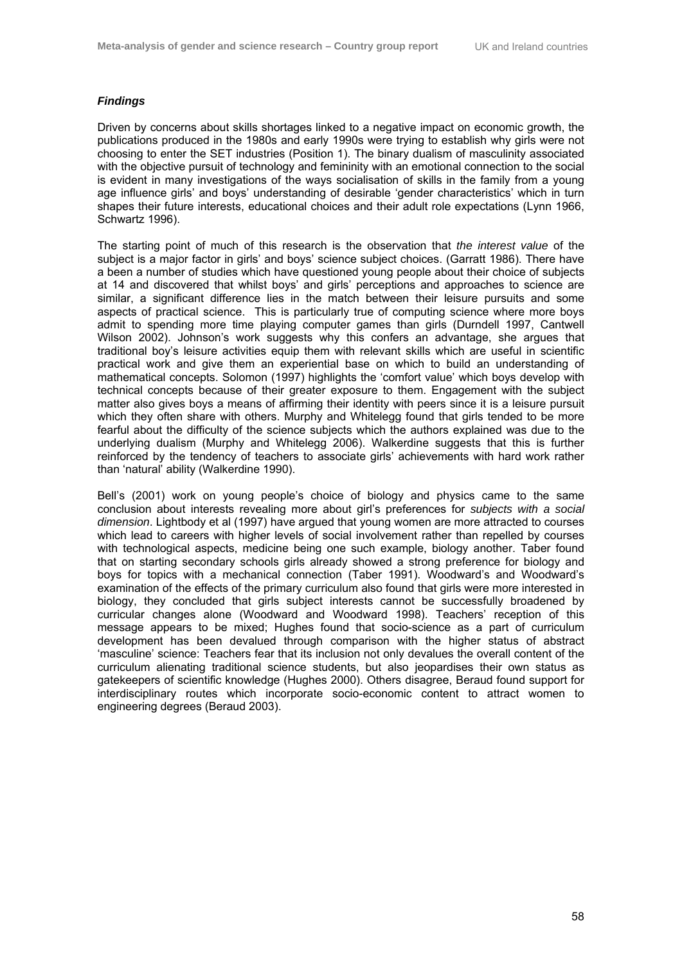## *Findings*

Driven by concerns about skills shortages linked to a negative impact on economic growth, the publications produced in the 1980s and early 1990s were trying to establish why girls were not choosing to enter the SET industries (Position 1). The binary dualism of masculinity associated with the objective pursuit of technology and femininity with an emotional connection to the social is evident in many investigations of the ways socialisation of skills in the family from a young age influence girls' and boys' understanding of desirable 'gender characteristics' which in turn shapes their future interests, educational choices and their adult role expectations (Lynn 1966, Schwartz 1996).

The starting point of much of this research is the observation that *the interest value* of the subject is a major factor in girls' and boys' science subject choices. (Garratt 1986). There have a been a number of studies which have questioned young people about their choice of subjects at 14 and discovered that whilst boys' and girls' perceptions and approaches to science are similar, a significant difference lies in the match between their leisure pursuits and some aspects of practical science. This is particularly true of computing science where more boys admit to spending more time playing computer games than girls (Durndell 1997, Cantwell Wilson 2002). Johnson's work suggests why this confers an advantage, she argues that traditional boy's leisure activities equip them with relevant skills which are useful in scientific practical work and give them an experiential base on which to build an understanding of mathematical concepts. Solomon (1997) highlights the 'comfort value' which boys develop with technical concepts because of their greater exposure to them. Engagement with the subject matter also gives boys a means of affirming their identity with peers since it is a leisure pursuit which they often share with others. Murphy and Whitelegg found that girls tended to be more fearful about the difficulty of the science subjects which the authors explained was due to the underlying dualism (Murphy and Whitelegg 2006). Walkerdine suggests that this is further reinforced by the tendency of teachers to associate girls' achievements with hard work rather than 'natural' ability (Walkerdine 1990).

Bell's (2001) work on young people's choice of biology and physics came to the same conclusion about interests revealing more about girl's preferences for *subjects with a social dimension*. Lightbody et al (1997) have argued that young women are more attracted to courses which lead to careers with higher levels of social involvement rather than repelled by courses with technological aspects, medicine being one such example, biology another. Taber found that on starting secondary schools girls already showed a strong preference for biology and boys for topics with a mechanical connection (Taber 1991). Woodward's and Woodward's examination of the effects of the primary curriculum also found that girls were more interested in biology, they concluded that girls subject interests cannot be successfully broadened by curricular changes alone (Woodward and Woodward 1998). Teachers' reception of this message appears to be mixed; Hughes found that socio-science as a part of curriculum development has been devalued through comparison with the higher status of abstract 'masculine' science: Teachers fear that its inclusion not only devalues the overall content of the curriculum alienating traditional science students, but also jeopardises their own status as gatekeepers of scientific knowledge (Hughes 2000). Others disagree, Beraud found support for interdisciplinary routes which incorporate socio-economic content to attract women to engineering degrees (Beraud 2003).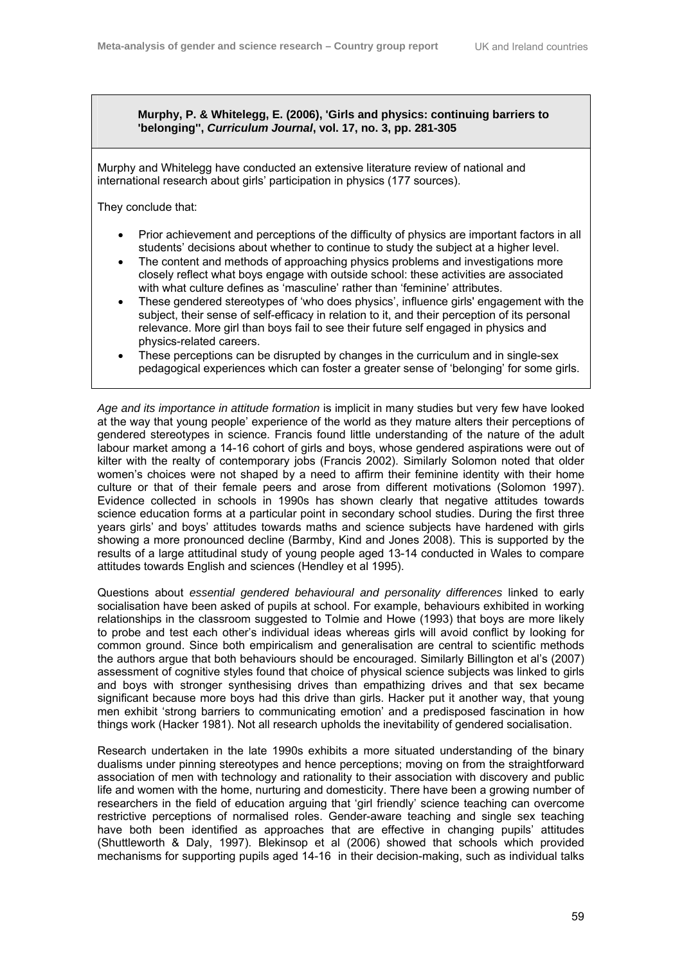**Murphy, P. & Whitelegg, E. (2006), 'Girls and physics: continuing barriers to 'belonging'',** *Curriculum Journal***, vol. 17, no. 3, pp. 281-305** 

Murphy and Whitelegg have conducted an extensive literature review of national and international research about girls' participation in physics (177 sources).

They conclude that:

- Prior achievement and perceptions of the difficulty of physics are important factors in all students' decisions about whether to continue to study the subject at a higher level.
- The content and methods of approaching physics problems and investigations more closely reflect what boys engage with outside school: these activities are associated with what culture defines as 'masculine' rather than 'feminine' attributes.
- These gendered stereotypes of 'who does physics', influence girls' engagement with the subject, their sense of self-efficacy in relation to it, and their perception of its personal relevance. More girl than boys fail to see their future self engaged in physics and physics-related careers.
- These perceptions can be disrupted by changes in the curriculum and in single-sex pedagogical experiences which can foster a greater sense of 'belonging' for some girls.

*Age and its importance in attitude formation* is implicit in many studies but very few have looked at the way that young people' experience of the world as they mature alters their perceptions of gendered stereotypes in science. Francis found little understanding of the nature of the adult labour market among a 14-16 cohort of girls and boys, whose gendered aspirations were out of kilter with the realty of contemporary jobs (Francis 2002). Similarly Solomon noted that older women's choices were not shaped by a need to affirm their feminine identity with their home culture or that of their female peers and arose from different motivations (Solomon 1997). Evidence collected in schools in 1990s has shown clearly that negative attitudes towards science education forms at a particular point in secondary school studies. During the first three years girls' and boys' attitudes towards maths and science subjects have hardened with girls showing a more pronounced decline (Barmby, Kind and Jones 2008). This is supported by the results of a large attitudinal study of young people aged 13-14 conducted in Wales to compare attitudes towards English and sciences (Hendley et al 1995).

Questions about *essential gendered behavioural and personality differences* linked to early socialisation have been asked of pupils at school. For example, behaviours exhibited in working relationships in the classroom suggested to Tolmie and Howe (1993) that boys are more likely to probe and test each other's individual ideas whereas girls will avoid conflict by looking for common ground. Since both empiricalism and generalisation are central to scientific methods the authors argue that both behaviours should be encouraged. Similarly Billington et al's (2007) assessment of cognitive styles found that choice of physical science subjects was linked to girls and boys with stronger synthesising drives than empathizing drives and that sex became significant because more boys had this drive than girls. Hacker put it another way, that young men exhibit 'strong barriers to communicating emotion' and a predisposed fascination in how things work (Hacker 1981). Not all research upholds the inevitability of gendered socialisation.

Research undertaken in the late 1990s exhibits a more situated understanding of the binary dualisms under pinning stereotypes and hence perceptions; moving on from the straightforward association of men with technology and rationality to their association with discovery and public life and women with the home, nurturing and domesticity. There have been a growing number of researchers in the field of education arguing that 'girl friendly' science teaching can overcome restrictive perceptions of normalised roles. Gender-aware teaching and single sex teaching have both been identified as approaches that are effective in changing pupils' attitudes (Shuttleworth & Daly, 1997). Blekinsop et al (2006) showed that schools which provided mechanisms for supporting pupils aged 14-16 in their decision-making, such as individual talks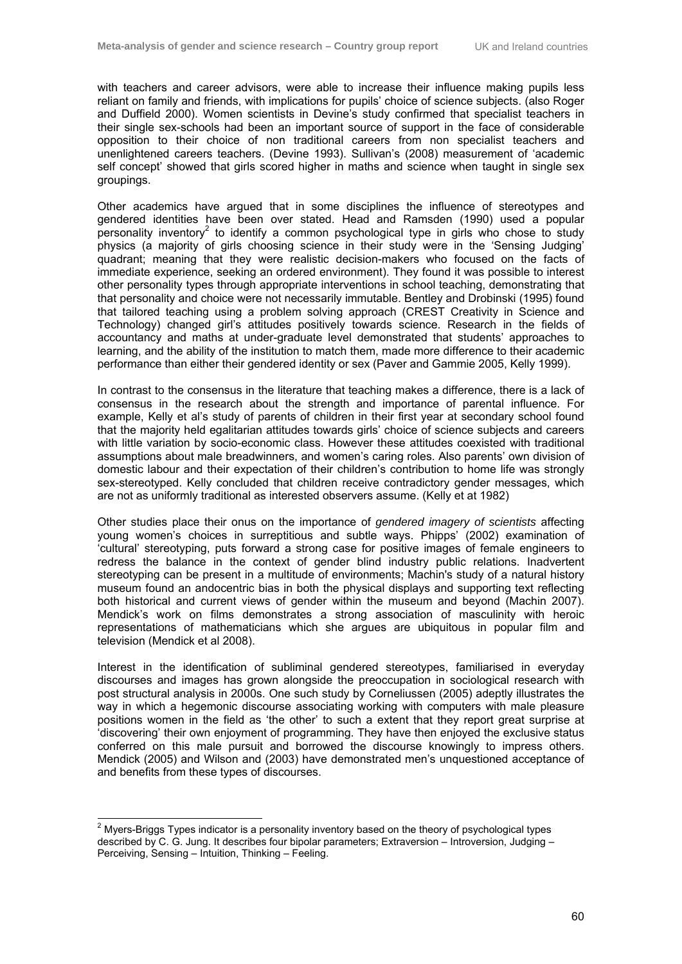with teachers and career advisors, were able to increase their influence making pupils less reliant on family and friends, with implications for pupils' choice of science subjects. (also Roger and Duffield 2000). Women scientists in Devine's study confirmed that specialist teachers in their single sex-schools had been an important source of support in the face of considerable opposition to their choice of non traditional careers from non specialist teachers and unenlightened careers teachers. (Devine 1993). Sullivan's (2008) measurement of 'academic self concept' showed that girls scored higher in maths and science when taught in single sex groupings.

Other academics have argued that in some disciplines the influence of stereotypes and gendered identities have been over stated. Head and Ramsden (1990) used a popular personality inventory<sup>2</sup> to identify a common psychological type in girls who chose to study physics (a majority of girls choosing science in their study were in the 'Sensing Judging' quadrant; meaning that they were realistic decision-makers who focused on the facts of immediate experience, seeking an ordered environment). They found it was possible to interest other personality types through appropriate interventions in school teaching, demonstrating that that personality and choice were not necessarily immutable. Bentley and Drobinski (1995) found that tailored teaching using a problem solving approach (CREST Creativity in Science and Technology) changed girl's attitudes positively towards science. Research in the fields of accountancy and maths at under-graduate level demonstrated that students' approaches to learning, and the ability of the institution to match them, made more difference to their academic performance than either their gendered identity or sex (Paver and Gammie 2005, Kelly 1999).

In contrast to the consensus in the literature that teaching makes a difference, there is a lack of consensus in the research about the strength and importance of parental influence. For example, Kelly et al's study of parents of children in their first year at secondary school found that the majority held egalitarian attitudes towards girls' choice of science subjects and careers with little variation by socio-economic class. However these attitudes coexisted with traditional assumptions about male breadwinners, and women's caring roles. Also parents' own division of domestic labour and their expectation of their children's contribution to home life was strongly sex-stereotyped. Kelly concluded that children receive contradictory gender messages, which are not as uniformly traditional as interested observers assume. (Kelly et at 1982)

Other studies place their onus on the importance of *gendered imagery of scientists* affecting young women's choices in surreptitious and subtle ways. Phipps' (2002) examination of 'cultural' stereotyping, puts forward a strong case for positive images of female engineers to redress the balance in the context of gender blind industry public relations. Inadvertent stereotyping can be present in a multitude of environments; Machin's study of a natural history museum found an andocentric bias in both the physical displays and supporting text reflecting both historical and current views of gender within the museum and beyond (Machin 2007). Mendick's work on films demonstrates a strong association of masculinity with heroic representations of mathematicians which she argues are ubiquitous in popular film and television (Mendick et al 2008).

Interest in the identification of subliminal gendered stereotypes, familiarised in everyday discourses and images has grown alongside the preoccupation in sociological research with post structural analysis in 2000s. One such study by Corneliussen (2005) adeptly illustrates the way in which a hegemonic discourse associating working with computers with male pleasure positions women in the field as 'the other' to such a extent that they report great surprise at 'discovering' their own enjoyment of programming. They have then enjoyed the exclusive status conferred on this male pursuit and borrowed the discourse knowingly to impress others. Mendick (2005) and Wilson and (2003) have demonstrated men's unquestioned acceptance of and benefits from these types of discourses.

 2 Myers-Briggs Types indicator is a personality inventory based on the theory of psychological types described by C. G. Jung. It describes four bipolar parameters; Extraversion – Introversion, Judging – Perceiving, Sensing – Intuition, Thinking – Feeling.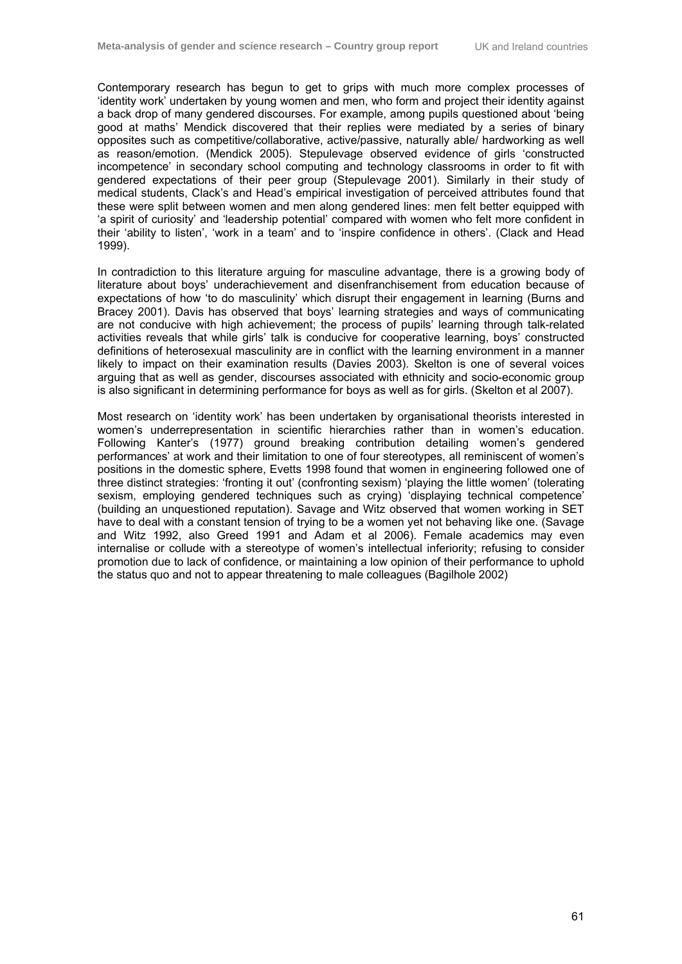Contemporary research has begun to get to grips with much more complex processes of 'identity work' undertaken by young women and men, who form and project their identity against a back drop of many gendered discourses. For example, among pupils questioned about 'being good at maths' Mendick discovered that their replies were mediated by a series of binary opposites such as competitive/collaborative, active/passive, naturally able/ hardworking as well as reason/emotion. (Mendick 2005). Stepulevage observed evidence of girls 'constructed incompetence' in secondary school computing and technology classrooms in order to fit with gendered expectations of their peer group (Stepulevage 2001). Similarly in their study of medical students, Clack's and Head's empirical investigation of perceived attributes found that these were split between women and men along gendered lines: men felt better equipped with 'a spirit of curiosity' and 'leadership potential' compared with women who felt more confident in their 'ability to listen', 'work in a team' and to 'inspire confidence in others'. (Clack and Head 1999).

In contradiction to this literature arguing for masculine advantage, there is a growing body of literature about boys' underachievement and disenfranchisement from education because of expectations of how 'to do masculinity' which disrupt their engagement in learning (Burns and Bracey 2001). Davis has observed that boys' learning strategies and ways of communicating are not conducive with high achievement; the process of pupils' learning through talk-related activities reveals that while girls' talk is conducive for cooperative learning, boys' constructed definitions of heterosexual masculinity are in conflict with the learning environment in a manner likely to impact on their examination results (Davies 2003). Skelton is one of several voices arguing that as well as gender, discourses associated with ethnicity and socio-economic group is also significant in determining performance for boys as well as for girls. (Skelton et al 2007).

Most research on 'identity work' has been undertaken by organisational theorists interested in women's underrepresentation in scientific hierarchies rather than in women's education. Following Kanter's (1977) ground breaking contribution detailing women's gendered performances' at work and their limitation to one of four stereotypes, all reminiscent of women's positions in the domestic sphere, Evetts 1998 found that women in engineering followed one of three distinct strategies: 'fronting it out' (confronting sexism) 'playing the little women' (tolerating sexism, employing gendered techniques such as crying) displaying technical competence' (building an unquestioned reputation). Savage and Witz observed that women working in SET have to deal with a constant tension of trying to be a women yet not behaving like one. (Savage and Witz 1992, also Greed 1991 and Adam et al 2006). Female academics may even internalise or collude with a stereotype of women's intellectual inferiority; refusing to consider promotion due to lack of confidence, or maintaining a low opinion of their performance to uphold the status quo and not to appear threatening to male colleagues (Bagilhole 2002)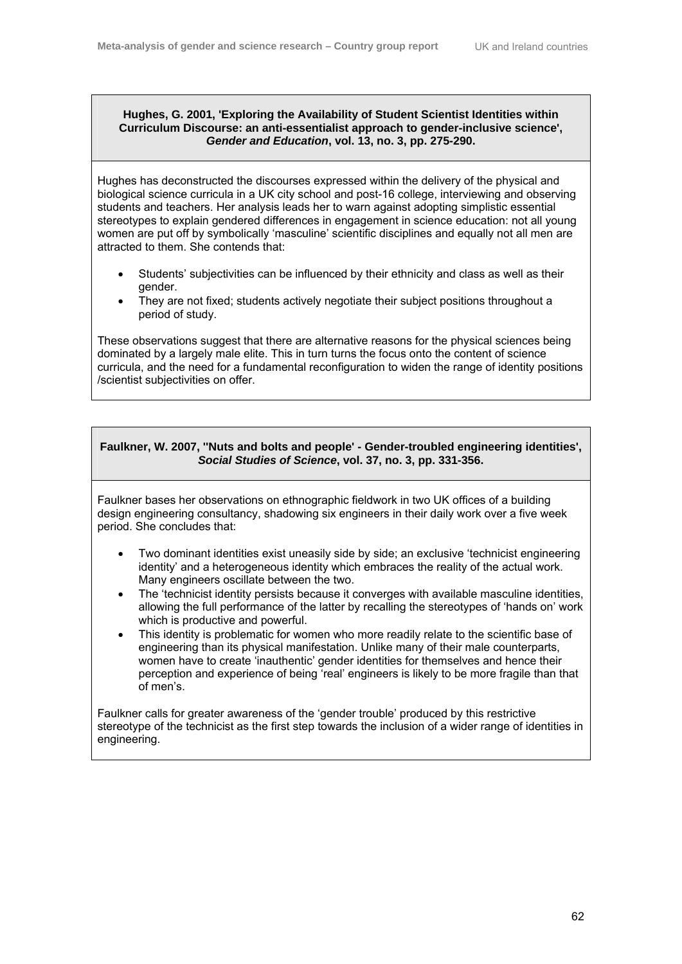## **Hughes, G. 2001, 'Exploring the Availability of Student Scientist Identities within Curriculum Discourse: an anti-essentialist approach to gender-inclusive science',**  *Gender and Education***, vol. 13, no. 3, pp. 275-290.**

Hughes has deconstructed the discourses expressed within the delivery of the physical and biological science curricula in a UK city school and post-16 college, interviewing and observing students and teachers. Her analysis leads her to warn against adopting simplistic essential stereotypes to explain gendered differences in engagement in science education: not all young women are put off by symbolically 'masculine' scientific disciplines and equally not all men are attracted to them. She contends that:

- Students' subjectivities can be influenced by their ethnicity and class as well as their gender.
- They are not fixed; students actively negotiate their subject positions throughout a period of study.

These observations suggest that there are alternative reasons for the physical sciences being dominated by a largely male elite. This in turn turns the focus onto the content of science curricula, and the need for a fundamental reconfiguration to widen the range of identity positions /scientist subjectivities on offer.

# **Faulkner, W. 2007, ''Nuts and bolts and people' - Gender-troubled engineering identities',**  *Social Studies of Science***, vol. 37, no. 3, pp. 331-356.**

Faulkner bases her observations on ethnographic fieldwork in two UK offices of a building design engineering consultancy, shadowing six engineers in their daily work over a five week period. She concludes that:

- Two dominant identities exist uneasily side by side; an exclusive 'technicist engineering identity' and a heterogeneous identity which embraces the reality of the actual work. Many engineers oscillate between the two.
- The 'technicist identity persists because it converges with available masculine identities, allowing the full performance of the latter by recalling the stereotypes of 'hands on' work which is productive and powerful.
- This identity is problematic for women who more readily relate to the scientific base of engineering than its physical manifestation. Unlike many of their male counterparts, women have to create 'inauthentic' gender identities for themselves and hence their perception and experience of being 'real' engineers is likely to be more fragile than that of men's.

Faulkner calls for greater awareness of the 'gender trouble' produced by this restrictive stereotype of the technicist as the first step towards the inclusion of a wider range of identities in engineering.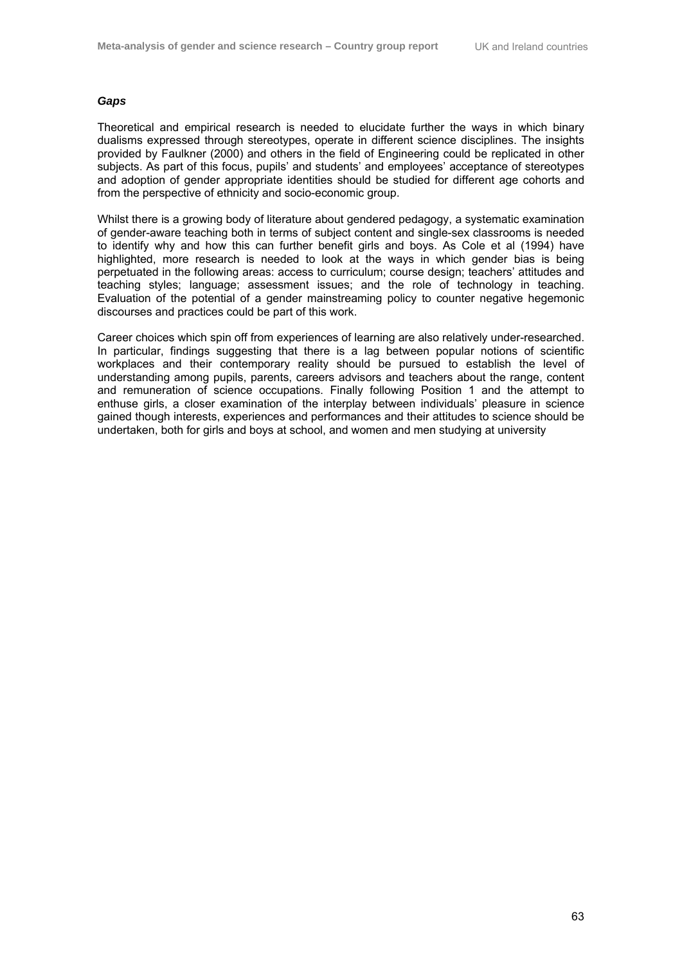## *Gaps*

Theoretical and empirical research is needed to elucidate further the ways in which binary dualisms expressed through stereotypes, operate in different science disciplines. The insights provided by Faulkner (2000) and others in the field of Engineering could be replicated in other subjects. As part of this focus, pupils' and students' and employees' acceptance of stereotypes and adoption of gender appropriate identities should be studied for different age cohorts and from the perspective of ethnicity and socio-economic group.

Whilst there is a growing body of literature about gendered pedagogy, a systematic examination of gender-aware teaching both in terms of subject content and single-sex classrooms is needed to identify why and how this can further benefit girls and boys. As Cole et al (1994) have highlighted, more research is needed to look at the ways in which gender bias is being perpetuated in the following areas: access to curriculum; course design; teachers' attitudes and teaching styles; language; assessment issues; and the role of technology in teaching. Evaluation of the potential of a gender mainstreaming policy to counter negative hegemonic discourses and practices could be part of this work.

Career choices which spin off from experiences of learning are also relatively under-researched. In particular, findings suggesting that there is a lag between popular notions of scientific workplaces and their contemporary reality should be pursued to establish the level of understanding among pupils, parents, careers advisors and teachers about the range, content and remuneration of science occupations. Finally following Position 1 and the attempt to enthuse girls, a closer examination of the interplay between individuals' pleasure in science gained though interests, experiences and performances and their attitudes to science should be undertaken, both for girls and boys at school, and women and men studying at university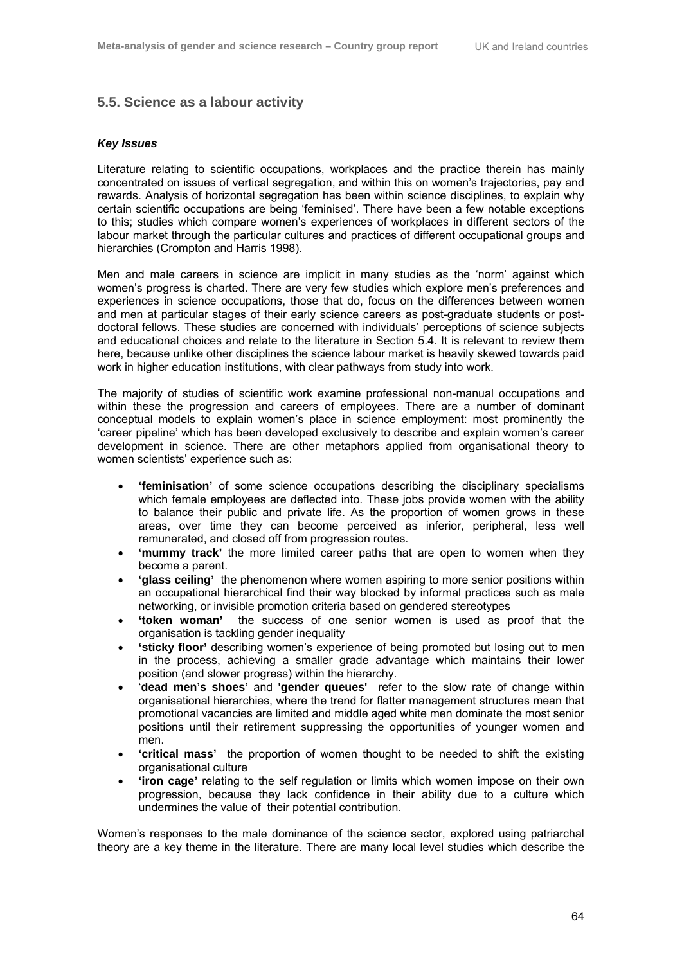## **5.5. Science as a labour activity**

#### *Key Issues*

Literature relating to scientific occupations, workplaces and the practice therein has mainly concentrated on issues of vertical segregation, and within this on women's trajectories, pay and rewards. Analysis of horizontal segregation has been within science disciplines, to explain why certain scientific occupations are being 'feminised'. There have been a few notable exceptions to this; studies which compare women's experiences of workplaces in different sectors of the labour market through the particular cultures and practices of different occupational groups and hierarchies (Crompton and Harris 1998).

Men and male careers in science are implicit in many studies as the 'norm' against which women's progress is charted. There are very few studies which explore men's preferences and experiences in science occupations, those that do, focus on the differences between women and men at particular stages of their early science careers as post-graduate students or postdoctoral fellows. These studies are concerned with individuals' perceptions of science subjects and educational choices and relate to the literature in Section 5.4. It is relevant to review them here, because unlike other disciplines the science labour market is heavily skewed towards paid work in higher education institutions, with clear pathways from study into work.

The majority of studies of scientific work examine professional non-manual occupations and within these the progression and careers of employees. There are a number of dominant conceptual models to explain women's place in science employment: most prominently the 'career pipeline' which has been developed exclusively to describe and explain women's career development in science. There are other metaphors applied from organisational theory to women scientists' experience such as:

- **'feminisation'** of some science occupations describing the disciplinary specialisms which female employees are deflected into. These jobs provide women with the ability to balance their public and private life. As the proportion of women grows in these areas, over time they can become perceived as inferior, peripheral, less well remunerated, and closed off from progression routes.
- **'mummy track'** the more limited career paths that are open to women when they become a parent.
- **'glass ceiling'** the phenomenon where women aspiring to more senior positions within an occupational hierarchical find their way blocked by informal practices such as male networking, or invisible promotion criteria based on gendered stereotypes
- **'token woman'** the success of one senior women is used as proof that the organisation is tackling gender inequality
- **'sticky floor'** describing women's experience of being promoted but losing out to men in the process, achieving a smaller grade advantage which maintains their lower position (and slower progress) within the hierarchy.
- '**dead men's shoes'** and **'gender queues'** refer to the slow rate of change within organisational hierarchies, where the trend for flatter management structures mean that promotional vacancies are limited and middle aged white men dominate the most senior positions until their retirement suppressing the opportunities of younger women and men.
- **'critical mass'** the proportion of women thought to be needed to shift the existing organisational culture
- **'iron cage'** relating to the self regulation or limits which women impose on their own progression, because they lack confidence in their ability due to a culture which undermines the value of their potential contribution.

Women's responses to the male dominance of the science sector, explored using patriarchal theory are a key theme in the literature. There are many local level studies which describe the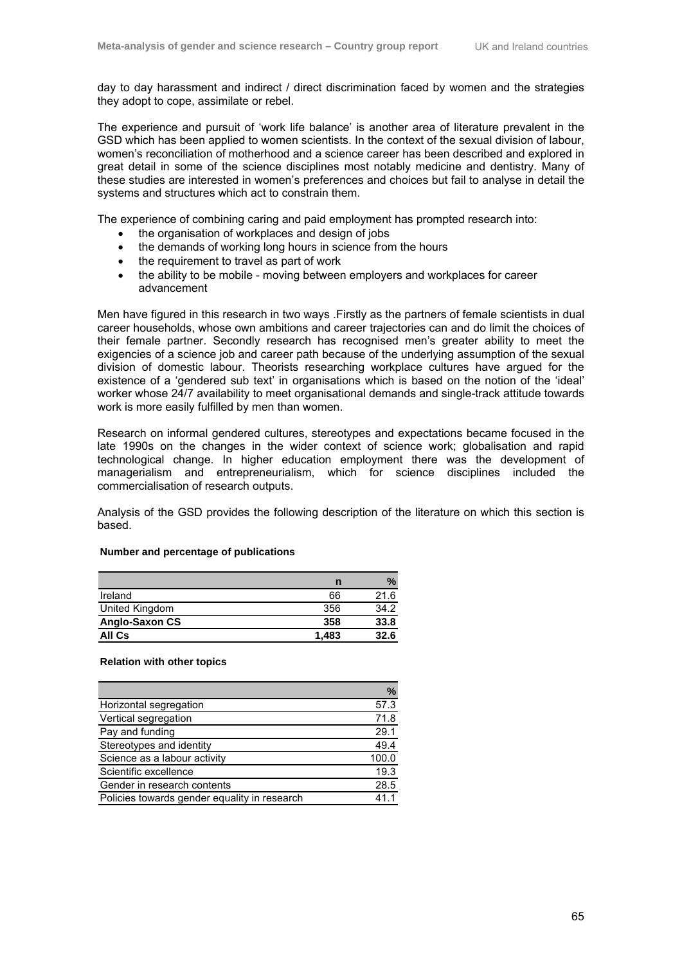day to day harassment and indirect / direct discrimination faced by women and the strategies they adopt to cope, assimilate or rebel.

The experience and pursuit of 'work life balance' is another area of literature prevalent in the GSD which has been applied to women scientists. In the context of the sexual division of labour, women's reconciliation of motherhood and a science career has been described and explored in great detail in some of the science disciplines most notably medicine and dentistry. Many of these studies are interested in women's preferences and choices but fail to analyse in detail the systems and structures which act to constrain them.

The experience of combining caring and paid employment has prompted research into:

- the organisation of workplaces and design of jobs
- the demands of working long hours in science from the hours
- the requirement to travel as part of work
- the ability to be mobile moving between employers and workplaces for career advancement

Men have figured in this research in two ways .Firstly as the partners of female scientists in dual career households, whose own ambitions and career trajectories can and do limit the choices of their female partner. Secondly research has recognised men's greater ability to meet the exigencies of a science job and career path because of the underlying assumption of the sexual division of domestic labour. Theorists researching workplace cultures have argued for the existence of a 'gendered sub text' in organisations which is based on the notion of the 'ideal' worker whose 24/7 availability to meet organisational demands and single-track attitude towards work is more easily fulfilled by men than women.

Research on informal gendered cultures, stereotypes and expectations became focused in the late 1990s on the changes in the wider context of science work; globalisation and rapid technological change. In higher education employment there was the development of managerialism and entrepreneurialism, which for science disciplines included the commercialisation of research outputs.

Analysis of the GSD provides the following description of the literature on which this section is based.

|                | n     | $\%$ |
|----------------|-------|------|
| Ireland        | 66    | 21.6 |
| United Kingdom | 356   | 34.2 |
| Anglo-Saxon CS | 358   | 33.8 |
| All Cs         | 1,483 | 32.6 |

#### **Number and percentage of publications**

#### **Relation with other topics**

|                                              | %     |
|----------------------------------------------|-------|
| Horizontal segregation                       | 57.3  |
| Vertical segregation                         | 71.8  |
| Pay and funding                              | 29.1  |
| Stereotypes and identity                     | 49.4  |
| Science as a labour activity                 | 100.0 |
| Scientific excellence                        | 19.3  |
| Gender in research contents                  | 28.5  |
| Policies towards gender equality in research | 411   |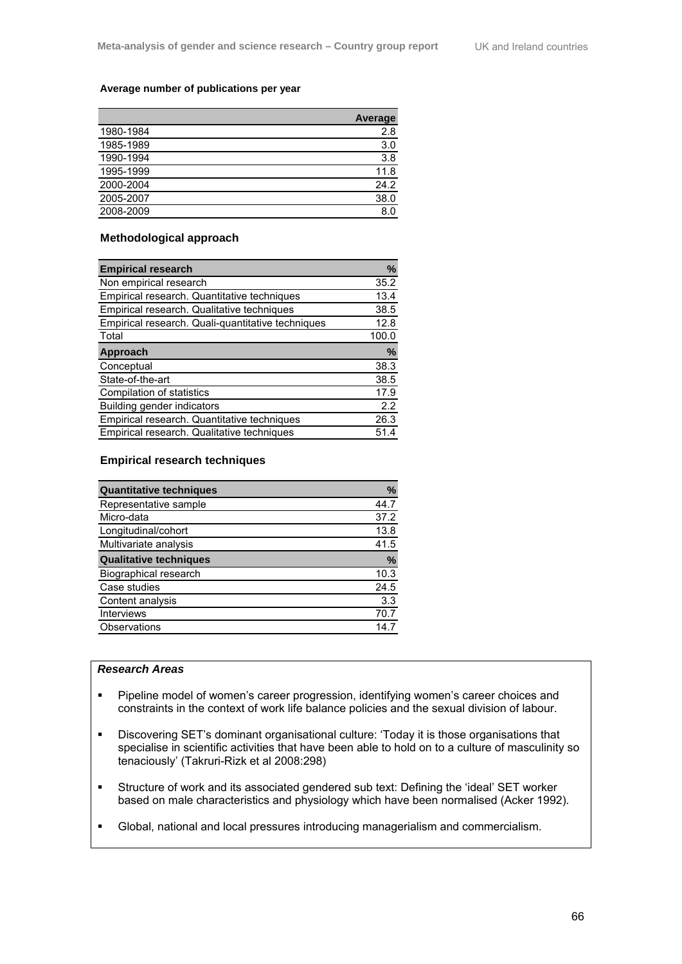#### **Average number of publications per year**

| <b>Average</b> |
|----------------|
| 2.8            |
| 3.0            |
| 3.8            |
| 11.8           |
| 24.2           |
| 38.0           |
| 8.0            |
|                |

#### **Methodological approach**

| <b>Empirical research</b>                         | %     |
|---------------------------------------------------|-------|
| Non empirical research                            | 35.2  |
| Empirical research. Quantitative techniques       | 13.4  |
| Empirical research. Qualitative techniques        | 38.5  |
| Empirical research. Quali-quantitative techniques | 12.8  |
| Total                                             | 100.0 |
| Approach                                          | %     |
| Conceptual                                        | 38.3  |
| State-of-the-art                                  | 38.5  |
| Compilation of statistics                         | 17.9  |
| Building gender indicators                        | 2.2   |
| Empirical research. Quantitative techniques       | 26.3  |
| Empirical research. Qualitative techniques        | 51.4  |

#### **Empirical research techniques**

| <b>Quantitative techniques</b> | %    |
|--------------------------------|------|
| Representative sample          | 44.7 |
| Micro-data                     | 37.2 |
| Longitudinal/cohort            | 13.8 |
| Multivariate analysis          | 41.5 |
| <b>Qualitative techniques</b>  | %    |
| Biographical research          | 10.3 |
| Case studies                   | 24.5 |
| Content analysis               | 3.3  |
| <b>Interviews</b>              | 70.7 |
| Observations                   | 14 7 |

#### *Research Areas*

- **Pipeline model of women's career progression, identifying women's career choices and** constraints in the context of work life balance policies and the sexual division of labour.
- Discovering SET's dominant organisational culture: 'Today it is those organisations that specialise in scientific activities that have been able to hold on to a culture of masculinity so tenaciously' (Takruri-Rizk et al 2008:298)
- Structure of work and its associated gendered sub text: Defining the 'ideal' SET worker based on male characteristics and physiology which have been normalised (Acker 1992).
- Global, national and local pressures introducing managerialism and commercialism.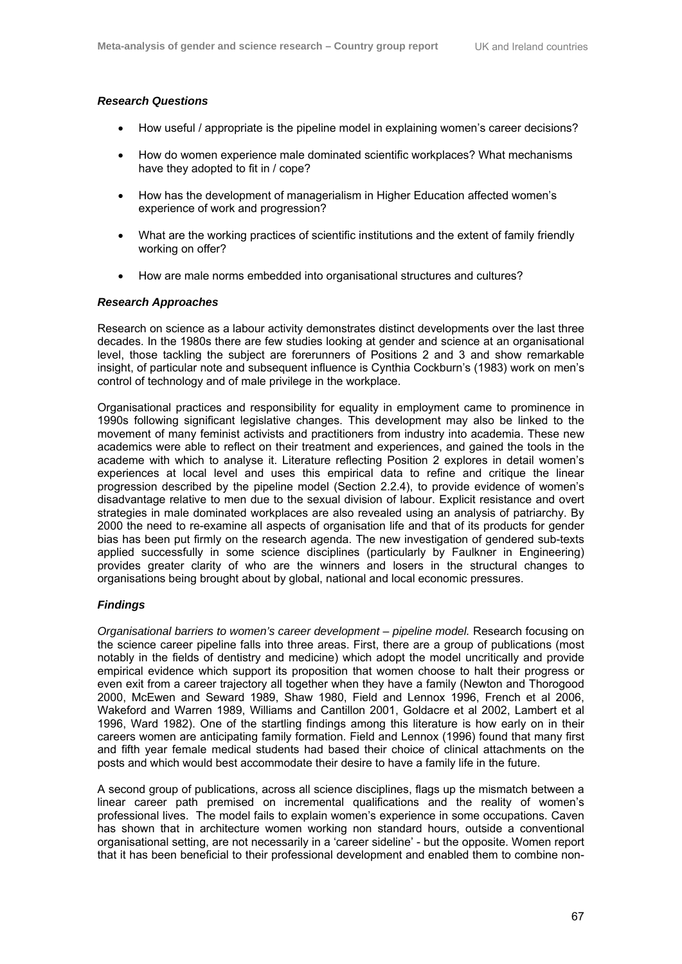#### *Research Questions*

- How useful / appropriate is the pipeline model in explaining women's career decisions?
- How do women experience male dominated scientific workplaces? What mechanisms have they adopted to fit in / cope?
- How has the development of managerialism in Higher Education affected women's experience of work and progression?
- What are the working practices of scientific institutions and the extent of family friendly working on offer?
- How are male norms embedded into organisational structures and cultures?

#### *Research Approaches*

Research on science as a labour activity demonstrates distinct developments over the last three decades. In the 1980s there are few studies looking at gender and science at an organisational level, those tackling the subject are forerunners of Positions 2 and 3 and show remarkable insight, of particular note and subsequent influence is Cynthia Cockburn's (1983) work on men's control of technology and of male privilege in the workplace.

Organisational practices and responsibility for equality in employment came to prominence in 1990s following significant legislative changes. This development may also be linked to the movement of many feminist activists and practitioners from industry into academia. These new academics were able to reflect on their treatment and experiences, and gained the tools in the academe with which to analyse it. Literature reflecting Position 2 explores in detail women's experiences at local level and uses this empirical data to refine and critique the linear progression described by the pipeline model (Section 2.2.4), to provide evidence of women's disadvantage relative to men due to the sexual division of labour. Explicit resistance and overt strategies in male dominated workplaces are also revealed using an analysis of patriarchy. By 2000 the need to re-examine all aspects of organisation life and that of its products for gender bias has been put firmly on the research agenda. The new investigation of gendered sub-texts applied successfully in some science disciplines (particularly by Faulkner in Engineering) provides greater clarity of who are the winners and losers in the structural changes to organisations being brought about by global, national and local economic pressures.

#### *Findings*

*Organisational barriers to women's career development – pipeline model.* Research focusing on the science career pipeline falls into three areas. First, there are a group of publications (most notably in the fields of dentistry and medicine) which adopt the model uncritically and provide empirical evidence which support its proposition that women choose to halt their progress or even exit from a career trajectory all together when they have a family (Newton and Thorogood 2000, McEwen and Seward 1989, Shaw 1980, Field and Lennox 1996, French et al 2006, Wakeford and Warren 1989, Williams and Cantillon 2001, Goldacre et al 2002, Lambert et al 1996, Ward 1982). One of the startling findings among this literature is how early on in their careers women are anticipating family formation. Field and Lennox (1996) found that many first and fifth year female medical students had based their choice of clinical attachments on the posts and which would best accommodate their desire to have a family life in the future.

A second group of publications, across all science disciplines, flags up the mismatch between a linear career path premised on incremental qualifications and the reality of women's professional lives. The model fails to explain women's experience in some occupations. Caven has shown that in architecture women working non standard hours, outside a conventional organisational setting, are not necessarily in a 'career sideline' - but the opposite. Women report that it has been beneficial to their professional development and enabled them to combine non-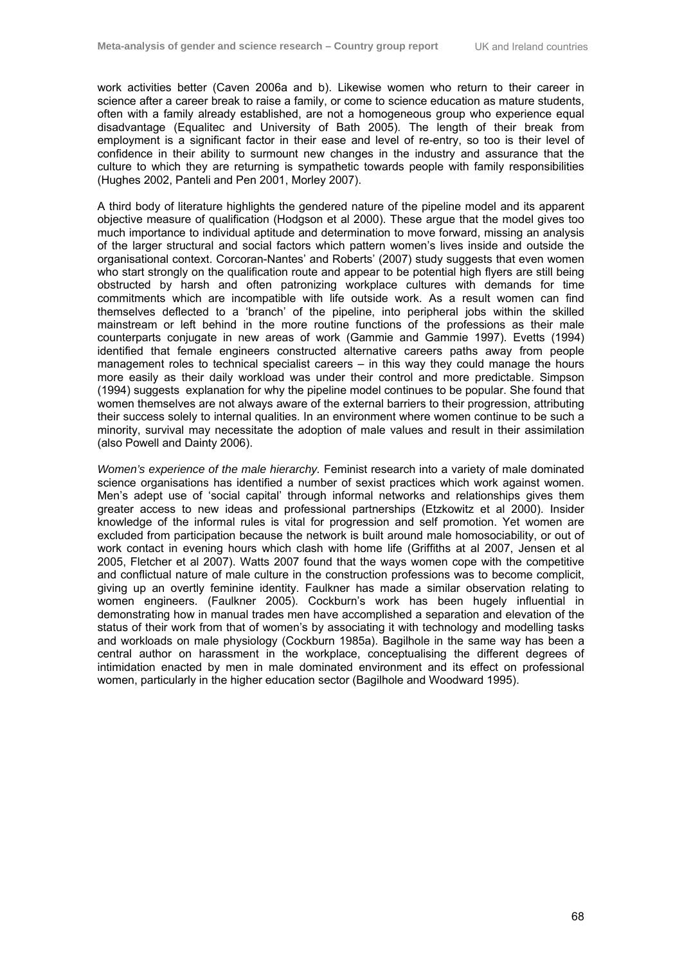work activities better (Caven 2006a and b). Likewise women who return to their career in science after a career break to raise a family, or come to science education as mature students, often with a family already established, are not a homogeneous group who experience equal disadvantage (Equalitec and University of Bath 2005). The length of their break from employment is a significant factor in their ease and level of re-entry, so too is their level of confidence in their ability to surmount new changes in the industry and assurance that the culture to which they are returning is sympathetic towards people with family responsibilities (Hughes 2002, Panteli and Pen 2001, Morley 2007).

A third body of literature highlights the gendered nature of the pipeline model and its apparent objective measure of qualification (Hodgson et al 2000). These argue that the model gives too much importance to individual aptitude and determination to move forward, missing an analysis of the larger structural and social factors which pattern women's lives inside and outside the organisational context. Corcoran-Nantes' and Roberts' (2007) study suggests that even women who start strongly on the qualification route and appear to be potential high flyers are still being obstructed by harsh and often patronizing workplace cultures with demands for time commitments which are incompatible with life outside work. As a result women can find themselves deflected to a 'branch' of the pipeline, into peripheral jobs within the skilled mainstream or left behind in the more routine functions of the professions as their male counterparts conjugate in new areas of work (Gammie and Gammie 1997). Evetts (1994) identified that female engineers constructed alternative careers paths away from people management roles to technical specialist careers – in this way they could manage the hours more easily as their daily workload was under their control and more predictable. Simpson (1994) suggests explanation for why the pipeline model continues to be popular. She found that women themselves are not always aware of the external barriers to their progression, attributing their success solely to internal qualities. In an environment where women continue to be such a minority, survival may necessitate the adoption of male values and result in their assimilation (also Powell and Dainty 2006).

*Women's experience of the male hierarchy.* Feminist research into a variety of male dominated science organisations has identified a number of sexist practices which work against women. Men's adept use of 'social capital' through informal networks and relationships gives them greater access to new ideas and professional partnerships (Etzkowitz et al 2000). Insider knowledge of the informal rules is vital for progression and self promotion. Yet women are excluded from participation because the network is built around male homosociability, or out of work contact in evening hours which clash with home life (Griffiths at al 2007, Jensen et al 2005, Fletcher et al 2007). Watts 2007 found that the ways women cope with the competitive and conflictual nature of male culture in the construction professions was to become complicit, giving up an overtly feminine identity. Faulkner has made a similar observation relating to women engineers. (Faulkner 2005). Cockburn's work has been hugely influential in demonstrating how in manual trades men have accomplished a separation and elevation of the status of their work from that of women's by associating it with technology and modelling tasks and workloads on male physiology (Cockburn 1985a). Bagilhole in the same way has been a central author on harassment in the workplace, conceptualising the different degrees of intimidation enacted by men in male dominated environment and its effect on professional women, particularly in the higher education sector (Bagilhole and Woodward 1995).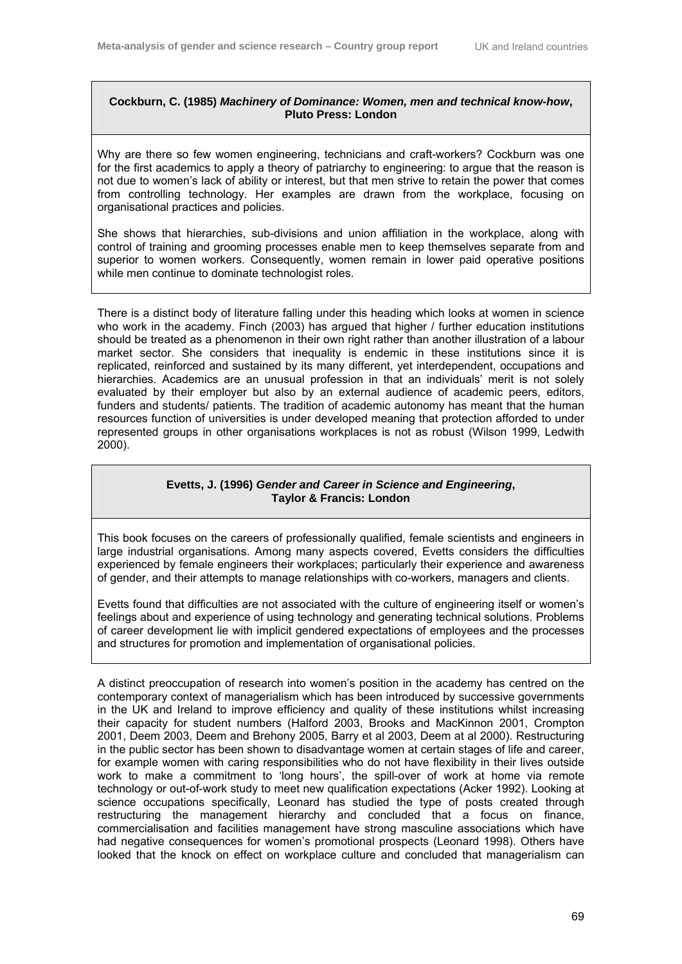## **Cockburn, C. (1985)** *Machinery of Dominance: Women, men and technical know-how***, Pluto Press: London**

Why are there so few women engineering, technicians and craft-workers? Cockburn was one for the first academics to apply a theory of patriarchy to engineering: to argue that the reason is not due to women's lack of ability or interest, but that men strive to retain the power that comes from controlling technology. Her examples are drawn from the workplace, focusing on organisational practices and policies.

She shows that hierarchies, sub-divisions and union affiliation in the workplace, along with control of training and grooming processes enable men to keep themselves separate from and superior to women workers. Consequently, women remain in lower paid operative positions while men continue to dominate technologist roles.

There is a distinct body of literature falling under this heading which looks at women in science who work in the academy. Finch (2003) has argued that higher / further education institutions should be treated as a phenomenon in their own right rather than another illustration of a labour market sector. She considers that inequality is endemic in these institutions since it is replicated, reinforced and sustained by its many different, yet interdependent, occupations and hierarchies. Academics are an unusual profession in that an individuals' merit is not solely evaluated by their employer but also by an external audience of academic peers, editors, funders and students/ patients. The tradition of academic autonomy has meant that the human resources function of universities is under developed meaning that protection afforded to under represented groups in other organisations workplaces is not as robust (Wilson 1999, Ledwith 2000).

## **Evetts, J. (1996)** *Gender and Career in Science and Engineering***, Taylor & Francis: London**

This book focuses on the careers of professionally qualified, female scientists and engineers in large industrial organisations. Among many aspects covered, Evetts considers the difficulties experienced by female engineers their workplaces; particularly their experience and awareness of gender, and their attempts to manage relationships with co-workers, managers and clients.

Evetts found that difficulties are not associated with the culture of engineering itself or women's feelings about and experience of using technology and generating technical solutions. Problems of career development lie with implicit gendered expectations of employees and the processes and structures for promotion and implementation of organisational policies.

A distinct preoccupation of research into women's position in the academy has centred on the contemporary context of managerialism which has been introduced by successive governments in the UK and Ireland to improve efficiency and quality of these institutions whilst increasing their capacity for student numbers (Halford 2003, Brooks and MacKinnon 2001, Crompton 2001, Deem 2003, Deem and Brehony 2005, Barry et al 2003, Deem at al 2000). Restructuring in the public sector has been shown to disadvantage women at certain stages of life and career, for example women with caring responsibilities who do not have flexibility in their lives outside work to make a commitment to 'long hours', the spill-over of work at home via remote technology or out-of-work study to meet new qualification expectations (Acker 1992). Looking at science occupations specifically, Leonard has studied the type of posts created through restructuring the management hierarchy and concluded that a focus on finance, commercialisation and facilities management have strong masculine associations which have had negative consequences for women's promotional prospects (Leonard 1998). Others have looked that the knock on effect on workplace culture and concluded that managerialism can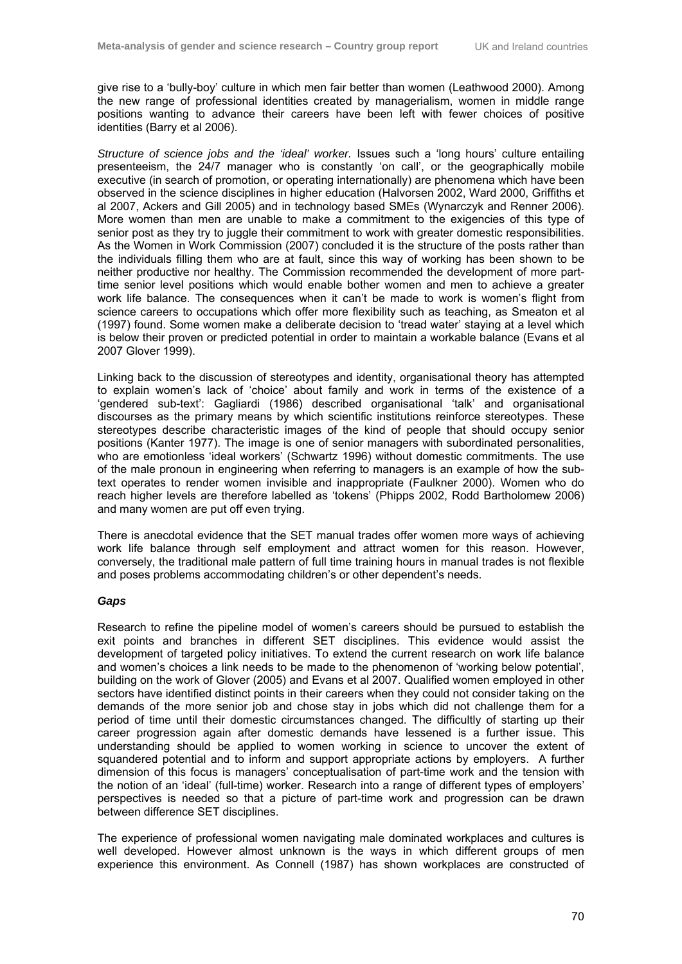give rise to a 'bully-boy' culture in which men fair better than women (Leathwood 2000). Among the new range of professional identities created by managerialism, women in middle range positions wanting to advance their careers have been left with fewer choices of positive identities (Barry et al 2006).

*Structure of science jobs and the 'ideal' worker.* Issues such a 'long hours' culture entailing presenteeism, the 24/7 manager who is constantly 'on call', or the geographically mobile executive (in search of promotion, or operating internationally) are phenomena which have been observed in the science disciplines in higher education (Halvorsen 2002, Ward 2000, Griffiths et al 2007, Ackers and Gill 2005) and in technology based SMEs (Wynarczyk and Renner 2006). More women than men are unable to make a commitment to the exigencies of this type of senior post as they try to juggle their commitment to work with greater domestic responsibilities. As the Women in Work Commission (2007) concluded it is the structure of the posts rather than the individuals filling them who are at fault, since this way of working has been shown to be neither productive nor healthy. The Commission recommended the development of more parttime senior level positions which would enable bother women and men to achieve a greater work life balance. The consequences when it can't be made to work is women's flight from science careers to occupations which offer more flexibility such as teaching, as Smeaton et al (1997) found. Some women make a deliberate decision to 'tread water' staying at a level which is below their proven or predicted potential in order to maintain a workable balance (Evans et al 2007 Glover 1999).

Linking back to the discussion of stereotypes and identity, organisational theory has attempted to explain women's lack of 'choice' about family and work in terms of the existence of a 'gendered sub-text': Gagliardi (1986) described organisational 'talk' and organisational discourses as the primary means by which scientific institutions reinforce stereotypes. These stereotypes describe characteristic images of the kind of people that should occupy senior positions (Kanter 1977). The image is one of senior managers with subordinated personalities, who are emotionless 'ideal workers' (Schwartz 1996) without domestic commitments. The use of the male pronoun in engineering when referring to managers is an example of how the subtext operates to render women invisible and inappropriate (Faulkner 2000). Women who do reach higher levels are therefore labelled as 'tokens' (Phipps 2002, Rodd Bartholomew 2006) and many women are put off even trying.

There is anecdotal evidence that the SET manual trades offer women more ways of achieving work life balance through self employment and attract women for this reason. However, conversely, the traditional male pattern of full time training hours in manual trades is not flexible and poses problems accommodating children's or other dependent's needs.

## *Gaps*

Research to refine the pipeline model of women's careers should be pursued to establish the exit points and branches in different SET disciplines. This evidence would assist the development of targeted policy initiatives. To extend the current research on work life balance and women's choices a link needs to be made to the phenomenon of 'working below potential', building on the work of Glover (2005) and Evans et al 2007. Qualified women employed in other sectors have identified distinct points in their careers when they could not consider taking on the demands of the more senior job and chose stay in jobs which did not challenge them for a period of time until their domestic circumstances changed. The difficultly of starting up their career progression again after domestic demands have lessened is a further issue. This understanding should be applied to women working in science to uncover the extent of squandered potential and to inform and support appropriate actions by employers. A further dimension of this focus is managers' conceptualisation of part-time work and the tension with the notion of an 'ideal' (full-time) worker. Research into a range of different types of employers' perspectives is needed so that a picture of part-time work and progression can be drawn between difference SET disciplines.

The experience of professional women navigating male dominated workplaces and cultures is well developed. However almost unknown is the ways in which different groups of men experience this environment. As Connell (1987) has shown workplaces are constructed of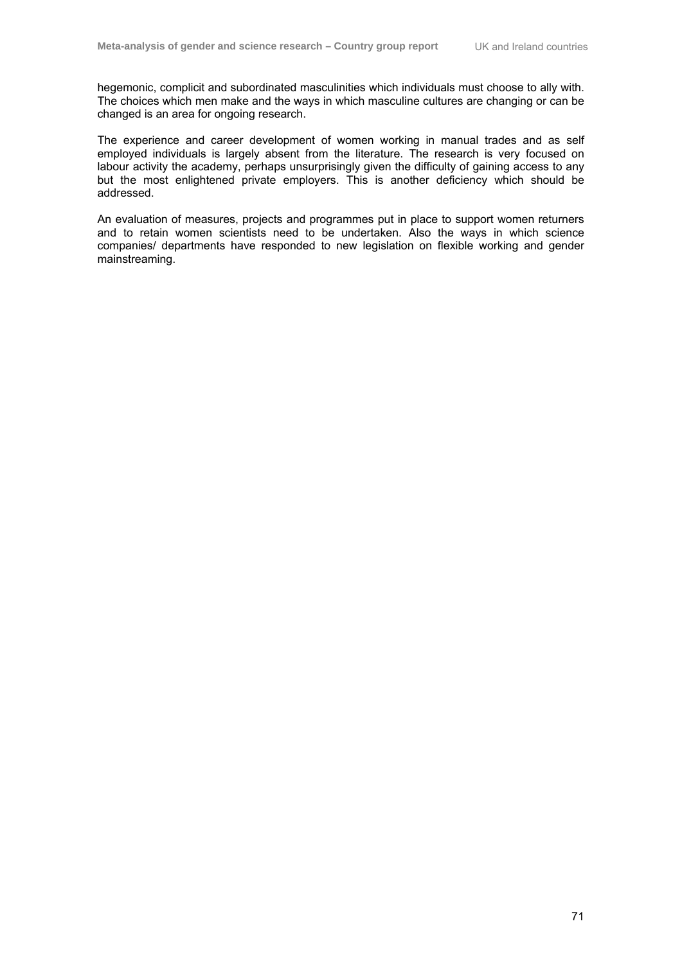hegemonic, complicit and subordinated masculinities which individuals must choose to ally with. The choices which men make and the ways in which masculine cultures are changing or can be changed is an area for ongoing research.

The experience and career development of women working in manual trades and as self employed individuals is largely absent from the literature. The research is very focused on labour activity the academy, perhaps unsurprisingly given the difficulty of gaining access to any but the most enlightened private employers. This is another deficiency which should be addressed.

An evaluation of measures, projects and programmes put in place to support women returners and to retain women scientists need to be undertaken. Also the ways in which science companies/ departments have responded to new legislation on flexible working and gender mainstreaming.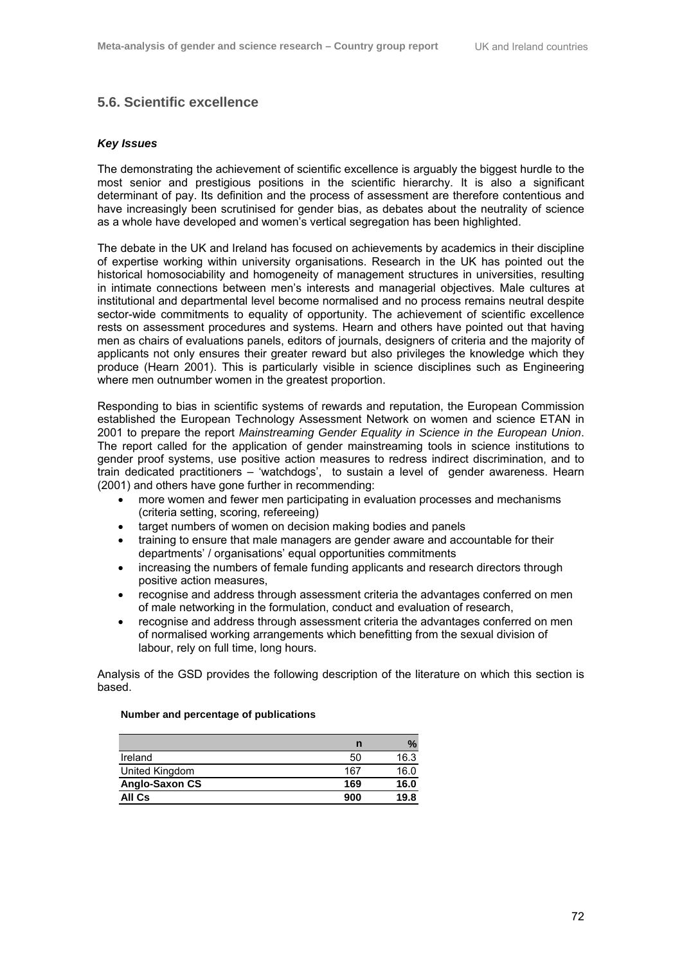## **5.6. Scientific excellence**

#### *Key Issues*

The demonstrating the achievement of scientific excellence is arguably the biggest hurdle to the most senior and prestigious positions in the scientific hierarchy. It is also a significant determinant of pay. Its definition and the process of assessment are therefore contentious and have increasingly been scrutinised for gender bias, as debates about the neutrality of science as a whole have developed and women's vertical segregation has been highlighted.

The debate in the UK and Ireland has focused on achievements by academics in their discipline of expertise working within university organisations. Research in the UK has pointed out the historical homosociability and homogeneity of management structures in universities, resulting in intimate connections between men's interests and managerial objectives. Male cultures at institutional and departmental level become normalised and no process remains neutral despite sector-wide commitments to equality of opportunity. The achievement of scientific excellence rests on assessment procedures and systems. Hearn and others have pointed out that having men as chairs of evaluations panels, editors of journals, designers of criteria and the majority of applicants not only ensures their greater reward but also privileges the knowledge which they produce (Hearn 2001). This is particularly visible in science disciplines such as Engineering where men outnumber women in the greatest proportion.

Responding to bias in scientific systems of rewards and reputation, the European Commission established the European Technology Assessment Network on women and science ETAN in 2001 to prepare the report *Mainstreaming Gender Equality in Science in the European Union*. The report called for the application of gender mainstreaming tools in science institutions to gender proof systems, use positive action measures to redress indirect discrimination, and to train dedicated practitioners – 'watchdogs', to sustain a level of gender awareness. Hearn (2001) and others have gone further in recommending:

- more women and fewer men participating in evaluation processes and mechanisms (criteria setting, scoring, refereeing)
- target numbers of women on decision making bodies and panels
- training to ensure that male managers are gender aware and accountable for their departments' / organisations' equal opportunities commitments
- increasing the numbers of female funding applicants and research directors through positive action measures,
- recognise and address through assessment criteria the advantages conferred on men of male networking in the formulation, conduct and evaluation of research,
- recognise and address through assessment criteria the advantages conferred on men of normalised working arrangements which benefitting from the sexual division of labour, rely on full time, long hours.

Analysis of the GSD provides the following description of the literature on which this section is based.

#### **Number and percentage of publications**

|                | n   | %    |
|----------------|-----|------|
| Ireland        | 50  | 16.3 |
| United Kingdom | 167 | 16.0 |
| Anglo-Saxon CS | 169 | 16.0 |
| All Cs         | 900 | 19.8 |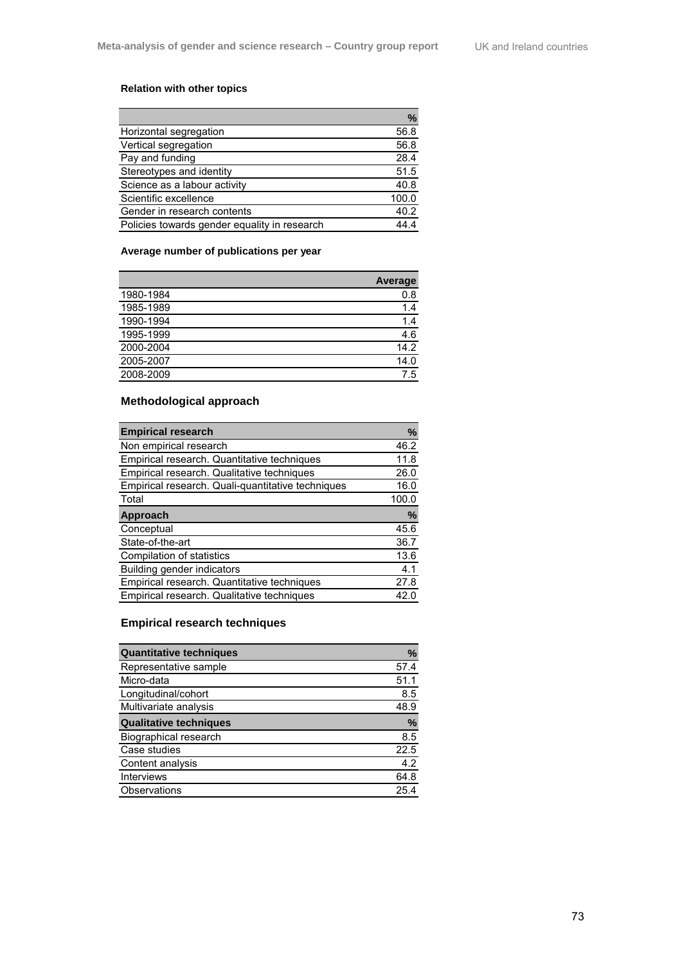## **Relation with other topics**

|                                              | ℅     |
|----------------------------------------------|-------|
| Horizontal segregation                       | 56.8  |
| Vertical segregation                         | 56.8  |
| Pay and funding                              | 28.4  |
| Stereotypes and identity                     | 51.5  |
| Science as a labour activity                 | 40.8  |
| Scientific excellence                        | 100.0 |
| Gender in research contents                  | 40.2  |
| Policies towards gender equality in research |       |

## **Average number of publications per year**

|           | <b>Average</b> |
|-----------|----------------|
| 1980-1984 | 0.8            |
| 1985-1989 | 1.4            |
| 1990-1994 | 1.4            |
| 1995-1999 | 4.6            |
| 2000-2004 | 14.2           |
| 2005-2007 | 14.0           |
| 2008-2009 | 7.5            |

# **Methodological approach**

| <b>Empirical research</b>                         | %     |
|---------------------------------------------------|-------|
| Non empirical research                            | 46.2  |
| Empirical research. Quantitative techniques       | 11.8  |
| Empirical research. Qualitative techniques        | 26.0  |
| Empirical research. Quali-quantitative techniques | 16.0  |
| Total                                             | 100.0 |
| Approach                                          | %     |
| Conceptual                                        | 45.6  |
| State-of-the-art                                  | 36.7  |
| Compilation of statistics                         | 13.6  |
| Building gender indicators                        | 4.1   |
| Empirical research. Quantitative techniques       | 27.8  |
| Empirical research. Qualitative techniques        | 42 O  |

## **Empirical research techniques**

| <b>Quantitative techniques</b> | %             |
|--------------------------------|---------------|
| Representative sample          | 57.4          |
| Micro-data                     | 51.1          |
| Longitudinal/cohort            | 8.5           |
| Multivariate analysis          | 48.9          |
| <b>Qualitative techniques</b>  | $\frac{0}{0}$ |
| <b>Biographical research</b>   | 8.5           |
| Case studies                   | 22.5          |
| Content analysis               | 4.2           |
| <b>Interviews</b>              | 64.8          |
| Observations                   | 254           |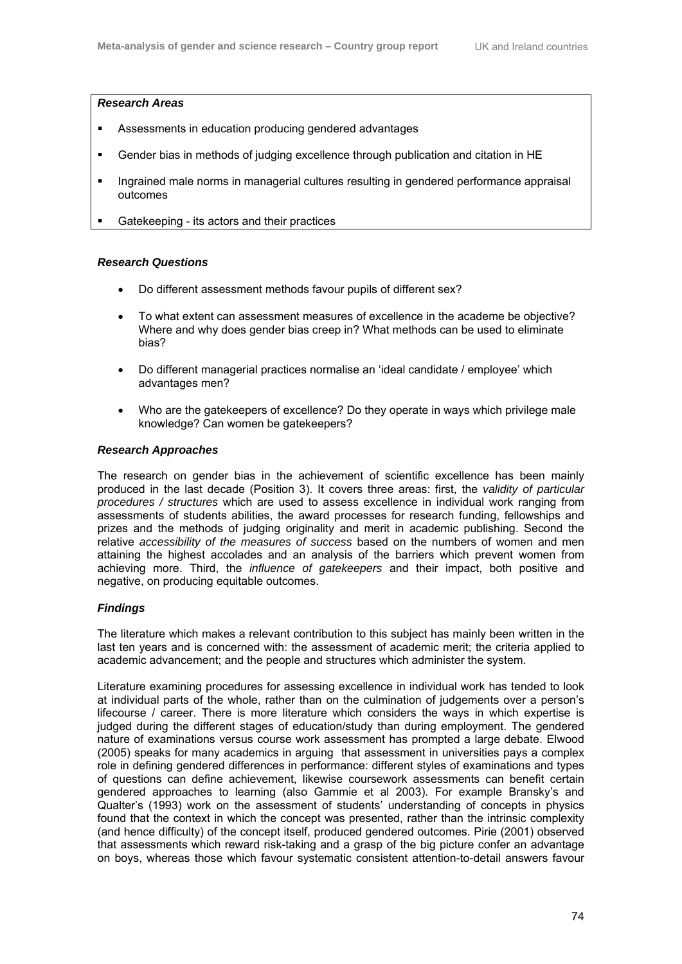#### *Research Areas*

- Assessments in education producing gendered advantages
- Gender bias in methods of judging excellence through publication and citation in HE
- Ingrained male norms in managerial cultures resulting in gendered performance appraisal outcomes
- Gatekeeping its actors and their practices

## *Research Questions*

- Do different assessment methods favour pupils of different sex?
- To what extent can assessment measures of excellence in the academe be objective? Where and why does gender bias creep in? What methods can be used to eliminate bias?
- Do different managerial practices normalise an 'ideal candidate / employee' which advantages men?
- Who are the gatekeepers of excellence? Do they operate in ways which privilege male knowledge? Can women be gatekeepers?

## *Research Approaches*

The research on gender bias in the achievement of scientific excellence has been mainly produced in the last decade (Position 3). It covers three areas: first, the *validity of particular procedures / structures* which are used to assess excellence in individual work ranging from assessments of students abilities, the award processes for research funding, fellowships and prizes and the methods of judging originality and merit in academic publishing. Second the relative *accessibility of the measures of success* based on the numbers of women and men attaining the highest accolades and an analysis of the barriers which prevent women from achieving more. Third, the *influence of gatekeepers* and their impact, both positive and negative, on producing equitable outcomes.

## *Findings*

The literature which makes a relevant contribution to this subject has mainly been written in the last ten years and is concerned with: the assessment of academic merit; the criteria applied to academic advancement; and the people and structures which administer the system.

Literature examining procedures for assessing excellence in individual work has tended to look at individual parts of the whole, rather than on the culmination of judgements over a person's lifecourse / career. There is more literature which considers the ways in which expertise is judged during the different stages of education/study than during employment. The gendered nature of examinations versus course work assessment has prompted a large debate. Elwood (2005) speaks for many academics in arguing that assessment in universities pays a complex role in defining gendered differences in performance: different styles of examinations and types of questions can define achievement, likewise coursework assessments can benefit certain gendered approaches to learning (also Gammie et al 2003). For example Bransky's and Qualter's (1993) work on the assessment of students' understanding of concepts in physics found that the context in which the concept was presented, rather than the intrinsic complexity (and hence difficulty) of the concept itself, produced gendered outcomes. Pirie (2001) observed that assessments which reward risk-taking and a grasp of the big picture confer an advantage on boys, whereas those which favour systematic consistent attention-to-detail answers favour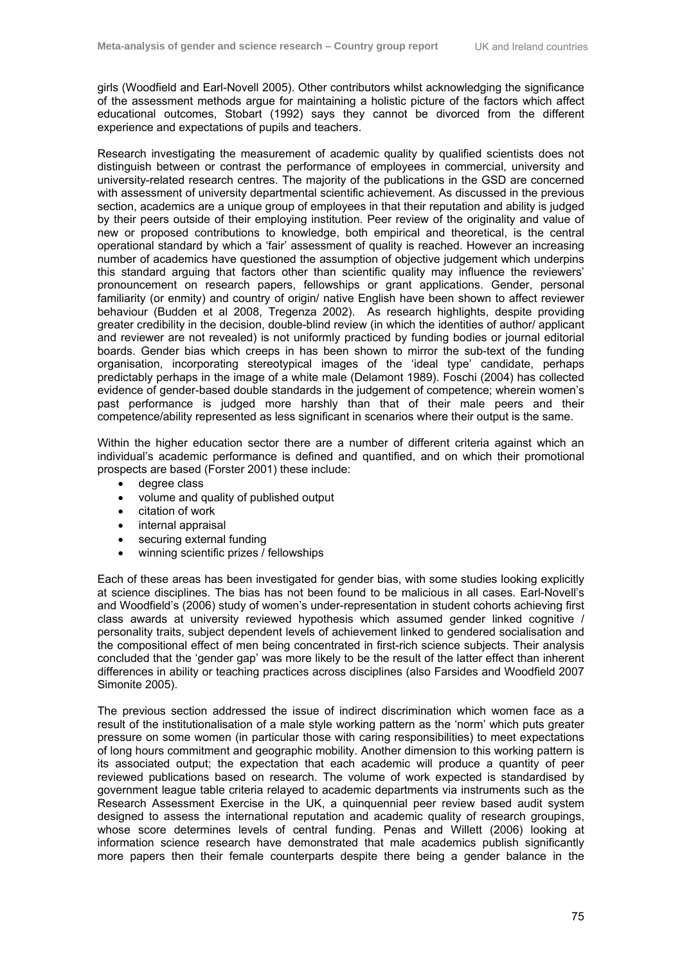girls (Woodfield and Earl-Novell 2005). Other contributors whilst acknowledging the significance of the assessment methods argue for maintaining a holistic picture of the factors which affect educational outcomes, Stobart (1992) says they cannot be divorced from the different experience and expectations of pupils and teachers.

Research investigating the measurement of academic quality by qualified scientists does not distinguish between or contrast the performance of employees in commercial, university and university-related research centres. The majority of the publications in the GSD are concerned with assessment of university departmental scientific achievement. As discussed in the previous section, academics are a unique group of employees in that their reputation and ability is judged by their peers outside of their employing institution. Peer review of the originality and value of new or proposed contributions to knowledge, both empirical and theoretical, is the central operational standard by which a 'fair' assessment of quality is reached. However an increasing number of academics have questioned the assumption of objective judgement which underpins this standard arguing that factors other than scientific quality may influence the reviewers' pronouncement on research papers, fellowships or grant applications. Gender, personal familiarity (or enmity) and country of origin/ native English have been shown to affect reviewer behaviour (Budden et al 2008, Tregenza 2002). As research highlights, despite providing greater credibility in the decision, double-blind review (in which the identities of author/ applicant and reviewer are not revealed) is not uniformly practiced by funding bodies or journal editorial boards. Gender bias which creeps in has been shown to mirror the sub-text of the funding organisation, incorporating stereotypical images of the 'ideal type' candidate, perhaps predictably perhaps in the image of a white male (Delamont 1989). Foschi (2004) has collected evidence of gender-based double standards in the judgement of competence; wherein women's past performance is judged more harshly than that of their male peers and their competence/ability represented as less significant in scenarios where their output is the same.

Within the higher education sector there are a number of different criteria against which an individual's academic performance is defined and quantified, and on which their promotional prospects are based (Forster 2001) these include:

- degree class
- volume and quality of published output
- citation of work
- internal appraisal
- securing external funding
- winning scientific prizes / fellowships

Each of these areas has been investigated for gender bias, with some studies looking explicitly at science disciplines. The bias has not been found to be malicious in all cases. Earl-Novell's and Woodfield's (2006) study of women's under-representation in student cohorts achieving first class awards at university reviewed hypothesis which assumed gender linked cognitive / personality traits, subject dependent levels of achievement linked to gendered socialisation and the compositional effect of men being concentrated in first-rich science subjects. Their analysis concluded that the 'gender gap' was more likely to be the result of the latter effect than inherent differences in ability or teaching practices across disciplines (also Farsides and Woodfield 2007 Simonite 2005).

The previous section addressed the issue of indirect discrimination which women face as a result of the institutionalisation of a male style working pattern as the 'norm' which puts greater pressure on some women (in particular those with caring responsibilities) to meet expectations of long hours commitment and geographic mobility. Another dimension to this working pattern is its associated output; the expectation that each academic will produce a quantity of peer reviewed publications based on research. The volume of work expected is standardised by government league table criteria relayed to academic departments via instruments such as the Research Assessment Exercise in the UK, a quinquennial peer review based audit system designed to assess the international reputation and academic quality of research groupings, whose score determines levels of central funding. Penas and Willett (2006) looking at information science research have demonstrated that male academics publish significantly more papers then their female counterparts despite there being a gender balance in the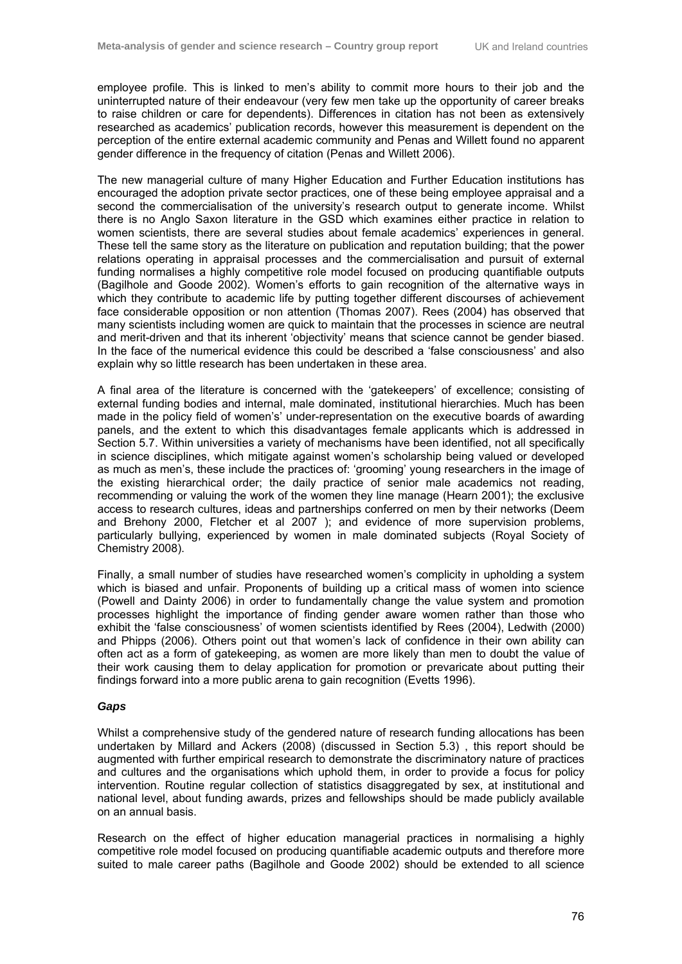employee profile. This is linked to men's ability to commit more hours to their job and the uninterrupted nature of their endeavour (very few men take up the opportunity of career breaks to raise children or care for dependents). Differences in citation has not been as extensively researched as academics' publication records, however this measurement is dependent on the perception of the entire external academic community and Penas and Willett found no apparent gender difference in the frequency of citation (Penas and Willett 2006).

The new managerial culture of many Higher Education and Further Education institutions has encouraged the adoption private sector practices, one of these being employee appraisal and a second the commercialisation of the university's research output to generate income. Whilst there is no Anglo Saxon literature in the GSD which examines either practice in relation to women scientists, there are several studies about female academics' experiences in general. These tell the same story as the literature on publication and reputation building; that the power relations operating in appraisal processes and the commercialisation and pursuit of external funding normalises a highly competitive role model focused on producing quantifiable outputs (Bagilhole and Goode 2002). Women's efforts to gain recognition of the alternative ways in which they contribute to academic life by putting together different discourses of achievement face considerable opposition or non attention (Thomas 2007). Rees (2004) has observed that many scientists including women are quick to maintain that the processes in science are neutral and merit-driven and that its inherent 'objectivity' means that science cannot be gender biased. In the face of the numerical evidence this could be described a 'false consciousness' and also explain why so little research has been undertaken in these area.

A final area of the literature is concerned with the 'gatekeepers' of excellence; consisting of external funding bodies and internal, male dominated, institutional hierarchies. Much has been made in the policy field of women's' under-representation on the executive boards of awarding panels, and the extent to which this disadvantages female applicants which is addressed in Section 5.7. Within universities a variety of mechanisms have been identified, not all specifically in science disciplines, which mitigate against women's scholarship being valued or developed as much as men's, these include the practices of: 'grooming' young researchers in the image of the existing hierarchical order; the daily practice of senior male academics not reading, recommending or valuing the work of the women they line manage (Hearn 2001); the exclusive access to research cultures, ideas and partnerships conferred on men by their networks (Deem and Brehony 2000, Fletcher et al 2007 ); and evidence of more supervision problems, particularly bullying, experienced by women in male dominated subjects (Royal Society of Chemistry 2008).

Finally, a small number of studies have researched women's complicity in upholding a system which is biased and unfair. Proponents of building up a critical mass of women into science (Powell and Dainty 2006) in order to fundamentally change the value system and promotion processes highlight the importance of finding gender aware women rather than those who exhibit the 'false consciousness' of women scientists identified by Rees (2004), Ledwith (2000) and Phipps (2006). Others point out that women's lack of confidence in their own ability can often act as a form of gatekeeping, as women are more likely than men to doubt the value of their work causing them to delay application for promotion or prevaricate about putting their findings forward into a more public arena to gain recognition (Evetts 1996).

#### *Gaps*

Whilst a comprehensive study of the gendered nature of research funding allocations has been undertaken by Millard and Ackers (2008) (discussed in Section 5.3) , this report should be augmented with further empirical research to demonstrate the discriminatory nature of practices and cultures and the organisations which uphold them, in order to provide a focus for policy intervention. Routine regular collection of statistics disaggregated by sex, at institutional and national level, about funding awards, prizes and fellowships should be made publicly available on an annual basis.

Research on the effect of higher education managerial practices in normalising a highly competitive role model focused on producing quantifiable academic outputs and therefore more suited to male career paths (Bagilhole and Goode 2002) should be extended to all science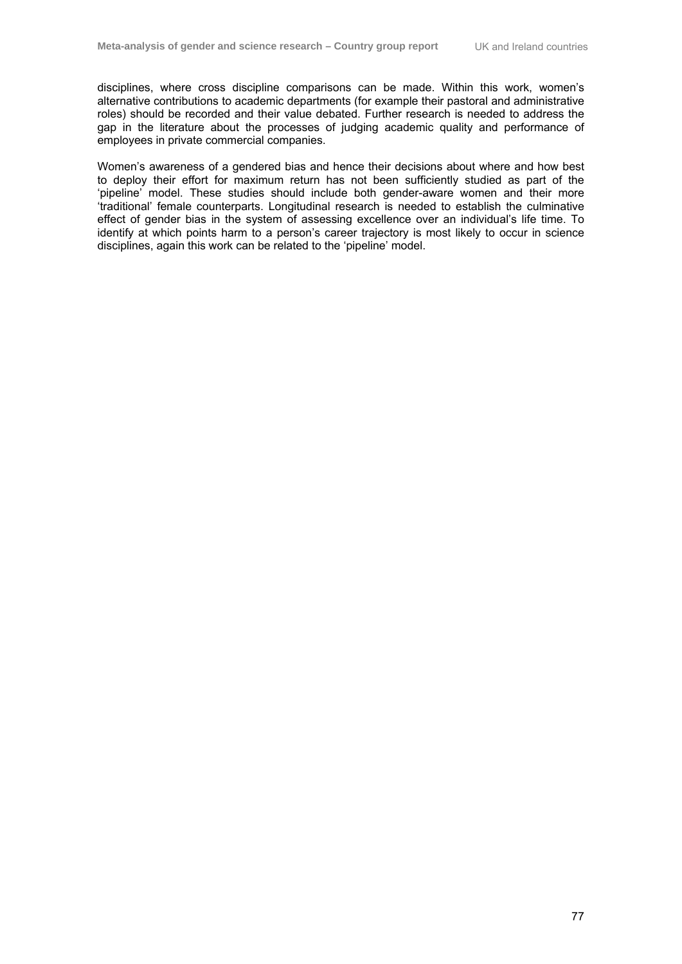disciplines, where cross discipline comparisons can be made. Within this work, women's alternative contributions to academic departments (for example their pastoral and administrative roles) should be recorded and their value debated. Further research is needed to address the gap in the literature about the processes of judging academic quality and performance of employees in private commercial companies.

Women's awareness of a gendered bias and hence their decisions about where and how best to deploy their effort for maximum return has not been sufficiently studied as part of the 'pipeline' model. These studies should include both gender-aware women and their more 'traditional' female counterparts. Longitudinal research is needed to establish the culminative effect of gender bias in the system of assessing excellence over an individual's life time. To identify at which points harm to a person's career trajectory is most likely to occur in science disciplines, again this work can be related to the 'pipeline' model.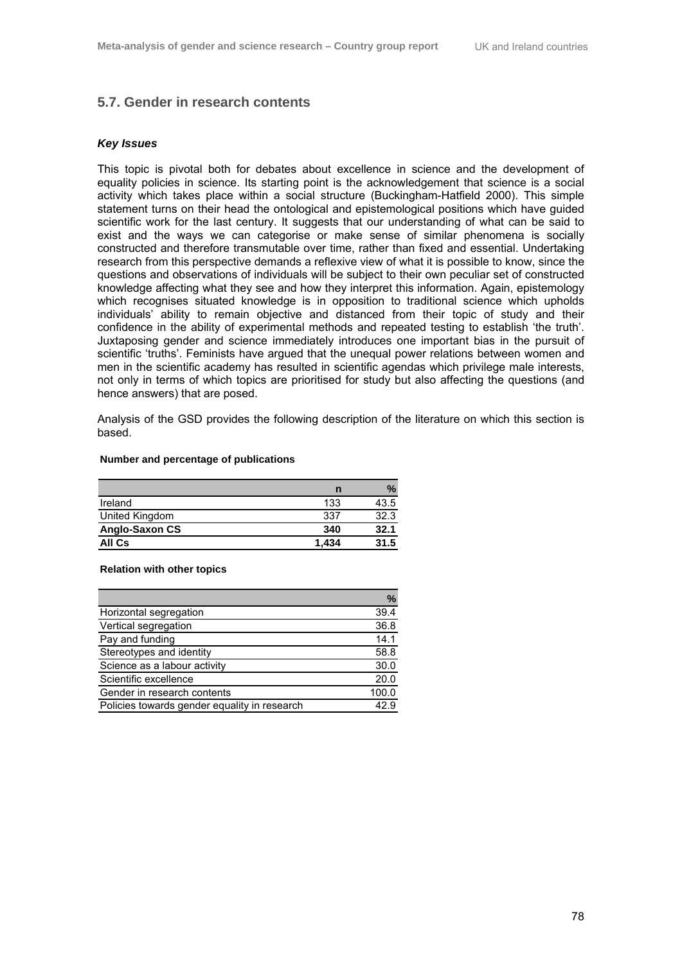## **5.7. Gender in research contents**

#### *Key Issues*

This topic is pivotal both for debates about excellence in science and the development of equality policies in science. Its starting point is the acknowledgement that science is a social activity which takes place within a social structure (Buckingham-Hatfield 2000). This simple statement turns on their head the ontological and epistemological positions which have guided scientific work for the last century. It suggests that our understanding of what can be said to exist and the ways we can categorise or make sense of similar phenomena is socially constructed and therefore transmutable over time, rather than fixed and essential. Undertaking research from this perspective demands a reflexive view of what it is possible to know, since the questions and observations of individuals will be subject to their own peculiar set of constructed knowledge affecting what they see and how they interpret this information. Again, epistemology which recognises situated knowledge is in opposition to traditional science which upholds individuals' ability to remain objective and distanced from their topic of study and their confidence in the ability of experimental methods and repeated testing to establish 'the truth'. Juxtaposing gender and science immediately introduces one important bias in the pursuit of scientific 'truths'. Feminists have argued that the unequal power relations between women and men in the scientific academy has resulted in scientific agendas which privilege male interests, not only in terms of which topics are prioritised for study but also affecting the questions (and hence answers) that are posed.

Analysis of the GSD provides the following description of the literature on which this section is based.

#### **Number and percentage of publications**

|                       | n     | ℅    |
|-----------------------|-------|------|
| Ireland               | 133   | 43.5 |
| United Kingdom        | 337   | 32.3 |
| <b>Anglo-Saxon CS</b> | 340   | 32.1 |
| All Cs                | 1.434 | 31.5 |

#### **Relation with other topics**

|                                              | %     |
|----------------------------------------------|-------|
| Horizontal segregation                       | 39.4  |
| Vertical segregation                         | 36.8  |
| Pay and funding                              | 14.1  |
| Stereotypes and identity                     | 58.8  |
| Science as a labour activity                 | 30.0  |
| Scientific excellence                        | 20.0  |
| Gender in research contents                  | 100.0 |
| Policies towards gender equality in research | 42.9  |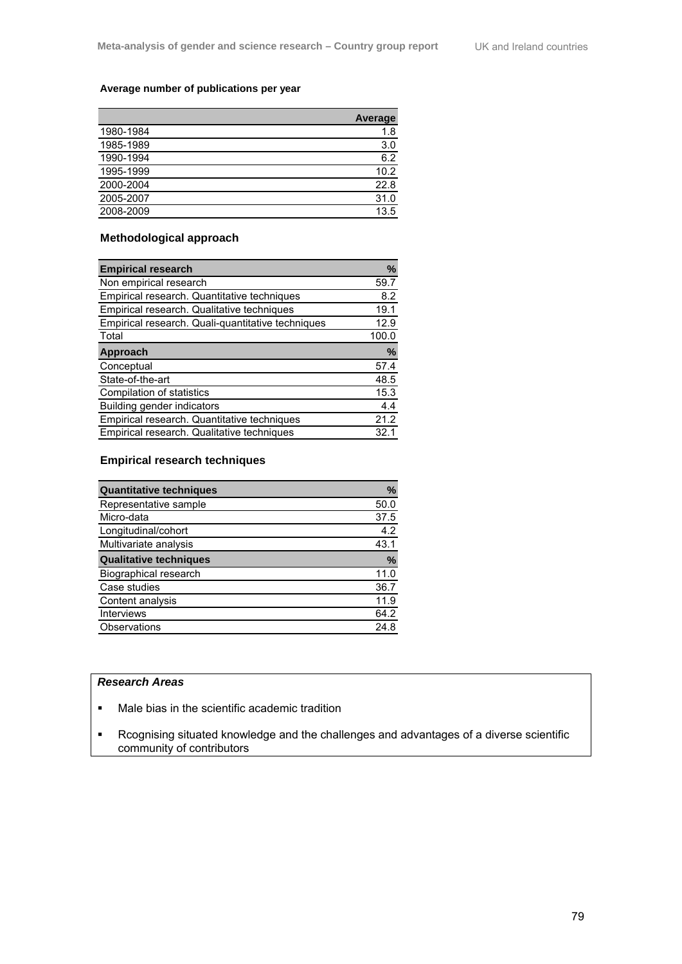## **Average number of publications per year**

|           | <b>Average</b> |
|-----------|----------------|
| 1980-1984 | 1.8            |
| 1985-1989 | 3.0            |
| 1990-1994 | 6.2            |
| 1995-1999 | 10.2           |
| 2000-2004 | 22.8           |
| 2005-2007 | 31.0           |
| 2008-2009 | 13.5           |
|           |                |

## **Methodological approach**

| <b>Empirical research</b>                         | %     |
|---------------------------------------------------|-------|
| Non empirical research                            | 59.7  |
| Empirical research. Quantitative techniques       | 8.2   |
| Empirical research. Qualitative techniques        | 19.1  |
| Empirical research. Quali-quantitative techniques | 12.9  |
| Total                                             | 100.0 |
| Approach                                          | %     |
| Conceptual                                        | 57.4  |
| State-of-the-art                                  | 48.5  |
| Compilation of statistics                         | 15.3  |
| <b>Building gender indicators</b>                 | 4.4   |
| Empirical research. Quantitative techniques       | 21.2  |
| Empirical research. Qualitative techniques        | 32.1  |

## **Empirical research techniques**

| <b>Quantitative techniques</b> | $\%$          |
|--------------------------------|---------------|
| Representative sample          | 50.0          |
| Micro-data                     | 37.5          |
| Longitudinal/cohort            | 4.2           |
| Multivariate analysis          | 43.1          |
| <b>Qualitative techniques</b>  | $\frac{0}{0}$ |
| Biographical research          | 11.0          |
| Case studies                   | 36.7          |
| Content analysis               | 11.9          |
| <b>Interviews</b>              | 64.2          |
| Observations                   | 24.8          |

#### *Research Areas*

- **Male bias in the scientific academic tradition**
- Rcognising situated knowledge and the challenges and advantages of a diverse scientific community of contributors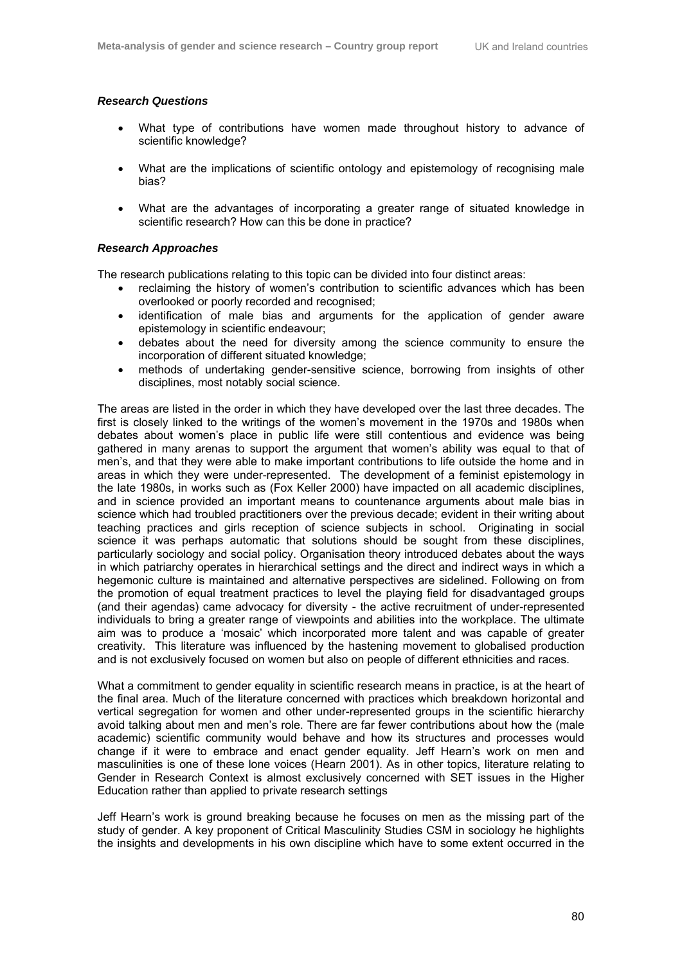#### *Research Questions*

- What type of contributions have women made throughout history to advance of scientific knowledge?
- What are the implications of scientific ontology and epistemology of recognising male bias?
- What are the advantages of incorporating a greater range of situated knowledge in scientific research? How can this be done in practice?

#### *Research Approaches*

The research publications relating to this topic can be divided into four distinct areas:

- reclaiming the history of women's contribution to scientific advances which has been overlooked or poorly recorded and recognised;
- identification of male bias and arguments for the application of gender aware epistemology in scientific endeavour;
- debates about the need for diversity among the science community to ensure the incorporation of different situated knowledge;
- methods of undertaking gender-sensitive science, borrowing from insights of other disciplines, most notably social science.

The areas are listed in the order in which they have developed over the last three decades. The first is closely linked to the writings of the women's movement in the 1970s and 1980s when debates about women's place in public life were still contentious and evidence was being gathered in many arenas to support the argument that women's ability was equal to that of men's, and that they were able to make important contributions to life outside the home and in areas in which they were under-represented. The development of a feminist epistemology in the late 1980s, in works such as (Fox Keller 2000) have impacted on all academic disciplines, and in science provided an important means to countenance arguments about male bias in science which had troubled practitioners over the previous decade; evident in their writing about teaching practices and girls reception of science subjects in school. Originating in social science it was perhaps automatic that solutions should be sought from these disciplines, particularly sociology and social policy. Organisation theory introduced debates about the ways in which patriarchy operates in hierarchical settings and the direct and indirect ways in which a hegemonic culture is maintained and alternative perspectives are sidelined. Following on from the promotion of equal treatment practices to level the playing field for disadvantaged groups (and their agendas) came advocacy for diversity - the active recruitment of under-represented individuals to bring a greater range of viewpoints and abilities into the workplace. The ultimate aim was to produce a 'mosaic' which incorporated more talent and was capable of greater creativity. This literature was influenced by the hastening movement to globalised production and is not exclusively focused on women but also on people of different ethnicities and races.

What a commitment to gender equality in scientific research means in practice, is at the heart of the final area. Much of the literature concerned with practices which breakdown horizontal and vertical segregation for women and other under-represented groups in the scientific hierarchy avoid talking about men and men's role. There are far fewer contributions about how the (male academic) scientific community would behave and how its structures and processes would change if it were to embrace and enact gender equality. Jeff Hearn's work on men and masculinities is one of these lone voices (Hearn 2001). As in other topics, literature relating to Gender in Research Context is almost exclusively concerned with SET issues in the Higher Education rather than applied to private research settings

Jeff Hearn's work is ground breaking because he focuses on men as the missing part of the study of gender. A key proponent of Critical Masculinity Studies CSM in sociology he highlights the insights and developments in his own discipline which have to some extent occurred in the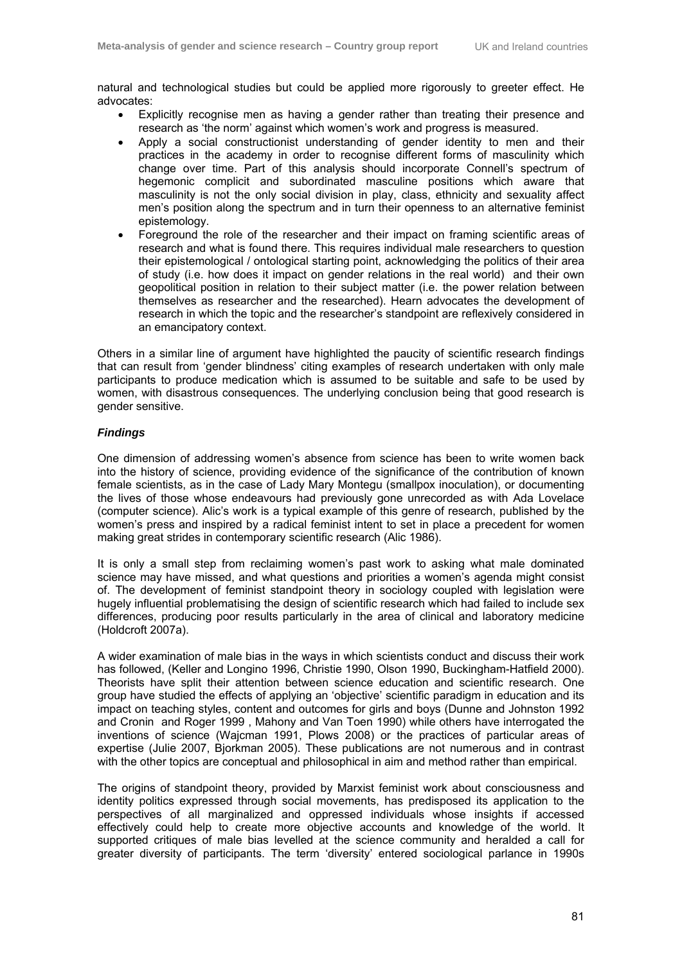natural and technological studies but could be applied more rigorously to greeter effect. He advocates:

- Explicitly recognise men as having a gender rather than treating their presence and research as 'the norm' against which women's work and progress is measured.
- Apply a social constructionist understanding of gender identity to men and their practices in the academy in order to recognise different forms of masculinity which change over time. Part of this analysis should incorporate Connell's spectrum of hegemonic complicit and subordinated masculine positions which aware that masculinity is not the only social division in play, class, ethnicity and sexuality affect men's position along the spectrum and in turn their openness to an alternative feminist epistemology.
- Foreground the role of the researcher and their impact on framing scientific areas of research and what is found there. This requires individual male researchers to question their epistemological / ontological starting point, acknowledging the politics of their area of study (i.e. how does it impact on gender relations in the real world) and their own geopolitical position in relation to their subject matter (i.e. the power relation between themselves as researcher and the researched). Hearn advocates the development of research in which the topic and the researcher's standpoint are reflexively considered in an emancipatory context.

Others in a similar line of argument have highlighted the paucity of scientific research findings that can result from 'gender blindness' citing examples of research undertaken with only male participants to produce medication which is assumed to be suitable and safe to be used by women, with disastrous consequences. The underlying conclusion being that good research is gender sensitive.

## *Findings*

One dimension of addressing women's absence from science has been to write women back into the history of science, providing evidence of the significance of the contribution of known female scientists, as in the case of Lady Mary Montegu (smallpox inoculation), or documenting the lives of those whose endeavours had previously gone unrecorded as with Ada Lovelace (computer science). Alic's work is a typical example of this genre of research, published by the women's press and inspired by a radical feminist intent to set in place a precedent for women making great strides in contemporary scientific research (Alic 1986).

It is only a small step from reclaiming women's past work to asking what male dominated science may have missed, and what questions and priorities a women's agenda might consist of. The development of feminist standpoint theory in sociology coupled with legislation were hugely influential problematising the design of scientific research which had failed to include sex differences, producing poor results particularly in the area of clinical and laboratory medicine (Holdcroft 2007a).

A wider examination of male bias in the ways in which scientists conduct and discuss their work has followed, (Keller and Longino 1996, Christie 1990, Olson 1990, Buckingham-Hatfield 2000). Theorists have split their attention between science education and scientific research. One group have studied the effects of applying an 'objective' scientific paradigm in education and its impact on teaching styles, content and outcomes for girls and boys (Dunne and Johnston 1992 and Cronin and Roger 1999 , Mahony and Van Toen 1990) while others have interrogated the inventions of science (Wajcman 1991, Plows 2008) or the practices of particular areas of expertise (Julie 2007, Bjorkman 2005). These publications are not numerous and in contrast with the other topics are conceptual and philosophical in aim and method rather than empirical.

The origins of standpoint theory, provided by Marxist feminist work about consciousness and identity politics expressed through social movements, has predisposed its application to the perspectives of all marginalized and oppressed individuals whose insights if accessed effectively could help to create more objective accounts and knowledge of the world. It supported critiques of male bias levelled at the science community and heralded a call for greater diversity of participants. The term 'diversity' entered sociological parlance in 1990s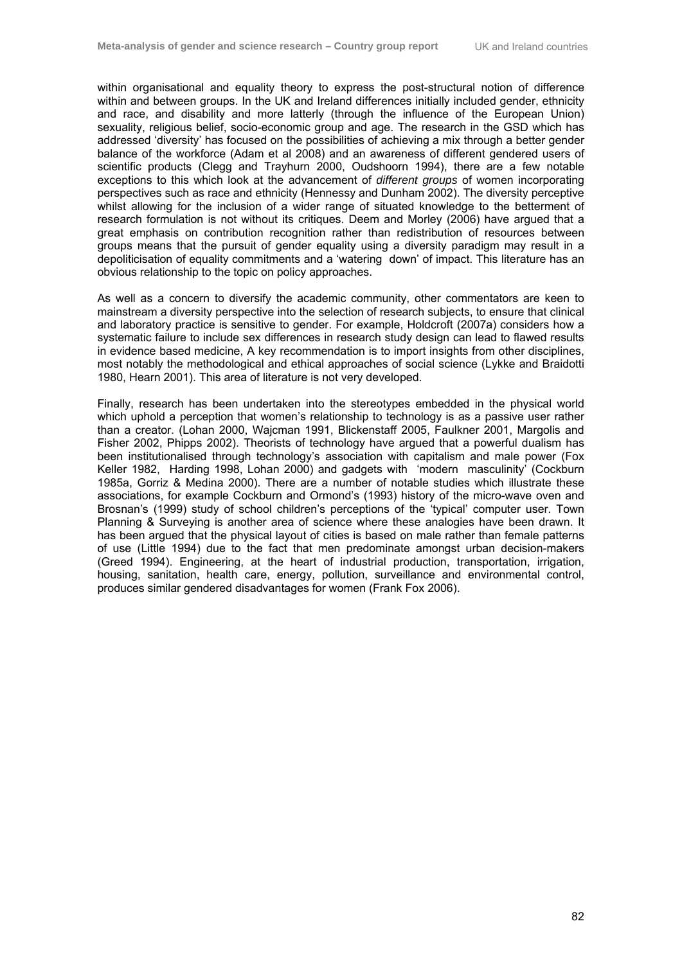within organisational and equality theory to express the post-structural notion of difference within and between groups. In the UK and Ireland differences initially included gender, ethnicity and race, and disability and more latterly (through the influence of the European Union) sexuality, religious belief, socio-economic group and age. The research in the GSD which has addressed 'diversity' has focused on the possibilities of achieving a mix through a better gender balance of the workforce (Adam et al 2008) and an awareness of different gendered users of scientific products (Clegg and Trayhurn 2000, Oudshoorn 1994), there are a few notable exceptions to this which look at the advancement of *different groups* of women incorporating perspectives such as race and ethnicity (Hennessy and Dunham 2002). The diversity perceptive whilst allowing for the inclusion of a wider range of situated knowledge to the betterment of research formulation is not without its critiques. Deem and Morley (2006) have argued that a great emphasis on contribution recognition rather than redistribution of resources between groups means that the pursuit of gender equality using a diversity paradigm may result in a depoliticisation of equality commitments and a 'watering down' of impact. This literature has an obvious relationship to the topic on policy approaches.

As well as a concern to diversify the academic community, other commentators are keen to mainstream a diversity perspective into the selection of research subjects, to ensure that clinical and laboratory practice is sensitive to gender. For example, Holdcroft (2007a) considers how a systematic failure to include sex differences in research study design can lead to flawed results in evidence based medicine, A key recommendation is to import insights from other disciplines, most notably the methodological and ethical approaches of social science (Lykke and Braidotti 1980, Hearn 2001). This area of literature is not very developed.

Finally, research has been undertaken into the stereotypes embedded in the physical world which uphold a perception that women's relationship to technology is as a passive user rather than a creator. (Lohan 2000, Wajcman 1991, Blickenstaff 2005, Faulkner 2001, Margolis and Fisher 2002, Phipps 2002). Theorists of technology have argued that a powerful dualism has been institutionalised through technology's association with capitalism and male power (Fox Keller 1982, Harding 1998, Lohan 2000) and gadgets with 'modern masculinity' (Cockburn 1985a, Gorriz & Medina 2000). There are a number of notable studies which illustrate these associations, for example Cockburn and Ormond's (1993) history of the micro-wave oven and Brosnan's (1999) study of school children's perceptions of the 'typical' computer user. Town Planning & Surveying is another area of science where these analogies have been drawn. It has been argued that the physical layout of cities is based on male rather than female patterns of use (Little 1994) due to the fact that men predominate amongst urban decision-makers (Greed 1994). Engineering, at the heart of industrial production, transportation, irrigation, housing, sanitation, health care, energy, pollution, surveillance and environmental control, produces similar gendered disadvantages for women (Frank Fox 2006).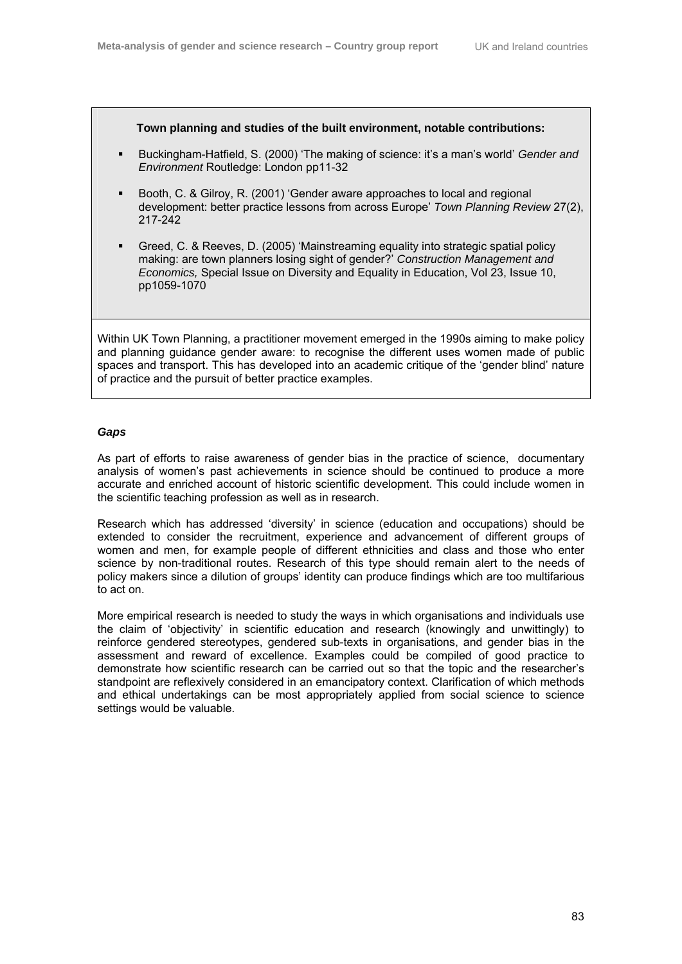#### **Town planning and studies of the built environment, notable contributions:**

- Buckingham-Hatfield, S. (2000) 'The making of science: it's a man's world' *Gender and Environment* Routledge: London pp11-32
- Booth, C. & Gilroy, R. (2001) 'Gender aware approaches to local and regional development: better practice lessons from across Europe' *Town Planning Review* 27(2), 217-242
- Greed, C. & Reeves, D. (2005) 'Mainstreaming equality into strategic spatial policy making: are town planners losing sight of gender?' *Construction Management and Economics,* Special Issue on Diversity and Equality in Education, Vol 23, Issue 10, pp1059-1070

Within UK Town Planning, a practitioner movement emerged in the 1990s aiming to make policy and planning guidance gender aware: to recognise the different uses women made of public spaces and transport. This has developed into an academic critique of the 'gender blind' nature of practice and the pursuit of better practice examples.

#### *Gaps*

As part of efforts to raise awareness of gender bias in the practice of science, documentary analysis of women's past achievements in science should be continued to produce a more accurate and enriched account of historic scientific development. This could include women in the scientific teaching profession as well as in research.

Research which has addressed 'diversity' in science (education and occupations) should be extended to consider the recruitment, experience and advancement of different groups of women and men, for example people of different ethnicities and class and those who enter science by non-traditional routes. Research of this type should remain alert to the needs of policy makers since a dilution of groups' identity can produce findings which are too multifarious to act on.

More empirical research is needed to study the ways in which organisations and individuals use the claim of 'objectivity' in scientific education and research (knowingly and unwittingly) to reinforce gendered stereotypes, gendered sub-texts in organisations, and gender bias in the assessment and reward of excellence. Examples could be compiled of good practice to demonstrate how scientific research can be carried out so that the topic and the researcher's standpoint are reflexively considered in an emancipatory context. Clarification of which methods and ethical undertakings can be most appropriately applied from social science to science settings would be valuable.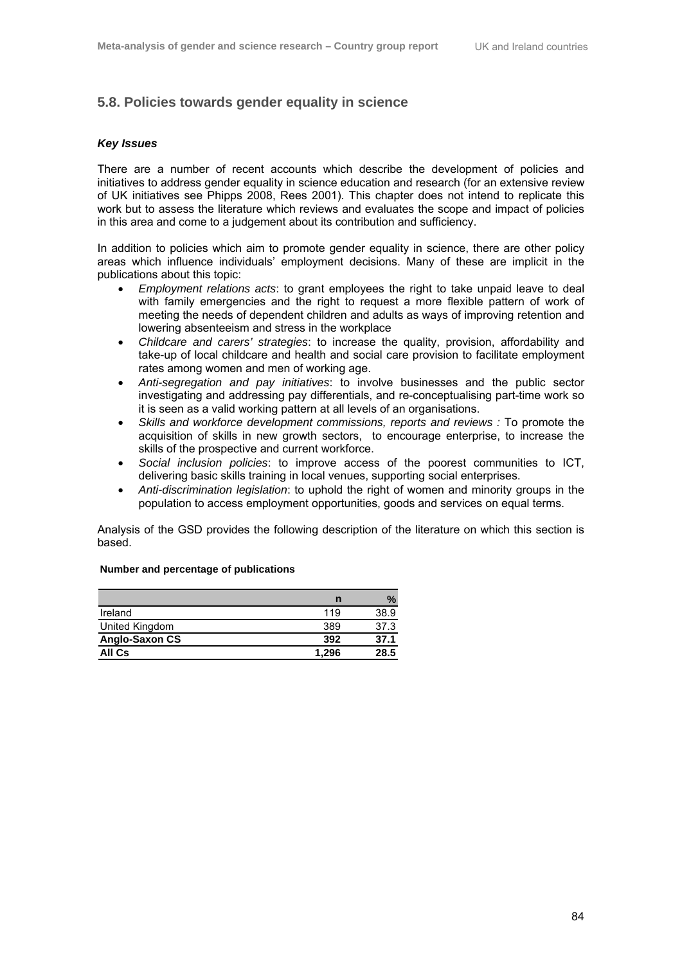## **5.8. Policies towards gender equality in science**

#### *Key Issues*

There are a number of recent accounts which describe the development of policies and initiatives to address gender equality in science education and research (for an extensive review of UK initiatives see Phipps 2008, Rees 2001). This chapter does not intend to replicate this work but to assess the literature which reviews and evaluates the scope and impact of policies in this area and come to a judgement about its contribution and sufficiency.

In addition to policies which aim to promote gender equality in science, there are other policy areas which influence individuals' employment decisions. Many of these are implicit in the publications about this topic:

- *Employment relations acts*: to grant employees the right to take unpaid leave to deal with family emergencies and the right to request a more flexible pattern of work of meeting the needs of dependent children and adults as ways of improving retention and lowering absenteeism and stress in the workplace
- *Childcare and carers' strategies*: to increase the quality, provision, affordability and take-up of local childcare and health and social care provision to facilitate employment rates among women and men of working age.
- *Anti-segregation and pay initiatives*: to involve businesses and the public sector investigating and addressing pay differentials, and re-conceptualising part-time work so it is seen as a valid working pattern at all levels of an organisations.
- *Skills and workforce development commissions, reports and reviews :* To promote the acquisition of skills in new growth sectors, to encourage enterprise, to increase the skills of the prospective and current workforce.
- *Social inclusion policies*: to improve access of the poorest communities to ICT, delivering basic skills training in local venues, supporting social enterprises.
- *Anti-discrimination legislation*: to uphold the right of women and minority groups in the population to access employment opportunities, goods and services on equal terms.

Analysis of the GSD provides the following description of the literature on which this section is based.

|                | n     | $\mathcal{A}_{\mathbf{a}}$ |
|----------------|-------|----------------------------|
| Ireland        | 119   | 38.9                       |
| United Kingdom | 389   | 37.3                       |
| Anglo-Saxon CS | 392   | 37.1                       |
| All Cs         | 1.296 | 28.5                       |

#### **Number and percentage of publications**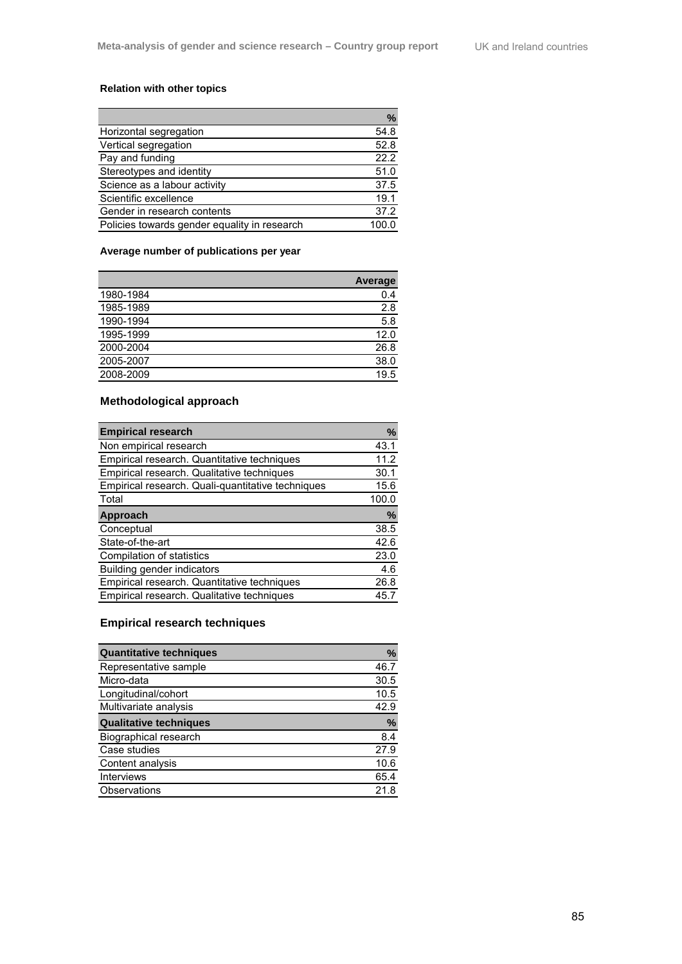## **Relation with other topics**

|                                              | $\%$ |
|----------------------------------------------|------|
| Horizontal segregation                       | 54.8 |
| Vertical segregation                         | 52.8 |
| Pay and funding                              | 22.2 |
| Stereotypes and identity                     | 51.0 |
| Science as a labour activity                 | 37.5 |
| Scientific excellence                        | 19.1 |
| Gender in research contents                  | 37.2 |
| Policies towards gender equality in research |      |

## **Average number of publications per year**

|           | <b>Average</b> |
|-----------|----------------|
| 1980-1984 | 0.4            |
| 1985-1989 | 2.8            |
| 1990-1994 | 5.8            |
| 1995-1999 | 12.0           |
| 2000-2004 | 26.8           |
| 2005-2007 | 38.0           |
| 2008-2009 | 19.5           |

# **Methodological approach**

| <b>Empirical research</b>                         | %     |
|---------------------------------------------------|-------|
| Non empirical research                            | 43.1  |
| Empirical research. Quantitative techniques       | 11.2  |
| Empirical research. Qualitative techniques        | 30.1  |
| Empirical research. Quali-quantitative techniques | 15.6  |
| Total                                             | 100.0 |
| Approach                                          | %     |
| Conceptual                                        | 38.5  |
| State-of-the-art                                  | 42.6  |
| Compilation of statistics                         | 23.0  |
| Building gender indicators                        | 4.6   |
| Empirical research. Quantitative techniques       | 26.8  |
| Empirical research. Qualitative techniques        | 45.7  |

# **Empirical research techniques**

| <b>Quantitative techniques</b> | %             |
|--------------------------------|---------------|
| Representative sample          | 46.7          |
| Micro-data                     | 30.5          |
| Longitudinal/cohort            | 10.5          |
| Multivariate analysis          | 42.9          |
| <b>Qualitative techniques</b>  | $\frac{9}{6}$ |
| <b>Biographical research</b>   | 8.4           |
| Case studies                   | 27.9          |
| Content analysis               | 10.6          |
| <b>Interviews</b>              | 65.4          |
| Observations                   | 21.8          |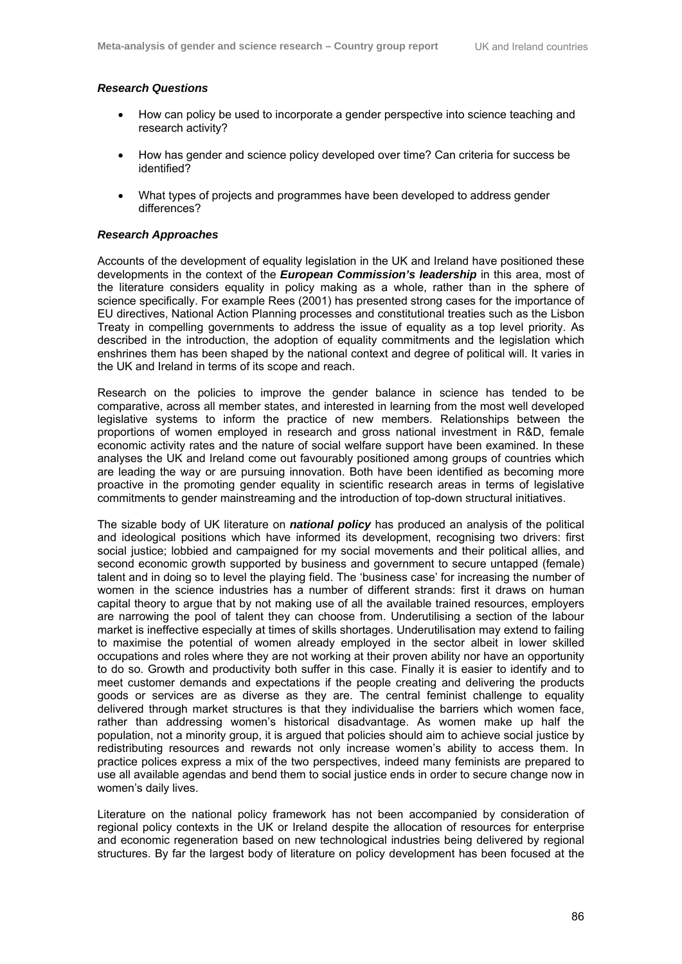#### *Research Questions*

- How can policy be used to incorporate a gender perspective into science teaching and research activity?
- How has gender and science policy developed over time? Can criteria for success be identified?
- What types of projects and programmes have been developed to address gender differences?

#### *Research Approaches*

Accounts of the development of equality legislation in the UK and Ireland have positioned these developments in the context of the *European Commission's leadership* in this area, most of the literature considers equality in policy making as a whole, rather than in the sphere of science specifically. For example Rees (2001) has presented strong cases for the importance of EU directives, National Action Planning processes and constitutional treaties such as the Lisbon Treaty in compelling governments to address the issue of equality as a top level priority. As described in the introduction, the adoption of equality commitments and the legislation which enshrines them has been shaped by the national context and degree of political will. It varies in the UK and Ireland in terms of its scope and reach.

Research on the policies to improve the gender balance in science has tended to be comparative, across all member states, and interested in learning from the most well developed legislative systems to inform the practice of new members. Relationships between the proportions of women employed in research and gross national investment in R&D, female economic activity rates and the nature of social welfare support have been examined. In these analyses the UK and Ireland come out favourably positioned among groups of countries which are leading the way or are pursuing innovation. Both have been identified as becoming more proactive in the promoting gender equality in scientific research areas in terms of legislative commitments to gender mainstreaming and the introduction of top-down structural initiatives.

The sizable body of UK literature on *national policy* has produced an analysis of the political and ideological positions which have informed its development, recognising two drivers: first social justice; lobbied and campaigned for my social movements and their political allies, and second economic growth supported by business and government to secure untapped (female) talent and in doing so to level the playing field. The 'business case' for increasing the number of women in the science industries has a number of different strands: first it draws on human capital theory to argue that by not making use of all the available trained resources, employers are narrowing the pool of talent they can choose from. Underutilising a section of the labour market is ineffective especially at times of skills shortages. Underutilisation may extend to failing to maximise the potential of women already employed in the sector albeit in lower skilled occupations and roles where they are not working at their proven ability nor have an opportunity to do so. Growth and productivity both suffer in this case. Finally it is easier to identify and to meet customer demands and expectations if the people creating and delivering the products goods or services are as diverse as they are. The central feminist challenge to equality delivered through market structures is that they individualise the barriers which women face, rather than addressing women's historical disadvantage. As women make up half the population, not a minority group, it is argued that policies should aim to achieve social justice by redistributing resources and rewards not only increase women's ability to access them. In practice polices express a mix of the two perspectives, indeed many feminists are prepared to use all available agendas and bend them to social justice ends in order to secure change now in women's daily lives.

Literature on the national policy framework has not been accompanied by consideration of regional policy contexts in the UK or Ireland despite the allocation of resources for enterprise and economic regeneration based on new technological industries being delivered by regional structures. By far the largest body of literature on policy development has been focused at the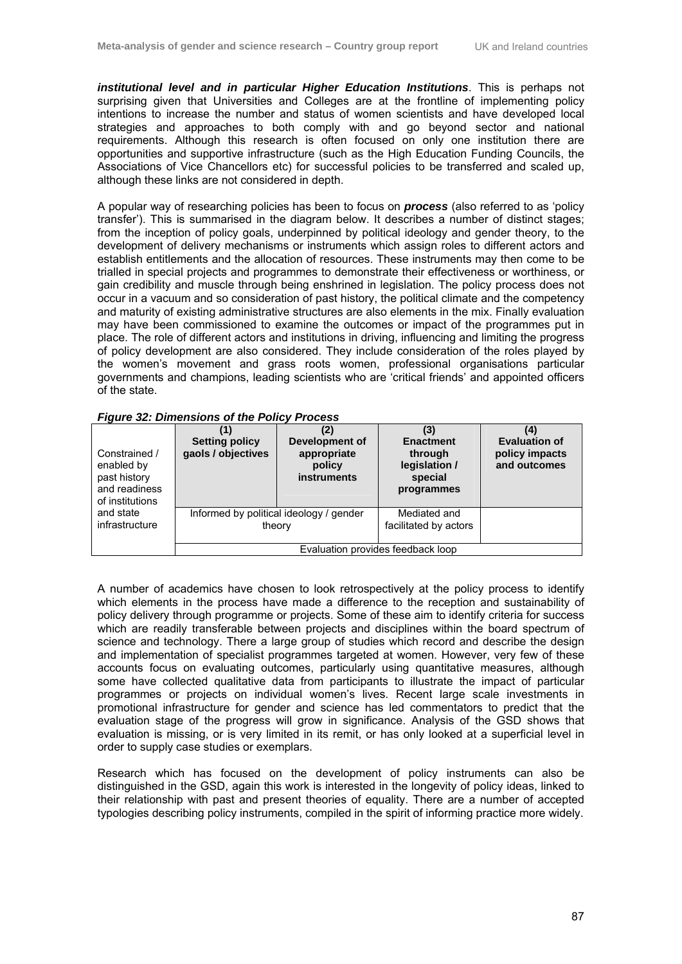*institutional level and in particular Higher Education Institutions*. This is perhaps not surprising given that Universities and Colleges are at the frontline of implementing policy intentions to increase the number and status of women scientists and have developed local strategies and approaches to both comply with and go beyond sector and national requirements. Although this research is often focused on only one institution there are opportunities and supportive infrastructure (such as the High Education Funding Councils, the Associations of Vice Chancellors etc) for successful policies to be transferred and scaled up, although these links are not considered in depth.

A popular way of researching policies has been to focus on *process* (also referred to as 'policy transfer'). This is summarised in the diagram below. It describes a number of distinct stages; from the inception of policy goals, underpinned by political ideology and gender theory, to the development of delivery mechanisms or instruments which assign roles to different actors and establish entitlements and the allocation of resources. These instruments may then come to be trialled in special projects and programmes to demonstrate their effectiveness or worthiness, or gain credibility and muscle through being enshrined in legislation. The policy process does not occur in a vacuum and so consideration of past history, the political climate and the competency and maturity of existing administrative structures are also elements in the mix. Finally evaluation may have been commissioned to examine the outcomes or impact of the programmes put in place. The role of different actors and institutions in driving, influencing and limiting the progress of policy development are also considered. They include consideration of the roles played by the women's movement and grass roots women, professional organisations particular governments and champions, leading scientists who are 'critical friends' and appointed officers of the state.

#### *Figure 32: Dimensions of the Policy Process*

| Constrained /<br>enabled by<br>past history<br>and readiness<br>of institutions | (1)<br><b>Setting policy</b><br>gaols / objectives | (2)<br>Development of<br>appropriate<br>policy<br><b>instruments</b> | (3)<br><b>Enactment</b><br>through<br>legislation /<br>special<br>programmes | (4)<br><b>Evaluation of</b><br>policy impacts<br>and outcomes |
|---------------------------------------------------------------------------------|----------------------------------------------------|----------------------------------------------------------------------|------------------------------------------------------------------------------|---------------------------------------------------------------|
| and state<br>infrastructure                                                     | Informed by political ideology / gender<br>theory  |                                                                      | Mediated and<br>facilitated by actors                                        |                                                               |
|                                                                                 | Evaluation provides feedback loop                  |                                                                      |                                                                              |                                                               |

A number of academics have chosen to look retrospectively at the policy process to identify which elements in the process have made a difference to the reception and sustainability of policy delivery through programme or projects. Some of these aim to identify criteria for success which are readily transferable between projects and disciplines within the board spectrum of science and technology. There a large group of studies which record and describe the design and implementation of specialist programmes targeted at women. However, very few of these accounts focus on evaluating outcomes, particularly using quantitative measures, although some have collected qualitative data from participants to illustrate the impact of particular programmes or projects on individual women's lives. Recent large scale investments in promotional infrastructure for gender and science has led commentators to predict that the evaluation stage of the progress will grow in significance. Analysis of the GSD shows that evaluation is missing, or is very limited in its remit, or has only looked at a superficial level in order to supply case studies or exemplars.

Research which has focused on the development of policy instruments can also be distinguished in the GSD, again this work is interested in the longevity of policy ideas, linked to their relationship with past and present theories of equality. There are a number of accepted typologies describing policy instruments, compiled in the spirit of informing practice more widely.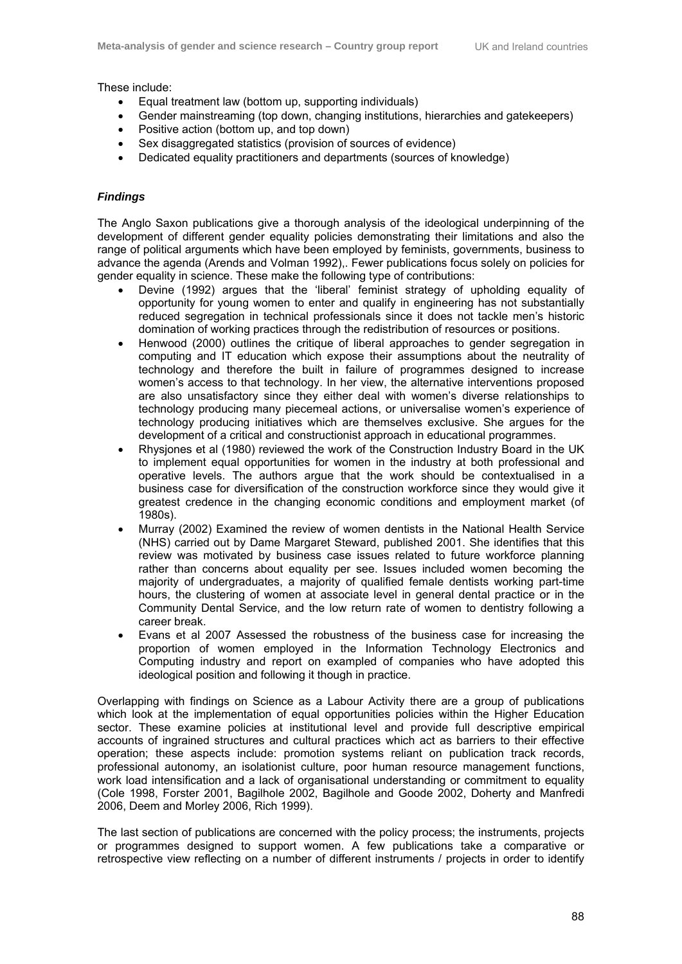These include:

- Equal treatment law (bottom up, supporting individuals)
- Gender mainstreaming (top down, changing institutions, hierarchies and gatekeepers)
- Positive action (bottom up, and top down)
- Sex disaggregated statistics (provision of sources of evidence)
- Dedicated equality practitioners and departments (sources of knowledge)

## *Findings*

The Anglo Saxon publications give a thorough analysis of the ideological underpinning of the development of different gender equality policies demonstrating their limitations and also the range of political arguments which have been employed by feminists, governments, business to advance the agenda (Arends and Volman 1992),. Fewer publications focus solely on policies for gender equality in science. These make the following type of contributions:

- Devine (1992) argues that the 'liberal' feminist strategy of upholding equality of opportunity for young women to enter and qualify in engineering has not substantially reduced segregation in technical professionals since it does not tackle men's historic domination of working practices through the redistribution of resources or positions.
- Henwood (2000) outlines the critique of liberal approaches to gender segregation in computing and IT education which expose their assumptions about the neutrality of technology and therefore the built in failure of programmes designed to increase women's access to that technology. In her view, the alternative interventions proposed are also unsatisfactory since they either deal with women's diverse relationships to technology producing many piecemeal actions, or universalise women's experience of technology producing initiatives which are themselves exclusive. She argues for the development of a critical and constructionist approach in educational programmes.
- Rhysjones et al (1980) reviewed the work of the Construction Industry Board in the UK to implement equal opportunities for women in the industry at both professional and operative levels. The authors argue that the work should be contextualised in a business case for diversification of the construction workforce since they would give it greatest credence in the changing economic conditions and employment market (of 1980s).
- Murray (2002) Examined the review of women dentists in the National Health Service (NHS) carried out by Dame Margaret Steward, published 2001. She identifies that this review was motivated by business case issues related to future workforce planning rather than concerns about equality per see. Issues included women becoming the majority of undergraduates, a majority of qualified female dentists working part-time hours, the clustering of women at associate level in general dental practice or in the Community Dental Service, and the low return rate of women to dentistry following a career break.
- Evans et al 2007 Assessed the robustness of the business case for increasing the proportion of women employed in the Information Technology Electronics and Computing industry and report on exampled of companies who have adopted this ideological position and following it though in practice.

Overlapping with findings on Science as a Labour Activity there are a group of publications which look at the implementation of equal opportunities policies within the Higher Education sector. These examine policies at institutional level and provide full descriptive empirical accounts of ingrained structures and cultural practices which act as barriers to their effective operation; these aspects include: promotion systems reliant on publication track records, professional autonomy, an isolationist culture, poor human resource management functions, work load intensification and a lack of organisational understanding or commitment to equality (Cole 1998, Forster 2001, Bagilhole 2002, Bagilhole and Goode 2002, Doherty and Manfredi 2006, Deem and Morley 2006, Rich 1999).

The last section of publications are concerned with the policy process; the instruments, projects or programmes designed to support women. A few publications take a comparative or retrospective view reflecting on a number of different instruments / projects in order to identify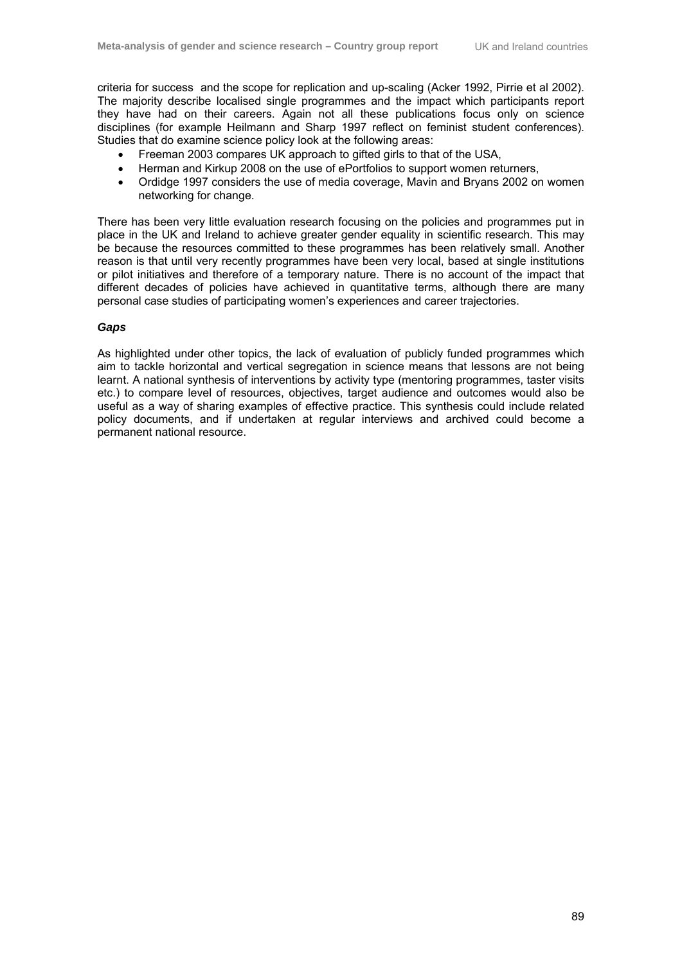criteria for success and the scope for replication and up-scaling (Acker 1992, Pirrie et al 2002). The majority describe localised single programmes and the impact which participants report they have had on their careers. Again not all these publications focus only on science disciplines (for example Heilmann and Sharp 1997 reflect on feminist student conferences). Studies that do examine science policy look at the following areas:

- Freeman 2003 compares UK approach to gifted girls to that of the USA,
- Herman and Kirkup 2008 on the use of ePortfolios to support women returners,
- Ordidge 1997 considers the use of media coverage, Mavin and Bryans 2002 on women networking for change.

There has been very little evaluation research focusing on the policies and programmes put in place in the UK and Ireland to achieve greater gender equality in scientific research. This may be because the resources committed to these programmes has been relatively small. Another reason is that until very recently programmes have been very local, based at single institutions or pilot initiatives and therefore of a temporary nature. There is no account of the impact that different decades of policies have achieved in quantitative terms, although there are many personal case studies of participating women's experiences and career trajectories.

## *Gaps*

As highlighted under other topics, the lack of evaluation of publicly funded programmes which aim to tackle horizontal and vertical segregation in science means that lessons are not being learnt. A national synthesis of interventions by activity type (mentoring programmes, taster visits etc.) to compare level of resources, objectives, target audience and outcomes would also be useful as a way of sharing examples of effective practice. This synthesis could include related policy documents, and if undertaken at regular interviews and archived could become a permanent national resource.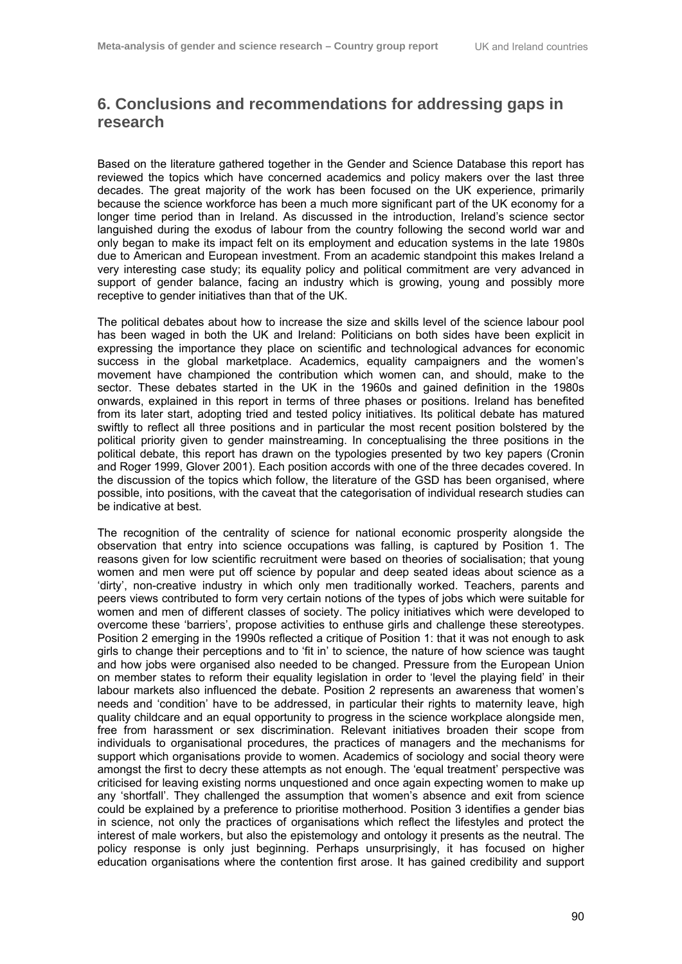# **6. Conclusions and recommendations for addressing gaps in research**

Based on the literature gathered together in the Gender and Science Database this report has reviewed the topics which have concerned academics and policy makers over the last three decades. The great majority of the work has been focused on the UK experience, primarily because the science workforce has been a much more significant part of the UK economy for a longer time period than in Ireland. As discussed in the introduction, Ireland's science sector languished during the exodus of labour from the country following the second world war and only began to make its impact felt on its employment and education systems in the late 1980s due to American and European investment. From an academic standpoint this makes Ireland a very interesting case study; its equality policy and political commitment are very advanced in support of gender balance, facing an industry which is growing, young and possibly more receptive to gender initiatives than that of the UK.

The political debates about how to increase the size and skills level of the science labour pool has been waged in both the UK and Ireland: Politicians on both sides have been explicit in expressing the importance they place on scientific and technological advances for economic success in the global marketplace. Academics, equality campaigners and the women's movement have championed the contribution which women can, and should, make to the sector. These debates started in the UK in the 1960s and gained definition in the 1980s onwards, explained in this report in terms of three phases or positions. Ireland has benefited from its later start, adopting tried and tested policy initiatives. Its political debate has matured swiftly to reflect all three positions and in particular the most recent position bolstered by the political priority given to gender mainstreaming. In conceptualising the three positions in the political debate, this report has drawn on the typologies presented by two key papers (Cronin and Roger 1999, Glover 2001). Each position accords with one of the three decades covered. In the discussion of the topics which follow, the literature of the GSD has been organised, where possible, into positions, with the caveat that the categorisation of individual research studies can be indicative at best.

The recognition of the centrality of science for national economic prosperity alongside the observation that entry into science occupations was falling, is captured by Position 1. The reasons given for low scientific recruitment were based on theories of socialisation; that young women and men were put off science by popular and deep seated ideas about science as a 'dirty', non-creative industry in which only men traditionally worked. Teachers, parents and peers views contributed to form very certain notions of the types of jobs which were suitable for women and men of different classes of society. The policy initiatives which were developed to overcome these 'barriers', propose activities to enthuse girls and challenge these stereotypes. Position 2 emerging in the 1990s reflected a critique of Position 1: that it was not enough to ask girls to change their perceptions and to 'fit in' to science, the nature of how science was taught and how jobs were organised also needed to be changed. Pressure from the European Union on member states to reform their equality legislation in order to 'level the playing field' in their labour markets also influenced the debate. Position 2 represents an awareness that women's needs and 'condition' have to be addressed, in particular their rights to maternity leave, high quality childcare and an equal opportunity to progress in the science workplace alongside men, free from harassment or sex discrimination. Relevant initiatives broaden their scope from individuals to organisational procedures, the practices of managers and the mechanisms for support which organisations provide to women. Academics of sociology and social theory were amongst the first to decry these attempts as not enough. The 'equal treatment' perspective was criticised for leaving existing norms unquestioned and once again expecting women to make up any 'shortfall'. They challenged the assumption that women's absence and exit from science could be explained by a preference to prioritise motherhood. Position 3 identifies a gender bias in science, not only the practices of organisations which reflect the lifestyles and protect the interest of male workers, but also the epistemology and ontology it presents as the neutral. The policy response is only just beginning. Perhaps unsurprisingly, it has focused on higher education organisations where the contention first arose. It has gained credibility and support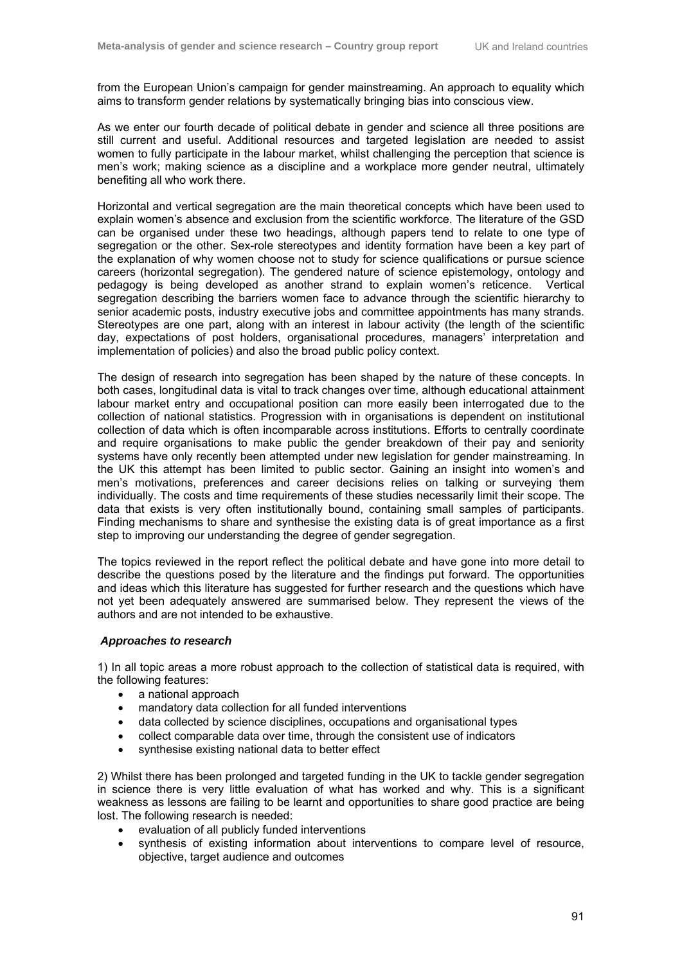from the European Union's campaign for gender mainstreaming. An approach to equality which aims to transform gender relations by systematically bringing bias into conscious view.

As we enter our fourth decade of political debate in gender and science all three positions are still current and useful. Additional resources and targeted legislation are needed to assist women to fully participate in the labour market, whilst challenging the perception that science is men's work; making science as a discipline and a workplace more gender neutral, ultimately benefiting all who work there.

Horizontal and vertical segregation are the main theoretical concepts which have been used to explain women's absence and exclusion from the scientific workforce. The literature of the GSD can be organised under these two headings, although papers tend to relate to one type of segregation or the other. Sex-role stereotypes and identity formation have been a key part of the explanation of why women choose not to study for science qualifications or pursue science careers (horizontal segregation). The gendered nature of science epistemology, ontology and pedagogy is being developed as another strand to explain women's reticence. Vertical segregation describing the barriers women face to advance through the scientific hierarchy to senior academic posts, industry executive jobs and committee appointments has many strands. Stereotypes are one part, along with an interest in labour activity (the length of the scientific day, expectations of post holders, organisational procedures, managers' interpretation and implementation of policies) and also the broad public policy context.

The design of research into segregation has been shaped by the nature of these concepts. In both cases, longitudinal data is vital to track changes over time, although educational attainment labour market entry and occupational position can more easily been interrogated due to the collection of national statistics. Progression with in organisations is dependent on institutional collection of data which is often incomparable across institutions. Efforts to centrally coordinate and require organisations to make public the gender breakdown of their pay and seniority systems have only recently been attempted under new legislation for gender mainstreaming. In the UK this attempt has been limited to public sector. Gaining an insight into women's and men's motivations, preferences and career decisions relies on talking or surveying them individually. The costs and time requirements of these studies necessarily limit their scope. The data that exists is very often institutionally bound, containing small samples of participants. Finding mechanisms to share and synthesise the existing data is of great importance as a first step to improving our understanding the degree of gender segregation.

The topics reviewed in the report reflect the political debate and have gone into more detail to describe the questions posed by the literature and the findings put forward. The opportunities and ideas which this literature has suggested for further research and the questions which have not yet been adequately answered are summarised below. They represent the views of the authors and are not intended to be exhaustive.

#### *Approaches to research*

1) In all topic areas a more robust approach to the collection of statistical data is required, with the following features:

- a national approach
- mandatory data collection for all funded interventions
- data collected by science disciplines, occupations and organisational types
- collect comparable data over time, through the consistent use of indicators
- synthesise existing national data to better effect

2) Whilst there has been prolonged and targeted funding in the UK to tackle gender segregation in science there is very little evaluation of what has worked and why. This is a significant weakness as lessons are failing to be learnt and opportunities to share good practice are being lost. The following research is needed:

- evaluation of all publicly funded interventions
- synthesis of existing information about interventions to compare level of resource, objective, target audience and outcomes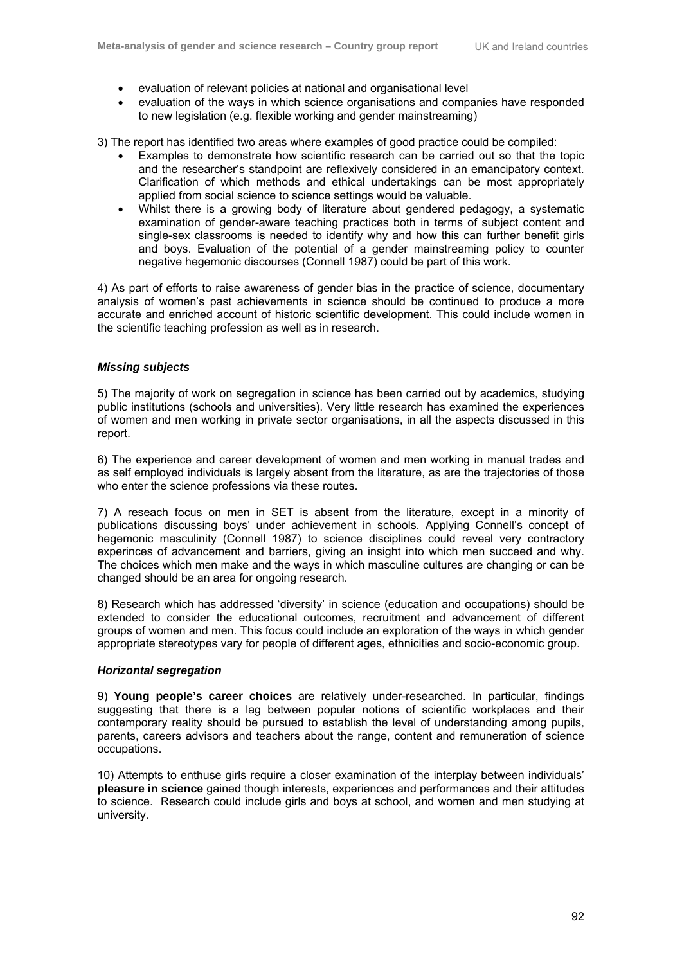- evaluation of relevant policies at national and organisational level
- evaluation of the ways in which science organisations and companies have responded to new legislation (e.g. flexible working and gender mainstreaming)

3) The report has identified two areas where examples of good practice could be compiled:

- Examples to demonstrate how scientific research can be carried out so that the topic and the researcher's standpoint are reflexively considered in an emancipatory context. Clarification of which methods and ethical undertakings can be most appropriately applied from social science to science settings would be valuable.
- Whilst there is a growing body of literature about gendered pedagogy, a systematic examination of gender-aware teaching practices both in terms of subject content and single-sex classrooms is needed to identify why and how this can further benefit girls and boys. Evaluation of the potential of a gender mainstreaming policy to counter negative hegemonic discourses (Connell 1987) could be part of this work.

4) As part of efforts to raise awareness of gender bias in the practice of science, documentary analysis of women's past achievements in science should be continued to produce a more accurate and enriched account of historic scientific development. This could include women in the scientific teaching profession as well as in research.

#### *Missing subjects*

5) The majority of work on segregation in science has been carried out by academics, studying public institutions (schools and universities). Very little research has examined the experiences of women and men working in private sector organisations, in all the aspects discussed in this report.

6) The experience and career development of women and men working in manual trades and as self employed individuals is largely absent from the literature, as are the trajectories of those who enter the science professions via these routes.

7) A reseach focus on men in SET is absent from the literature, except in a minority of publications discussing boys' under achievement in schools. Applying Connell's concept of hegemonic masculinity (Connell 1987) to science disciplines could reveal very contractory experinces of advancement and barriers, giving an insight into which men succeed and why. The choices which men make and the ways in which masculine cultures are changing or can be changed should be an area for ongoing research.

8) Research which has addressed 'diversity' in science (education and occupations) should be extended to consider the educational outcomes, recruitment and advancement of different groups of women and men. This focus could include an exploration of the ways in which gender appropriate stereotypes vary for people of different ages, ethnicities and socio-economic group.

#### *Horizontal segregation*

9) **Young people's career choices** are relatively under-researched. In particular, findings suggesting that there is a lag between popular notions of scientific workplaces and their contemporary reality should be pursued to establish the level of understanding among pupils, parents, careers advisors and teachers about the range, content and remuneration of science occupations.

10) Attempts to enthuse girls require a closer examination of the interplay between individuals' **pleasure in science** gained though interests, experiences and performances and their attitudes to science. Research could include girls and boys at school, and women and men studying at university.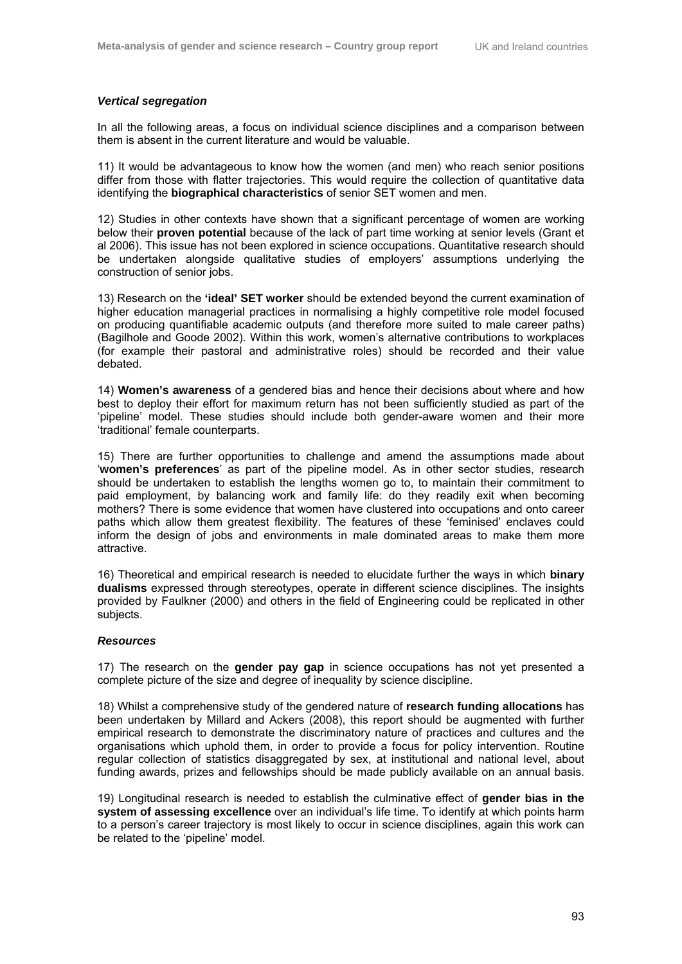#### *Vertical segregation*

In all the following areas, a focus on individual science disciplines and a comparison between them is absent in the current literature and would be valuable.

11) It would be advantageous to know how the women (and men) who reach senior positions differ from those with flatter trajectories. This would require the collection of quantitative data identifying the **biographical characteristics** of senior SET women and men.

12) Studies in other contexts have shown that a significant percentage of women are working below their **proven potential** because of the lack of part time working at senior levels (Grant et al 2006). This issue has not been explored in science occupations. Quantitative research should be undertaken alongside qualitative studies of employers' assumptions underlying the construction of senior jobs.

13) Research on the **'ideal' SET worker** should be extended beyond the current examination of higher education managerial practices in normalising a highly competitive role model focused on producing quantifiable academic outputs (and therefore more suited to male career paths) (Bagilhole and Goode 2002). Within this work, women's alternative contributions to workplaces (for example their pastoral and administrative roles) should be recorded and their value debated.

14) **Women's awareness** of a gendered bias and hence their decisions about where and how best to deploy their effort for maximum return has not been sufficiently studied as part of the 'pipeline' model. These studies should include both gender-aware women and their more 'traditional' female counterparts.

15) There are further opportunities to challenge and amend the assumptions made about '**women's preferences**' as part of the pipeline model. As in other sector studies, research should be undertaken to establish the lengths women go to, to maintain their commitment to paid employment, by balancing work and family life: do they readily exit when becoming mothers? There is some evidence that women have clustered into occupations and onto career paths which allow them greatest flexibility. The features of these 'feminised' enclaves could inform the design of jobs and environments in male dominated areas to make them more attractive.

16) Theoretical and empirical research is needed to elucidate further the ways in which **binary dualisms** expressed through stereotypes, operate in different science disciplines. The insights provided by Faulkner (2000) and others in the field of Engineering could be replicated in other subjects.

#### *Resources*

17) The research on the **gender pay gap** in science occupations has not yet presented a complete picture of the size and degree of inequality by science discipline.

18) Whilst a comprehensive study of the gendered nature of **research funding allocations** has been undertaken by Millard and Ackers (2008), this report should be augmented with further empirical research to demonstrate the discriminatory nature of practices and cultures and the organisations which uphold them, in order to provide a focus for policy intervention. Routine regular collection of statistics disaggregated by sex, at institutional and national level, about funding awards, prizes and fellowships should be made publicly available on an annual basis.

19) Longitudinal research is needed to establish the culminative effect of **gender bias in the system of assessing excellence** over an individual's life time. To identify at which points harm to a person's career trajectory is most likely to occur in science disciplines, again this work can be related to the 'pipeline' model.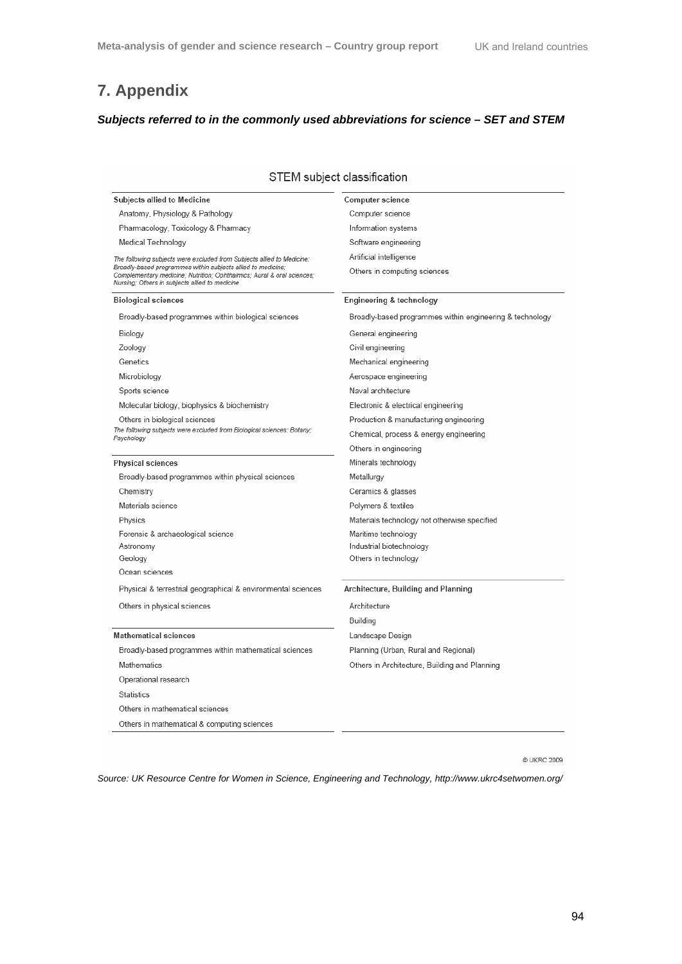# **7. Appendix**

# *Subjects referred to in the commonly used abbreviations for science – SET and STEM*

| STEM subject classification                                                                                                                                                              |                                                          |  |
|------------------------------------------------------------------------------------------------------------------------------------------------------------------------------------------|----------------------------------------------------------|--|
| Subjects allied to Medicine                                                                                                                                                              | Computer science                                         |  |
| Anatomy, Physiology & Pathology                                                                                                                                                          | Computer science                                         |  |
| Pharmacology, Toxicology & Pharmacy                                                                                                                                                      | Information systems                                      |  |
| Medical Technology                                                                                                                                                                       | Software engineering                                     |  |
| The following subjects were excluded from Subjects allied to Medicine:                                                                                                                   | Artificial intelligence                                  |  |
| Broadly-based programmes within subjects allied to medicine:<br>Complementary medicine; Nutrition; Ophthalmics; Aural & oral sciences;<br>Nursing; Others in subjects allied to medicine | Others in computing sciences                             |  |
| <b>Biological sciences</b>                                                                                                                                                               | Engineering & technology                                 |  |
| Broadly-based programmes within biological sciences                                                                                                                                      | Broadly-based programmes within engineering & technology |  |
| Biology                                                                                                                                                                                  | General engineering                                      |  |
| Zoology                                                                                                                                                                                  | Civil engineering                                        |  |
| Genetics                                                                                                                                                                                 | Mechanical engineering                                   |  |
| Microbiology                                                                                                                                                                             | Aerospace engineering                                    |  |
| Sports science                                                                                                                                                                           | Naval architecture                                       |  |
| Molecular biology, biophysics & biochemistry                                                                                                                                             | Electronic & electrical engineering                      |  |
| Others in biological sciences                                                                                                                                                            | Production & manufacturing engineering                   |  |
| The following subjects were excluded from Biological sciences: Botany;<br>Psychology                                                                                                     | Chemical, process & energy engineering                   |  |
|                                                                                                                                                                                          | Others in engineering                                    |  |
| <b>Physical sciences</b>                                                                                                                                                                 | Minerals technology                                      |  |
| Broadly-based programmes within physical sciences                                                                                                                                        | Metallurgy                                               |  |
| Chemistry                                                                                                                                                                                | Ceramics & glasses                                       |  |
| Materials science                                                                                                                                                                        | Polymers & textiles                                      |  |
| Physics                                                                                                                                                                                  | Materials technology not otherwise specified             |  |
| Forensic & archaeological science                                                                                                                                                        | Maritime technology                                      |  |
| Astronomy                                                                                                                                                                                | Industrial biotechnology                                 |  |
| Geology                                                                                                                                                                                  | Others in technology                                     |  |
| Ocean sciences                                                                                                                                                                           |                                                          |  |
| Physical & terrestrial geographical & environmental sciences                                                                                                                             | Architecture, Building and Planning                      |  |
| Others in physical sciences                                                                                                                                                              | Architecture                                             |  |
|                                                                                                                                                                                          | Building                                                 |  |
| <b>Mathematical sciences</b>                                                                                                                                                             | Landscape Design                                         |  |
| Broadly-based programmes within mathematical sciences                                                                                                                                    | Planning (Urban, Rural and Regional)                     |  |
| Mathematics                                                                                                                                                                              | Others in Architecture, Building and Planning            |  |
| Operational research                                                                                                                                                                     |                                                          |  |
| <b>Statistics</b>                                                                                                                                                                        |                                                          |  |
| Others in mathematical sciences                                                                                                                                                          |                                                          |  |
| Others in mathematical & computing sciences                                                                                                                                              |                                                          |  |
|                                                                                                                                                                                          |                                                          |  |

@ UKRC 2009

*Source: UK Resource Centre for Women in Science, Engineering and Technology, http://www.ukrc4setwomen.org/*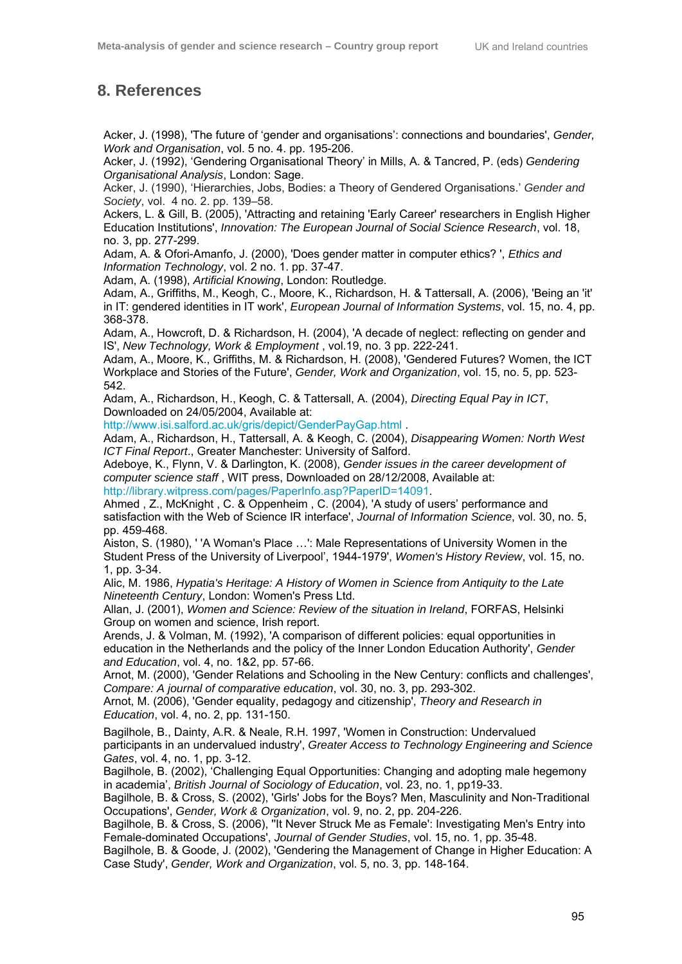# **8. References**

Acker, J. (1998), 'The future of 'gender and organisations': connections and boundaries', *Gender, Work and Organisation*, vol. 5 no. 4. pp. 195-206.

Acker, J. (1992), 'Gendering Organisational Theory' in Mills, A. & Tancred, P. (eds) *Gendering Organisational Analysis*, London: Sage.

Acker, J. (1990), 'Hierarchies, Jobs, Bodies: a Theory of Gendered Organisations.' *Gender and Society*, vol. 4 no. 2. pp. 139–58.

Ackers, L. & Gill, B. (2005), 'Attracting and retaining 'Early Career' researchers in English Higher Education Institutions', *Innovation: The European Journal of Social Science Research*, vol. 18, no. 3, pp. 277-299.

Adam, A. & Ofori-Amanfo, J. (2000), 'Does gender matter in computer ethics? ', *Ethics and Information Technology*, vol. 2 no. 1. pp. 37-47.

Adam, A. (1998), *Artificial Knowing*, London: Routledge.

Adam, A., Griffiths, M., Keogh, C., Moore, K., Richardson, H. & Tattersall, A. (2006), 'Being an 'it' in IT: gendered identities in IT work', *European Journal of Information Systems*, vol. 15, no. 4, pp. 368-378.

Adam, A., Howcroft, D. & Richardson, H. (2004), 'A decade of neglect: reflecting on gender and IS', *New Technology, Work & Employment* , vol.19, no. 3 pp. 222-241.

Adam, A., Moore, K., Griffiths, M. & Richardson, H. (2008), 'Gendered Futures? Women, the ICT Workplace and Stories of the Future', *Gender, Work and Organization*, vol. 15, no. 5, pp. 523- 542.

Adam, A., Richardson, H., Keogh, C. & Tattersall, A. (2004), *Directing Equal Pay in ICT*, Downloaded on 24/05/2004, Available at:

http://www.isi.salford.ac.uk/gris/depict/GenderPayGap.html .

Adam, A., Richardson, H., Tattersall, A. & Keogh, C. (2004), *Disappearing Women: North West ICT Final Report*., Greater Manchester: University of Salford.

Adeboye, K., Flynn, V. & Darlington, K. (2008), *Gender issues in the career development of computer science staff* , WIT press, Downloaded on 28/12/2008, Available at: http://library.witpress.com/pages/PaperInfo.asp?PaperID=14091.

Ahmed , Z., McKnight , C. & Oppenheim , C. (2004), 'A study of users' performance and satisfaction with the Web of Science IR interface', *Journal of Information Science*, vol. 30, no. 5, pp. 459-468.

Aiston, S. (1980), ' 'A Woman's Place …': Male Representations of University Women in the Student Press of the University of Liverpool', 1944-1979', *Women's History Review*, vol. 15, no. 1, pp. 3-34.

Alic, M. 1986, *Hypatia's Heritage: A History of Women in Science from Antiquity to the Late Nineteenth Century*, London: Women's Press Ltd.

Allan, J. (2001), *Women and Science: Review of the situation in Ireland*, FORFAS, Helsinki Group on women and science, Irish report.

Arends, J. & Volman, M. (1992), 'A comparison of different policies: equal opportunities in education in the Netherlands and the policy of the Inner London Education Authority', *Gender and Education*, vol. 4, no. 1&2, pp. 57-66.

Arnot, M. (2000), 'Gender Relations and Schooling in the New Century: conflicts and challenges', *Compare: A journal of comparative education*, vol. 30, no. 3, pp. 293-302.

Arnot, M. (2006), 'Gender equality, pedagogy and citizenship', *Theory and Research in Education*, vol. 4, no. 2, pp. 131-150.

Bagilhole, B., Dainty, A.R. & Neale, R.H. 1997, 'Women in Construction: Undervalued participants in an undervalued industry', *Greater Access to Technology Engineering and Science Gates*, vol. 4, no. 1, pp. 3-12.

Bagilhole, B. (2002), 'Challenging Equal Opportunities: Changing and adopting male hegemony in academia', *British Journal of Sociology of Education*, vol. 23, no. 1, pp19-33.

Bagilhole, B. & Cross, S. (2002), 'Girls' Jobs for the Boys? Men, Masculinity and Non-Traditional Occupations', *Gender, Work & Organization*, vol. 9, no. 2, pp. 204-226.

Bagilhole, B. & Cross, S. (2006), ''It Never Struck Me as Female': Investigating Men's Entry into Female-dominated Occupations', *Journal of Gender Studies*, vol. 15, no. 1, pp. 35-48.

Bagilhole, B. & Goode, J. (2002), 'Gendering the Management of Change in Higher Education: A Case Study', *Gender, Work and Organization*, vol. 5, no. 3, pp. 148-164.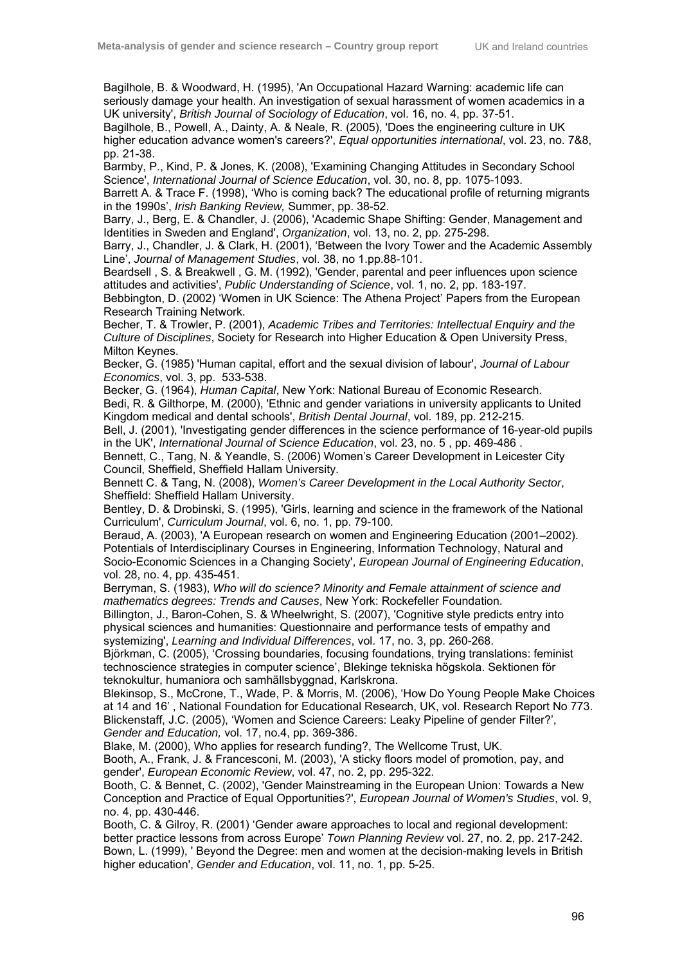Bagilhole, B. & Woodward, H. (1995), 'An Occupational Hazard Warning: academic life can seriously damage your health. An investigation of sexual harassment of women academics in a UK university', *British Journal of Sociology of Education*, vol. 16, no. 4, pp. 37-51.

Bagilhole, B., Powell, A., Dainty, A. & Neale, R. (2005), 'Does the engineering culture in UK higher education advance women's careers?', *Equal opportunities international*, vol. 23, no. 7&8, pp. 21-38.

Barmby, P., Kind, P. & Jones, K. (2008), 'Examining Changing Attitudes in Secondary School Science', *International Journal of Science Education*, vol. 30, no. 8, pp. 1075-1093.

Barrett A. & Trace F. (1998), 'Who is coming back? The educational profile of returning migrants in the 1990s', *Irish Banking Review,* Summer, pp. 38-52.

Barry, J., Berg, E. & Chandler, J. (2006), 'Academic Shape Shifting: Gender, Management and Identities in Sweden and England', *Organization*, vol. 13, no. 2, pp. 275-298.

Barry, J., Chandler, J. & Clark, H. (2001), 'Between the Ivory Tower and the Academic Assembly Line', *Journal of Management Studies*, vol. 38, no 1.pp.88-101.

Beardsell , S. & Breakwell , G. M. (1992), 'Gender, parental and peer influences upon science attitudes and activities', *Public Understanding of Science*, vol. 1, no. 2, pp. 183-197.

Bebbington, D. (2002) 'Women in UK Science: The Athena Project' Papers from the European Research Training Network.

Becher, T. & Trowler, P. (2001), *Academic Tribes and Territories: Intellectual Enquiry and the Culture of Disciplines*, Society for Research into Higher Education & Open University Press, Milton Keynes.

Becker, G. (1985) 'Human capital, effort and the sexual division of labour', *Journal of Labour Economics*, vol. 3, pp. 533-538.

Becker, G. (1964), *Human Capital*, New York: National Bureau of Economic Research. Bedi, R. & Gilthorpe, M. (2000), 'Ethnic and gender variations in university applicants to United Kingdom medical and dental schools', *British Dental Journal*, vol. 189, pp. 212-215.

Bell, J. (2001), 'Investigating gender differences in the science performance of 16-year-old pupils in the UK', *International Journal of Science Education*, vol. 23, no. 5 , pp. 469-486 .

Bennett, C., Tang, N. & Yeandle, S. (2006) Women's Career Development in Leicester City Council, Sheffield, Sheffield Hallam University.

Bennett C. & Tang, N. (2008), *Women's Career Development in the Local Authority Sector*, Sheffield: Sheffield Hallam University.

Bentley, D. & Drobinski, S. (1995), 'Girls, learning and science in the framework of the National Curriculum', *Curriculum Journal*, vol. 6, no. 1, pp. 79-100.

Beraud, A. (2003), 'A European research on women and Engineering Education (2001–2002). Potentials of Interdisciplinary Courses in Engineering, Information Technology, Natural and Socio-Economic Sciences in a Changing Society', *European Journal of Engineering Education*, vol. 28, no. 4, pp. 435-451.

Berryman, S. (1983), *Who will do science? Minority and Female attainment of science and mathematics degrees: Trends and Causes*, New York: Rockefeller Foundation.

Billington, J., Baron-Cohen, S. & Wheelwright, S. (2007), 'Cognitive style predicts entry into physical sciences and humanities: Questionnaire and performance tests of empathy and systemizing', *Learning and Individual Differences*, vol. 17, no. 3, pp. 260-268.

Björkman, C. (2005), 'Crossing boundaries, focusing foundations, trying translations: feminist technoscience strategies in computer science', Blekinge tekniska högskola. Sektionen för teknokultur, humaniora och samhällsbyggnad, Karlskrona.

Blekinsop, S., McCrone, T., Wade, P. & Morris, M. (2006), 'How Do Young People Make Choices at 14 and 16' , National Foundation for Educational Research, UK, vol. Research Report No 773. Blickenstaff, J.C. (2005), 'Women and Science Careers: Leaky Pipeline of gender Filter?', *Gender and Education,* vol. 17, no.4, pp. 369-386.

Blake, M. (2000), Who applies for research funding?, The Wellcome Trust, UK.

Booth, A., Frank, J. & Francesconi, M. (2003), 'A sticky floors model of promotion, pay, and gender', *European Economic Review*, vol. 47, no. 2, pp. 295-322.

Booth, C. & Bennet, C. (2002), 'Gender Mainstreaming in the European Union: Towards a New Conception and Practice of Equal Opportunities?', *European Journal of Women's Studies*, vol. 9, no. 4, pp. 430-446.

Booth, C. & Gilroy, R. (2001) 'Gender aware approaches to local and regional development: better practice lessons from across Europe' *Town Planning Review* vol. 27, no. 2, pp. 217-242. Bown, L. (1999), ' Beyond the Degree: men and women at the decision-making levels in British higher education', *Gender and Education*, vol. 11, no. 1, pp. 5-25.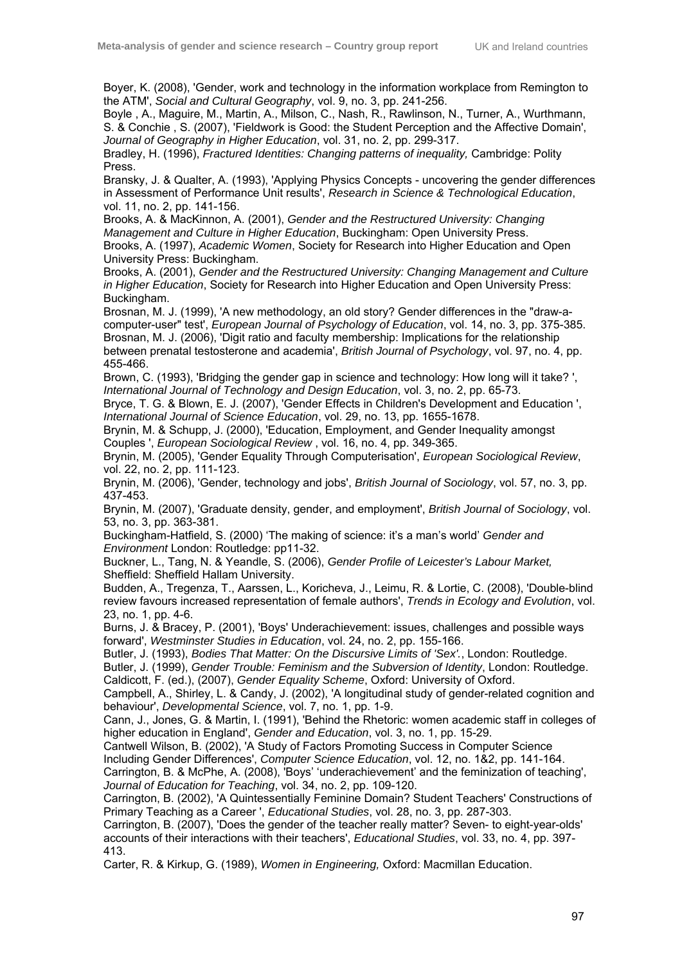Boyer, K. (2008), 'Gender, work and technology in the information workplace from Remington to the ATM', *Social and Cultural Geography*, vol. 9, no. 3, pp. 241-256.

Boyle , A., Maguire, M., Martin, A., Milson, C., Nash, R., Rawlinson, N., Turner, A., Wurthmann, S. & Conchie , S. (2007), 'Fieldwork is Good: the Student Perception and the Affective Domain', *Journal of Geography in Higher Education*, vol. 31, no. 2, pp. 299-317.

Bradley, H. (1996), *Fractured Identities: Changing patterns of inequality,* Cambridge: Polity Press.

Bransky, J. & Qualter, A. (1993), 'Applying Physics Concepts - uncovering the gender differences in Assessment of Performance Unit results', *Research in Science & Technological Education*, vol. 11, no. 2, pp. 141-156.

Brooks, A. & MacKinnon, A. (2001), *Gender and the Restructured University: Changing Management and Culture in Higher Education*, Buckingham: Open University Press. Brooks, A. (1997), *Academic Women*, Society for Research into Higher Education and Open University Press: Buckingham.

Brooks, A. (2001), *Gender and the Restructured University: Changing Management and Culture in Higher Education*, Society for Research into Higher Education and Open University Press: Buckingham.

Brosnan, M. J. (1999), 'A new methodology, an old story? Gender differences in the "draw-acomputer-user" test', *European Journal of Psychology of Education*, vol. 14, no. 3, pp. 375-385. Brosnan, M. J. (2006), 'Digit ratio and faculty membership: Implications for the relationship between prenatal testosterone and academia', *British Journal of Psychology*, vol. 97, no. 4, pp. 455-466.

Brown, C. (1993), 'Bridging the gender gap in science and technology: How long will it take? ', *International Journal of Technology and Design Education*, vol. 3, no. 2, pp. 65-73.

Bryce, T. G. & Blown, E. J. (2007), 'Gender Effects in Children's Development and Education ', *International Journal of Science Education*, vol. 29, no. 13, pp. 1655-1678.

Brynin, M. & Schupp, J. (2000), 'Education, Employment, and Gender Inequality amongst Couples ', *European Sociological Review* , vol. 16, no. 4, pp. 349-365.

Brynin, M. (2005), 'Gender Equality Through Computerisation', *European Sociological Review*, vol. 22, no. 2, pp. 111-123.

Brynin, M. (2006), 'Gender, technology and jobs', *British Journal of Sociology*, vol. 57, no. 3, pp. 437-453.

Brynin, M. (2007), 'Graduate density, gender, and employment', *British Journal of Sociology*, vol. 53, no. 3, pp. 363-381.

Buckingham-Hatfield, S. (2000) 'The making of science: it's a man's world' *Gender and Environment* London: Routledge: pp11-32.

Buckner, L., Tang, N. & Yeandle, S. (2006), *Gender Profile of Leicester's Labour Market,* Sheffield: Sheffield Hallam University.

Budden, A., Tregenza, T., Aarssen, L., Koricheva, J., Leimu, R. & Lortie, C. (2008), 'Double-blind review favours increased representation of female authors', *Trends in Ecology and Evolution*, vol. 23, no. 1, pp. 4-6.

Burns, J. & Bracey, P. (2001), 'Boys' Underachievement: issues, challenges and possible ways forward', *Westminster Studies in Education*, vol. 24, no. 2, pp. 155-166.

Butler, J. (1993), *Bodies That Matter: On the Discursive Limits of 'Sex'.*, London: Routledge.

Butler, J. (1999), *Gender Trouble: Feminism and the Subversion of Identity*, London: Routledge. Caldicott, F. (ed.), (2007), *Gender Equality Scheme*, Oxford: University of Oxford.

Campbell, A., Shirley, L. & Candy, J. (2002), 'A longitudinal study of gender-related cognition and behaviour', *Developmental Science*, vol. 7, no. 1, pp. 1-9.

Cann, J., Jones, G. & Martin, I. (1991), 'Behind the Rhetoric: women academic staff in colleges of higher education in England', *Gender and Education*, vol. 3, no. 1, pp. 15-29.

Cantwell Wilson, B. (2002), 'A Study of Factors Promoting Success in Computer Science

Including Gender Differences', *Computer Science Education*, vol. 12, no. 1&2, pp. 141-164.

Carrington, B. & McPhe, A. (2008), 'Boys' 'underachievement' and the feminization of teaching', *Journal of Education for Teaching*, vol. 34, no. 2, pp. 109-120.

Carrington, B. (2002), 'A Quintessentially Feminine Domain? Student Teachers' Constructions of Primary Teaching as a Career ', *Educational Studies*, vol. 28, no. 3, pp. 287-303.

Carrington, B. (2007), 'Does the gender of the teacher really matter? Seven- to eight-year-olds' accounts of their interactions with their teachers', *Educational Studies*, vol. 33, no. 4, pp. 397- 413.

Carter, R. & Kirkup, G. (1989), *Women in Engineering,* Oxford: Macmillan Education.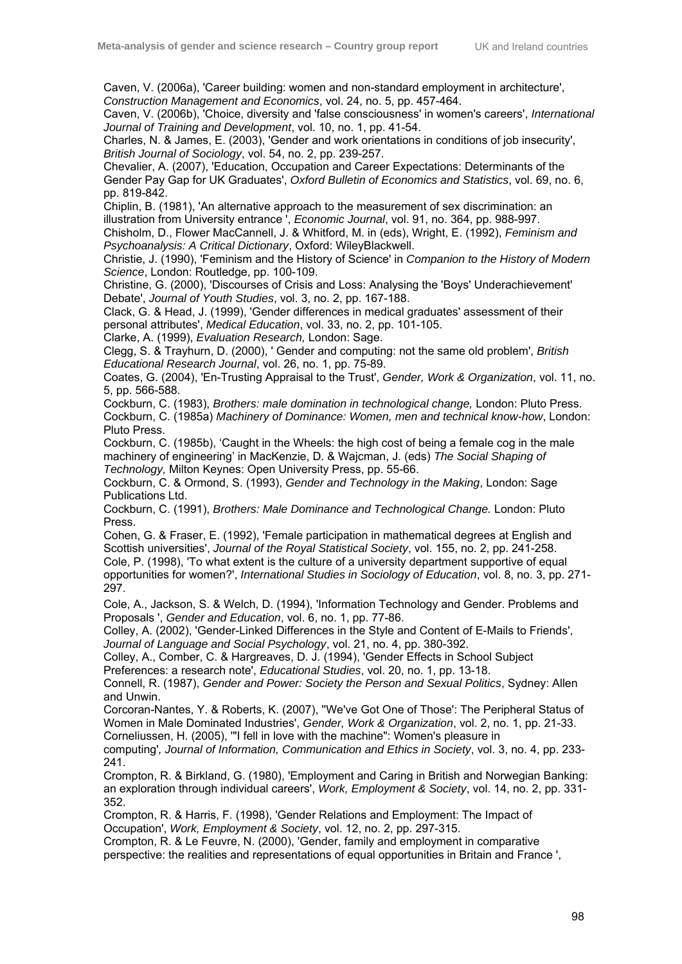Caven, V. (2006a), 'Career building: women and non-standard employment in architecture', *Construction Management and Economics*, vol. 24, no. 5, pp. 457-464.

Caven, V. (2006b), 'Choice, diversity and 'false consciousness' in women's careers', *International Journal of Training and Development*, vol. 10, no. 1, pp. 41-54.

Charles, N. & James, E. (2003), 'Gender and work orientations in conditions of job insecurity', *British Journal of Sociology*, vol. 54, no. 2, pp. 239-257.

Chevalier, A. (2007), 'Education, Occupation and Career Expectations: Determinants of the Gender Pay Gap for UK Graduates', *Oxford Bulletin of Economics and Statistics*, vol. 69, no. 6, pp. 819-842.

Chiplin, B. (1981), 'An alternative approach to the measurement of sex discrimination: an illustration from University entrance ', *Economic Journal*, vol. 91, no. 364, pp. 988-997.

Chisholm, D., Flower MacCannell, J. & Whitford, M. in (eds), Wright, E. (1992), *Feminism and Psychoanalysis: A Critical Dictionary*, Oxford: WileyBlackwell.

Christie, J. (1990), 'Feminism and the History of Science' in *Companion to the History of Modern Science*, London: Routledge, pp. 100-109.

Christine, G. (2000), 'Discourses of Crisis and Loss: Analysing the 'Boys' Underachievement' Debate', *Journal of Youth Studies*, vol. 3, no. 2, pp. 167-188.

Clack, G. & Head, J. (1999), 'Gender differences in medical graduates' assessment of their personal attributes', *Medical Education*, vol. 33, no. 2, pp. 101-105.

Clarke, A. (1999), *Evaluation Research,* London: Sage.

Clegg, S. & Trayhurn, D. (2000), ' Gender and computing: not the same old problem', *British Educational Research Journal*, vol. 26, no. 1, pp. 75-89.

Coates, G. (2004), 'En-Trusting Appraisal to the Trust', *Gender, Work & Organization*, vol. 11, no. 5, pp. 566-588.

Cockburn, C. (1983), *Brothers: male domination in technological change,* London: Pluto Press. Cockburn, C. (1985a) *Machinery of Dominance: Women, men and technical know-how*, London: Pluto Press.

Cockburn, C. (1985b), 'Caught in the Wheels: the high cost of being a female cog in the male machinery of engineering' in MacKenzie, D. & Wajcman, J. (eds) *The Social Shaping of Technology,* Milton Keynes: Open University Press, pp. 55-66.

Cockburn, C. & Ormond, S. (1993), *Gender and Technology in the Making*, London: Sage Publications Ltd.

Cockburn, C. (1991), *Brothers: Male Dominance and Technological Change.* London: Pluto Press.

Cohen, G. & Fraser, E. (1992), 'Female participation in mathematical degrees at English and Scottish universities', *Journal of the Royal Statistical Society*, vol. 155, no. 2, pp. 241-258.

Cole, P. (1998), 'To what extent is the culture of a university department supportive of equal opportunities for women?', *International Studies in Sociology of Education*, vol. 8, no. 3, pp. 271- 297.

Cole, A., Jackson, S. & Welch, D. (1994), 'Information Technology and Gender. Problems and Proposals ', *Gender and Education*, vol. 6, no. 1, pp. 77-86.

Colley, A. (2002), 'Gender-Linked Differences in the Style and Content of E-Mails to Friends', *Journal of Language and Social Psychology*, vol. 21, no. 4, pp. 380-392.

Colley, A., Comber, C. & Hargreaves, D. J. (1994), 'Gender Effects in School Subject Preferences: a research note', *Educational Studies*, vol. 20, no. 1, pp. 13-18.

Connell, R. (1987), *Gender and Power: Society the Person and Sexual Politics*, Sydney: Allen and Unwin.

Corcoran-Nantes, Y. & Roberts, K. (2007), ''We've Got One of Those': The Peripheral Status of Women in Male Dominated Industries', *Gender, Work & Organization*, vol. 2, no. 1, pp. 21-33. Corneliussen, H. (2005), '"I fell in love with the machine": Women's pleasure in

computing'*, Journal of Information, Communication and Ethics in Society*, vol. 3, no. 4, pp. 233- 241.

Crompton, R. & Birkland, G. (1980), 'Employment and Caring in British and Norwegian Banking: an exploration through individual careers', *Work, Employment & Society*, vol. 14, no. 2, pp. 331- 352.

Crompton, R. & Harris, F. (1998), 'Gender Relations and Employment: The Impact of Occupation', *Work, Employment & Society*, vol. 12, no. 2, pp. 297-315.

Crompton, R. & Le Feuvre, N. (2000), 'Gender, family and employment in comparative perspective: the realities and representations of equal opportunities in Britain and France ',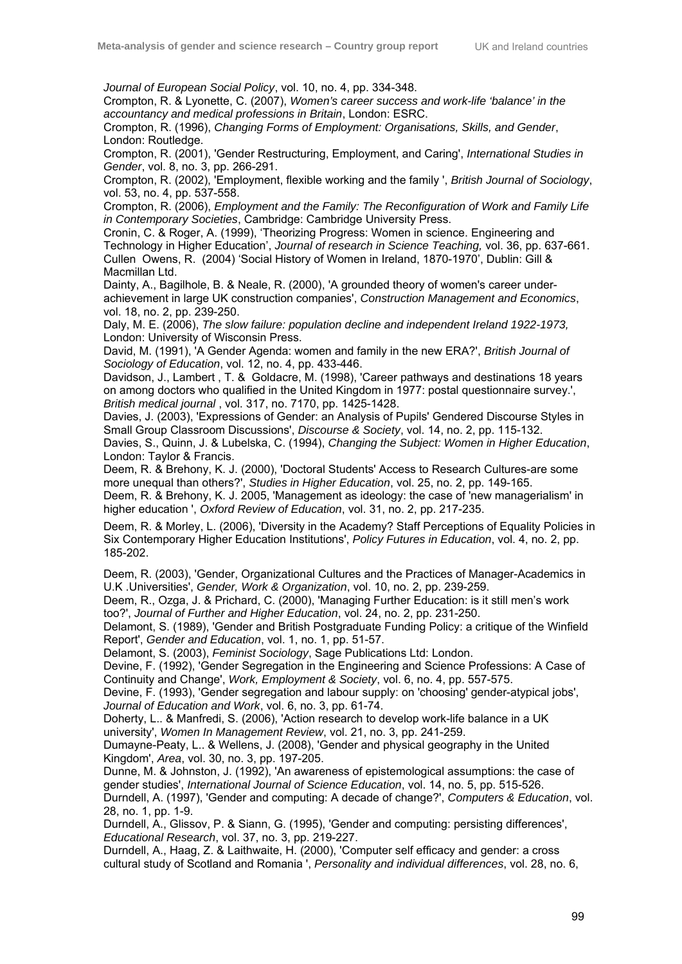*Journal of European Social Policy*, vol. 10, no. 4, pp. 334-348.

Crompton, R. & Lyonette, C. (2007), *Women's career success and work-life 'balance' in the accountancy and medical professions in Britain*, London: ESRC.

Crompton, R. (1996), *Changing Forms of Employment: Organisations, Skills, and Gender*, London: Routledge.

Crompton, R. (2001), 'Gender Restructuring, Employment, and Caring', *International Studies in Gender*, vol. 8, no. 3, pp. 266-291.

Crompton, R. (2002), 'Employment, flexible working and the family ', *British Journal of Sociology*, vol. 53, no. 4, pp. 537-558.

Crompton, R. (2006), *Employment and the Family: The Reconfiguration of Work and Family Life in Contemporary Societies*, Cambridge: Cambridge University Press.

Cronin, C. & Roger, A. (1999), 'Theorizing Progress: Women in science. Engineering and Technology in Higher Education', *Journal of research in Science Teaching,* vol. 36, pp. 637-661. Cullen Owens, R. (2004) 'Social History of Women in Ireland, 1870-1970', Dublin: Gill & Macmillan Ltd.

Dainty, A., Bagilhole, B. & Neale, R. (2000), 'A grounded theory of women's career underachievement in large UK construction companies', *Construction Management and Economics*, vol. 18, no. 2, pp. 239-250.

Daly, M. E. (2006), *The slow failure: population decline and independent Ireland 1922-1973,* London: University of Wisconsin Press.

David, M. (1991), 'A Gender Agenda: women and family in the new ERA?', *British Journal of Sociology of Education*, vol. 12, no. 4, pp. 433-446.

Davidson, J., Lambert , T. & Goldacre, M. (1998), 'Career pathways and destinations 18 years on among doctors who qualified in the United Kingdom in 1977: postal questionnaire survey.', *British medical journal* , vol. 317, no. 7170, pp. 1425-1428.

Davies, J. (2003), 'Expressions of Gender: an Analysis of Pupils' Gendered Discourse Styles in Small Group Classroom Discussions', *Discourse & Society*, vol. 14, no. 2, pp. 115-132.

Davies, S., Quinn, J. & Lubelska, C. (1994), *Changing the Subject: Women in Higher Education*, London: Taylor & Francis.

Deem, R. & Brehony, K. J. (2000), 'Doctoral Students' Access to Research Cultures-are some more unequal than others?', *Studies in Higher Education*, vol. 25, no. 2, pp. 149-165.

Deem, R. & Brehony, K. J. 2005, 'Management as ideology: the case of 'new managerialism' in higher education ', *Oxford Review of Education*, vol. 31, no. 2, pp. 217-235.

Deem, R. & Morley, L. (2006), 'Diversity in the Academy? Staff Perceptions of Equality Policies in Six Contemporary Higher Education Institutions', *Policy Futures in Education*, vol. 4, no. 2, pp. 185-202.

Deem, R. (2003), 'Gender, Organizational Cultures and the Practices of Manager-Academics in U.K .Universities', *Gender, Work & Organization*, vol. 10, no. 2, pp. 239-259.

Deem, R., Ozga, J. & Prichard, C. (2000), 'Managing Further Education: is it still men's work too?', *Journal of Further and Higher Education*, vol. 24, no. 2, pp. 231-250.

Delamont, S. (1989), 'Gender and British Postgraduate Funding Policy: a critique of the Winfield Report', *Gender and Education*, vol. 1, no. 1, pp. 51-57.

Delamont, S. (2003), *Feminist Sociology*, Sage Publications Ltd: London.

Devine, F. (1992), 'Gender Segregation in the Engineering and Science Professions: A Case of Continuity and Change', *Work, Employment & Society*, vol. 6, no. 4, pp. 557-575.

Devine, F. (1993), 'Gender segregation and labour supply: on 'choosing' gender-atypical jobs', *Journal of Education and Work*, vol. 6, no. 3, pp. 61-74.

Doherty, L.. & Manfredi, S. (2006), 'Action research to develop work-life balance in a UK university', *Women In Management Review*, vol. 21, no. 3, pp. 241-259.

Dumayne-Peaty, L.. & Wellens, J. (2008), 'Gender and physical geography in the United Kingdom', *Area*, vol. 30, no. 3, pp. 197-205.

Dunne, M. & Johnston, J. (1992), 'An awareness of epistemological assumptions: the case of gender studies', *International Journal of Science Education*, vol. 14, no. 5, pp. 515-526.

Durndell, A. (1997), 'Gender and computing: A decade of change?', *Computers & Education*, vol. 28, no. 1, pp. 1-9.

Durndell, A., Glissov, P. & Siann, G. (1995), 'Gender and computing: persisting differences', *Educational Research*, vol. 37, no. 3, pp. 219-227.

Durndell, A., Haag, Z. & Laithwaite, H. (2000), 'Computer self efficacy and gender: a cross cultural study of Scotland and Romania ', *Personality and individual differences*, vol. 28, no. 6,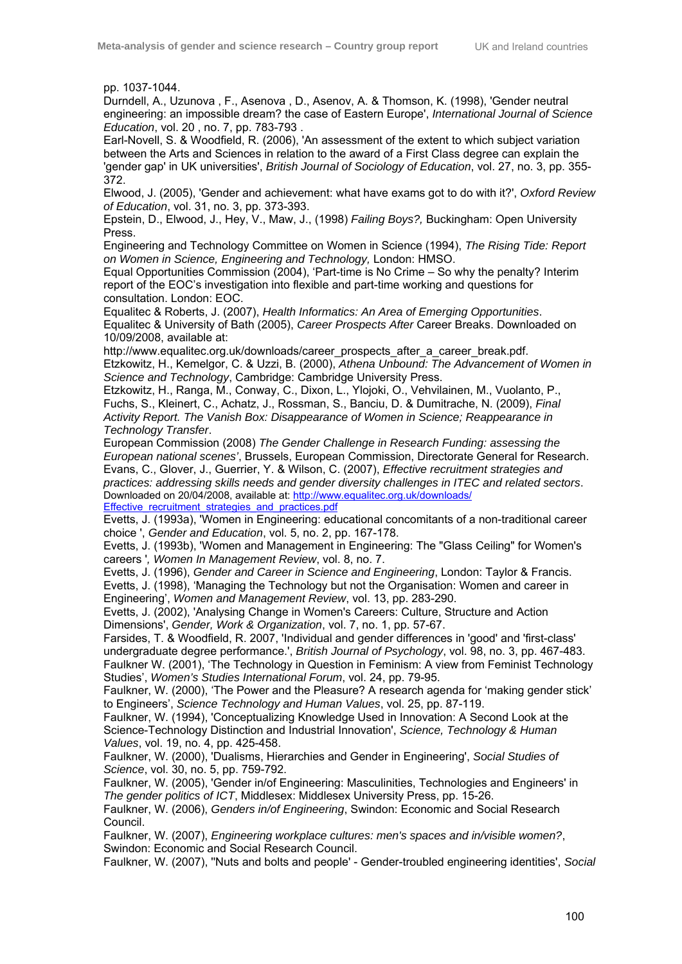pp. 1037-1044.

Durndell, A., Uzunova , F., Asenova , D., Asenov, A. & Thomson, K. (1998), 'Gender neutral engineering: an impossible dream? the case of Eastern Europe', *International Journal of Science Education*, vol. 20 , no. 7, pp. 783-793 .

Earl-Novell, S. & Woodfield, R. (2006), 'An assessment of the extent to which subject variation between the Arts and Sciences in relation to the award of a First Class degree can explain the 'gender gap' in UK universities', *British Journal of Sociology of Education*, vol. 27, no. 3, pp. 355- 372.

Elwood, J. (2005), 'Gender and achievement: what have exams got to do with it?', *Oxford Review of Education*, vol. 31, no. 3, pp. 373-393.

Epstein, D., Elwood, J., Hey, V., Maw, J., (1998) *Failing Boys?,* Buckingham: Open University Press.

Engineering and Technology Committee on Women in Science (1994), *The Rising Tide: Report on Women in Science, Engineering and Technology,* London: HMSO.

Equal Opportunities Commission (2004), 'Part-time is No Crime – So why the penalty? Interim report of the EOC's investigation into flexible and part-time working and questions for consultation. London: EOC.

Equalitec & Roberts, J. (2007), *Health Informatics: An Area of Emerging Opportunities*. Equalitec & University of Bath (2005), *Career Prospects After* Career Breaks. Downloaded on 10/09/2008, available at:

http://www.equalitec.org.uk/downloads/career\_prospects\_after\_a\_career\_break.pdf. Etzkowitz, H., Kemelgor, C. & Uzzi, B. (2000), *Athena Unbound: The Advancement of Women in Science and Technology*, Cambridge: Cambridge University Press.

Etzkowitz, H., Ranga, M., Conway, C., Dixon, L., Ylojoki, O., Vehvilainen, M., Vuolanto, P., Fuchs, S., Kleinert, C., Achatz, J., Rossman, S., Banciu, D. & Dumitrache, N. (2009), *Final Activity Report. The Vanish Box: Disappearance of Women in Science; Reappearance in Technology Transfer*.

European Commission (2008) *The Gender Challenge in Research Funding: assessing the European national scenes'*, Brussels, European Commission, Directorate General for Research. Evans, C., Glover, J., Guerrier, Y. & Wilson, C. (2007), *Effective recruitment strategies and practices: addressing skills needs and gender diversity challenges in ITEC and related sectors*. Downloaded on 20/04/2008, available at: http://www.equalitec.org.uk/downloads/ Effective\_recruitment\_strategies\_and\_practices.pdf

Evetts, J. (1993a), 'Women in Engineering: educational concomitants of a non-traditional career choice ', *Gender and Education*, vol. 5, no. 2, pp. 167-178.

Evetts, J. (1993b), 'Women and Management in Engineering: The "Glass Ceiling" for Women's careers '*, Women In Management Review*, vol. 8, no. 7.

Evetts, J. (1996), *Gender and Career in Science and Engineering*, London: Taylor & Francis. Evetts, J. (1998), 'Managing the Technology but not the Organisation: Women and career in Engineering', *Women and Management Review*, vol. 13, pp. 283-290.

Evetts, J. (2002), 'Analysing Change in Women's Careers: Culture, Structure and Action Dimensions', *Gender, Work & Organization*, vol. 7, no. 1, pp. 57-67.

Farsides, T. & Woodfield, R. 2007, 'Individual and gender differences in 'good' and 'first-class' undergraduate degree performance.', *British Journal of Psychology*, vol. 98, no. 3, pp. 467-483. Faulkner W. (2001), 'The Technology in Question in Feminism: A view from Feminist Technology Studies', *Women's Studies International Forum*, vol. 24, pp. 79-95.

Faulkner, W. (2000), 'The Power and the Pleasure? A research agenda for 'making gender stick' to Engineers', *Science Technology and Human Values*, vol. 25, pp. 87-119.

Faulkner, W. (1994), 'Conceptualizing Knowledge Used in Innovation: A Second Look at the Science-Technology Distinction and Industrial Innovation', *Science, Technology & Human Values*, vol. 19, no. 4, pp. 425-458.

Faulkner, W. (2000), 'Dualisms, Hierarchies and Gender in Engineering', *Social Studies of Science*, vol. 30, no. 5, pp. 759-792.

Faulkner, W. (2005), 'Gender in/of Engineering: Masculinities, Technologies and Engineers' in *The gender politics of ICT*, Middlesex: Middlesex University Press, pp. 15-26.

Faulkner, W. (2006), *Genders in/of Engineering*, Swindon: Economic and Social Research Council.

Faulkner, W. (2007), *Engineering workplace cultures: men's spaces and in/visible women?*, Swindon: Economic and Social Research Council.

Faulkner, W. (2007), ''Nuts and bolts and people' - Gender-troubled engineering identities', *Social*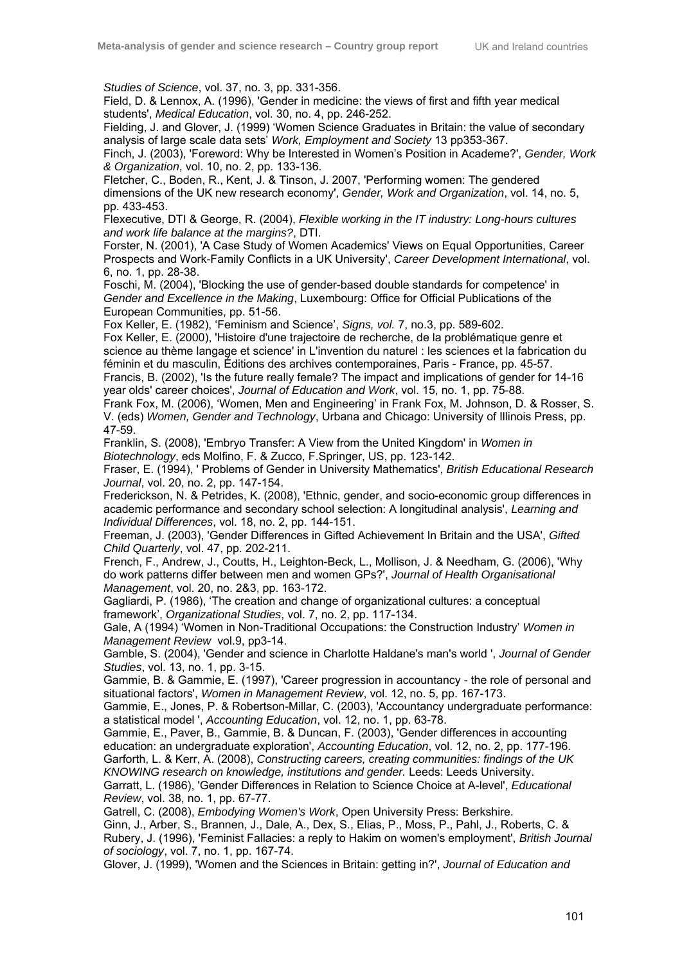*Studies of Science*, vol. 37, no. 3, pp. 331-356.

Field, D. & Lennox, A. (1996), 'Gender in medicine: the views of first and fifth year medical students', *Medical Education*, vol. 30, no. 4, pp. 246-252.

Fielding, J. and Glover, J. (1999) 'Women Science Graduates in Britain: the value of secondary analysis of large scale data sets' *Work, Employment and Society* 13 pp353-367.

Finch, J. (2003), 'Foreword: Why be Interested in Women's Position in Academe?', *Gender, Work & Organization*, vol. 10, no. 2, pp. 133-136.

Fletcher, C., Boden, R., Kent, J. & Tinson, J. 2007, 'Performing women: The gendered dimensions of the UK new research economy', *Gender, Work and Organization*, vol. 14, no. 5, pp. 433-453.

Flexecutive, DTI & George, R. (2004), *Flexible working in the IT industry: Long-hours cultures and work life balance at the margins?*, DTI.

Forster, N. (2001), 'A Case Study of Women Academics' Views on Equal Opportunities, Career Prospects and Work-Family Conflicts in a UK University', *Career Development International*, vol. 6, no. 1, pp. 28-38.

Foschi, M. (2004), 'Blocking the use of gender-based double standards for competence' in *Gender and Excellence in the Making*, Luxembourg: Office for Official Publications of the European Communities, pp. 51-56.

Fox Keller, E. (1982), 'Feminism and Science', *Signs, vol.* 7, no.3, pp. 589-602.

Fox Keller, E. (2000), 'Histoire d'une trajectoire de recherche, de la problématique genre et science au thème langage et science' in L'invention du naturel : les sciences et la fabrication du féminin et du masculin, Éditions des archives contemporaines, Paris - France, pp. 45-57. Francis, B. (2002), 'Is the future really female? The impact and implications of gender for 14-16

year olds' career choices', *Journal of Education and Work*, vol. 15, no. 1, pp. 75-88. Frank Fox, M. (2006), 'Women, Men and Engineering' in Frank Fox, M. Johnson, D. & Rosser, S. V. (eds) *Women, Gender and Technology*, Urbana and Chicago: University of Illinois Press, pp. 47-59.

Franklin, S. (2008), 'Embryo Transfer: A View from the United Kingdom' in *Women in Biotechnology*, eds Molfino, F. & Zucco, F.Springer, US, pp. 123-142.

Fraser, E. (1994), ' Problems of Gender in University Mathematics', *British Educational Research Journal*, vol. 20, no. 2, pp. 147-154.

Frederickson, N. & Petrides, K. (2008), 'Ethnic, gender, and socio-economic group differences in academic performance and secondary school selection: A longitudinal analysis', *Learning and Individual Differences*, vol. 18, no. 2, pp. 144-151.

Freeman, J. (2003), 'Gender Differences in Gifted Achievement In Britain and the USA', *Gifted Child Quarterly*, vol. 47, pp. 202-211.

French, F., Andrew, J., Coutts, H., Leighton-Beck, L., Mollison, J. & Needham, G. (2006), 'Why do work patterns differ between men and women GPs?', *Journal of Health Organisational Management*, vol. 20, no. 2&3, pp. 163-172.

Gagliardi, P. (1986), 'The creation and change of organizational cultures: a conceptual framework', *Organizational Studies*, vol. 7, no. 2, pp. 117-134.

Gale, A (1994) 'Women in Non-Traditional Occupations: the Construction Industry' *Women in Management Review* vol.9, pp3-14.

Gamble, S. (2004), 'Gender and science in Charlotte Haldane's man's world ', *Journal of Gender Studies*, vol. 13, no. 1, pp. 3-15.

Gammie, B. & Gammie, E. (1997), 'Career progression in accountancy - the role of personal and situational factors', *Women in Management Review*, vol. 12, no. 5, pp. 167-173.

Gammie, E., Jones, P. & Robertson-Millar, C. (2003), 'Accountancy undergraduate performance: a statistical model ', *Accounting Education*, vol. 12, no. 1, pp. 63-78.

Gammie, E., Paver, B., Gammie, B. & Duncan, F. (2003), 'Gender differences in accounting education: an undergraduate exploration', *Accounting Education*, vol. 12, no. 2, pp. 177-196. Garforth, L. & Kerr, A. (2008), *Constructing careers, creating communities: findings of the UK KNOWING research on knowledge, institutions and gender.* Leeds: Leeds University.

Garratt, L. (1986), 'Gender Differences in Relation to Science Choice at A-level', *Educational Review*, vol. 38, no. 1, pp. 67-77.

Gatrell, C. (2008), *Embodying Women's Work*, Open University Press: Berkshire.

Ginn, J., Arber, S., Brannen, J., Dale, A., Dex, S., Elias, P., Moss, P., Pahl, J., Roberts, C. & Rubery, J. (1996), 'Feminist Fallacies: a reply to Hakim on women's employment', *British Journal of sociology*, vol. 7, no. 1, pp. 167-74.

Glover, J. (1999), 'Women and the Sciences in Britain: getting in?', *Journal of Education and*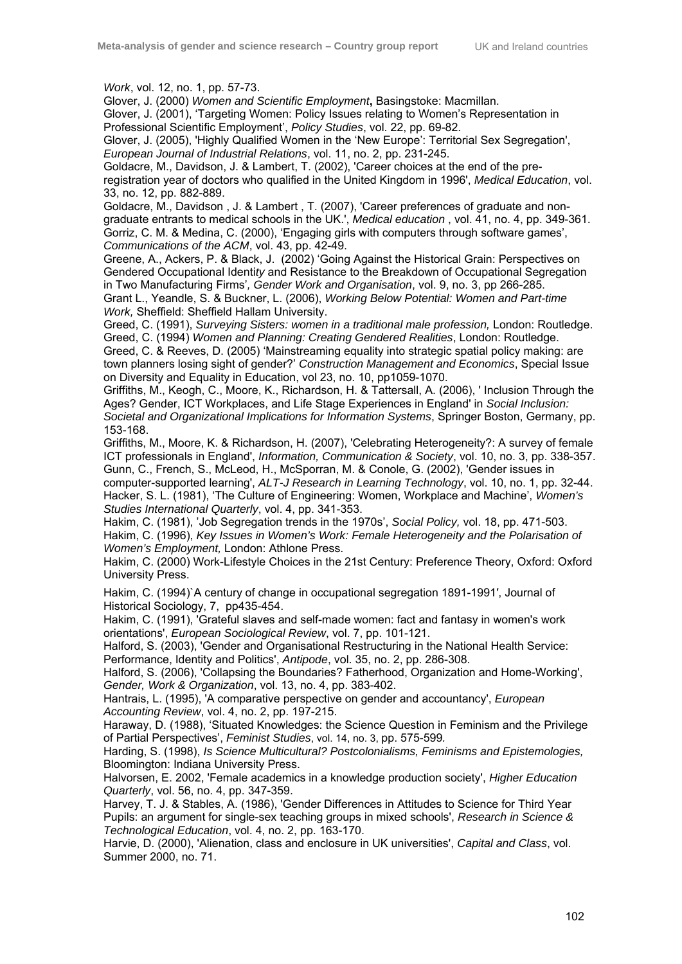*Work*, vol. 12, no. 1, pp. 57-73.

Glover, J. (2000) *Women and Scientific Employment***,** Basingstoke: Macmillan.

Glover, J. (2001), 'Targeting Women: Policy Issues relating to Women's Representation in Professional Scientific Employment', *Policy Studies*, vol. 22, pp. 69-82.

Glover, J. (2005), 'Highly Qualified Women in the 'New Europe': Territorial Sex Segregation', *European Journal of Industrial Relations*, vol. 11, no. 2, pp. 231-245.

Goldacre, M., Davidson, J. & Lambert, T. (2002), 'Career choices at the end of the preregistration year of doctors who qualified in the United Kingdom in 1996', *Medical Education*, vol. 33, no. 12, pp. 882-889.

Goldacre, M., Davidson , J. & Lambert , T. (2007), 'Career preferences of graduate and nongraduate entrants to medical schools in the UK.', *Medical education* , vol. 41, no. 4, pp. 349-361. Gorriz, C. M. & Medina, C. (2000), 'Engaging girls with computers through software games', *Communications of the ACM*, vol. 43, pp. 42-49.

Greene, A., Ackers, P. & Black, J. (2002) 'Going Against the Historical Grain: Perspectives on Gendered Occupational Identi*ty* and Resistance to the Breakdown of Occupational Segregation in Two Manufacturing Firms'*, Gender Work and Organisation*, vol. 9, no. 3, pp 266-285. Grant L., Yeandle, S. & Buckner, L. (2006), *Working Below Potential: Women and Part-time Work,* Sheffield: Sheffield Hallam University.

Greed, C. (1991), *Surveying Sisters: women in a traditional male profession,* London: Routledge. Greed, C. (1994) *Women and Planning: Creating Gendered Realities*, London: Routledge.

Greed, C. & Reeves, D. (2005) 'Mainstreaming equality into strategic spatial policy making: are town planners losing sight of gender?' *Construction Management and Economics*, Special Issue on Diversity and Equality in Education, vol 23, no. 10, pp1059-1070.

Griffiths, M., Keogh, C., Moore, K., Richardson, H. & Tattersall, A. (2006), ' Inclusion Through the Ages? Gender, ICT Workplaces, and Life Stage Experiences in England' in *Social Inclusion: Societal and Organizational Implications for Information Systems*, Springer Boston, Germany, pp. 153-168.

Griffiths, M., Moore, K. & Richardson, H. (2007), 'Celebrating Heterogeneity?: A survey of female ICT professionals in England', *Information, Communication & Society*, vol. 10, no. 3, pp. 338-357. Gunn, C., French, S., McLeod, H., McSporran, M. & Conole, G. (2002), 'Gender issues in computer-supported learning', *ALT-J Research in Learning Technology*, vol. 10, no. 1, pp. 32-44.

Hacker, S. L. (1981), 'The Culture of Engineering: Women, Workplace and Machine', *Women's Studies International Quarterly*, vol. 4, pp. 341-353.

Hakim, C. (1981), 'Job Segregation trends in the 1970s', *Social Policy,* vol. 18, pp. 471-503. Hakim, C. (1996), *Key Issues in Women's Work: Female Heterogeneity and the Polarisation of Women's Employment,* London: Athlone Press.

Hakim, C. (2000) Work-Lifestyle Choices in the 21st Century: Preference Theory, Oxford: Oxford University Press.

Hakim, C. (1994)`A century of change in occupational segregation 1891-1991', Journal of Historical Sociology, 7, pp435-454.

Hakim, C. (1991), 'Grateful slaves and self-made women: fact and fantasy in women's work orientations', *European Sociological Review*, vol. 7, pp. 101-121.

Halford, S. (2003), 'Gender and Organisational Restructuring in the National Health Service: Performance, Identity and Politics', *Antipode*, vol. 35, no. 2, pp. 286-308.

Halford, S. (2006), 'Collapsing the Boundaries? Fatherhood, Organization and Home-Working', *Gender, Work & Organization*, vol. 13, no. 4, pp. 383-402.

Hantrais, L. (1995), 'A comparative perspective on gender and accountancy', *European Accounting Review*, vol. 4, no. 2, pp. 197-215.

Haraway, D. (1988), 'Situated Knowledges: the Science Question in Feminism and the Privilege of Partial Perspectives', *Feminist Studies*, vol. 14, no. 3, pp. 575-599*.* 

Harding, S. (1998), *Is Science Multicultural? Postcolonialisms, Feminisms and Epistemologies,* Bloomington: Indiana University Press.

Halvorsen, E. 2002, 'Female academics in a knowledge production society', *Higher Education Quarterly*, vol. 56, no. 4, pp. 347-359.

Harvey, T. J. & Stables, A. (1986), 'Gender Differences in Attitudes to Science for Third Year Pupils: an argument for single-sex teaching groups in mixed schools', *Research in Science & Technological Education*, vol. 4, no. 2, pp. 163-170.

Harvie, D. (2000), 'Alienation, class and enclosure in UK universities', *Capital and Class*, vol. Summer 2000, no. 71.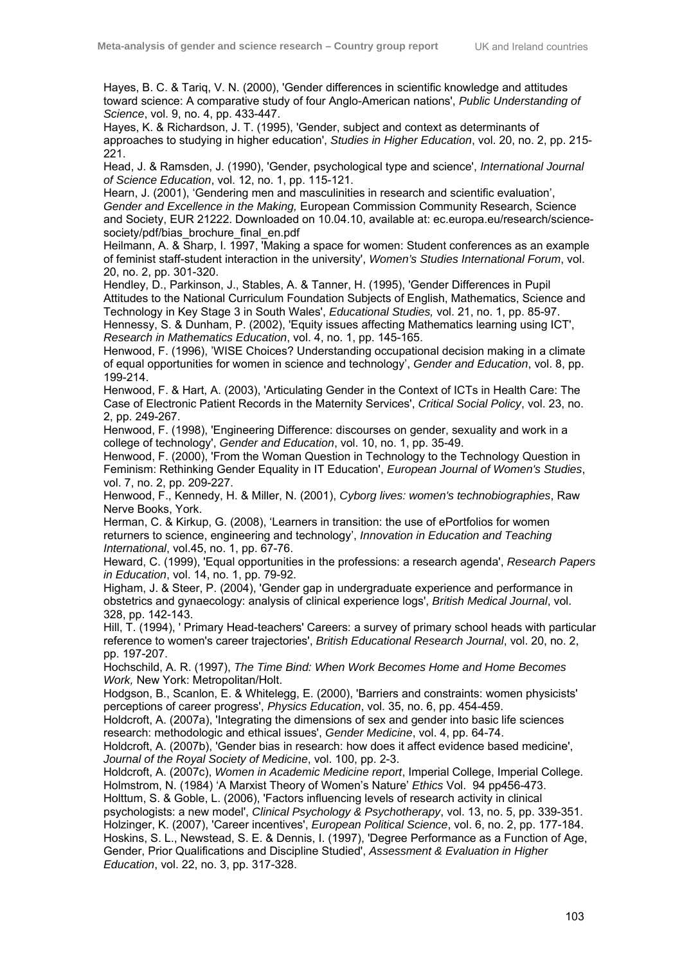Hayes, B. C. & Tariq, V. N. (2000), 'Gender differences in scientific knowledge and attitudes toward science: A comparative study of four Anglo-American nations', *Public Understanding of Science*, vol. 9, no. 4, pp. 433-447.

Hayes, K. & Richardson, J. T. (1995), 'Gender, subject and context as determinants of approaches to studying in higher education', *Studies in Higher Education*, vol. 20, no. 2, pp. 215- 221.

Head, J. & Ramsden, J. (1990), 'Gender, psychological type and science', *International Journal of Science Education*, vol. 12, no. 1, pp. 115-121.

Hearn, J. (2001), 'Gendering men and masculinities in research and scientific evaluation', *Gender and Excellence in the Making,* European Commission Community Research, Science and Society, EUR 21222. Downloaded on 10.04.10, available at: ec.europa.eu/research/sciencesociety/pdf/bias\_brochure\_final\_en.pdf

Heilmann, A. & Sharp, I. 1997, 'Making a space for women: Student conferences as an example of feminist staff-student interaction in the university', *Women's Studies International Forum*, vol. 20, no. 2, pp. 301-320.

Hendley, D., Parkinson, J., Stables, A. & Tanner, H. (1995), 'Gender Differences in Pupil Attitudes to the National Curriculum Foundation Subjects of English, Mathematics, Science and Technology in Key Stage 3 in South Wales', *Educational Studies,* vol. 21, no. 1, pp. 85-97. Hennessy, S. & Dunham, P. (2002), 'Equity issues affecting Mathematics learning using ICT', *Research in Mathematics Education*, vol. 4, no. 1, pp. 145-165.

Henwood, F. (1996), 'WISE Choices? Understanding occupational decision making in a climate of equal opportunities for women in science and technology', *Gender and Education*, vol. 8, pp. 199-214.

Henwood, F. & Hart, A. (2003), 'Articulating Gender in the Context of ICTs in Health Care: The Case of Electronic Patient Records in the Maternity Services', *Critical Social Policy*, vol. 23, no. 2, pp. 249-267.

Henwood, F. (1998), 'Engineering Difference: discourses on gender, sexuality and work in a college of technology', *Gender and Education*, vol. 10, no. 1, pp. 35-49.

Henwood, F. (2000), 'From the Woman Question in Technology to the Technology Question in Feminism: Rethinking Gender Equality in IT Education', *European Journal of Women's Studies*, vol. 7, no. 2, pp. 209-227.

Henwood, F., Kennedy, H. & Miller, N. (2001), *Cyborg lives: women's technobiographies*, Raw Nerve Books, York.

Herman, C. & Kirkup, G. (2008), 'Learners in transition: the use of ePortfolios for women returners to science, engineering and technology', *Innovation in Education and Teaching International*, vol.45, no. 1, pp. 67-76.

Heward, C. (1999), 'Equal opportunities in the professions: a research agenda', *Research Papers in Education*, vol. 14, no. 1, pp. 79-92.

Higham, J. & Steer, P. (2004), 'Gender gap in undergraduate experience and performance in obstetrics and gynaecology: analysis of clinical experience logs', *British Medical Journal*, vol. 328, pp. 142-143.

Hill, T. (1994), ' Primary Head-teachers' Careers: a survey of primary school heads with particular reference to women's career trajectories', *British Educational Research Journal*, vol. 20, no. 2, pp. 197-207.

Hochschild, A. R. (1997), *The Time Bind: When Work Becomes Home and Home Becomes Work,* New York: Metropolitan/Holt.

Hodgson, B., Scanlon, E. & Whitelegg, E. (2000), 'Barriers and constraints: women physicists' perceptions of career progress', *Physics Education*, vol. 35, no. 6, pp. 454-459.

Holdcroft, A. (2007a), 'Integrating the dimensions of sex and gender into basic life sciences research: methodologic and ethical issues', *Gender Medicine*, vol. 4, pp. 64-74.

Holdcroft, A. (2007b), 'Gender bias in research: how does it affect evidence based medicine', *Journal of the Royal Society of Medicine*, vol. 100, pp. 2-3.

Holdcroft, A. (2007c), *Women in Academic Medicine report*, Imperial College, Imperial College. Holmstrom, N. (1984) 'A Marxist Theory of Women's Nature' *Ethics* Vol. 94 pp456-473.

Holttum, S. & Goble, L. (2006), 'Factors influencing levels of research activity in clinical

psychologists: a new model', *Clinical Psychology & Psychotherapy*, vol. 13, no. 5, pp. 339-351. Holzinger, K. (2007), 'Career incentives', *European Political Science*, vol. 6, no. 2, pp. 177-184. Hoskins, S. L., Newstead, S. E. & Dennis, I. (1997), 'Degree Performance as a Function of Age, Gender, Prior Qualifications and Discipline Studied', *Assessment & Evaluation in Higher Education*, vol. 22, no. 3, pp. 317-328.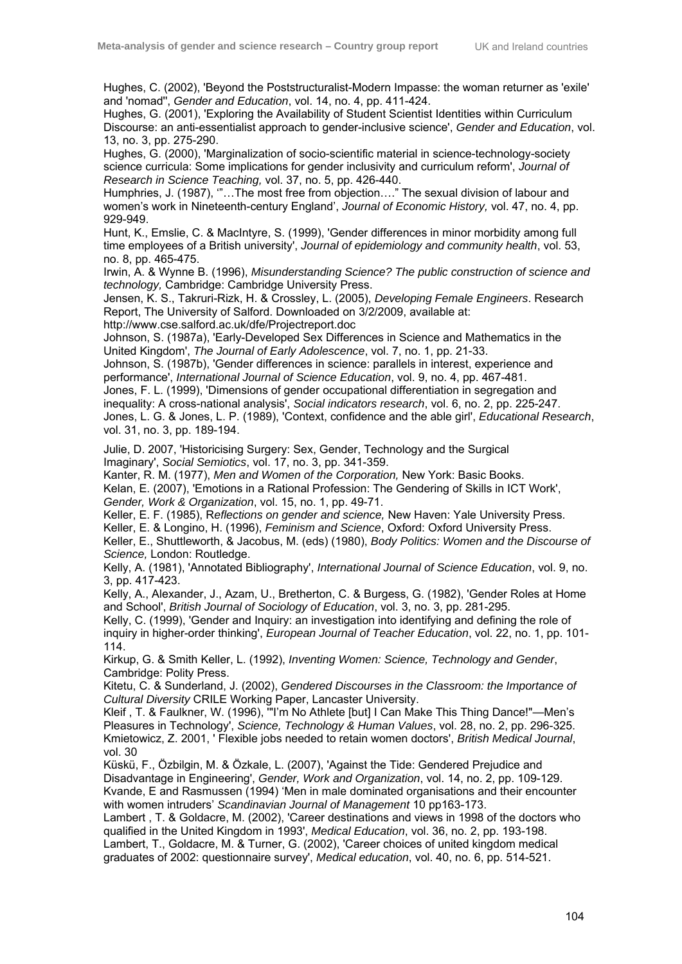Hughes, C. (2002), 'Beyond the Poststructuralist-Modern Impasse: the woman returner as 'exile' and 'nomad'', *Gender and Education*, vol. 14, no. 4, pp. 411-424.

Hughes, G. (2001), 'Exploring the Availability of Student Scientist Identities within Curriculum Discourse: an anti-essentialist approach to gender-inclusive science', *Gender and Education*, vol. 13, no. 3, pp. 275-290.

Hughes, G. (2000), 'Marginalization of socio-scientific material in science-technology-society science curricula: Some implications for gender inclusivity and curriculum reform', *Journal of Research in Science Teaching,* vol. 37, no. 5, pp. 426-440.

Humphries, J. (1987), '"…The most free from objection…." The sexual division of labour and women's work in Nineteenth-century England', *Journal of Economic History,* vol. 47, no. 4, pp. 929-949.

Hunt, K., Emslie, C. & MacIntyre, S. (1999), 'Gender differences in minor morbidity among full time employees of a British university', *Journal of epidemiology and community health*, vol. 53, no. 8, pp. 465-475.

Irwin, A. & Wynne B. (1996), *Misunderstanding Science? The public construction of science and technology,* Cambridge: Cambridge University Press.

Jensen, K. S., Takruri-Rizk, H. & Crossley, L. (2005), *Developing Female Engineers*. Research Report, The University of Salford. Downloaded on 3/2/2009, available at:

http://www.cse.salford.ac.uk/dfe/Projectreport.doc

Johnson, S. (1987a), 'Early-Developed Sex Differences in Science and Mathematics in the United Kingdom', *The Journal of Early Adolescence*, vol. 7, no. 1, pp. 21-33.

Johnson, S. (1987b), 'Gender differences in science: parallels in interest, experience and performance', *International Journal of Science Education*, vol. 9, no. 4, pp. 467-481. Jones, F. L. (1999), 'Dimensions of gender occupational differentiation in segregation and

inequality: A cross-national analysis', *Social indicators research*, vol. 6, no. 2, pp. 225-247. Jones, L. G. & Jones, L. P. (1989), 'Context, confidence and the able girl', *Educational Research*, vol. 31, no. 3, pp. 189-194.

Julie, D. 2007, 'Historicising Surgery: Sex, Gender, Technology and the Surgical Imaginary', *Social Semiotics*, vol. 17, no. 3, pp. 341-359.

Kanter, R. M. (1977), *Men and Women of the Corporation,* New York: Basic Books.

Kelan, E. (2007), 'Emotions in a Rational Profession: The Gendering of Skills in ICT Work', *Gender, Work & Organization*, vol. 15, no. 1, pp. 49-71.

Keller, E. F. (1985), R*eflections on gender and science,* New Haven: Yale University Press.

Keller, E. & Longino, H. (1996), *Feminism and Science*, Oxford: Oxford University Press.

Keller, E., Shuttleworth, & Jacobus, M. (eds) (1980), *Body Politics: Women and the Discourse of Science,* London: Routledge.

Kelly, A. (1981), 'Annotated Bibliography', *International Journal of Science Education*, vol. 9, no. 3, pp. 417-423.

Kelly, A., Alexander, J., Azam, U., Bretherton, C. & Burgess, G. (1982), 'Gender Roles at Home and School', *British Journal of Sociology of Education*, vol. 3, no. 3, pp. 281-295.

Kelly, C. (1999), 'Gender and Inquiry: an investigation into identifying and defining the role of inquiry in higher-order thinking', *European Journal of Teacher Education*, vol. 22, no. 1, pp. 101- 114.

Kirkup, G. & Smith Keller, L. (1992), *Inventing Women: Science, Technology and Gender*, Cambridge: Polity Press.

Kitetu, C. & Sunderland, J. (2002), *Gendered Discourses in the Classroom: the Importance of Cultural Diversity* CRILE Working Paper, Lancaster University.

Kleif , T. & Faulkner, W. (1996), '"I'm No Athlete [but] I Can Make This Thing Dance!"—Men's Pleasures in Technology', *Science, Technology & Human Values*, vol. 28, no. 2, pp. 296-325. Kmietowicz, Z. 2001, ' Flexible jobs needed to retain women doctors', *British Medical Journal*, vol. 30

Küskü, F., Özbilgin, M. & Özkale, L. (2007), 'Against the Tide: Gendered Prejudice and Disadvantage in Engineering', *Gender, Work and Organization*, vol. 14, no. 2, pp. 109-129. Kvande, E and Rasmussen (1994) 'Men in male dominated organisations and their encounter with women intruders' *Scandinavian Journal of Management* 10 pp163-173.

Lambert , T. & Goldacre, M. (2002), 'Career destinations and views in 1998 of the doctors who qualified in the United Kingdom in 1993', *Medical Education*, vol. 36, no. 2, pp. 193-198. Lambert, T., Goldacre, M. & Turner, G. (2002), 'Career choices of united kingdom medical graduates of 2002: questionnaire survey', *Medical education*, vol. 40, no. 6, pp. 514-521.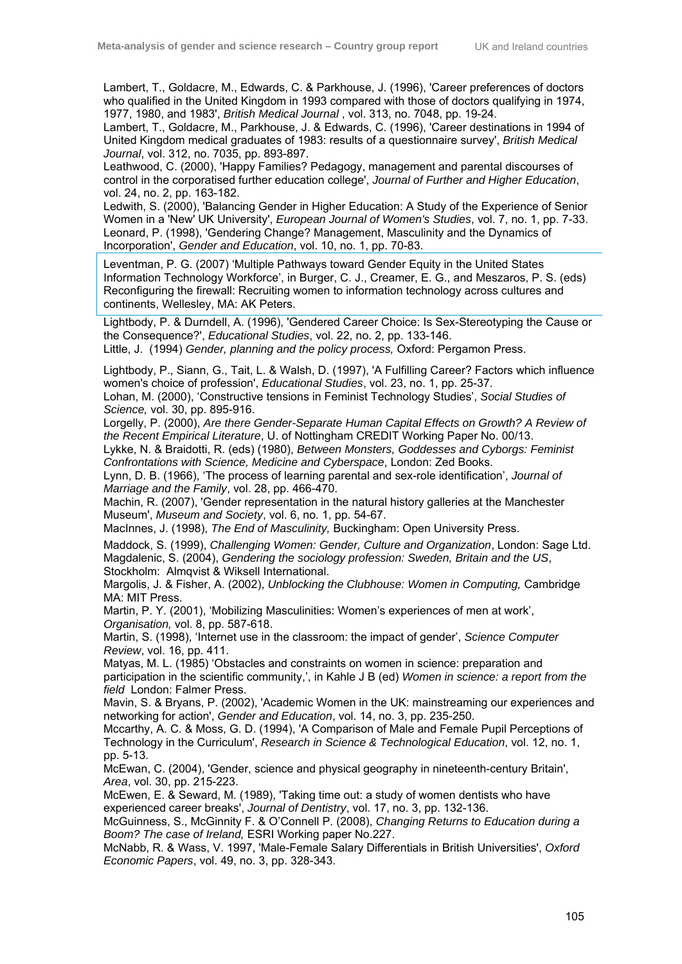Lambert, T., Goldacre, M., Edwards, C. & Parkhouse, J. (1996), 'Career preferences of doctors who qualified in the United Kingdom in 1993 compared with those of doctors qualifying in 1974, 1977, 1980, and 1983', *British Medical Journal* , vol. 313, no. 7048, pp. 19-24.

Lambert, T., Goldacre, M., Parkhouse, J. & Edwards, C. (1996), 'Career destinations in 1994 of United Kingdom medical graduates of 1983: results of a questionnaire survey', *British Medical Journal*, vol. 312, no. 7035, pp. 893-897.

Leathwood, C. (2000), 'Happy Families? Pedagogy, management and parental discourses of control in the corporatised further education college', *Journal of Further and Higher Education*, vol. 24, no. 2, pp. 163-182.

Ledwith, S. (2000), 'Balancing Gender in Higher Education: A Study of the Experience of Senior Women in a 'New' UK University', *European Journal of Women's Studies*, vol. 7, no. 1, pp. 7-33. Leonard, P. (1998), 'Gendering Change? Management, Masculinity and the Dynamics of Incorporation', *Gender and Education*, vol. 10, no. 1, pp. 70-83.

Leventman, P. G. (2007) 'Multiple Pathways toward Gender Equity in the United States Information Technology Workforce', in Burger, C. J., Creamer, E. G., and Meszaros, P. S. (eds) Reconfiguring the firewall: Recruiting women to information technology across cultures and continents, Wellesley, MA: AK Peters.

Lightbody, P. & Durndell, A. (1996), 'Gendered Career Choice: Is Sex-Stereotyping the Cause or the Consequence?', *Educational Studies*, vol. 22, no. 2, pp. 133-146.

Little, J. (1994) *Gender, planning and the policy process,* Oxford: Pergamon Press.

Lightbody, P., Siann, G., Tait, L. & Walsh, D. (1997), 'A Fulfilling Career? Factors which influence women's choice of profession', *Educational Studies*, vol. 23, no. 1, pp. 25-37. Lohan, M. (2000), 'Constructive tensions in Feminist Technology Studies', *Social Studies of Science,* vol. 30, pp. 895-916.

Lorgelly, P. (2000), *Are there Gender-Separate Human Capital Effects on Growth? A Review of the Recent Empirical Literature*, U. of Nottingham CREDIT Working Paper No. 00/13.

Lykke, N. & Braidotti, R. (eds) (1980), *Between Monsters, Goddesses and Cyborgs: Feminist Confrontations with Science, Medicine and Cyberspace*, London: Zed Books.

Lynn, D. B. (1966), 'The process of learning parental and sex-role identification', *Journal of Marriage and the Family*, vol. 28, pp. 466-470.

Machin, R. (2007), 'Gender representation in the natural history galleries at the Manchester Museum', *Museum and Society*, vol. 6, no. 1, pp. 54-67.

MacInnes, J. (1998), *The End of Masculinity,* Buckingham: Open University Press.

Maddock, S. (1999), *Challenging Women: Gender, Culture and Organization*, London: Sage Ltd. Magdalenic, S. (2004), *Gendering the sociology profession: Sweden, Britain and the US*, Stockholm: Almqvist & Wiksell International.

Margolis, J. & Fisher, A. (2002), *Unblocking the Clubhouse: Women in Computing,* Cambridge MA: MIT Press.

Martin, P. Y. (2001), 'Mobilizing Masculinities: Women's experiences of men at work', *Organisation,* vol. 8, pp. 587-618.

Martin, S. (1998), 'Internet use in the classroom: the impact of gender', *Science Computer Review*, vol. 16, pp. 411.

Matyas, M. L. (1985) 'Obstacles and constraints on women in science: preparation and participation in the scientific community,', in Kahle J B (ed) *Women in science: a report from the field* London: Falmer Press.

Mavin, S. & Bryans, P. (2002), 'Academic Women in the UK: mainstreaming our experiences and networking for action', *Gender and Education*, vol. 14, no. 3, pp. 235-250.

Mccarthy, A. C. & Moss, G. D. (1994), 'A Comparison of Male and Female Pupil Perceptions of Technology in the Curriculum', *Research in Science & Technological Education*, vol. 12, no. 1, pp. 5-13.

McEwan, C. (2004), 'Gender, science and physical geography in nineteenth-century Britain', *Area*, vol. 30, pp. 215-223.

McEwen, E. & Seward, M. (1989), 'Taking time out: a study of women dentists who have experienced career breaks', *Journal of Dentistry*, vol. 17, no. 3, pp. 132-136.

McGuinness, S., McGinnity F. & O'Connell P. (2008), *Changing Returns to Education during a Boom? The case of Ireland,* ESRI Working paper No.227.

McNabb, R. & Wass, V. 1997, 'Male-Female Salary Differentials in British Universities', *Oxford Economic Papers*, vol. 49, no. 3, pp. 328-343.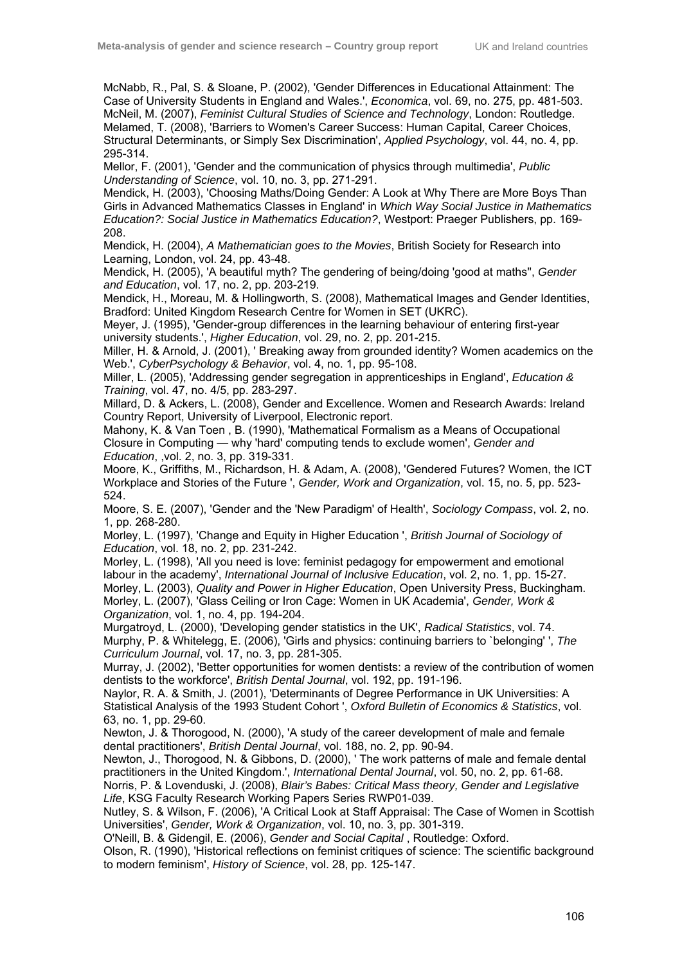McNabb, R., Pal, S. & Sloane, P. (2002), 'Gender Differences in Educational Attainment: The Case of University Students in England and Wales.', *Economica*, vol. 69, no. 275, pp. 481-503. McNeil, M. (2007), *Feminist Cultural Studies of Science and Technology*, London: Routledge. Melamed, T. (2008), 'Barriers to Women's Career Success: Human Capital, Career Choices, Structural Determinants, or Simply Sex Discrimination', *Applied Psychology*, vol. 44, no. 4, pp. 295-314.

Mellor, F. (2001), 'Gender and the communication of physics through multimedia', *Public Understanding of Science*, vol. 10, no. 3, pp. 271-291.

Mendick, H. (2003), 'Choosing Maths/Doing Gender: A Look at Why There are More Boys Than Girls in Advanced Mathematics Classes in England' in *Which Way Social Justice in Mathematics Education?: Social Justice in Mathematics Education?*, Westport: Praeger Publishers, pp. 169- 208.

Mendick, H. (2004), *A Mathematician goes to the Movies*, British Society for Research into Learning, London, vol. 24, pp. 43-48.

Mendick, H. (2005), 'A beautiful myth? The gendering of being/doing 'good at maths'', *Gender and Education*, vol. 17, no. 2, pp. 203-219.

Mendick, H., Moreau, M. & Hollingworth, S. (2008), Mathematical Images and Gender Identities, Bradford: United Kingdom Research Centre for Women in SET (UKRC).

Meyer, J. (1995), 'Gender-group differences in the learning behaviour of entering first-year university students.', *Higher Education*, vol. 29, no. 2, pp. 201-215.

Miller, H. & Arnold, J. (2001), ' Breaking away from grounded identity? Women academics on the Web.', *CyberPsychology & Behavior*, vol. 4, no. 1, pp. 95-108.

Miller, L. (2005), 'Addressing gender segregation in apprenticeships in England', *Education & Training*, vol. 47, no. 4/5, pp. 283-297.

Millard, D. & Ackers, L. (2008), Gender and Excellence. Women and Research Awards: Ireland Country Report, University of Liverpool, Electronic report.

Mahony, K. & Van Toen , B. (1990), 'Mathematical Formalism as a Means of Occupational Closure in Computing — why 'hard' computing tends to exclude women', *Gender and Education*, ,vol. 2, no. 3, pp. 319-331.

Moore, K., Griffiths, M., Richardson, H. & Adam, A. (2008), 'Gendered Futures? Women, the ICT Workplace and Stories of the Future ', *Gender, Work and Organization*, vol. 15, no. 5, pp. 523- 524.

Moore, S. E. (2007), 'Gender and the 'New Paradigm' of Health', *Sociology Compass*, vol. 2, no. 1, pp. 268-280.

Morley, L. (1997), 'Change and Equity in Higher Education ', *British Journal of Sociology of Education*, vol. 18, no. 2, pp. 231-242.

Morley, L. (1998), 'All you need is love: feminist pedagogy for empowerment and emotional labour in the academy', *International Journal of Inclusive Education*, vol. 2, no. 1, pp. 15-27. Morley, L. (2003), *Quality and Power in Higher Education*, Open University Press, Buckingham. Morley, L. (2007), 'Glass Ceiling or Iron Cage: Women in UK Academia', *Gender, Work & Organization*, vol. 1, no. 4, pp. 194-204.

Murgatroyd, L. (2000), 'Developing gender statistics in the UK', *Radical Statistics*, vol. 74. Murphy, P. & Whitelegg, E. (2006), 'Girls and physics: continuing barriers to `belonging' ', *The Curriculum Journal*, vol. 17, no. 3, pp. 281-305.

Murray, J. (2002), 'Better opportunities for women dentists: a review of the contribution of women dentists to the workforce', *British Dental Journal*, vol. 192, pp. 191-196.

Naylor, R. A. & Smith, J. (2001), 'Determinants of Degree Performance in UK Universities: A Statistical Analysis of the 1993 Student Cohort ', *Oxford Bulletin of Economics & Statistics*, vol. 63, no. 1, pp. 29-60.

Newton, J. & Thorogood, N. (2000), 'A study of the career development of male and female dental practitioners', *British Dental Journal*, vol. 188, no. 2, pp. 90-94.

Newton, J., Thorogood, N. & Gibbons, D. (2000), ' The work patterns of male and female dental practitioners in the United Kingdom.', *International Dental Journal*, vol. 50, no. 2, pp. 61-68.

Norris, P. & Lovenduski, J. (2008), *Blair's Babes: Critical Mass theory, Gender and Legislative Life*, KSG Faculty Research Working Papers Series RWP01-039.

Nutley, S. & Wilson, F. (2006), 'A Critical Look at Staff Appraisal: The Case of Women in Scottish Universities', *Gender, Work & Organization*, vol. 10, no. 3, pp. 301-319.

O'Neill, B. & Gidengil, E. (2006), *Gender and Social Capital* , Routledge: Oxford.

Olson, R. (1990), 'Historical reflections on feminist critiques of science: The scientific background to modern feminism', *History of Science*, vol. 28, pp. 125-147.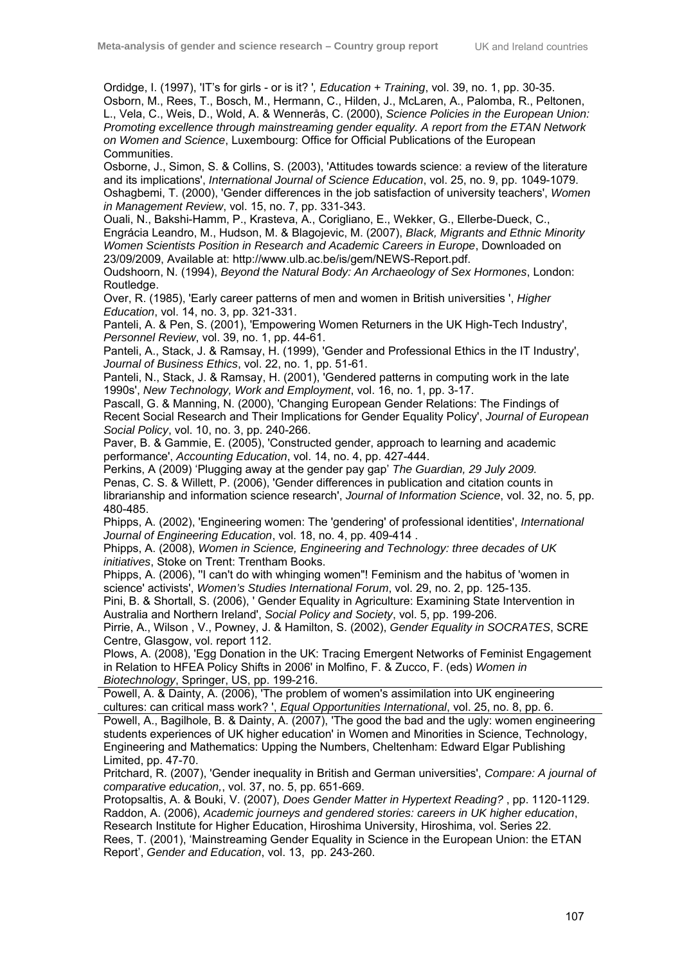Ordidge, I. (1997), 'IT's for girls - or is it? '*, Education + Training*, vol. 39, no. 1, pp. 30-35. Osborn, M., Rees, T., Bosch, M., Hermann, C., Hilden, J., McLaren, A., Palomba, R., Peltonen, L., Vela, C., Weis, D., Wold, A. & Wennerås, C. (2000), *Science Policies in the European Union: Promoting excellence through mainstreaming gender equality. A report from the ETAN Network on Women and Science*, Luxembourg: Office for Official Publications of the European Communities.

Osborne, J., Simon, S. & Collins, S. (2003), 'Attitudes towards science: a review of the literature and its implications', *International Journal of Science Education*, vol. 25, no. 9, pp. 1049-1079. Oshagbemi, T. (2000), 'Gender differences in the job satisfaction of university teachers', *Women in Management Review*, vol. 15, no. 7, pp. 331-343.

Ouali, N., Bakshi-Hamm, P., Krasteva, A., Corigliano, E., Wekker, G., Ellerbe-Dueck, C., Engrácia Leandro, M., Hudson, M. & Blagojevic, M. (2007), *Black, Migrants and Ethnic Minority Women Scientists Position in Research and Academic Careers in Europe*, Downloaded on 23/09/2009, Available at: http://www.ulb.ac.be/is/gem/NEWS-Report.pdf.

Oudshoorn, N. (1994), *Beyond the Natural Body: An Archaeology of Sex Hormones*, London: Routledge.

Over, R. (1985), 'Early career patterns of men and women in British universities ', *Higher Education*, vol. 14, no. 3, pp. 321-331.

Panteli, A. & Pen, S. (2001), 'Empowering Women Returners in the UK High-Tech Industry', *Personnel Review*, vol. 39, no. 1, pp. 44-61.

Panteli, A., Stack, J. & Ramsay, H. (1999), 'Gender and Professional Ethics in the IT Industry', *Journal of Business Ethics*, vol. 22, no. 1, pp. 51-61.

Panteli, N., Stack, J. & Ramsay, H. (2001), 'Gendered patterns in computing work in the late 1990s', *New Technology, Work and Employment*, vol. 16, no. 1, pp. 3-17.

Pascall, G. & Manning, N. (2000), 'Changing European Gender Relations: The Findings of Recent Social Research and Their Implications for Gender Equality Policy', *Journal of European Social Policy*, vol. 10, no. 3, pp. 240-266.

Paver, B. & Gammie, E. (2005), 'Constructed gender, approach to learning and academic performance', *Accounting Education*, vol. 14, no. 4, pp. 427-444.

Perkins, A (2009) 'Plugging away at the gender pay gap' *The Guardian, 29 July 2009.* Penas, C. S. & Willett, P. (2006), 'Gender differences in publication and citation counts in librarianship and information science research', *Journal of Information Science*, vol. 32, no. 5, pp. 480-485.

Phipps, A. (2002), 'Engineering women: The 'gendering' of professional identities', *International Journal of Engineering Education*, vol. 18, no. 4, pp. 409-414 .

Phipps, A. (2008), *Women in Science, Engineering and Technology: three decades of UK initiatives*, Stoke on Trent: Trentham Books.

Phipps, A. (2006), ''I can't do with whinging women"! Feminism and the habitus of 'women in science' activists', *Women's Studies International Forum*, vol. 29, no. 2, pp. 125-135.

Pini, B. & Shortall, S. (2006), ' Gender Equality in Agriculture: Examining State Intervention in Australia and Northern Ireland', *Social Policy and Society*, vol. 5, pp. 199-206.

Pirrie, A., Wilson , V., Powney, J. & Hamilton, S. (2002), *Gender Equality in SOCRATES*, SCRE Centre, Glasgow, vol. report 112.

Plows, A. (2008), 'Egg Donation in the UK: Tracing Emergent Networks of Feminist Engagement in Relation to HFEA Policy Shifts in 2006' in Molfino, F. & Zucco, F. (eds) *Women in Biotechnology*, Springer, US, pp. 199-216.

Powell, A. & Dainty, A. (2006), 'The problem of women's assimilation into UK engineering cultures: can critical mass work? ', *Equal Opportunities International*, vol. 25, no. 8, pp. 6.

Powell, A., Bagilhole, B. & Dainty, A. (2007), 'The good the bad and the ugly: women engineering students experiences of UK higher education' in Women and Minorities in Science, Technology, Engineering and Mathematics: Upping the Numbers, Cheltenham: Edward Elgar Publishing Limited, pp. 47-70.

Pritchard, R. (2007), 'Gender inequality in British and German universities', *Compare: A journal of comparative education,*, vol. 37, no. 5, pp. 651-669.

Protopsaltis, A. & Bouki, V. (2007), *Does Gender Matter in Hypertext Reading?* , pp. 1120-1129. Raddon, A. (2006), *Academic journeys and gendered stories: careers in UK higher education*, Research Institute for Higher Education, Hiroshima University, Hiroshima, vol. Series 22. Rees, T. (2001), 'Mainstreaming Gender Equality in Science in the European Union: the ETAN Report', *Gender and Education*, vol. 13, pp. 243-260.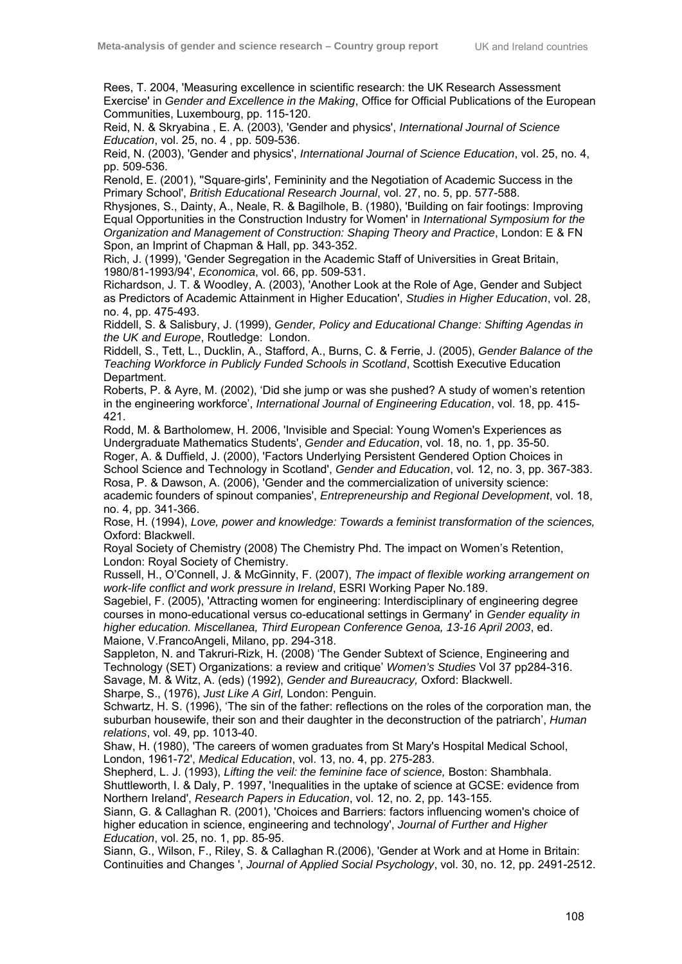Rees, T. 2004, 'Measuring excellence in scientific research: the UK Research Assessment Exercise' in *Gender and Excellence in the Making*, Office for Official Publications of the European Communities, Luxembourg, pp. 115-120.

Reid, N. & Skryabina , E. A. (2003), 'Gender and physics', *International Journal of Science Education*, vol. 25, no. 4 , pp. 509-536.

Reid, N. (2003), 'Gender and physics', *International Journal of Science Education*, vol. 25, no. 4, pp. 509-536.

Renold, E. (2001), ''Square-girls', Femininity and the Negotiation of Academic Success in the Primary School', *British Educational Research Journal*, vol. 27, no. 5, pp. 577-588.

Rhysjones, S., Dainty, A., Neale, R. & Bagilhole, B. (1980), 'Building on fair footings: Improving Equal Opportunities in the Construction Industry for Women' in *International Symposium for the Organization and Management of Construction: Shaping Theory and Practice*, London: E & FN Spon, an Imprint of Chapman & Hall, pp. 343-352.

Rich, J. (1999), 'Gender Segregation in the Academic Staff of Universities in Great Britain, 1980/81-1993/94', *Economica*, vol. 66, pp. 509-531.

Richardson, J. T. & Woodley, A. (2003), 'Another Look at the Role of Age, Gender and Subject as Predictors of Academic Attainment in Higher Education', *Studies in Higher Education*, vol. 28, no. 4, pp. 475-493.

Riddell, S. & Salisbury, J. (1999), *Gender, Policy and Educational Change: Shifting Agendas in the UK and Europe*, Routledge: London.

Riddell, S., Tett, L., Ducklin, A., Stafford, A., Burns, C. & Ferrie, J. (2005), *Gender Balance of the Teaching Workforce in Publicly Funded Schools in Scotland*, Scottish Executive Education Department.

Roberts, P. & Ayre, M. (2002), 'Did she jump or was she pushed? A study of women's retention in the engineering workforce', *International Journal of Engineering Education*, vol. 18, pp. 415- 421.

Rodd, M. & Bartholomew, H. 2006, 'Invisible and Special: Young Women's Experiences as Undergraduate Mathematics Students', *Gender and Education*, vol. 18, no. 1, pp. 35-50. Roger, A. & Duffield, J. (2000), 'Factors Underlying Persistent Gendered Option Choices in

School Science and Technology in Scotland', *Gender and Education*, vol. 12, no. 3, pp. 367-383. Rosa, P. & Dawson, A. (2006), 'Gender and the commercialization of university science:

academic founders of spinout companies', *Entrepreneurship and Regional Development*, vol. 18, no. 4, pp. 341-366.

Rose, H. (1994), *Love, power and knowledge: Towards a feminist transformation of the sciences,* Oxford: Blackwell.

Royal Society of Chemistry (2008) The Chemistry Phd. The impact on Women's Retention, London: Royal Society of Chemistry.

Russell, H., O'Connell, J. & McGinnity, F. (2007), *The impact of flexible working arrangement on work-life conflict and work pressure in Ireland*, ESRI Working Paper No.189.

Sagebiel, F. (2005), 'Attracting women for engineering: Interdisciplinary of engineering degree courses in mono-educational versus co-educational settings in Germany' in *Gender equality in higher education. Miscellanea, Third European Conference Genoa, 13-16 April 2003*, ed. Maione, V.FrancoAngeli, Milano, pp. 294-318.

Sappleton, N. and Takruri-Rizk, H. (2008) 'The Gender Subtext of Science, Engineering and Technology (SET) Organizations: a review and critique' *Women's Studies* Vol 37 pp284-316. Savage, M. & Witz, A. (eds) (1992), *Gender and Bureaucracy,* Oxford: Blackwell.

Sharpe, S., (1976), *Just Like A Girl,* London: Penguin.

Schwartz, H. S. (1996), 'The sin of the father: reflections on the roles of the corporation man, the suburban housewife, their son and their daughter in the deconstruction of the patriarch', *Human relations*, vol. 49, pp. 1013-40.

Shaw, H. (1980), 'The careers of women graduates from St Mary's Hospital Medical School, London, 1961-72', *Medical Education*, vol. 13, no. 4, pp. 275-283.

Shepherd, L. J. (1993), *Lifting the veil: the feminine face of science,* Boston: Shambhala. Shuttleworth, I. & Daly, P. 1997, 'Inequalities in the uptake of science at GCSE: evidence from Northern Ireland', *Research Papers in Education*, vol. 12, no. 2, pp. 143-155.

Siann, G. & Callaghan R. (2001), 'Choices and Barriers: factors influencing women's choice of higher education in science, engineering and technology', *Journal of Further and Higher Education*, vol. 25, no. 1, pp. 85-95.

Siann, G., Wilson, F., Riley, S. & Callaghan R.(2006), 'Gender at Work and at Home in Britain: Continuities and Changes ', *Journal of Applied Social Psychology*, vol. 30, no. 12, pp. 2491-2512.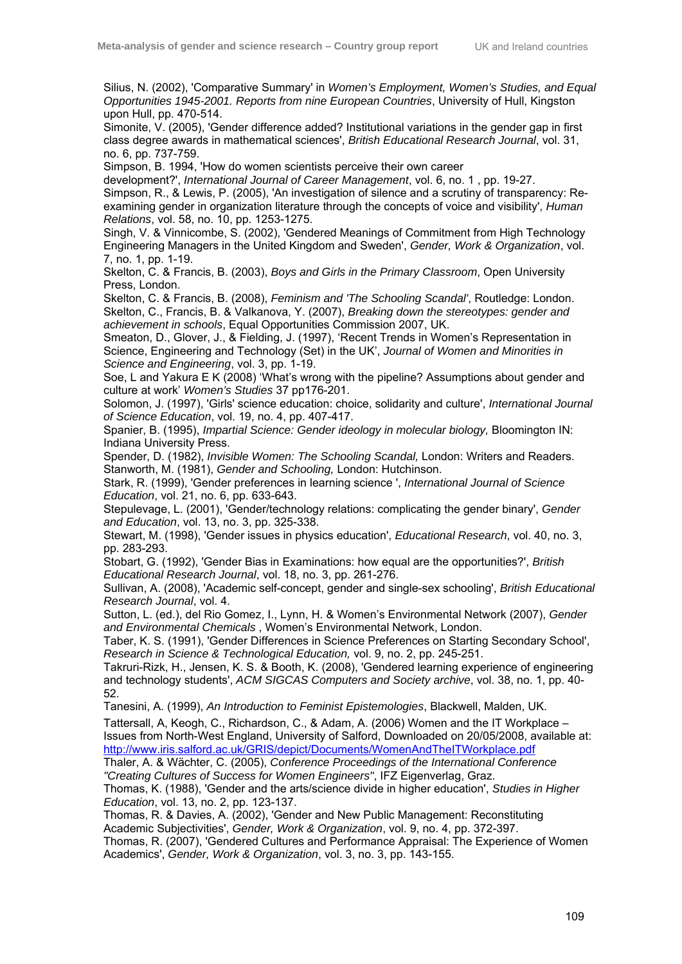Silius, N. (2002), 'Comparative Summary' in *Women's Employment, Women's Studies, and Equal Opportunities 1945-2001. Reports from nine European Countries*, University of Hull, Kingston upon Hull, pp. 470-514.

Simonite, V. (2005), 'Gender difference added? Institutional variations in the gender gap in first class degree awards in mathematical sciences', *British Educational Research Journal*, vol. 31, no. 6, pp. 737-759.

Simpson, B. 1994, 'How do women scientists perceive their own career

development?', *International Journal of Career Management*, vol. 6, no. 1 , pp. 19-27.

Simpson, R., & Lewis, P. (2005), 'An investigation of silence and a scrutiny of transparency: Reexamining gender in organization literature through the concepts of voice and visibility', *Human Relations*, vol. 58, no. 10, pp. 1253-1275.

Singh, V. & Vinnicombe, S. (2002), 'Gendered Meanings of Commitment from High Technology Engineering Managers in the United Kingdom and Sweden', *Gender, Work & Organization*, vol. 7, no. 1, pp. 1-19.

Skelton, C. & Francis, B. (2003), *Boys and Girls in the Primary Classroom*, Open University Press, London.

Skelton, C. & Francis, B. (2008), *Feminism and 'The Schooling Scandal'*, Routledge: London. Skelton, C., Francis, B. & Valkanova, Y. (2007), *Breaking down the stereotypes: gender and achievement in schools*, Equal Opportunities Commission 2007, UK.

Smeaton, D., Glover, J., & Fielding, J. (1997), 'Recent Trends in Women's Representation in Science, Engineering and Technology (Set) in the UK', *Journal of Women and Minorities in Science and Engineering*, vol. 3, pp. 1-19.

Soe, L and Yakura E K (2008) 'What's wrong with the pipeline? Assumptions about gender and culture at work' *Women's Studies* 37 pp176-201.

Solomon, J. (1997), 'Girls' science education: choice, solidarity and culture', *International Journal of Science Education*, vol. 19, no. 4, pp. 407-417.

Spanier, B. (1995), *Impartial Science: Gender ideology in molecular biology,* Bloomington IN: Indiana University Press.

Spender, D. (1982), *Invisible Women: The Schooling Scandal,* London: Writers and Readers. Stanworth, M. (1981), *Gender and Schooling,* London: Hutchinson.

Stark, R. (1999), 'Gender preferences in learning science ', *International Journal of Science Education*, vol. 21, no. 6, pp. 633-643.

Stepulevage, L. (2001), 'Gender/technology relations: complicating the gender binary', *Gender and Education*, vol. 13, no. 3, pp. 325-338.

Stewart, M. (1998), 'Gender issues in physics education', *Educational Research*, vol. 40, no. 3, pp. 283-293.

Stobart, G. (1992), 'Gender Bias in Examinations: how equal are the opportunities?', *British Educational Research Journal*, vol. 18, no. 3, pp. 261-276.

Sullivan, A. (2008), 'Academic self-concept, gender and single-sex schooling', *British Educational Research Journal*, vol. 4.

Sutton, L. (ed.), del Rio Gomez, I., Lynn, H. & Women's Environmental Network (2007), *Gender and Environmental Chemicals* , Women's Environmental Network, London.

Taber, K. S. (1991), 'Gender Differences in Science Preferences on Starting Secondary School', *Research in Science & Technological Education,* vol. 9, no. 2, pp. 245-251.

Takruri-Rizk, H., Jensen, K. S. & Booth, K. (2008), 'Gendered learning experience of engineering and technology students', *ACM SIGCAS Computers and Society archive*, vol. 38, no. 1, pp. 40- 52.

Tanesini, A. (1999), *An Introduction to Feminist Epistemologies*, Blackwell, Malden, UK.

Tattersall, A, Keogh, C., Richardson, C., & Adam, A. (2006) Women and the IT Workplace – Issues from North-West England, University of Salford, Downloaded on 20/05/2008, available at: http://www.iris.salford.ac.uk/GRIS/depict/Documents/WomenAndTheITWorkplace.pdf

Thaler, A. & Wächter, C. (2005), *Conference Proceedings of the International Conference "Creating Cultures of Success for Women Engineers"*, IFZ Eigenverlag, Graz.

Thomas, K. (1988), 'Gender and the arts/science divide in higher education', *Studies in Higher Education*, vol. 13, no. 2, pp. 123-137.

Thomas, R. & Davies, A. (2002), 'Gender and New Public Management: Reconstituting Academic Subjectivities', *Gender, Work & Organization*, vol. 9, no. 4, pp. 372-397.

Thomas, R. (2007), 'Gendered Cultures and Performance Appraisal: The Experience of Women Academics', *Gender, Work & Organization*, vol. 3, no. 3, pp. 143-155.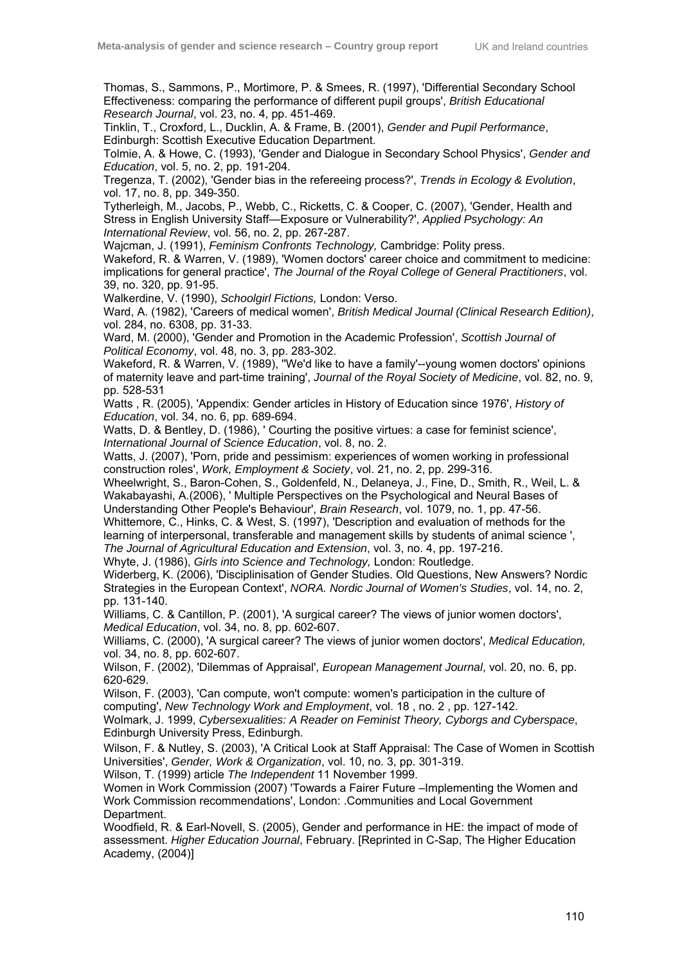Thomas, S., Sammons, P., Mortimore, P. & Smees, R. (1997), 'Differential Secondary School Effectiveness: comparing the performance of different pupil groups', *British Educational Research Journal*, vol. 23, no. 4, pp. 451-469.

Tinklin, T., Croxford, L., Ducklin, A. & Frame, B. (2001), *Gender and Pupil Performance*, Edinburgh: Scottish Executive Education Department.

Tolmie, A. & Howe, C. (1993), 'Gender and Dialogue in Secondary School Physics', *Gender and Education*, vol. 5, no. 2, pp. 191-204.

Tregenza, T. (2002), 'Gender bias in the refereeing process?', *Trends in Ecology & Evolution*, vol. 17, no. 8, pp. 349-350.

Tytherleigh, M., Jacobs, P., Webb, C., Ricketts, C. & Cooper, C. (2007), 'Gender, Health and Stress in English University Staff—Exposure or Vulnerability?', *Applied Psychology: An International Review*, vol. 56, no. 2, pp. 267-287.

Wajcman, J. (1991), *Feminism Confronts Technology,* Cambridge: Polity press.

Wakeford, R. & Warren, V. (1989), 'Women doctors' career choice and commitment to medicine: implications for general practice', *The Journal of the Royal College of General Practitioners*, vol. 39, no. 320, pp. 91-95.

Walkerdine, V. (1990), *Schoolgirl Fictions,* London: Verso.

Ward, A. (1982), 'Careers of medical women', *British Medical Journal (Clinical Research Edition)*, vol. 284, no. 6308, pp. 31-33.

Ward, M. (2000), 'Gender and Promotion in the Academic Profession', *Scottish Journal of Political Economy*, vol. 48, no. 3, pp. 283-302.

Wakeford, R. & Warren, V. (1989), ''We'd like to have a family'--young women doctors' opinions of maternity leave and part-time training', *Journal of the Royal Society of Medicine*, vol. 82, no. 9, pp. 528-531

Watts , R. (2005), 'Appendix: Gender articles in History of Education since 1976', *History of Education*, vol. 34, no. 6, pp. 689-694.

Watts, D. & Bentley, D. (1986), ' Courting the positive virtues: a case for feminist science', *International Journal of Science Education*, vol. 8, no. 2.

Watts, J. (2007), 'Porn, pride and pessimism: experiences of women working in professional construction roles', *Work, Employment & Society*, vol. 21, no. 2, pp. 299-316.

Wheelwright, S., Baron-Cohen, S., Goldenfeld, N., Delaneya, J., Fine, D., Smith, R., Weil, L. & Wakabayashi, A.(2006), ' Multiple Perspectives on the Psychological and Neural Bases of Understanding Other People's Behaviour', *Brain Research*, vol. 1079, no. 1, pp. 47-56.

Whittemore, C., Hinks, C. & West, S. (1997), 'Description and evaluation of methods for the learning of interpersonal, transferable and management skills by students of animal science ', *The Journal of Agricultural Education and Extension*, vol. 3, no. 4, pp. 197-216.

Whyte, J. (1986), *Girls into Science and Technology,* London: Routledge.

Widerberg, K. (2006), 'Disciplinisation of Gender Studies. Old Questions, New Answers? Nordic Strategies in the European Context', *NORA. Nordic Journal of Women's Studies*, vol. 14, no. 2, pp. 131-140.

Williams, C. & Cantillon, P. (2001), 'A surgical career? The views of junior women doctors', *Medical Education*, vol. 34, no. 8, pp. 602-607.

Williams, C. (2000), 'A surgical career? The views of junior women doctors', *Medical Education,*  vol. 34, no. 8, pp. 602-607.

Wilson, F. (2002), 'Dilemmas of Appraisal', *European Management Journal*, vol. 20, no. 6, pp. 620-629.

Wilson, F. (2003), 'Can compute, won't compute: women's participation in the culture of computing', *New Technology Work and Employment*, vol. 18 , no. 2 , pp. 127-142.

Wolmark, J. 1999, *Cybersexualities: A Reader on Feminist Theory, Cyborgs and Cyberspace*, Edinburgh University Press, Edinburgh.

Wilson, F. & Nutley, S. (2003), 'A Critical Look at Staff Appraisal: The Case of Women in Scottish Universities', *Gender, Work & Organization*, vol. 10, no. 3, pp. 301-319.

Wilson, T. (1999) article *The Independent* 11 November 1999.

Women in Work Commission (2007) 'Towards a Fairer Future –Implementing the Women and Work Commission recommendations', London: .Communities and Local Government Department.

Woodfield, R. & Earl-Novell, S. (2005), Gender and performance in HE: the impact of mode of assessment. *Higher Education Journal*, February. [Reprinted in C-Sap, The Higher Education Academy, (2004)]